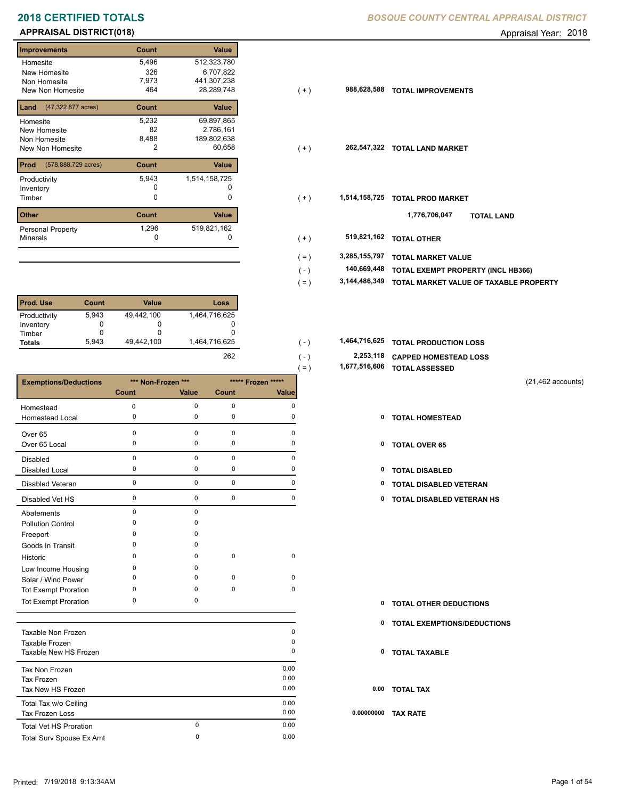## **APPRAISAL DISTRICT(018)** Appraisal Year: 2018

## **Improvements Count Value Homesite** New Homesite Non Homesite New Non Homesite **TOTAL 164**  5,496 512,323,780 326 6,707,822 2,786,161 82 7,973 441,307,238  $28,289,748$ **Land** (47,322.877 acres) **Count Value** Homesite New Homesite Non Homesite 5,232 69,897,865 8,488 189,802,638 **Prod Count Value** (578,888.729 acres) Productivity 1,514,158,725 5,943 Inventory 0 0 **Other Count Value** Minerals Personal Property **1,296** 1,162 519,821,162<br>0

| <b>Prod. Use</b> | Count | <b>Value</b> | Loss          |
|------------------|-------|--------------|---------------|
| Productivity     | 5,943 | 49,442,100   | 1,464,716,625 |
| Inventory        |       | O            | O             |
| Timber           |       | O            |               |
| <b>Totals</b>    | 5.943 | 49,442,100   | 1,464,716,625 |
|                  |       |              | 262           |

|                              |              |                    |             |                    | (=) | 1,077,510,000 TOTAL ASSESSED  |                      |
|------------------------------|--------------|--------------------|-------------|--------------------|-----|-------------------------------|----------------------|
| <b>Exemptions/Deductions</b> |              | *** Non-Frozen *** |             | ***** Frozen ***** |     |                               | $(21, 462$ accounts) |
|                              | <b>Count</b> | Value              | Count       | <b>Value</b>       |     |                               |                      |
| Homestead                    | $\mathbf 0$  | $\mathbf 0$        | $\mathbf 0$ | 0                  |     |                               |                      |
| Homestead Local              | 0            | $\mathbf 0$        | $\mathbf 0$ | 0                  |     | 0 TOTAL HOMESTEAD             |                      |
| Over 65                      | 0            | $\mathbf 0$        | $\mathbf 0$ | $\Omega$           |     |                               |                      |
| Over 65 Local                | 0            | $\mathbf 0$        | $\mathbf 0$ | 0                  | 0   | <b>TOTAL OVER 65</b>          |                      |
| <b>Disabled</b>              | 0            | $\mathbf 0$        | $\mathbf 0$ | $\Omega$           |     |                               |                      |
| <b>Disabled Local</b>        | 0            | 0                  | 0           | 0                  | 0   | <b>TOTAL DISABLED</b>         |                      |
| <b>Disabled Veteran</b>      | 0            | $\mathbf 0$        | $\mathbf 0$ | 0                  | 0   | TOTAL DISABLED VETERAN        |                      |
| Disabled Vet HS              | 0            | 0                  | $\mathbf 0$ | 0                  | 0   | TOTAL DISABLED VETERAN HS     |                      |
| Abatements                   | 0            | $\mathbf 0$        |             |                    |     |                               |                      |
| <b>Pollution Control</b>     | $\Omega$     | $\Omega$           |             |                    |     |                               |                      |
| Freeport                     | 0            | $\Omega$           |             |                    |     |                               |                      |
| Goods In Transit             | $\Omega$     | $\Omega$           |             |                    |     |                               |                      |
| Historic                     | 0            | $\Omega$           | $\mathbf 0$ | $\mathbf 0$        |     |                               |                      |
| Low Income Housing           | $\Omega$     | 0                  |             |                    |     |                               |                      |
| Solar / Wind Power           | O            | 0                  | 0           | $\mathbf 0$        |     |                               |                      |
| <b>Tot Exempt Proration</b>  | $\Omega$     | $\Omega$           | $\mathbf 0$ | 0                  |     |                               |                      |
| <b>Tot Exempt Proration</b>  | 0            | $\mathbf 0$        |             |                    | 0   | <b>TOTAL OTHER DEDUCTIONS</b> |                      |
|                              |              |                    |             |                    | 0   | TOTAL EXEMPTIONS/DEDUCTIONS   |                      |
| Taxable Non Frozen           |              |                    |             | 0                  |     |                               |                      |
| Taxable Frozen               |              |                    |             | 0                  |     |                               |                      |
| Taxable New HS Frozen        |              |                    |             | $\Omega$           | 0   | <b>TOTAL TAXABLE</b>          |                      |
| Tax Non Frozen               |              |                    |             | 0.00               |     |                               |                      |
| <b>Tax Frozen</b>            |              |                    |             | 0.00               |     |                               |                      |

|  | . . |  |
|--|-----|--|
|  |     |  |
|  |     |  |
|  |     |  |
|  |     |  |
|  |     |  |
|  |     |  |

| Taxable Frozen<br>Taxable New HS Frozen |   | 0<br>0 |     |
|-----------------------------------------|---|--------|-----|
| Tax Non Frozen                          |   | 0.00   |     |
| Tax Frozen                              |   | 0.00   |     |
| Tax New HS Frozen                       |   | 0.00   |     |
| Total Tax w/o Ceiling                   |   | 0.00   |     |
| Tax Frozen Loss                         |   | 0.00   | 0.0 |
| Total Vet HS Proration                  | 0 | 0.00   |     |
| Total Surv Spouse Ex Amt                | 0 | 0.00   |     |
|                                         |   |        |     |

## **2018 CERTIFIED TOTALS** *BOSQUE COUNTY CENTRAL APPRAISAL DISTRICT*

| illipi uvellielits                       | งบนแเ | value         |
|------------------------------------------|-------|---------------|
| Homesite                                 | 5,496 | 512,323,780   |
| New Homesite                             | 326   | 6,707,822     |
| Non Homesite                             | 7,973 | 441,307,238   |
| New Non Homesite                         | 464   | 28,289,748    |
| <b>Land</b> $(47,322.877 \text{ acres})$ | Count | Value         |
| Homesite                                 | 5,232 | 69,897,865    |
| New Homesite                             | 82    | 2,786,161     |
| Non Homesite                             | 8,488 | 189,802,638   |
| New Non Homesite                         | 2     | 60,658        |
| <b>Prod</b> (578,888.729 acres)          | Count | Value         |
| Productivity                             | 5,943 | 1,514,158,725 |
| Inventory                                | C     |               |
| Timber                                   | 0     | $\Omega$      |
| Other                                    | Count | Value         |
| Personal Property                        | 1,296 | 519,821,162   |
| Minerals                                 | 0     | 0             |
|                                          |       |               |

- **TOTAL EXEMPT PROPERTY (INCL HB366) 140,669,448**
- **3,144,486,349 TOTAL MARKET VALUE OF TAXABLE PROPERTY** ( = )

| 1,464,716,625 |  | 1,464,716,625 TOTAL PRODUCTION LOSS |  |
|---------------|--|-------------------------------------|--|
|---------------|--|-------------------------------------|--|

 $( - )$ 

| $(-)$   | 2,253,118 CAPPED HOMESTEAD LOSS |
|---------|---------------------------------|
| $( = )$ | 1,677,516,606 TOTAL ASSESSED    |

- 
- 
- 
- 
- 0 0 0 0 **0 TOTAL DISABLED VETERAN HS**

**TOTAL OTHER DEDUCTIONS 0**

- **0 TOTAL EXEMPTIONS/DEDUCTIONS**
- **0 TOTAL TAXABLE**

 **0.00 TOTAL TAX**

```
 0.00000000 TAX RATE
```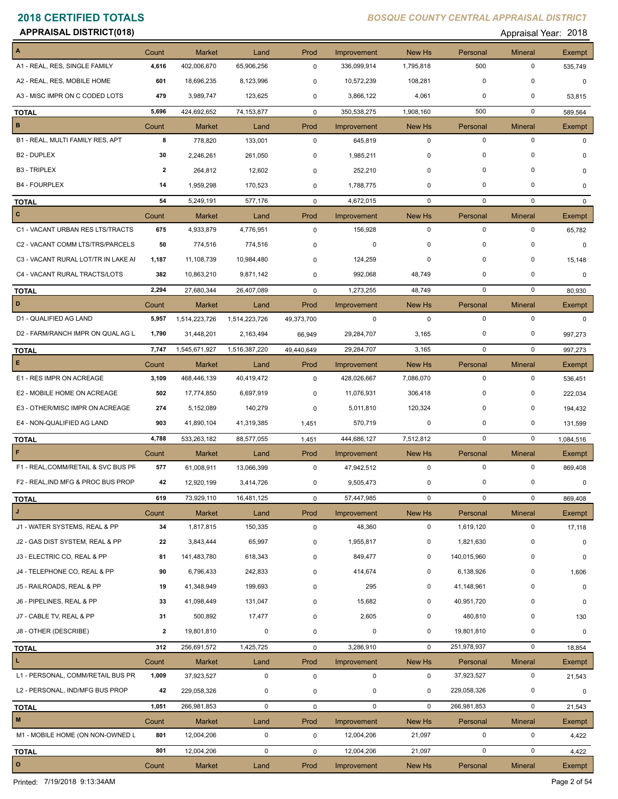**APPRAISAL DISTRICT(018)** Appraisal Year: 2018

|                                     | Count          | <b>Market</b> | Land                    | Prod         | Improvement | New Hs       | Personal    | <b>Mineral</b> | Exempt       |
|-------------------------------------|----------------|---------------|-------------------------|--------------|-------------|--------------|-------------|----------------|--------------|
| A1 - REAL, RES, SINGLE FAMILY       | 4,616          | 402,006,670   | 65,906,256              | $\mathbf 0$  | 336,099,914 | 1,795,818    | 500         | $\mathbf 0$    | 535,749      |
| A2 - REAL, RES, MOBILE HOME         | 601            | 18,696,235    | 8,123,996               | 0            | 10,572,239  | 108,281      | $\mathbf 0$ | $\mathbf 0$    | $\mathbf 0$  |
| A3 - MISC IMPR ON C CODED LOTS      | 479            | 3,989,747     | 123,625                 | 0            | 3,866,122   | 4,061        | 0           | 0              | 53,815       |
| <b>TOTAL</b>                        | 5,696          | 424,692,652   | 74,153,877              | $\mathbf 0$  | 350,538,275 | 1,908,160    | 500         | $\mathbf 0$    | 589,564      |
| B                                   | Count          | <b>Market</b> | Land                    | Prod         | Improvement | New Hs       | Personal    | <b>Mineral</b> | Exempt       |
| B1 - REAL, MULTI FAMILY RES, APT    | 8              | 778,820       | 133,001                 | 0            | 645,819     | $\mathbf 0$  | $\mathbf 0$ | $\mathbf 0$    | 0            |
| B <sub>2</sub> - DUPLEX             | 30             | 2,246,261     | 261,050                 | 0            | 1,985,211   | 0            | $\mathbf 0$ | 0              | 0            |
| <b>B3 - TRIPLEX</b>                 | $\overline{2}$ | 264,812       | 12,602                  | 0            | 252,210     | 0            | $\mathbf 0$ | $\mathbf 0$    | 0            |
| <b>B4 - FOURPLEX</b>                | 14             | 1,959,298     | 170,523                 | 0            | 1,788,775   | 0            | 0           | 0              | 0            |
| <b>TOTAL</b>                        | 54             | 5,249,191     | 577,176                 | $\mathbf 0$  | 4,672,015   | $\mathbf{0}$ | $\mathbf 0$ | $\mathbf 0$    | $\mathbf{0}$ |
| c                                   | Count          | <b>Market</b> | Land                    | Prod         | Improvement | New Hs       | Personal    | <b>Mineral</b> | Exempt       |
| C1 - VACANT URBAN RES LTS/TRACTS    | 675            | 4,933,879     | 4,776,951               | 0            | 156,928     | $\mathbf 0$  | $\mathbf 0$ | $\mathbf 0$    | 65,782       |
| C2 - VACANT COMM LTS/TRS/PARCELS    | 50             | 774.516       | 774,516                 | 0            | 0           | 0            | $\mathbf 0$ | $\Omega$       | $\mathbf 0$  |
| C3 - VACANT RURAL LOT/TR IN LAKE AI | 1,187          | 11,108,739    | 10,984,480              | 0            | 124,259     | 0            | $\mathbf 0$ | $\mathbf 0$    | 15,148       |
| C4 - VACANT RURAL TRACTS/LOTS       | 382            | 10,863,210    | 9,871,142               | $\mathbf 0$  | 992,068     | 48,749       | 0           | 0              | 0            |
| <b>TOTAL</b>                        | 2,294          | 27,680,344    | 26,407,089              | $\mathbf 0$  | 1,273,255   | 48,749       | $\mathbf 0$ | $\mathbf 0$    | 80,930       |
| D                                   | Count          | <b>Market</b> | Land                    | Prod         | Improvement | New Hs       | Personal    | <b>Mineral</b> | Exempt       |
| D1 - QUALIFIED AG LAND              | 5,957          | 1,514,223,726 | 1,514,223,726           | 49,373,700   | $\mathbf 0$ | $\mathbf 0$  | $\mathbf 0$ | $\mathbf 0$    | $\Omega$     |
| D2 - FARM/RANCH IMPR ON QUAL AG L   | 1,790          | 31,448,201    | 2,163,494               | 66,949       | 29,284,707  | 3,165        | 0           | 0              | 997,273      |
| <b>TOTAL</b>                        | 7,747          | 1,545,671,927 | 1,516,387,220           | 49,440,649   | 29,284,707  | 3,165        | $\mathbf 0$ | $\mathbf 0$    | 997,273      |
| E.                                  | Count          | <b>Market</b> | Land                    | Prod         | Improvement | New Hs       | Personal    | <b>Mineral</b> | Exempt       |
| E1 - RES IMPR ON ACREAGE            | 3,109          | 468,446,139   | 40,419,472              | $\mathbf 0$  | 428,026,667 | 7,086,070    | $\mathbf 0$ | $\mathbf 0$    | 536,451      |
| E2 - MOBILE HOME ON ACREAGE         | 502            | 17,774,850    | 6,697,919               | 0            | 11,076,931  | 306,418      | $\mathbf 0$ | $\mathbf 0$    | 222,034      |
| E3 - OTHER/MISC IMPR ON ACREAGE     | 274            | 5,152,089     | 140,279                 | 0            | 5,011,810   | 120,324      | 0           | 0              | 194,432      |
| E4 - NON-QUALIFIED AG LAND          | 903            | 41,890,104    | 41,319,385              | 1,451        | 570,719     | 0            | $\mathbf 0$ | 0              | 131,599      |
| <b>TOTAL</b>                        | 4,788          | 533,263,182   | 88,577,055              | 1,451        | 444,686,127 | 7,512,812    | $\mathbf 0$ | $\mathbf 0$    | 1,084,516    |
| F                                   | Count          | <b>Market</b> | Land                    | Prod         | Improvement | New Hs       | Personal    | <b>Mineral</b> | Exempt       |
| F1 - REAL, COMM/RETAIL & SVC BUS PF | 577            | 61,008,911    | 13,066,399              | $\pmb{0}$    | 47,942,512  | $\mathbf 0$  | $\mathbf 0$ | 0              | 869,408      |
| F2 - REAL, IND MFG & PROC BUS PROP  | 42             | 12,920,199    | 3,414,726               | 0            | 9,505,473   | 0            | 0           | 0              | 0            |
| <b>TOTAL</b>                        | 619            | 73,929,110    | 16,481,125              | $\mathbf{0}$ | 57,447,985  | $\mathbf{0}$ | 0           | 0              | 869,408      |
| J                                   | Count          | <b>Market</b> | Land                    | Prod         | Improvement | New Hs       | Personal    | <b>Mineral</b> | Exempt       |
| J1 - WATER SYSTEMS, REAL & PP       | 34             | 1,817,815     | 150,335                 | 0            | 48,360      | $\mathbf 0$  | 1,619,120   | 0              | 17,118       |
| J2 - GAS DIST SYSTEM, REAL & PP     | 22             | 3,843,444     | 65,997                  | 0            | 1,955,817   | 0            | 1,821,630   | 0              | 0            |
| J3 - ELECTRIC CO, REAL & PP         | 81             | 141,483,780   | 618,343                 | 0            | 849,477     | 0            | 140,015,960 | 0              | 0            |
| J4 - TELEPHONE CO, REAL & PP        | 90             | 6,796,433     | 242,833                 | 0            | 414,674     | 0            | 6,138,926   | 0              | 1,606        |
| J5 - RAILROADS, REAL & PP           | 19             | 41,348,949    | 199,693                 | 0            | 295         | 0            | 41,148,961  | 0              | 0            |
| J6 - PIPELINES, REAL & PP           | 33             | 41,098,449    | 131,047                 | 0            | 15,682      | 0            | 40,951,720  | 0              | 0            |
| J7 - CABLE TV, REAL & PP            | 31             | 500,892       | 17,477                  | 0            | 2,605       | 0            | 480,810     | 0              | 130          |
| J8 - OTHER (DESCRIBE)               | $\overline{2}$ | 19,801,810    | 0                       | 0            | $\mathbf 0$ | 0            | 19,801,810  | 0              | 0            |
| <b>TOTAL</b>                        | 312            | 256,691,572   | 1,425,725               | 0            | 3,286,910   | $\mathbf 0$  | 251,978,937 | $\mathbf 0$    | 18,854       |
| L.                                  | Count          | <b>Market</b> | Land                    | Prod         | Improvement | New Hs       | Personal    | <b>Mineral</b> | Exempt       |
| L1 - PERSONAL, COMM/RETAIL BUS PR   | 1,009          | 37,923,527    | 0                       | $\pmb{0}$    | $\mathbf 0$ | $\mathbf 0$  | 37,923,527  | 0              | 21,543       |
| L2 - PERSONAL, IND/MFG BUS PROP     | 42             | 229,058,326   | 0                       | 0            | 0           | 0            | 229,058,326 | 0              | 0            |
| <b>TOTAL</b>                        | 1,051          | 266,981,853   | $\mathbf 0$             | 0            | $\mathbf 0$ | $\mathbf 0$  | 266,981,853 | 0              | 21,543       |
| $\mathsf{M}\xspace$                 | Count          | Market        | Land                    | Prod         | Improvement | New Hs       | Personal    | <b>Mineral</b> | Exempt       |
| M1 - MOBILE HOME (ON NON-OWNED L    | 801            | 12,004,206    | $\mathsf{O}\phantom{0}$ | 0            | 12,004,206  | 21,097       | $\mathbf 0$ | 0              | 4,422        |
| <b>TOTAL</b>                        | 801            | 12,004,206    | $\mathbf 0$             | $\mathbf 0$  | 12,004,206  | 21,097       | $\mathbf 0$ | $\mathbf 0$    | 4,422        |
| $\mathbf{o}$                        | Count          | Market        | Land                    | Prod         | Improvement | New Hs       | Personal    | <b>Mineral</b> | Exempt       |

Printed: 7/19/2018 9:13:34AM Page 2 of 54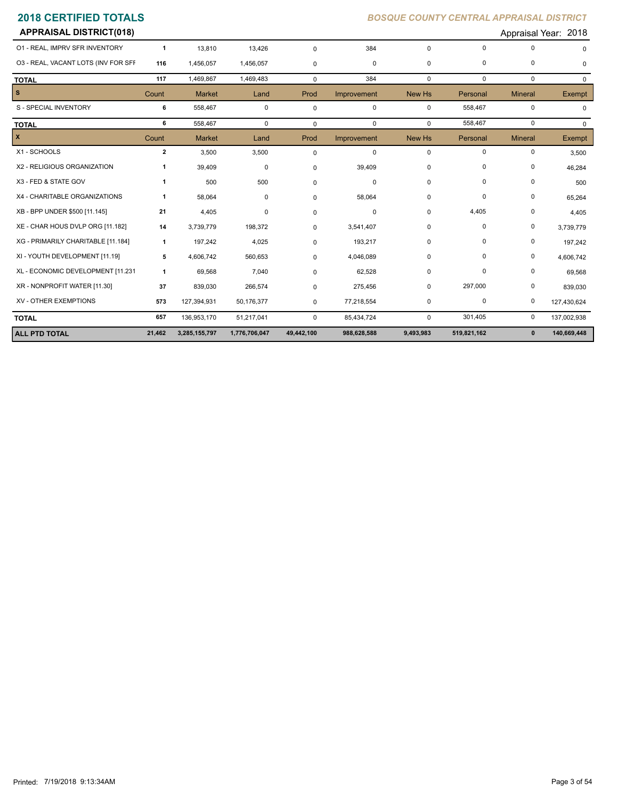| <b>APPRAISAL DISTRICT(018)</b>      |              |               |               |             |             |             |             |                | Appraisal Year: 2018 |
|-------------------------------------|--------------|---------------|---------------|-------------|-------------|-------------|-------------|----------------|----------------------|
| 01 - REAL, IMPRV SFR INVENTORY      | $\mathbf{1}$ | 13,810        | 13,426        | $\mathbf 0$ | 384         | $\mathbf 0$ | $\mathbf 0$ | 0              |                      |
| 03 - REAL, VACANT LOTS (INV FOR SFF | 116          | 1,456,057     | 1,456,057     | $\pmb{0}$   | 0           | 0           | 0           | 0              | <sup>0</sup>         |
| <b>TOTAL</b>                        | 117          | 1,469,867     | 1,469,483     | $\mathbf 0$ | 384         | $\mathbf 0$ | $\mathbf 0$ | 0              | $\Omega$             |
| s.                                  | Count        | <b>Market</b> | Land          | Prod        | Improvement | New Hs      | Personal    | <b>Mineral</b> | Exempt               |
| S - SPECIAL INVENTORY               | 6            | 558,467       | $\mathbf 0$   | $\mathsf 0$ | $\mathbf 0$ | $\mathbf 0$ | 558,467     | 0              | $\Omega$             |
| <b>TOTAL</b>                        | 6            | 558,467       | $\mathbf 0$   | $\mathbf 0$ | $\mathbf 0$ | $\mathbf 0$ | 558,467     | 0              | $\Omega$             |
| X                                   | Count        | <b>Market</b> | Land          | Prod        | Improvement | New Hs      | Personal    | <b>Mineral</b> | Exempt               |
| X1 - SCHOOLS                        | $\mathbf{2}$ | 3,500         | 3,500         | $\mathbf 0$ | 0           | $\mathbf 0$ | 0           | 0              | 3,500                |
| X2 - RELIGIOUS ORGANIZATION         |              | 39,409        | 0             | $\mathbf 0$ | 39,409      | 0           | 0           | 0              | 46,284               |
| X3 - FED & STATE GOV                | 1            | 500           | 500           | $\mathbf 0$ | $\mathbf 0$ | 0           | 0           | 0              | 500                  |
| X4 - CHARITABLE ORGANIZATIONS       | 1            | 58,064        | 0             | $\mathbf 0$ | 58,064      | 0           | 0           | 0              | 65,264               |
| XB - BPP UNDER \$500 [11.145]       | 21           | 4,405         | 0             | $\mathbf 0$ | $\Omega$    | 0           | 4,405       | 0              | 4,405                |
| XE - CHAR HOUS DVLP ORG [11.182]    | 14           | 3,739,779     | 198,372       | $\mathbf 0$ | 3,541,407   | 0           | 0           | 0              | 3,739,779            |
| XG - PRIMARILY CHARITABLE [11.184]  | $\mathbf{1}$ | 197,242       | 4,025         | $\mathbf 0$ | 193,217     | 0           | 0           | 0              | 197,242              |
| XI - YOUTH DEVELOPMENT [11.19]      | 5            | 4,606,742     | 560,653       | 0           | 4,046,089   | 0           | 0           | 0              | 4,606,742            |
| XL - ECONOMIC DEVELOPMENT [11.231   | $\mathbf{1}$ | 69,568        | 7,040         | 0           | 62,528      | 0           | 0           | 0              | 69,568               |
| XR - NONPROFIT WATER [11.30]        | 37           | 839,030       | 266,574       | $\mathbf 0$ | 275,456     | 0           | 297,000     | 0              | 839,030              |
| XV - OTHER EXEMPTIONS               | 573          | 127,394,931   | 50,176,377    | 0           | 77,218,554  | 0           | $\mathbf 0$ | 0              | 127,430,624          |
| <b>TOTAL</b>                        | 657          | 136,953,170   | 51,217,041    | $\mathbf 0$ | 85,434,724  | $\mathbf 0$ | 301,405     | 0              | 137,002,938          |
| <b>ALL PTD TOTAL</b>                | 21,462       | 3,285,155,797 | 1,776,706,047 | 49,442,100  | 988,628,588 | 9,493,983   | 519,821,162 | $\mathbf 0$    | 140,669,448          |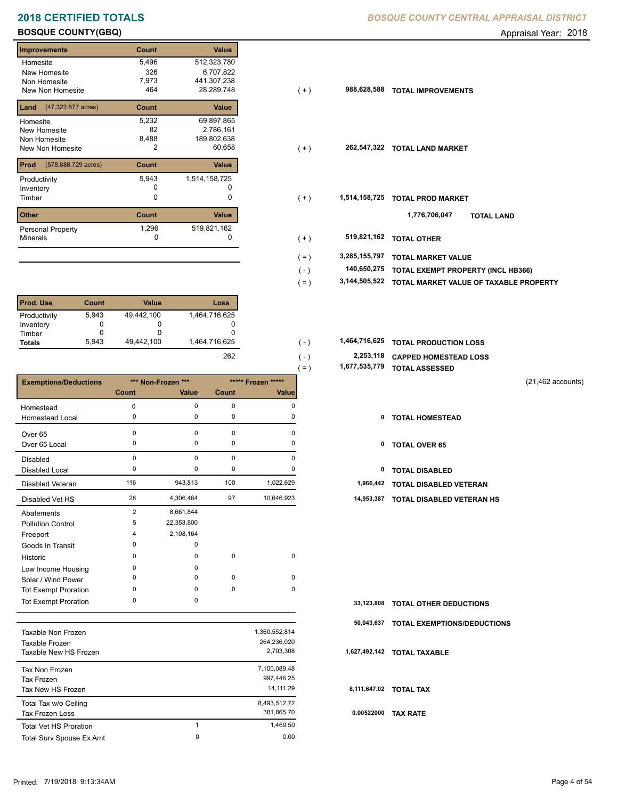## **BOSQUE COUNTY(GBQ) Appraisal Year: 2018**

## **Improvements Count Value Homesite** New Homesite Non Homesite New Non Homesite **TOTAL 1999**  5,496 512,323,780 326 6,707,822 2,786,161 82 7,973 441,307,238  $28,289,748$ **Land** (47,322.877 acres) **Count Value** Homesite New Homesite Non Homesite 5,232 69,897,865 8,488 189,802,638 **Prod Count Value** (578,888.729 acres) Productivity 1,514,158,725 5,943 Inventory 0 0 **Other Count Value** Minerals Personal Property 1,296 1,162 519,821,162<br>0

| l Prod. Use   | Count | Value      | Loss          |
|---------------|-------|------------|---------------|
| Productivity  | 5,943 | 49,442,100 | 1,464,716,625 |
| Inventory     |       |            |               |
| Timber        |       |            |               |
| <b>Totals</b> | 5.943 | 49.442.100 | 1,464,716,625 |

|                              |                |                    |             |                    | $=$ ) | 1, 6, 7, 535, 779 | <b>TOTAL ASSESSED</b>         |                      |
|------------------------------|----------------|--------------------|-------------|--------------------|-------|-------------------|-------------------------------|----------------------|
| <b>Exemptions/Deductions</b> |                | *** Non-Frozen *** |             | ***** Frozen ***** |       |                   |                               | $(21, 462$ accounts) |
|                              | Count          | Value              | Count       | <b>Value</b>       |       |                   |                               |                      |
| Homestead                    | $\Omega$       | $\Omega$           | $\mathbf 0$ | $\Omega$           |       |                   |                               |                      |
| Homestead Local              | 0              | 0                  | 0           | 0                  |       | 0                 | <b>TOTAL HOMESTEAD</b>        |                      |
| Over 65                      | $\Omega$       | $\Omega$           | 0           | O                  |       |                   |                               |                      |
| Over 65 Local                | 0              | 0                  | 0           |                    |       | 0                 | <b>TOTAL OVER 65</b>          |                      |
| <b>Disabled</b>              | $\mathbf 0$    | $\Omega$           | $\mathbf 0$ | O                  |       |                   |                               |                      |
| <b>Disabled Local</b>        | 0              | 0                  | 0           |                    |       | 0                 | <b>TOTAL DISABLED</b>         |                      |
| Disabled Veteran             | 116            | 943,813            | 100         | 1,022,629          |       | 1,966,442         | TOTAL DISABLED VETERAN        |                      |
| Disabled Vet HS              | 28             | 4,306,464          | 97          | 10,646,923         |       | 14,953,387        | TOTAL DISABLED VETERAN HS     |                      |
| Abatements                   | $\overline{2}$ | 8,661,844          |             |                    |       |                   |                               |                      |
| <b>Pollution Control</b>     | 5              | 22,353,800         |             |                    |       |                   |                               |                      |
| Freeport                     | 4              | 2,108,164          |             |                    |       |                   |                               |                      |
| Goods In Transit             | $\Omega$       | $\Omega$           |             |                    |       |                   |                               |                      |
| Historic                     | $\Omega$       | 0                  | $\mathbf 0$ | $\mathbf 0$        |       |                   |                               |                      |
| Low Income Housing           | 0              | 0                  |             |                    |       |                   |                               |                      |
| Solar / Wind Power           | 0              | 0                  | $\mathbf 0$ | 0                  |       |                   |                               |                      |
| <b>Tot Exempt Proration</b>  | 0              | 0                  | 0           | $\mathbf 0$        |       |                   |                               |                      |
| <b>Tot Exempt Proration</b>  | 0              | 0                  |             |                    |       | 33,123,808        | <b>TOTAL OTHER DEDUCTIONS</b> |                      |

|                               |   |               | 50    |
|-------------------------------|---|---------------|-------|
| Taxable Non Frozen            |   | 1,360,552,814 |       |
| Taxable Frozen                |   | 264,236,020   |       |
| Taxable New HS Frozen         |   | 2,703,308     | 1,627 |
| Tax Non Frozen                |   | 7,100,089.48  |       |
| Tax Frozen                    |   | 997.446.25    |       |
| Tax New HS Frozen             |   | 14.111.29     | 8,11  |
| Total Tax w/o Ceiling         |   | 8,493,512.72  |       |
| Tax Frozen Loss               |   | 381,865.70    | 0.0   |
| <b>Total Vet HS Proration</b> | 4 | 1.469.50      |       |
| Total Surv Spouse Ex Amt      | 0 | 0.00          |       |
|                               |   |               |       |

## **2018 CERTIFIED TOTALS** *BOSQUE COUNTY CENTRAL APPRAISAL DISTRICT*

| mprovements                              | vount | value         |         |               |                                           |
|------------------------------------------|-------|---------------|---------|---------------|-------------------------------------------|
| Homesite                                 | 5,496 | 512,323,780   |         |               |                                           |
| New Homesite                             | 326   | 6,707,822     |         |               |                                           |
| Non Homesite                             | 7,973 | 441,307,238   |         |               |                                           |
| New Non Homesite                         | 464   | 28,289,748    | $(+)$   | 988,628,588   | <b>TOTAL IMPROVEMENTS</b>                 |
| <b>Land</b> $(47,322.877 \text{ acres})$ | Count | Value         |         |               |                                           |
| Homesite                                 | 5,232 | 69,897,865    |         |               |                                           |
| New Homesite                             | 82    | 2,786,161     |         |               |                                           |
| Non Homesite                             | 8,488 | 189,802,638   |         |               |                                           |
| New Non Homesite                         | 2     | 60,658        | $(+)$   | 262,547,322   | <b>TOTAL LAND MARKET</b>                  |
| <b>Prod</b> (578,888.729 acres)          | Count | Value         |         |               |                                           |
| Productivity                             | 5,943 | 1,514,158,725 |         |               |                                           |
| Inventory                                |       |               |         |               |                                           |
| Timber                                   | 0     | 0             | $(+)$   | 1,514,158,725 | <b>TOTAL PROD MARKET</b>                  |
| Other                                    | Count | Value         |         |               | 1,776,706,047<br><b>TOTAL LAND</b>        |
| Personal Property                        | 1,296 | 519,821,162   |         |               |                                           |
| Minerals                                 | 0     | 0             | $(+)$   | 519,821,162   | <b>TOTAL OTHER</b>                        |
|                                          |       |               | $( = )$ | 3,285,155,797 | <b>TOTAL MARKET VALUE</b>                 |
|                                          |       |               | (-)     | 140,650,275   | <b>TOTAL EXEMPT PROPERTY (INCL HB366)</b> |
|                                          |       |               |         |               |                                           |

- **3,144,505,522 TOTAL MARKET VALUE OF TAXABLE PROPERTY** ( = )
- **TOTAL PRODUCTION LOSS** 1,464,716,625 **1,464,716,625** ( )
	- **2,253,118 CAPPED HOMESTEAD LOSS**

 $( - )$ 

262

- **1,677,535,779 TOTAL ASSESSED** ( = )
	- (21,462 accounts)
	-
	-
	-
	-
	- 28 4,306,464 97 10,646,923 **14,953,387 TOTAL DISABLED VETERAN HS**

| 33,123,808 TOTAL OTHER DEDUCTIONS      |
|----------------------------------------|
| 50,043,637 TOTAL EXEMPTIONS/DEDUCTIONS |
| 1,627,492,142 TOTAL TAXABLE            |
| 8,111,647.02 TOTAL TAX                 |
| 0.00522000 TAX RATE                    |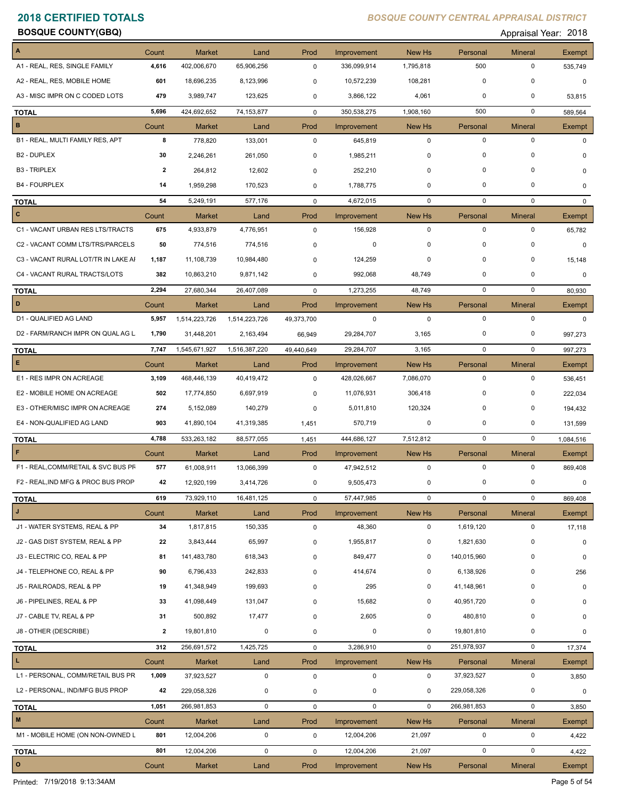**BOSQUE COUNTY(GBQ) Appraisal Year: 2018** 

|                                     | Count        | <b>Market</b> | Land          | Prod         | Improvement        | New Hs      | Personal    | <b>Mineral</b> | Exempt        |
|-------------------------------------|--------------|---------------|---------------|--------------|--------------------|-------------|-------------|----------------|---------------|
| A1 - REAL, RES, SINGLE FAMILY       | 4,616        | 402,006,670   | 65,906,256    | $\mathbf 0$  | 336,099,914        | 1,795,818   | 500         | $\mathbf 0$    | 535,749       |
| A2 - REAL, RES, MOBILE HOME         | 601          | 18,696,235    | 8,123,996     | 0            | 10,572,239         | 108,281     | $\mathbf 0$ | 0              | 0             |
| A3 - MISC IMPR ON C CODED LOTS      | 479          | 3,989,747     | 123,625       | 0            | 3,866,122          | 4,061       | 0           | 0              | 53,815        |
| <b>TOTAL</b>                        | 5,696        | 424,692,652   | 74,153,877    | $\mathbf 0$  | 350,538,275        | 1,908,160   | 500         | $\mathbf 0$    | 589,564       |
| B                                   | Count        | <b>Market</b> | Land          | Prod         | Improvement        | New Hs      | Personal    | <b>Mineral</b> | <b>Exempt</b> |
| B1 - REAL, MULTI FAMILY RES, APT    | 8            | 778,820       | 133,001       | $\mathbf 0$  | 645,819            | $\mathbf 0$ | $\mathbf 0$ | $\mathbf 0$    | $\mathbf 0$   |
| B <sub>2</sub> - DUPLEX             | 30           | 2,246,261     | 261,050       | 0            | 1,985,211          | 0           | 0           | 0              | $\mathbf 0$   |
| <b>B3 - TRIPLEX</b>                 | $\mathbf{2}$ | 264,812       | 12,602        | $\mathbf 0$  | 252,210            | 0           | $\mathbf 0$ | 0              | 0             |
| <b>B4 - FOURPLEX</b>                | 14           | 1,959,298     | 170,523       | 0            | 1,788,775          | 0           | 0           | 0              | $\mathbf 0$   |
| <b>TOTAL</b>                        | 54           | 5,249,191     | 577,176       | $\mathbf 0$  | 4,672,015          | $\mathbf 0$ | $\mathbf 0$ | $\mathbf 0$    | $\Omega$      |
| c                                   | Count        | <b>Market</b> | Land          | Prod         | Improvement        | New Hs      | Personal    | <b>Mineral</b> | Exempt        |
| C1 - VACANT URBAN RES LTS/TRACTS    | 675          | 4,933,879     | 4,776,951     | 0            | 156,928            | $\mathbf 0$ | $\mathbf 0$ | $\mathbf 0$    | 65,782        |
| C2 - VACANT COMM LTS/TRS/PARCELS    | 50           | 774,516       | 774,516       | 0            | 0                  | 0           | 0           | 0              | $\mathbf 0$   |
| C3 - VACANT RURAL LOT/TR IN LAKE AI | 1,187        | 11,108,739    | 10,984,480    | 0            | 124,259            | $\mathbf 0$ | $\mathbf 0$ | $\mathbf 0$    | 15,148        |
| C4 - VACANT RURAL TRACTS/LOTS       | 382          | 10,863,210    | 9,871,142     | 0            | 992,068            | 48,749      | 0           | $\Omega$       | 0             |
| <b>TOTAL</b>                        | 2,294        | 27,680,344    | 26,407,089    | $\mathbf 0$  | 1,273,255          | 48,749      | $\mathbf 0$ | $\mathbf 0$    | 80,930        |
| D                                   | Count        | Market        | Land          | Prod         | Improvement        | New Hs      | Personal    | <b>Mineral</b> | Exempt        |
| D1 - QUALIFIED AG LAND              | 5,957        | 1,514,223,726 | 1,514,223,726 | 49,373,700   | 0                  | $\mathbf 0$ | $\mathbf 0$ | $\mathbf 0$    | $\mathbf{0}$  |
| D2 - FARM/RANCH IMPR ON QUAL AG L   | 1,790        | 31,448,201    | 2,163,494     | 66,949       | 29,284,707         | 3,165       | 0           | 0              | 997,273       |
| <b>TOTAL</b>                        | 7,747        | 1,545,671,927 | 1,516,387,220 | 49,440,649   | 29,284,707         | 3,165       | $\mathbf 0$ | $\mathbf 0$    | 997,273       |
| E.                                  | Count        | <b>Market</b> | Land          | Prod         | Improvement        | New Hs      | Personal    | <b>Mineral</b> | Exempt        |
| E1 - RES IMPR ON ACREAGE            | 3,109        | 468,446,139   | 40,419,472    | $\mathbf 0$  | 428,026,667        | 7,086,070   | $\mathbf 0$ | $\mathbf 0$    | 536,451       |
| E2 - MOBILE HOME ON ACREAGE         | 502          | 17,774,850    | 6,697,919     | 0            | 11,076,931         | 306,418     | $\mathbf 0$ | 0              | 222,034       |
| E3 - OTHER/MISC IMPR ON ACREAGE     | 274          | 5,152,089     | 140,279       | 0            | 5,011,810          | 120,324     | 0           | 0              | 194,432       |
| E4 - NON-QUALIFIED AG LAND          | 903          | 41,890,104    | 41,319,385    | 1,451        | 570,719            | 0           | 0           | 0              | 131,599       |
| <b>TOTAL</b>                        | 4,788        | 533,263,182   | 88,577,055    | 1,451        | 444,686,127        | 7,512,812   | 0           | $\mathbf 0$    | 1,084,516     |
| F                                   | Count        | <b>Market</b> | Land          | Prod         | Improvement        | New Hs      | Personal    | <b>Mineral</b> | <b>Exempt</b> |
| F1 - REAL, COMM/RETAIL & SVC BUS PF | 577          | 61,008,911    | 13,066,399    | $\mathbf 0$  | 47,942,512         | $\mathbf 0$ | $\mathbf 0$ | 0              | 869,408       |
| F2 - REAL, IND MFG & PROC BUS PROP  | 42           | 12,920,199    | 3,414,726     | 0            | 9,505,473          | 0           | $\mathbf 0$ | 0              | 0             |
| <u>TOTAL</u>                        | 619          | 73,929,110    | 16,481,125    | $\mathsf{O}$ | 57,447,985         | $\mathbf 0$ | $\mathbf 0$ | $\mathsf{O}$   | 869,408       |
| J                                   | Count        | <b>Market</b> | Land          | Prod         | <b>Improvement</b> | New Hs      | Personal    | <b>Mineral</b> | Exempt        |
| J1 - WATER SYSTEMS, REAL & PP       | 34           | 1,817,815     | 150,335       | $\pmb{0}$    | 48,360             | $\mathbf 0$ | 1,619,120   | $\mathsf 0$    | 17,118        |
| J2 - GAS DIST SYSTEM, REAL & PP     | 22           | 3,843,444     | 65,997        | 0            | 1,955,817          | 0           | 1,821,630   | 0              | 0             |
| J3 - ELECTRIC CO, REAL & PP         | 81           | 141,483,780   | 618,343       | 0            | 849,477            | 0           | 140,015,960 | 0              | 0             |
| J4 - TELEPHONE CO, REAL & PP        | 90           | 6,796,433     | 242,833       | 0            | 414,674            | 0           | 6,138,926   | 0              | 256           |
| J5 - RAILROADS, REAL & PP           | 19           | 41,348,949    | 199,693       | 0            | 295                | 0           | 41,148,961  | 0              | 0             |
| J6 - PIPELINES, REAL & PP           | 33           | 41,098,449    | 131,047       | 0            | 15,682             | 0           | 40,951,720  | 0              | 0             |
| J7 - CABLE TV, REAL & PP            | 31           | 500,892       | 17,477        | 0            | 2,605              | 0           | 480,810     | 0              | 0             |
| J8 - OTHER (DESCRIBE)               | 2            | 19,801,810    | 0             | 0            | $\pmb{0}$          | 0           | 19,801,810  | 0              | 0             |
| <b>TOTAL</b>                        | 312          | 256,691,572   | 1,425,725     | $\mathbf 0$  | 3,286,910          | $\mathbf 0$ | 251,978,937 | 0              | 17,374        |
| $\mathbf L$                         | Count        | Market        | Land          | Prod         | Improvement        | New Hs      | Personal    | <b>Mineral</b> | Exempt        |
| L1 - PERSONAL, COMM/RETAIL BUS PR   | 1,009        | 37,923,527    | 0             | $\pmb{0}$    | 0                  | $\mathbf 0$ | 37,923,527  | 0              | 3,850         |
| L2 - PERSONAL, IND/MFG BUS PROP     | 42           | 229,058,326   | 0             | 0            | 0                  | 0           | 229,058,326 | 0              | 0             |
| <b>TOTAL</b>                        | 1,051        | 266,981,853   | $\mathbf 0$   | $\mathbf 0$  | $\mathbf 0$        | $\mathbf 0$ | 266,981,853 | $\mathbf 0$    | 3,850         |
| $\mathsf{M}\xspace$                 | Count        | Market        | Land          | Prod         | Improvement        | New Hs      | Personal    | <b>Mineral</b> | Exempt        |
| M1 - MOBILE HOME (ON NON-OWNED L    | 801          | 12,004,206    | 0             | 0            | 12,004,206         | 21,097      | $\mathbf 0$ | 0              | 4,422         |
| <b>TOTAL</b>                        | 801          | 12,004,206    | $\mathbf 0$   | 0            | 12,004,206         | 21,097      | $\mathsf 0$ | $\mathbf 0$    | 4,422         |
| $\mathbf{o}$                        | Count        | <b>Market</b> | Land          | Prod         | Improvement        | New Hs      | Personal    | <b>Mineral</b> | Exempt        |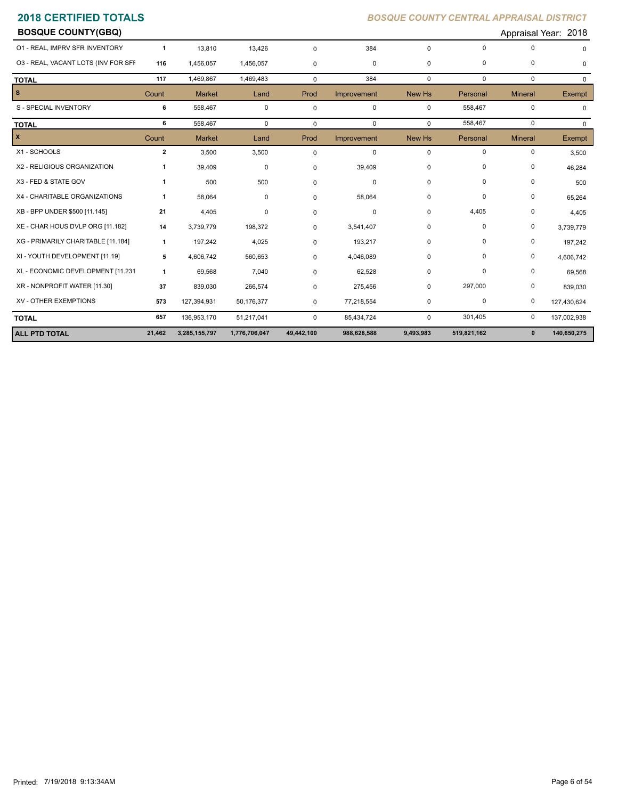| <b>BOSQUE COUNTY(GBQ)</b>           |                |               |               |             |             |             |             |                | Appraisal Year: 2018 |
|-------------------------------------|----------------|---------------|---------------|-------------|-------------|-------------|-------------|----------------|----------------------|
| 01 - REAL, IMPRV SFR INVENTORY      | $\mathbf{1}$   | 13,810        | 13,426        | $\mathbf 0$ | 384         | $\Omega$    | $\Omega$    | $\mathbf 0$    | $\Omega$             |
| 03 - REAL, VACANT LOTS (INV FOR SFF | 116            | 1,456,057     | 1,456,057     | $\mathbf 0$ | 0           | $\mathbf 0$ | 0           | $\mathbf 0$    | 0                    |
| <b>TOTAL</b>                        | 117            | 1,469,867     | 1,469,483     | $\mathbf 0$ | 384         | $\mathbf 0$ | $\mathbf 0$ | $\mathbf 0$    | 0                    |
| $\mathbf{s}$                        | Count          | <b>Market</b> | Land          | Prod        | Improvement | New Hs      | Personal    | <b>Mineral</b> | Exempt               |
| S - SPECIAL INVENTORY               | 6              | 558,467       | $\mathbf 0$   | $\mathbf 0$ | $\mathbf 0$ | $\mathbf 0$ | 558,467     | $\mathbf 0$    | 0                    |
| <b>TOTAL</b>                        | 6              | 558,467       | $\mathbf 0$   | $\mathbf 0$ | 0           | $\mathbf 0$ | 558,467     | 0              | $\Omega$             |
| $\pmb{\chi}$                        | Count          | <b>Market</b> | Land          | Prod        | Improvement | New Hs      | Personal    | <b>Mineral</b> | Exempt               |
| X1 - SCHOOLS                        | $\overline{2}$ | 3,500         | 3,500         | 0           | $\mathbf 0$ | $\mathbf 0$ | 0           | 0              | 3,500                |
| X2 - RELIGIOUS ORGANIZATION         | $\mathbf{1}$   | 39,409        | 0             | 0           | 39,409      | 0           | 0           | 0              | 46,284               |
| X3 - FED & STATE GOV                | $\mathbf{1}$   | 500           | 500           | 0           | 0           | 0           | 0           | 0              | 500                  |
| X4 - CHARITABLE ORGANIZATIONS       | $\mathbf{1}$   | 58,064        | 0             | $\mathbf 0$ | 58,064      | 0           | 0           | 0              | 65,264               |
| XB - BPP UNDER \$500 [11.145]       | 21             | 4,405         | 0             | 0           | 0           | 0           | 4,405       | 0              | 4,405                |
| XE - CHAR HOUS DVLP ORG [11.182]    | 14             | 3,739,779     | 198,372       | $\Omega$    | 3,541,407   | 0           | $\mathbf 0$ | 0              | 3,739,779            |
| XG - PRIMARILY CHARITABLE [11.184]  | $\mathbf{1}$   | 197,242       | 4,025         | $\mathbf 0$ | 193,217     | $\Omega$    | $\Omega$    | 0              | 197,242              |
| XI - YOUTH DEVELOPMENT [11.19]      | 5              | 4,606,742     | 560,653       | 0           | 4,046,089   | 0           | $\Omega$    | 0              | 4,606,742            |
| XL - ECONOMIC DEVELOPMENT [11.231   | $\mathbf{1}$   | 69,568        | 7,040         | 0           | 62,528      | 0           | $\mathbf 0$ | 0              | 69,568               |
| XR - NONPROFIT WATER [11.30]        | 37             | 839,030       | 266,574       | 0           | 275,456     | 0           | 297,000     | 0              | 839,030              |
| XV - OTHER EXEMPTIONS               | 573            | 127,394,931   | 50,176,377    | 0           | 77,218,554  | 0           | 0           | 0              | 127,430,624          |
| <b>TOTAL</b>                        | 657            | 136,953,170   | 51,217,041    | $\mathbf 0$ | 85,434,724  | $\mathbf 0$ | 301,405     | 0              | 137,002,938          |
| <b>ALL PTD TOTAL</b>                | 21,462         | 3,285,155,797 | 1,776,706,047 | 49,442,100  | 988,628,588 | 9,493,983   | 519,821,162 | $\mathbf 0$    | 140,650,275          |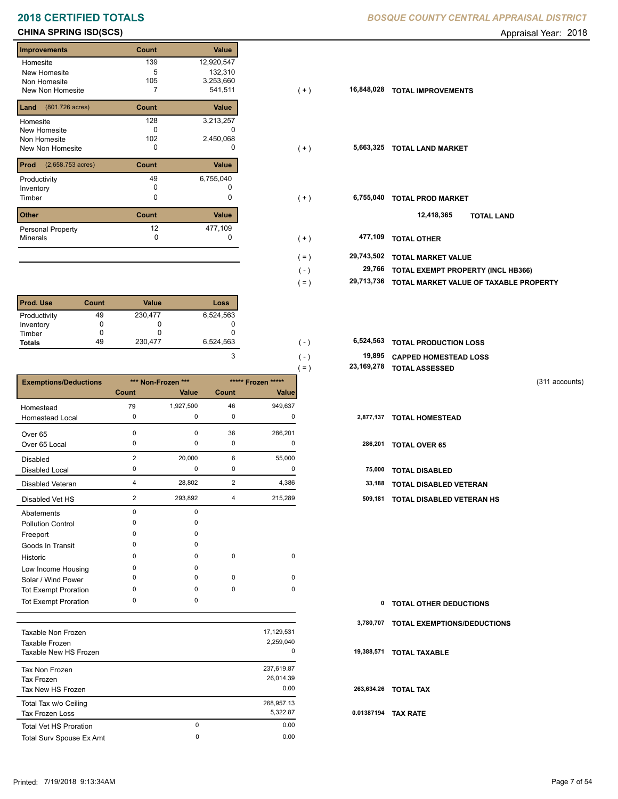## **CHINA SPRING ISD(SCS)** Appraisal Year: 2018

## **Improvements Count Value Homesite** New Homesite Non Homesite New Non Homesite **T T** 541,511 139 12,920,547 5 132,310 105 3,253,660 **Land Count Value** (801.726 acres) Homesite New Homesite Non Homesite New Non Homesite **TOTAL CONSUMING MARKET**  128 3,213,257  $\overline{0}$  c 102 2,450,068 **Prod Count Value** (2,658.753 acres) Productivity  $49$  6,755,040<br>Inventory 0 0 Inventory<br>Timber 0 0 **Other Count Value** Minerals Personal Property 6,755,040 12 477,109

| <b>Prod. Use</b> | Count | <b>Value</b> | Loss      |
|------------------|-------|--------------|-----------|
| Productivity     | 49    | 230,477      | 6,524,563 |
| Inventory        |       |              |           |
| Timber           |       |              |           |
| <b>Totals</b>    | 49    | 230,477      | 6,524,563 |

|                              |                |                    |                |                    | $=$ ) | 23,169,278 | <b>TOTAL ASSESSED</b>         |                |
|------------------------------|----------------|--------------------|----------------|--------------------|-------|------------|-------------------------------|----------------|
| <b>Exemptions/Deductions</b> |                | *** Non-Frozen *** |                | ***** Frozen ***** |       |            |                               | (311 accounts) |
|                              | Count          | Value              | <b>Count</b>   | <b>Value</b>       |       |            |                               |                |
| Homestead                    | 79             | 1,927,500          | 46             | 949,637            |       |            |                               |                |
| <b>Homestead Local</b>       | 0              | 0                  | 0              | 0                  |       | 2,877,137  | <b>TOTAL HOMESTEAD</b>        |                |
| Over 65                      | $\Omega$       | 0                  | 36             | 286,201            |       |            |                               |                |
| Over 65 Local                | $\Omega$       | 0                  | 0              | 0                  |       | 286,201    | <b>TOTAL OVER 65</b>          |                |
| <b>Disabled</b>              | $\overline{2}$ | 20,000             | 6              | 55,000             |       |            |                               |                |
| <b>Disabled Local</b>        | $\Omega$       | 0                  | 0              | 0                  |       | 75,000     | <b>TOTAL DISABLED</b>         |                |
| Disabled Veteran             | $\overline{4}$ | 28,802             | $\overline{2}$ | 4,386              |       | 33,188     | <b>TOTAL DISABLED VETERAN</b> |                |
| Disabled Vet HS              | $\overline{2}$ | 293,892            | 4              | 215,289            |       | 509,181    | TOTAL DISABLED VETERAN HS     |                |
| Abatements                   | $\Omega$       | 0                  |                |                    |       |            |                               |                |
| <b>Pollution Control</b>     |                | 0                  |                |                    |       |            |                               |                |
| Freeport                     | n              | 0                  |                |                    |       |            |                               |                |
| Goods In Transit             | $\Omega$       | 0                  |                |                    |       |            |                               |                |
| Historic                     | <sup>0</sup>   | 0                  | 0              | 0                  |       |            |                               |                |
| Low Income Housing           | $\Omega$       | 0                  |                |                    |       |            |                               |                |
| Solar / Wind Power           | ŋ              | 0                  | $\pmb{0}$      | 0                  |       |            |                               |                |
| <b>Tot Exempt Proration</b>  | $\Omega$       | 0                  | 0              | 0                  |       |            |                               |                |
| <b>Tot Exempt Proration</b>  | 0              | 0                  |                |                    |       | 0          | <b>TOTAL OTHER DEDUCTIONS</b> |                |

|                               |   |            | 3.  |
|-------------------------------|---|------------|-----|
| Taxable Non Frozen            |   | 17,129,531 |     |
| Taxable Frozen                |   | 2,259,040  |     |
| Taxable New HS Frozen         |   | 0          | 19. |
| Tax Non Frozen                |   | 237,619.87 |     |
| Tax Frozen                    |   | 26,014.39  |     |
| Tax New HS Frozen             |   | 0.00       | 26  |
| Total Tax w/o Ceiling         |   | 268,957.13 |     |
| <b>Tax Frozen Loss</b>        |   | 5,322.87   | 0.0 |
| <b>Total Vet HS Proration</b> | 0 | 0.00       |     |
| Total Surv Spouse Ex Amt      | 0 | 0.00       |     |
|                               |   |            |     |

## **2018 CERTIFIED TOTALS** *BOSQUE COUNTY CENTRAL APPRAISAL DISTRICT*

| <b>Improvements</b>                     | Count | Value      |         |            |                                        |
|-----------------------------------------|-------|------------|---------|------------|----------------------------------------|
| Homesite                                | 139   | 12,920,547 |         |            |                                        |
| New Homesite                            | 5     | 132,310    |         |            |                                        |
| Non Homesite                            | 105   | 3,253,660  |         |            |                                        |
| New Non Homesite                        |       | 541,511    | $(+)$   | 16,848,028 | <b>TOTAL IMPROVEMENTS</b>              |
| <b>Land</b> $(801.726 \text{ acres})$   | Count | Value      |         |            |                                        |
| Homesite                                | 128   | 3,213,257  |         |            |                                        |
| New Homesite                            | 0     | 0          |         |            |                                        |
| Non Homesite                            | 102   | 2,450,068  |         |            |                                        |
| New Non Homesite                        | 0     | 0          | $(+)$   |            | 5,663,325 TOTAL LAND MARKET            |
| <b>Prod</b> $(2,658.753 \text{ acres})$ | Count | Value      |         |            |                                        |
| Productivity                            | 49    | 6,755,040  |         |            |                                        |
| Inventory                               | 0     |            |         |            |                                        |
| Timber                                  | 0     | 0          | $(+)$   | 6,755,040  | <b>TOTAL PROD MARKET</b>               |
| Other                                   | Count | Value      |         |            | 12,418,365<br><b>TOTAL LAND</b>        |
| Personal Property                       | 12    | 477,109    |         |            |                                        |
| Minerals                                | 0     | 0          | $(+)$   | 477,109    | <b>TOTAL OTHER</b>                     |
|                                         |       |            | $( = )$ | 29,743,502 | <b>TOTAL MARKET VALUE</b>              |
|                                         |       |            | $(-)$   | 29,766     | TOTAL EXEMPT PROPERTY (INCL HB366)     |
|                                         |       |            |         |            |                                        |
|                                         |       |            | $( = )$ | 29,713,736 | TOTAL MARKET VALUE OF TAXABLE PROPERTY |
|                                         |       |            |         |            |                                        |

| 6.524.563 | ' - 1   | <b>6,524,563 TOTAL PRODUCTION LOSS</b> |
|-----------|---------|----------------------------------------|
|           | $( - )$ | 19,895 CAPPED HOMESTEAD LOSS           |
|           | $=$     | 23,169,278 TOTAL ASSESSED              |

| 0 TOTAL OTHER DEDUCTIONS              |
|---------------------------------------|
| 3,780,707 TOTAL EXEMPTIONS/DEDUCTIONS |
| 19,388,571 TOTAL TAXABLE              |
| 263,634.26 TOTAL TAX                  |
| 0.01387194 TAX RATE                   |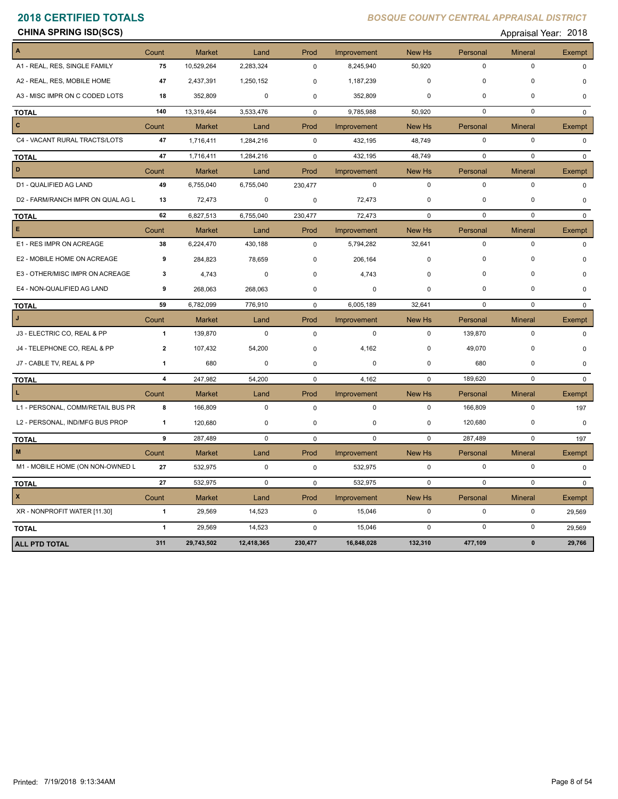**CHINA SPRING ISD(SCS)** Appraisal Year: 2018

| A                                 | Count          | <b>Market</b> | Land        | Prod        | Improvement | New Hs        | Personal    | <b>Mineral</b> | Exempt        |
|-----------------------------------|----------------|---------------|-------------|-------------|-------------|---------------|-------------|----------------|---------------|
| A1 - REAL, RES, SINGLE FAMILY     | 75             | 10,529,264    | 2,283,324   | $\mathbf 0$ | 8,245,940   | 50,920        | 0           | $\mathbf 0$    | $\Omega$      |
| A2 - REAL, RES, MOBILE HOME       | 47             | 2,437,391     | 1,250,152   | $\mathbf 0$ | 1,187,239   | $\mathbf 0$   | 0           | 0              | $\mathbf 0$   |
| A3 - MISC IMPR ON C CODED LOTS    | 18             | 352,809       | 0           | $\mathbf 0$ | 352,809     | $\mathbf 0$   | $\pmb{0}$   | $\mathbf 0$    | 0             |
| <b>TOTAL</b>                      | 140            | 13,319,464    | 3,533,476   | $\mathbf 0$ | 9,785,988   | 50,920        | 0           | $\mathbf 0$    | $\mathbf{0}$  |
| $\mathbf{C}$                      | Count          | Market        | Land        | Prod        | Improvement | New Hs        | Personal    | <b>Mineral</b> | Exempt        |
| C4 - VACANT RURAL TRACTS/LOTS     | 47             | 1,716,411     | 1,284,216   | $\mathbf 0$ | 432,195     | 48,749        | $\pmb{0}$   | $\mathbf 0$    | 0             |
| <b>TOTAL</b>                      | 47             | 1,716,411     | 1,284,216   | 0           | 432,195     | 48,749        | $\mathbf 0$ | $\mathbf 0$    | $\mathbf{0}$  |
| D                                 | Count          | <b>Market</b> | Land        | Prod        | Improvement | New Hs        | Personal    | <b>Mineral</b> | Exempt        |
| D1 - QUALIFIED AG LAND            | 49             | 6,755,040     | 6,755,040   | 230,477     | $\mathbf 0$ | $\mathbf 0$   | $\mathbf 0$ | $\mathbf 0$    | $\Omega$      |
| D2 - FARM/RANCH IMPR ON QUAL AG L | 13             | 72,473        | 0           | 0           | 72,473      | $\mathbf 0$   | 0           | 0              | 0             |
| <b>TOTAL</b>                      | 62             | 6,827,513     | 6,755,040   | 230,477     | 72,473      | $\mathbf 0$   | $\mathbf 0$ | $\mathbf 0$    | $\Omega$      |
| Е                                 | Count          | Market        | Land        | Prod        | Improvement | New Hs        | Personal    | <b>Mineral</b> | Exempt        |
| E1 - RES IMPR ON ACREAGE          | 38             | 6,224,470     | 430,188     | $\mathbf 0$ | 5,794,282   | 32,641        | $\pmb{0}$   | $\mathbf 0$    | $\Omega$      |
| E2 - MOBILE HOME ON ACREAGE       | 9              | 284,823       | 78,659      | $\mathbf 0$ | 206,164     | 0             | $\mathbf 0$ | 0              | $\Omega$      |
| E3 - OTHER/MISC IMPR ON ACREAGE   | 3              | 4,743         | 0           | 0           | 4,743       | $\Omega$      | $\mathbf 0$ | $\mathbf 0$    | $\Omega$      |
| E4 - NON-QUALIFIED AG LAND        | 9              | 268,063       | 268,063     | 0           | $\mathbf 0$ | $\mathbf 0$   | $\mathbf 0$ | $\mathbf 0$    | $\Omega$      |
| <b>TOTAL</b>                      | 59             | 6,782,099     | 776,910     | 0           | 6,005,189   | 32,641        | $\mathbf 0$ | $\mathbf 0$    | $\Omega$      |
| J.                                | Count          | <b>Market</b> | Land        | Prod        | Improvement | New Hs        | Personal    | <b>Mineral</b> | Exempt        |
| J3 - ELECTRIC CO, REAL & PP       | $\mathbf{1}$   | 139,870       | $\mathbf 0$ | $\mathbf 0$ | $\mathbf 0$ | $\mathbf 0$   | 139,870     | $\mathbf 0$    | $\Omega$      |
| J4 - TELEPHONE CO, REAL & PP      | $\overline{2}$ | 107,432       | 54,200      | $\mathbf 0$ | 4,162       | $\mathbf 0$   | 49,070      | 0              | $\Omega$      |
| J7 - CABLE TV, REAL & PP          | 1              | 680           | 0           | 0           | 0           | $\mathbf 0$   | 680         | 0              | $\Omega$      |
| <b>TOTAL</b>                      | 4              | 247,982       | 54,200      | 0           | 4,162       | $\mathbf 0$   | 189,620     | $\mathbf 0$    | $\Omega$      |
| т.                                | Count          | Market        | Land        | Prod        | Improvement | <b>New Hs</b> | Personal    | <b>Mineral</b> | <b>Exempt</b> |
| L1 - PERSONAL, COMM/RETAIL BUS PR | 8              | 166,809       | 0           | 0           | 0           | $\mathbf 0$   | 166,809     | $\mathsf 0$    | 197           |
| L2 - PERSONAL, IND/MFG BUS PROP   | 1              | 120,680       | 0           | $\mathbf 0$ | 0           | $\mathbf 0$   | 120,680     | $\mathbf 0$    | $\mathbf 0$   |
| <b>TOTAL</b>                      | 9              | 287,489       | $\mathbf 0$ | $\mathbf 0$ | $\mathbf 0$ | $\mathbf 0$   | 287,489     | $\mathbf 0$    | 197           |
| M                                 | Count          | Market        | Land        | Prod        | Improvement | New Hs        | Personal    | Mineral        | Exempt        |
| M1 - MOBILE HOME (ON NON-OWNED L  | 27             | 532,975       | 0           | 0           | 532,975     | $\mathbf 0$   | $\mathbf 0$ | $\mathbf 0$    | $\Omega$      |
| <b>TOTAL</b>                      | 27             | 532,975       | 0           | $\mathbf 0$ | 532,975     | 0             | $\mathbf 0$ | $\mathbf 0$    | $\mathbf{0}$  |
| X                                 | Count          | <b>Market</b> | Land        | Prod        | Improvement | New Hs        | Personal    | <b>Mineral</b> | Exempt        |
| XR - NONPROFIT WATER [11.30]      | $\mathbf{1}$   | 29,569        | 14,523      | $\mathbf 0$ | 15,046      | $\mathbf 0$   | $\mathbf 0$ | $\mathbf 0$    | 29,569        |
| <b>TOTAL</b>                      | $\mathbf{1}$   | 29,569        | 14,523      | 0           | 15,046      | $\mathbf 0$   | $\pmb{0}$   | $\pmb{0}$      | 29,569        |
| <b>ALL PTD TOTAL</b>              | 311            | 29,743,502    | 12,418,365  | 230,477     | 16,848,028  | 132,310       | 477,109     | $\pmb{0}$      | 29,766        |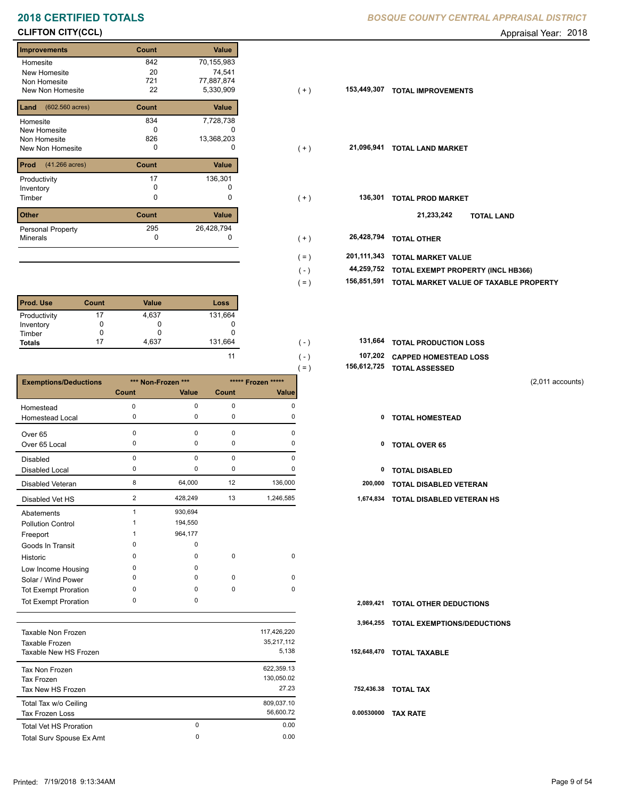# **2018 CERTIFIED TOTALS BOSQUE COUNTY CENTRAL APPRAISAL DISTRICTION CENTRAL APPROXIMATION**

## **CLIFTON CITY(CCL)** Appraisal Year: 2018

## **Improvements Count Value Homesite** New Homesite Non Homesite New Non Homesite **TOTAL IMPROVEMENTS** 22 842 70,155,983 20 74,541 721 77,887,874  $5,330,909$ **Land Count Value** (602.560 acres) Homesite New Homesite Non Homesite New Non Homesite **TOTAL CONSUMING MARKET**  834 7,728,738  $\overline{0}$  c 826 13,368,203 **Prod Count Value** (41.266 acres) Productivity 17 136,301<br>
Inventory 0 0 0 Inventory<br>Timber 0 0 **Other Count Value** Minerals Personal Property **Exercise 285** 136,301 295 26,428,794

| <b>Prod. Use</b> | Count | <b>Value</b> | Loss    |
|------------------|-------|--------------|---------|
| Productivity     |       | 4,637        | 131,664 |
| Inventory        |       | O            | U       |
| Timber           |       |              |         |
| <b>Totals</b>    |       | 4,637        | 131,664 |

|                              |             |                    |             |                    | $=$ ) | 156,612,725 | <b>TOTAL ASSESSED</b>            |                    |
|------------------------------|-------------|--------------------|-------------|--------------------|-------|-------------|----------------------------------|--------------------|
| <b>Exemptions/Deductions</b> |             | *** Non-Frozen *** |             | ***** Frozen ***** |       |             |                                  | $(2,011$ accounts) |
|                              | Count       | Value              | Count       | Value              |       |             |                                  |                    |
| Homestead                    | $\Omega$    | 0                  | 0           | 0                  |       |             |                                  |                    |
| Homestead Local              | 0           | 0                  | 0           | 0                  |       | 0           | <b>TOTAL HOMESTEAD</b>           |                    |
| Over 65                      | 0           | 0                  | $\mathbf 0$ | 0                  |       |             |                                  |                    |
| Over 65 Local                | 0           | 0                  | 0           | 0                  |       | 0           | <b>TOTAL OVER 65</b>             |                    |
| <b>Disabled</b>              | $\mathbf 0$ | $\Omega$           | $\mathbf 0$ | $\Omega$           |       |             |                                  |                    |
| Disabled Local               | 0           | 0                  | $\mathbf 0$ | O                  |       | 0           | <b>TOTAL DISABLED</b>            |                    |
| Disabled Veteran             | 8           | 64,000             | 12          | 136,000            |       | 200,000     | <b>TOTAL DISABLED VETERAN</b>    |                    |
| Disabled Vet HS              | 2           | 428,249            | 13          | 1,246,585          |       | 1,674,834   | <b>TOTAL DISABLED VETERAN HS</b> |                    |
| Abatements                   | 1           | 930,694            |             |                    |       |             |                                  |                    |
| <b>Pollution Control</b>     |             | 194,550            |             |                    |       |             |                                  |                    |
| Freeport                     |             | 964,177            |             |                    |       |             |                                  |                    |
| Goods In Transit             | $\mathbf 0$ | 0                  |             |                    |       |             |                                  |                    |
| Historic                     | $\Omega$    | 0                  | $\mathbf 0$ | 0                  |       |             |                                  |                    |
| Low Income Housing           | 0           | 0                  |             |                    |       |             |                                  |                    |
| Solar / Wind Power           | 0           | 0                  | $\mathbf 0$ | $\mathbf 0$        |       |             |                                  |                    |
| Tot Exempt Proration         | 0           | 0                  | 0           | 0                  |       |             |                                  |                    |
| <b>Tot Exempt Proration</b>  | 0           | 0                  |             |                    |       | 2,089,421   | <b>TOTAL OTHER DEDUCTIONS</b>    |                    |

|                               |          |             | 3.  |
|-------------------------------|----------|-------------|-----|
| Taxable Non Frozen            |          | 117,426,220 |     |
| Taxable Frozen                |          | 35.217.112  |     |
| Taxable New HS Frozen         | 5,138    | 152         |     |
| Tax Non Frozen                |          | 622.359.13  |     |
| Tax Frozen                    |          | 130.050.02  |     |
| Tax New HS Frozen             |          | 27.23       | 75  |
| Total Tax w/o Ceiling         |          | 809,037.10  |     |
| Tax Frozen Loss               |          | 56,600.72   | 0.0 |
| <b>Total Vet HS Proration</b> | $\Omega$ | 0.00        |     |
| Total Surv Spouse Ex Amt      | 0        | 0.00        |     |
|                               |          |             |     |

|  | BOSQUE COUNTY CENTRAL APPRAISAL DISTRICT |  |
|--|------------------------------------------|--|
|  |                                          |  |

| illipi ovellielils                    | <b>UUUIL</b> | value      |         |             |                                        |
|---------------------------------------|--------------|------------|---------|-------------|----------------------------------------|
| Homesite                              | 842          | 70,155,983 |         |             |                                        |
| New Homesite                          | 20           | 74,541     |         |             |                                        |
| Non Homesite                          | 721          | 77,887,874 |         |             |                                        |
| New Non Homesite                      | 22           | 5,330,909  | ( + )   | 153,449,307 | <b>TOTAL IMPROVEMENTS</b>              |
| <b>Land</b> $(602.560 \text{ acres})$ | Count        | Value      |         |             |                                        |
| Homesite                              | 834          | 7,728,738  |         |             |                                        |
| New Homesite                          | 0            |            |         |             |                                        |
| Non Homesite                          | 826          | 13,368,203 |         |             |                                        |
| New Non Homesite                      | 0            | $\Omega$   | $(+)$   | 21,096,941  | <b>TOTAL LAND MARKET</b>               |
| <b>Prod</b> $(41.266 \text{ acres})$  | Count        | Value      |         |             |                                        |
|                                       |              |            |         |             |                                        |
| Productivity                          | 17           | 136,301    |         |             |                                        |
| Inventory                             |              |            |         |             |                                        |
| Timber                                | 0            | 0          | $(+)$   | 136,301     | <b>TOTAL PROD MARKET</b>               |
|                                       |              |            |         |             |                                        |
| Other                                 | Count        | Value      |         |             | 21,233,242<br><b>TOTAL LAND</b>        |
| Personal Property                     | 295          | 26,428,794 |         |             |                                        |
| Minerals                              | 0            | 0          | $(+)$   | 26,428,794  | <b>TOTAL OTHER</b>                     |
|                                       |              |            |         |             |                                        |
|                                       |              |            | $( = )$ | 201,111,343 | <b>TOTAL MARKET VALUE</b>              |
|                                       |              |            | $(-)$   | 44,259,752  | TOTAL EXEMPT PROPERTY (INCL HB366)     |
|                                       |              |            | $( = )$ | 156,851,591 | TOTAL MARKET VALUE OF TAXABLE PROPERTY |
|                                       |              |            |         |             |                                        |

| 131.664 | 131,664 TOTAL PRODUCTION LOSS |
|---------|-------------------------------|
| -11     | 107,202 CAPPED HOMESTEAD LOSS |

- 
- 

|            | 2,089,421 TOTAL OTHER DEDUCTIONS      |
|------------|---------------------------------------|
|            | 3,964,255 TOTAL EXEMPTIONS/DEDUCTIONS |
|            | 152,648,470 TOTAL TAXABLE             |
|            | 752,436.38 TOTAL TAX                  |
| 0.00530000 | <b>TAX RATE</b>                       |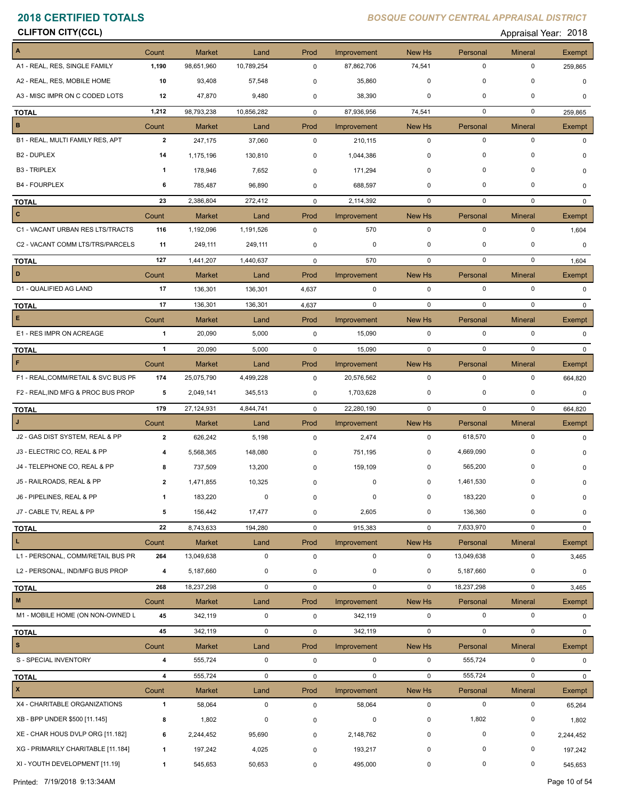**CLIFTON CITY(CCL)** Appraisal Year: 2018

| A                                   | Count                   | <b>Market</b> | Land        | Prod        | Improvement | New Hs       | Personal    | <b>Mineral</b> | Exempt       |
|-------------------------------------|-------------------------|---------------|-------------|-------------|-------------|--------------|-------------|----------------|--------------|
| A1 - REAL, RES, SINGLE FAMILY       | 1,190                   | 98,651,960    | 10,789,254  | 0           | 87,862,706  | 74,541       | $\mathbf 0$ | $\mathbf 0$    | 259,865      |
| A2 - REAL, RES, MOBILE HOME         | 10                      | 93,408        | 57,548      | 0           | 35,860      | $\mathbf 0$  | 0           | 0              | $\mathbf 0$  |
| A3 - MISC IMPR ON C CODED LOTS      | 12                      | 47,870        | 9,480       | 0           | 38,390      | 0            | 0           | 0              | 0            |
| <b>TOTAL</b>                        | 1,212                   | 98,793,238    | 10,856,282  | 0           | 87,936,956  | 74,541       | $\mathbf 0$ | $\mathbf 0$    | 259,865      |
| $\, {\bf B} \,$                     | Count                   | <b>Market</b> | Land        | Prod        | Improvement | New Hs       | Personal    | <b>Mineral</b> | Exempt       |
| B1 - REAL, MULTI FAMILY RES, APT    | $\overline{2}$          | 247,175       | 37,060      | $\mathbf 0$ | 210,115     | $\mathbf 0$  | $\mathbf 0$ | $\mathbf 0$    | $\Omega$     |
| B <sub>2</sub> - DUPLEX             | 14                      | 1,175,196     | 130,810     | 0           | 1,044,386   | 0            | $\pmb{0}$   | 0              | 0            |
| <b>B3 - TRIPLEX</b>                 | 1                       | 178,946       | 7,652       | $\mathbf 0$ | 171,294     | 0            | 0           | $\Omega$       | 0            |
| <b>B4 - FOURPLEX</b>                | 6                       | 785,487       | 96,890      | $\mathbf 0$ | 688,597     | 0            | $\mathbf 0$ | 0              | 0            |
| <b>TOTAL</b>                        | 23                      | 2,386,804     | 272,412     | $\mathbf 0$ | 2,114,392   | $\mathbf 0$  | $\mathbf 0$ | $\mathbf 0$    | $\Omega$     |
| c                                   | Count                   | <b>Market</b> | Land        | Prod        | Improvement | New Hs       | Personal    | <b>Mineral</b> | Exempt       |
| C1 - VACANT URBAN RES LTS/TRACTS    | 116                     | 1,192,096     | 1,191,526   | $\mathsf 0$ | 570         | $\mathbf 0$  | $\mathbf 0$ | $\mathbf 0$    | 1,604        |
| C2 - VACANT COMM LTS/TRS/PARCELS    | 11                      | 249,111       | 249,111     | 0           | 0           | $\mathbf 0$  | 0           | 0              | 0            |
| <b>TOTAL</b>                        | 127                     | 1,441,207     | 1,440,637   | $\mathbf 0$ | 570         | $\mathbf{0}$ | $\mathbf 0$ | $\mathbf 0$    | 1,604        |
| D                                   | Count                   | <b>Market</b> | Land        | Prod        | Improvement | New Hs       | Personal    | <b>Mineral</b> | Exempt       |
| D1 - QUALIFIED AG LAND              | 17                      | 136,301       | 136,301     | 4,637       | $\mathbf 0$ | $\mathbf 0$  | $\mathbf 0$ | $\mathbf 0$    | $\Omega$     |
| <b>TOTAL</b>                        | 17                      | 136,301       | 136,301     | 4,637       | $\mathbf 0$ | $\mathbf 0$  | $\mathbf 0$ | $\mathbf 0$    | $\mathbf{0}$ |
| E.                                  | Count                   | <b>Market</b> | Land        | Prod        | Improvement | New Hs       | Personal    | <b>Mineral</b> | Exempt       |
| E1 - RES IMPR ON ACREAGE            | $\mathbf{1}$            | 20,090        | 5,000       | 0           | 15,090      | $\mathbf 0$  | $\mathbf 0$ | 0              | $\mathbf{0}$ |
| <b>TOTAL</b>                        | $\mathbf{1}$            | 20,090        | 5,000       | $\mathbf 0$ | 15,090      | $\mathbf 0$  | $\mathbf 0$ | $\mathbf 0$    | $\Omega$     |
| F                                   | Count                   | <b>Market</b> | Land        | Prod        | Improvement | New Hs       | Personal    | <b>Mineral</b> | Exempt       |
| F1 - REAL, COMM/RETAIL & SVC BUS PF | 174                     | 25,075,790    | 4,499,228   | 0           | 20,576,562  | $\mathbf 0$  | $\mathbf 0$ | $\mathbf 0$    | 664,820      |
| F2 - REAL, IND MFG & PROC BUS PROP  | 5                       | 2,049,141     | 345,513     | 0           | 1,703,628   | 0            | 0           | 0              | 0            |
| <b>TOTAL</b>                        | 179                     | 27,124,931    | 4,844,741   | $\mathbf 0$ | 22,280,190  | $\mathbf 0$  | $\mathbf 0$ | $\mathbf 0$    | 664,820      |
| J                                   | Count                   | <b>Market</b> | Land        | Prod        | Improvement | New Hs       | Personal    | <b>Mineral</b> | Exempt       |
| J2 - GAS DIST SYSTEM, REAL & PP     | $\overline{2}$          | 626,242       | 5,198       | $\mathbf 0$ | 2,474       | $\mathbf 0$  | 618,570     | $\mathbf 0$    | 0            |
| J3 - ELECTRIC CO, REAL & PP         | 4                       | 5,568,365     | 148,080     | 0           | 751,195     | 0            | 4,669,090   | $\Omega$       | n            |
| J4 - TELEPHONE CO, REAL & PP        | 8                       | 737,509       | 13,200      | 0           | 159,109     | 0            | 565,200     | $\Omega$       |              |
| J5 - RAILROADS, REAL & PP           | 2                       | 1,471,855     | 10,325      | 0           | $\Omega$    | 0            | 1,461,530   | 0              |              |
| J6 - PIPELINES, REAL & PP           |                         | 183,220       | $\mathbf 0$ | $\mathbf 0$ |             | $\mathbf{0}$ | 183,220     | <sup>n</sup>   |              |
| J7 - CABLE TV, REAL & PP            | 5                       | 156,442       | 17,477      | 0           | 2,605       | 0            | 136,360     | 0              | 0            |
| <b>TOTAL</b>                        | 22                      | 8,743,633     | 194,280     | 0           | 915,383     | $\mathbf 0$  | 7,633,970   | $\mathbf 0$    | $\mathbf{0}$ |
| L.                                  | Count                   | <b>Market</b> | Land        | Prod        | Improvement | New Hs       | Personal    | <b>Mineral</b> | Exempt       |
| L1 - PERSONAL, COMM/RETAIL BUS PR   | 264                     | 13,049,638    | 0           | 0           | 0           | $\mathbf 0$  | 13,049,638  | $\mathbf 0$    | 3,465        |
| L2 - PERSONAL, IND/MFG BUS PROP     | 4                       | 5,187,660     | 0           | 0           | 0           | 0            | 5,187,660   | 0              | 0            |
| <b>TOTAL</b>                        | 268                     | 18,237,298    | 0           | $\mathsf 0$ | 0           | $\mathbf 0$  | 18,237,298  | $\mathbf 0$    | 3,465        |
| $\mathbf M$                         | Count                   | <b>Market</b> | Land        | Prod        | Improvement | New Hs       | Personal    | <b>Mineral</b> | Exempt       |
| M1 - MOBILE HOME (ON NON-OWNED L    | 45                      | 342,119       | $\mathbf 0$ | 0           | 342,119     | $\mathbf 0$  | 0           | $\mathbf 0$    | $\Omega$     |
| <b>TOTAL</b>                        | 45                      | 342,119       | 0           | 0           | 342,119     | $\mathbf 0$  | 0           | $\mathbf 0$    | $\mathbf{0}$ |
| $\mathbf s$                         | Count                   | <b>Market</b> | Land        | Prod        | Improvement | New Hs       | Personal    | <b>Mineral</b> | Exempt       |
| S - SPECIAL INVENTORY               | $\overline{\mathbf{4}}$ | 555,724       | 0           | 0           | 0           | $\mathbf 0$  | 555,724     | $\mathbf 0$    | $\mathbf 0$  |
| <b>TOTAL</b>                        | 4                       | 555,724       | 0           | $\mathbf 0$ | $\mathbf 0$ | $\mathbf 0$  | 555,724     | $\mathbf 0$    | $\mathbf{0}$ |
| $\pmb{\mathsf{x}}$                  | Count                   | <b>Market</b> | Land        | Prod        | Improvement | New Hs       | Personal    | Mineral        | Exempt       |
| X4 - CHARITABLE ORGANIZATIONS       | $\mathbf{1}$            | 58,064        | 0           | 0           | 58,064      | $\mathbf 0$  | $\mathbf 0$ | $\mathbf 0$    | 65,264       |
| XB - BPP UNDER \$500 [11.145]       | 8                       | 1,802         | 0           | 0           | 0           | 0            | 1,802       | 0              | 1,802        |
| XE - CHAR HOUS DVLP ORG [11.182]    | 6                       | 2,244,452     | 95,690      | 0           | 2,148,762   | 0            | 0           | 0              | 2,244,452    |
| XG - PRIMARILY CHARITABLE [11.184]  | $\mathbf{1}$            | 197,242       | 4,025       | 0           | 193,217     | 0            | 0           | 0              | 197,242      |
| XI - YOUTH DEVELOPMENT [11.19]      | $\mathbf{1}$            | 545,653       | 50,653      | 0           | 495,000     | $\mathbf 0$  | $\mathbf 0$ | 0              | 545,653      |
|                                     |                         |               |             |             |             |              |             |                |              |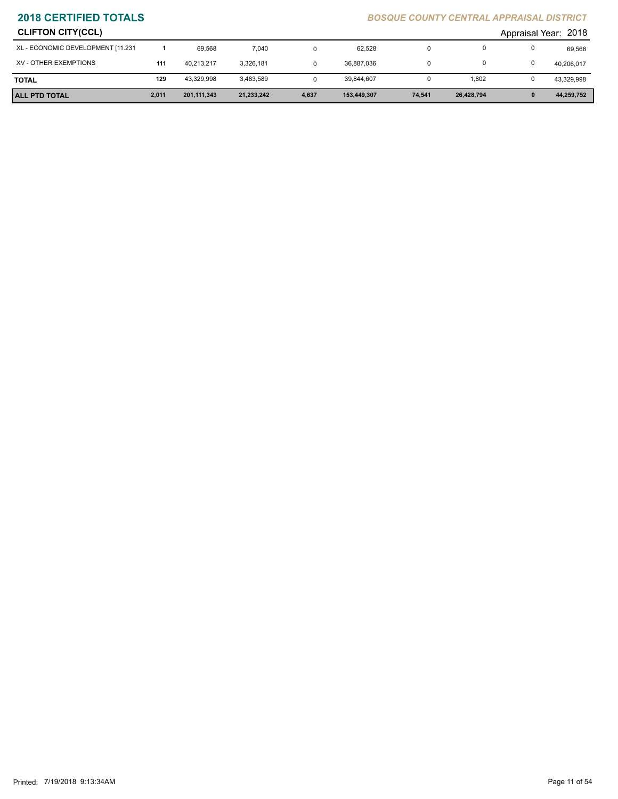| <b>CLIFTON CITY(CCL)</b>          |     |            |           |  |            |  |       | Appraisal Year: 2018 |            |  |
|-----------------------------------|-----|------------|-----------|--|------------|--|-------|----------------------|------------|--|
| XL - ECONOMIC DEVELOPMENT [11.231 |     | 69.568     | 7.040     |  | 62,528     |  |       |                      | 69,568     |  |
| XV - OTHER EXEMPTIONS             | 111 | 40.213.217 | 3,326,181 |  | 36,887,036 |  |       |                      | 40,206,017 |  |
| <b>TOTAL</b>                      | 129 | 43.329.998 | 3,483,589 |  | 39.844.607 |  | 1,802 |                      | 43,329,998 |  |

**ALL PTD TOTAL 2,011 201,111,343 21,233,242 4,637 153,449,307 74,541 26,428,794 0 44,259,752**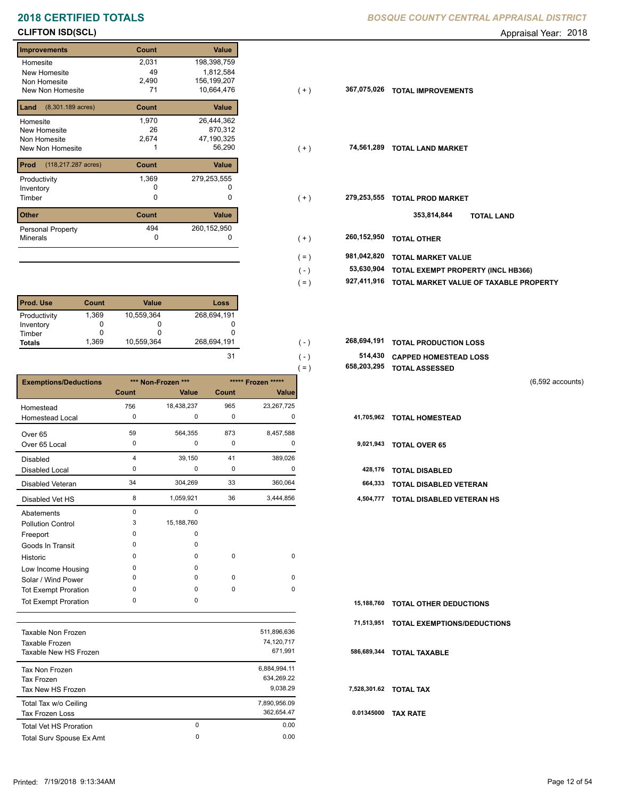# **2018 CERTIFIED TOTALS BOSQUE COUNTY CENTRAL APPRAISAL DISTRICTION CENTRAL APPROXIMATION**

## **CLIFTON ISD(SCL)** Appraisal Year: 2018

## **Improvements Count Value Homesite** New Homesite Non Homesite New Non Homesite **T1**  2,031 198,398,759 49 1,812,584 870,312 26 2,490 156,199,207 71 10,664,476 **367,075,026 Land Count Value** (8,301.189 acres) Homesite New Homesite Non Homesite New Non Homesite **TOTAL 1** 1 1 56,290 1,970 26,444,362 2,674 47,190,325 **Prod Count Value** (118,217.287 acres) Productivity 279,253,555 1,369 Inventory 0 0 **Other Count Value** Minerals Personal Property **Exercise 2018** 494 260,152,950

| <b>Prod. Use</b> | Count | <b>Value</b> | Loss        |
|------------------|-------|--------------|-------------|
| Productivity     | 1.369 | 10,559,364   | 268,694,191 |
| Inventory        |       |              |             |
| Timber           |       |              |             |
| <b>Totals</b>    | 1.369 | 10,559,364   | 268,694,191 |

|                              |                |                                          |           |              | $=$ ) | 658,203,295 | <b>TOTAL ASSESSED</b>         |  |
|------------------------------|----------------|------------------------------------------|-----------|--------------|-------|-------------|-------------------------------|--|
| <b>Exemptions/Deductions</b> |                | *** Non-Frozen ***<br>***** Frozen ***** |           |              |       |             | $(6,592$ accounts)            |  |
|                              | Count          | Value                                    | Count     | <b>Value</b> |       |             |                               |  |
| Homestead                    | 756            | 18,438,237                               | 965       | 23,267,725   |       |             |                               |  |
| Homestead Local              | 0              | 0                                        | 0         | 0            |       | 41,705,962  | <b>TOTAL HOMESTEAD</b>        |  |
| Over 65                      | 59             | 564,355                                  | 873       | 8,457,588    |       |             |                               |  |
| Over 65 Local                | 0              | 0                                        | 0         | 0            |       | 9,021,943   | <b>TOTAL OVER 65</b>          |  |
| <b>Disabled</b>              | $\overline{4}$ | 39,150                                   | 41        | 389,026      |       |             |                               |  |
| <b>Disabled Local</b>        | 0              | 0                                        | 0         | 0            |       | 428,176     | <b>TOTAL DISABLED</b>         |  |
| Disabled Veteran             | 34             | 304,269                                  | 33        | 360,064      |       | 664,333     | <b>TOTAL DISABLED VETERAN</b> |  |
| Disabled Vet HS              | 8              | 1,059,921                                | 36        | 3,444,856    |       | 4,504,777   | TOTAL DISABLED VETERAN HS     |  |
| Abatements                   | 0              | 0                                        |           |              |       |             |                               |  |
| <b>Pollution Control</b>     | 3              | 15,188,760                               |           |              |       |             |                               |  |
| Freeport                     | $\Omega$       | 0                                        |           |              |       |             |                               |  |
| Goods In Transit             | O              | 0                                        |           |              |       |             |                               |  |
| Historic                     | $\Omega$       | 0                                        | $\pmb{0}$ | 0            |       |             |                               |  |
| Low Income Housing           | 0              | 0                                        |           |              |       |             |                               |  |
| Solar / Wind Power           | $\Omega$       | 0                                        | 0         | 0            |       |             |                               |  |
| <b>Tot Exempt Proration</b>  | $\Omega$       | 0                                        | $\pmb{0}$ | 0            |       |             |                               |  |
| <b>Tot Exempt Proration</b>  | 0              | 0                                        |           |              |       | 15,188,760  | <b>TOTAL OTHER DEDUCTIONS</b> |  |

|                               |         |              | 71.  |
|-------------------------------|---------|--------------|------|
| Taxable Non Frozen            |         | 511,896,636  |      |
| Taxable Frozen                |         | 74,120,717   |      |
| Taxable New HS Frozen         | 671.991 | 586          |      |
| Tax Non Frozen                |         | 6.884.994.11 |      |
| Tax Frozen                    |         | 634.269.22   |      |
| Tax New HS Frozen             |         | 9.038.29     | 7,52 |
| Total Tax w/o Ceiling         |         | 7,890,956.09 |      |
| Tax Frozen Loss               |         | 362,654.47   | 0.0  |
| <b>Total Vet HS Proration</b> | 0       | 0.00         |      |
| Total Surv Spouse Ex Amt      | 0       | 0.00         |      |
|                               |         |              |      |

|  | BOSQUE COUNTY CENTRAL APPRAISAL DISTRICT |  |
|--|------------------------------------------|--|
|  |                                          |  |

| iniprov <del>enieni</del> s             | ovum  | value         |                        |                                        |
|-----------------------------------------|-------|---------------|------------------------|----------------------------------------|
| Homesite                                | 2,031 | 198,398,759   |                        |                                        |
| New Homesite                            | 49    | 1,812,584     |                        |                                        |
| Non Homesite                            | 2,490 | 156,199,207   |                        |                                        |
| New Non Homesite                        | 71    | 10,664,476    | 367,075,026<br>$(+)$   | <b>TOTAL IMPROVEMENTS</b>              |
| <b>Land</b> $(8,301.189 \text{ acres})$ | Count | Value         |                        |                                        |
| Homesite                                | 1,970 | 26,444,362    |                        |                                        |
| New Homesite                            | 26    | 870,312       |                        |                                        |
| Non Homesite                            | 2,674 | 47,190,325    |                        |                                        |
| New Non Homesite                        |       | 56,290        | 74,561,289<br>$(+)$    | <b>TOTAL LAND MARKET</b>               |
| <b>Prod</b> (118,217.287 acres)         | Count | Value         |                        |                                        |
| Productivity                            | 1,369 | 279,253,555   |                        |                                        |
| Inventory                               | 0     |               |                        |                                        |
| Timber                                  | 0     | 0             | 279,253,555<br>( + )   | <b>TOTAL PROD MARKET</b>               |
| Other                                   | Count | Value         |                        | 353,814,844<br><b>TOTAL LAND</b>       |
| Personal Property                       | 494   | 260, 152, 950 |                        |                                        |
| Minerals                                | 0     |               | 260,152,950<br>$(+)$   | <b>TOTAL OTHER</b>                     |
|                                         |       |               | 981,042,820            | <b>TOTAL MARKET VALUE</b>              |
|                                         |       |               | $( = )$                |                                        |
|                                         |       |               | 53,630,904<br>$(-)$    | TOTAL EXEMPT PROPERTY (INCL HB366)     |
|                                         |       |               | 927,411,916<br>$( = )$ | TOTAL MARKET VALUE OF TAXABLE PROPERTY |

| 268.694.191 |  | <b>268,694,191 TOTAL PRODUCTION LOSS</b> |
|-------------|--|------------------------------------------|
|             |  | 514,430 CAPPED HOMESTEAD LOSS            |

|  | 658,203,295 TOTAL ASSESSED |  |
|--|----------------------------|--|
|  |                            |  |

|  | 15,188,760 TOTAL OTHER DEDUCTIONS      |
|--|----------------------------------------|
|  | 71,513,951 TOTAL EXEMPTIONS/DEDUCTIONS |

 **586,689,344 TOTAL TAXABLE**

 **7,528,301.62 TOTAL TAX**

 **0.01345000 TAX RATE**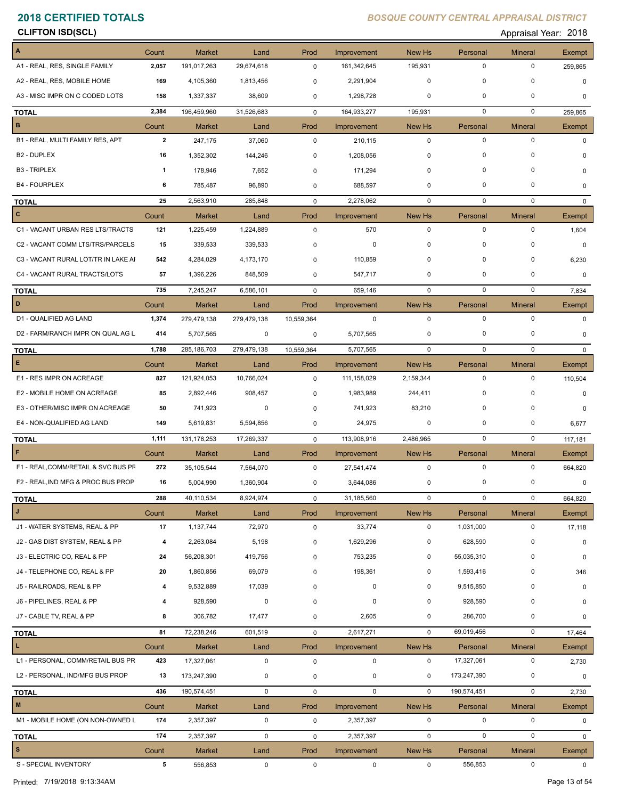| CLIFTON ISD(SCL) |  |  |
|------------------|--|--|
|------------------|--|--|

**CON ISD(SCL)** Appraisal Year: 2018

| $\overline{A}$                      | Count          | <b>Market</b>                | Land               | Prod                | Improvement                | New Hs              | Personal                | <b>Mineral</b>              | Exempt   |
|-------------------------------------|----------------|------------------------------|--------------------|---------------------|----------------------------|---------------------|-------------------------|-----------------------------|----------|
| A1 - REAL, RES, SINGLE FAMILY       | 2,057          | 191,017,263                  | 29,674,618         | $\mathbf 0$         | 161,342,645                | 195,931             | $\mathbf 0$             | 0                           | 259,865  |
| A2 - REAL, RES, MOBILE HOME         | 169            | 4,105,360                    | 1,813,456          | 0                   | 2,291,904                  | $\mathbf 0$         | $\mathbf 0$             | $\mathbf 0$                 | 0        |
| A3 - MISC IMPR ON C CODED LOTS      |                |                              |                    |                     |                            | $\mathbf 0$         | $\mathbf 0$             | $\Omega$                    |          |
|                                     | 158            | 1,337,337                    | 38,609             | 0                   | 1,298,728                  |                     |                         |                             | $\Omega$ |
| <b>TOTAL</b>                        | 2,384          | 196,459,960                  | 31,526,683         | $\mathbf 0$         | 164,933,277                | 195,931             | $\mathbf 0$             | $\mathbf 0$                 | 259,865  |
| B                                   | Count          | <b>Market</b>                | Land               | Prod                | Improvement                | New Hs              | Personal                | <b>Mineral</b>              | Exempt   |
| B1 - REAL, MULTI FAMILY RES, APT    | $\overline{2}$ | 247,175                      | 37,060             | $\mathbf 0$         | 210,115                    | $\mathbf 0$         | $\mathbf 0$             | $\pmb{0}$                   | $\Omega$ |
| B <sub>2</sub> - DUPLEX             | 16             | 1,352,302                    | 144,246            | 0                   | 1,208,056                  | $\mathbf 0$         | $\mathbf 0$             | 0                           |          |
| <b>B3 - TRIPLEX</b>                 | 1              | 178,946                      | 7,652              | 0                   | 171,294                    | $\mathbf 0$         | $\mathbf 0$             | 0                           | 0        |
| <b>B4 - FOURPLEX</b>                | 6              | 785,487                      | 96,890             | 0                   | 688,597                    | $\mathbf 0$         | $\mathbf 0$             | 0                           | 0        |
| <b>TOTAL</b>                        | 25             | 2,563,910                    | 285,848            | $\mathbf 0$         | 2,278,062                  | 0                   | 0                       | $\mathbf 0$                 | 0        |
| $\mathbf{c}$                        | Count          | <b>Market</b>                | Land               | Prod                | Improvement                | New Hs              | Personal                | <b>Mineral</b>              | Exempt   |
| C1 - VACANT URBAN RES LTS/TRACTS    | 121            | 1,225,459                    | 1,224,889          | $\mathbf 0$         | 570                        | $\mathbf 0$         | $\mathbf 0$             | $\pmb{0}$                   | 1,604    |
| C2 - VACANT COMM LTS/TRS/PARCELS    | 15             | 339,533                      | 339,533            | 0                   | 0                          | $\mathbf 0$         | $\mathbf 0$             | 0                           | 0        |
| C3 - VACANT RURAL LOT/TR IN LAKE AI | 542            | 4,284,029                    | 4,173,170          | 0                   | 110,859                    | $\mathbf 0$         | $\mathbf 0$             | $\mathbf 0$                 | 6,230    |
| C4 - VACANT RURAL TRACTS/LOTS       | 57             | 1,396,226                    | 848,509            | 0                   | 547,717                    | $\mathbf 0$         | $\mathbf 0$             | $\mathbf 0$                 | 0        |
| <b>TOTAL</b>                        | 735            | 7,245,247                    | 6,586,101          | $\mathbf 0$         | 659,146                    | 0                   | $\mathbf 0$             | $\mathbf 0$                 | 7,834    |
| D                                   | Count          | <b>Market</b>                | Land               | Prod                | Improvement                | New Hs              | Personal                | <b>Mineral</b>              | Exempt   |
| D1 - QUALIFIED AG LAND              | 1,374          | 279,479,138                  | 279,479,138        | 10,559,364          | 0                          | 0                   | $\mathbf 0$             | $\pmb{0}$                   | 0        |
| D2 - FARM/RANCH IMPR ON QUAL AG L   | 414            | 5,707,565                    | 0                  | 0                   | 5,707,565                  | 0                   | 0                       | 0                           | 0        |
|                                     |                |                              | 279,479,138        |                     | 5,707,565                  | $\mathbf 0$         | $\mathbf 0$             | $\mathbf 0$                 |          |
| <b>TOTAL</b><br>E                   | 1,788          | 285, 186, 703                |                    | 10,559,364          |                            |                     |                         |                             | 0        |
| E1 - RES IMPR ON ACREAGE            | Count<br>827   | <b>Market</b><br>121,924,053 | Land<br>10,766,024 | Prod<br>$\mathbf 0$ | Improvement<br>111,158,029 | New Hs<br>2,159,344 | Personal<br>$\mathbf 0$ | <b>Mineral</b><br>$\pmb{0}$ | Exempt   |
|                                     |                |                              |                    |                     |                            |                     |                         |                             | 110,504  |
| E2 - MOBILE HOME ON ACREAGE         | 85             | 2,892,446                    | 908,457            | 0                   | 1,983,989                  | 244,411             | 0                       | 0                           | 0        |
| E3 - OTHER/MISC IMPR ON ACREAGE     | 50             | 741,923                      | 0                  | 0                   | 741,923                    | 83,210              | $\mathbf 0$             | 0                           | 0        |
| E4 - NON-QUALIFIED AG LAND          | 149            | 5,619,831                    | 5,594,856          | 0                   | 24,975                     | 0                   | $\mathbf 0$             | $\Omega$                    | 6,677    |
| <b>TOTAL</b>                        | 1,111          | 131, 178, 253                | 17,269,337         | $\mathbf 0$         | 113,908,916                | 2,486,965           | $\mathbf 0$             | $\mathbf 0$                 | 117,181  |
| F                                   | Count          | <b>Market</b>                | Land               | Prod                | Improvement                | New Hs              | Personal                | <b>Mineral</b>              | Exempt   |
| F1 - REAL, COMM/RETAIL & SVC BUS PF | 272            | 35,105,544                   | 7,564,070          | $\mathbf 0$         | 27,541,474                 | $\mathbf 0$         | $\mathbf 0$             | 0                           | 664,820  |
| F2 - REAL, IND MFG & PROC BUS PROP  | 16             | 5,004,990                    | 1,360,904          | 0                   | 3,644,086                  | 0                   | 0                       | $\pmb{0}$                   | 0        |
| <b>TOTAL</b>                        | 288            | 40,110,534                   | 8,924,974          | 0                   | 31,185,560                 | $\pmb{0}$           | $\pmb{0}$               | $\pmb{0}$                   | 664,820  |
| J                                   | Count          | <b>Market</b>                | Land               | Prod                | Improvement                | New Hs              | Personal                | <b>Mineral</b>              | Exempt   |
| J1 - WATER SYSTEMS, REAL & PP       | 17             | 1,137,744                    | 72,970             | 0                   | 33,774                     | $\mathbf 0$         | 1,031,000               | 0                           | 17,118   |
| J2 - GAS DIST SYSTEM, REAL & PP     | 4              | 2,263,084                    | 5,198              | 0                   | 1,629,296                  | 0                   | 628,590                 | $\pmb{0}$                   | 0        |
| J3 - ELECTRIC CO, REAL & PP         | 24             | 56,208,301                   | 419,756            | 0                   | 753,235                    | 0                   | 55,035,310              | 0                           | 0        |
| J4 - TELEPHONE CO, REAL & PP        | 20             | 1,860,856                    | 69,079             | 0                   | 198,361                    | 0                   | 1,593,416               | 0                           | 346      |
| J5 - RAILROADS, REAL & PP           | 4              | 9,532,889                    | 17,039             | 0                   | $\mathbf 0$                | 0                   | 9,515,850               | 0                           | 0        |
| J6 - PIPELINES, REAL & PP           | 4              | 928,590                      | 0                  | 0                   | 0                          | $\mathbf 0$         | 928,590                 | $\mathbf 0$                 | 0        |
| J7 - CABLE TV, REAL & PP            | 8              | 306,782                      | 17,477             | 0                   | 2,605                      | 0                   | 286,700                 | $\mathbf 0$                 | 0        |
| <b>TOTAL</b>                        | 81             | 72,238,246                   | 601,519            | $\mathbf 0$         | 2,617,271                  | $\mathbf 0$         | 69,019,456              | 0                           | 17,464   |
| $\mathbf{L}$                        | Count          | <b>Market</b>                | Land               | Prod                | Improvement                | New Hs              | Personal                | <b>Mineral</b>              | Exempt   |
| L1 - PERSONAL, COMM/RETAIL BUS PR   | 423            | 17,327,061                   | $\mathbf 0$        | $\mathbf 0$         | $\mathbf 0$                | 0                   | 17,327,061              | 0                           | 2,730    |
| L2 - PERSONAL, IND/MFG BUS PROP     | 13             | 173,247,390                  | 0                  | 0                   | 0                          | 0                   | 173,247,390             | 0                           |          |
|                                     |                |                              |                    |                     |                            |                     |                         |                             | 0        |
| <b>TOTAL</b><br>$\blacksquare$      | 436            | 190,574,451                  | 0                  | $\mathbf 0$         | $\mathbf 0$                | $\mathbf 0$         | 190,574,451             | $\pmb{0}$                   | 2,730    |
|                                     | Count          | <b>Market</b>                | Land               | Prod                | Improvement                | New Hs              | Personal                | <b>Mineral</b>              | Exempt   |
| M1 - MOBILE HOME (ON NON-OWNED L    | 174            | 2,357,397                    | 0                  | $\mathbf 0$         | 2,357,397                  | $\mathbf 0$         | $\mathbf 0$             | 0                           | 0        |
| <b>TOTAL</b>                        | 174            | 2,357,397                    | 0                  | 0                   | 2,357,397                  | $\mathbf 0$         | $\pmb{0}$               | $\pmb{0}$                   | 0        |
| $\vert$ s                           | Count          | <b>Market</b>                | Land               | Prod                | Improvement                | New Hs              | Personal                | <b>Mineral</b>              | Exempt   |
| S - SPECIAL INVENTORY               | 5              | 556,853                      | 0                  | $\mathbf{0}$        | $\mathbf 0$                | $\mathbf 0$         | 556,853                 | 0                           | 0        |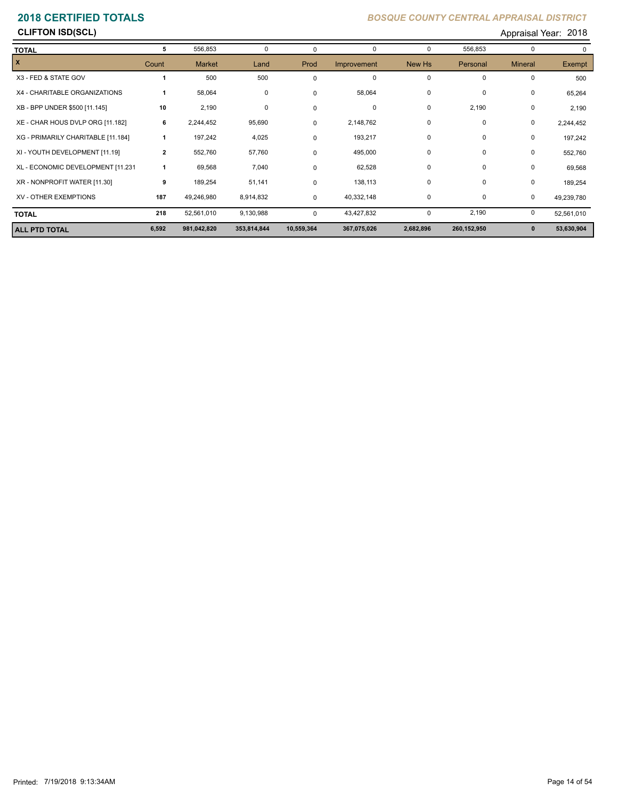## **CLIFTON ISD(SCL)** Appraisal Year: 2018

| <b>TOTAL</b>                       | 5              | 556,853       | 0           | 0          | 0           | 0         | 556,853     | $\mathbf 0$    |            |
|------------------------------------|----------------|---------------|-------------|------------|-------------|-----------|-------------|----------------|------------|
| $\mathbf{x}$                       | Count          | <b>Market</b> | Land        | Prod       | Improvement | New Hs    | Personal    | <b>Mineral</b> | Exempt     |
| X3 - FED & STATE GOV               |                | 500           | 500         | $\Omega$   | $\mathbf 0$ | $\Omega$  | $\mathbf 0$ | $\mathbf 0$    | 500        |
| X4 - CHARITABLE ORGANIZATIONS      |                | 58,064        | 0           | 0          | 58,064      | 0         | $\mathbf 0$ | 0              | 65,264     |
| XB - BPP UNDER \$500 [11.145]      | 10             | 2,190         | $\mathbf 0$ | 0          | $\mathbf 0$ | 0         | 2,190       | 0              | 2,190      |
| XE - CHAR HOUS DVLP ORG [11.182]   | 6              | 2,244,452     | 95,690      | 0          | 2,148,762   | 0         | 0           | 0              | 2,244,452  |
| XG - PRIMARILY CHARITABLE [11.184] |                | 197,242       | 4,025       | 0          | 193,217     | 0         | 0           | 0              | 197,242    |
| XI - YOUTH DEVELOPMENT [11.19]     | $\overline{2}$ | 552,760       | 57,760      | 0          | 495,000     | 0         | 0           | 0              | 552,760    |
| XL - ECONOMIC DEVELOPMENT [11.231  |                | 69,568        | 7,040       | 0          | 62,528      | 0         | 0           | 0              | 69,568     |
| XR - NONPROFIT WATER [11.30]       | 9              | 189,254       | 51,141      | $\Omega$   | 138,113     | 0         | 0           | 0              | 189,254    |
| XV - OTHER EXEMPTIONS              | 187            | 49,246,980    | 8,914,832   | 0          | 40,332,148  | 0         | 0           | 0              | 49,239,780 |
| <b>TOTAL</b>                       | 218            | 52,561,010    | 9,130,988   | 0          | 43,427,832  | 0         | 2,190       | 0              | 52,561,010 |
| <b>ALL PTD TOTAL</b>               | 6,592          | 981,042,820   | 353,814,844 | 10,559,364 | 367,075,026 | 2,682,896 | 260,152,950 | $\mathbf{0}$   | 53,630,904 |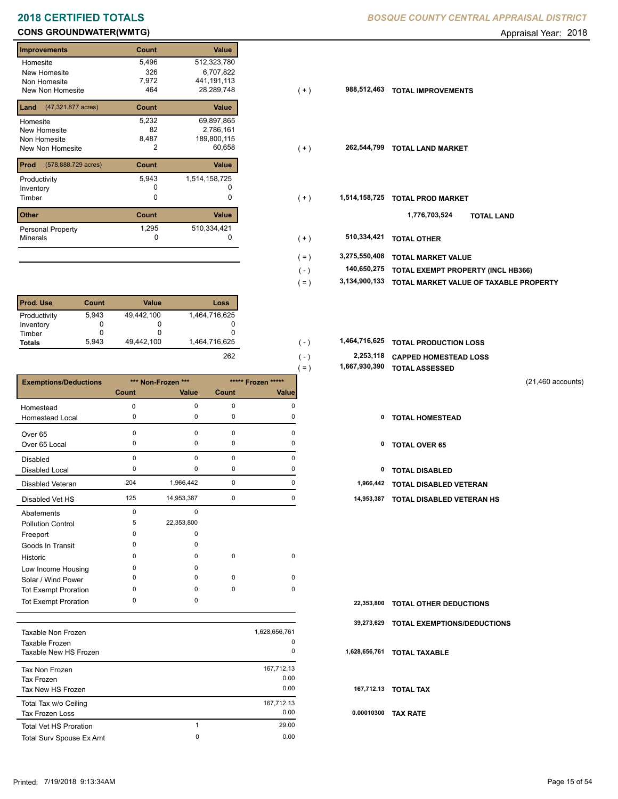# **CONS GROUNDWATER(WMTG) CONS GROUNDWATER(WMTG) Appraisal Year: 2018**

| <b>Improvements</b>         | Count | <b>Value</b>  |
|-----------------------------|-------|---------------|
| Homesite                    | 5,496 | 512,323,780   |
| New Homesite                | 326   | 6,707,822     |
| Non Homesite                | 7,972 | 441, 191, 113 |
| New Non Homesite            | 464   | 28,289,748    |
| (47,321.877 acres)<br>Land  | Count | Value         |
| Homesite                    | 5,232 | 69,897,865    |
| New Homesite                | 82    | 2,786,161     |
| Non Homesite                | 8,487 | 189,800,115   |
| New Non Homesite            | 2     | 60,658        |
| Prod<br>(578,888.729 acres) | Count | Value         |
| Productivity                | 5,943 | 1,514,158,725 |
| Inventory                   |       |               |
| Timber                      | 0     | 0             |
| <b>Other</b>                | Count | Value         |
| Personal Property           | 1,295 | 510,334,421   |
| <b>Minerals</b>             | 0     | U             |

| <b>Prod. Use</b> | Count | <b>Value</b> | Loss          |
|------------------|-------|--------------|---------------|
| Productivity     | 5,943 | 49,442,100   | 1,464,716,625 |
| Inventory        |       | O            |               |
| Timber           |       | O            |               |
| <b>Totals</b>    | 5.943 | 49.442.100   | 1,464,716,625 |
|                  |       |              | 262           |

|                              |                    |            |                    |          | = )<br>1,001,000,000 | TUTAL ASSESSED                |                     |
|------------------------------|--------------------|------------|--------------------|----------|----------------------|-------------------------------|---------------------|
| <b>Exemptions/Deductions</b> | *** Non-Frozen *** |            | ***** Frozen ***** |          |                      |                               | $(21,460$ accounts) |
|                              | Count              | Value      | Count              | Value    |                      |                               |                     |
| Homestead                    | $\Omega$           | 0          | 0                  | $\Omega$ |                      |                               |                     |
| Homestead Local              | 0                  | 0          | 0                  | 0        | 0                    | <b>TOTAL HOMESTEAD</b>        |                     |
| Over 65                      | $\Omega$           | $\Omega$   | $\mathbf 0$        | O        |                      |                               |                     |
| Over 65 Local                | 0                  | 0          | 0                  | $\Omega$ | 0                    | <b>TOTAL OVER 65</b>          |                     |
| <b>Disabled</b>              | $\mathbf 0$        | 0          | $\mathbf 0$        | $\Omega$ |                      |                               |                     |
| Disabled Local               | $\Omega$           | $\Omega$   | 0                  | O        | 0                    | <b>TOTAL DISABLED</b>         |                     |
| Disabled Veteran             | 204                | 1,966,442  | $\pmb{0}$          | 0        | 1,966,442            | TOTAL DISABLED VETERAN        |                     |
| Disabled Vet HS              | 125                | 14,953,387 | 0                  | $\Omega$ | 14,953,387           | TOTAL DISABLED VETERAN HS     |                     |
| Abatements                   | $\Omega$           | 0          |                    |          |                      |                               |                     |
| <b>Pollution Control</b>     | 5                  | 22,353,800 |                    |          |                      |                               |                     |
| Freeport                     | O                  | $\Omega$   |                    |          |                      |                               |                     |
| Goods In Transit             | O                  | 0          |                    |          |                      |                               |                     |
| Historic                     | $\Omega$           | 0          | $\mathbf 0$        | 0        |                      |                               |                     |
| Low Income Housing           | 0                  | 0          |                    |          |                      |                               |                     |
| Solar / Wind Power           | 0                  | $\Omega$   | 0                  | 0        |                      |                               |                     |
| Tot Exempt Proration         | 0                  | 0          | 0                  | 0        |                      |                               |                     |
| <b>Tot Exempt Proration</b>  | 0                  | 0          |                    |          | 22,353,800           | <b>TOTAL OTHER DEDUCTIONS</b> |                     |

|                               |   |               | 39    |
|-------------------------------|---|---------------|-------|
| Taxable Non Frozen            |   | 1,628,656,761 |       |
| Taxable Frozen                |   | 0             |       |
| Taxable New HS Frozen         |   | 0             | 1,628 |
| Tax Non Frozen                |   | 167,712.13    |       |
| Tax Frozen                    |   | 0.00          |       |
| Tax New HS Frozen             |   | 0.00          | 16    |
| Total Tax w/o Ceiling         |   | 167,712.13    |       |
| Tax Frozen Loss               |   | 0.00          | 0.0   |
| <b>Total Vet HS Proration</b> | 1 | 29.00         |       |
| Total Surv Spouse Ex Amt      | 0 | 0.00          |       |
|                               |   |               |       |

| Improvements                             | Count       | <b>Value</b>  |         |               |                                           |
|------------------------------------------|-------------|---------------|---------|---------------|-------------------------------------------|
| Homesite                                 | 5,496       | 512,323,780   |         |               |                                           |
| New Homesite                             | 326         | 6,707,822     |         |               |                                           |
| Non Homesite                             | 7,972       | 441,191,113   |         |               |                                           |
| New Non Homesite                         | 464         | 28,289,748    | $(+)$   | 988,512,463   | <b>TOTAL IMPROVEMENTS</b>                 |
| <b>Land</b> $(47,321.877 \text{ acres})$ | Count       | Value         |         |               |                                           |
| Homesite                                 | 5,232       | 69,897,865    |         |               |                                           |
| New Homesite                             | 82          | 2,786,161     |         |               |                                           |
| Non Homesite                             | 8,487       | 189,800,115   |         |               |                                           |
| New Non Homesite                         | 2           | 60,658        | $(+)$   | 262,544,799   | <b>TOTAL LAND MARKET</b>                  |
| <b>Prod</b> (578,888.729 acres)          | Count       | Value         |         |               |                                           |
| Productivity                             | 5,943       | 1,514,158,725 |         |               |                                           |
| Inventory                                |             |               |         |               |                                           |
| Timber                                   | 0           | 0             | $(+)$   | 1,514,158,725 | <b>TOTAL PROD MARKET</b>                  |
| Other                                    | Count       | Value         |         |               | 1,776,703,524<br><b>TOTAL LAND</b>        |
| Personal Property                        | 1,295       | 510,334,421   |         |               |                                           |
| Minerals                                 | $\mathbf 0$ | 0             | $(+)$   | 510,334,421   | <b>TOTAL OTHER</b>                        |
|                                          |             |               | $( = )$ | 3,275,550,408 | <b>TOTAL MARKET VALUE</b>                 |
|                                          |             |               | ( - )   | 140,650,275   | <b>TOTAL EXEMPT PROPERTY (INCL HB366)</b> |
|                                          |             |               |         |               |                                           |

 **3,134,900,133 TOTAL MARKET VALUE OF TAXABLE PROPERTY** ( = )

| 1,464,716,625 |  | 1,464,716,625 TOTAL PRODUCTION LOSS |  |
|---------------|--|-------------------------------------|--|
|---------------|--|-------------------------------------|--|

 $( - )$  $( - )$ 

- **2,253,118 CAPPED HOMESTEAD LOSS**
- **1,667,930,390 TOTAL ASSESSED** ( = )
	- (21,460 accounts)
	-
	-
	-
	-
	- 125 14,953,387 0 0 **14,953,387 TOTAL DISABLED VETERAN HS**

| 22,353,800 TOTAL OTHER DEDUCTIONS      |
|----------------------------------------|
| 39,273,629 TOTAL EXEMPTIONS/DEDUCTIONS |
| 1,628,656,761 TOTAL TAXABLE            |
| 167,712.13 TOTAL TAX                   |
| 0.00010300 TAX RATE                    |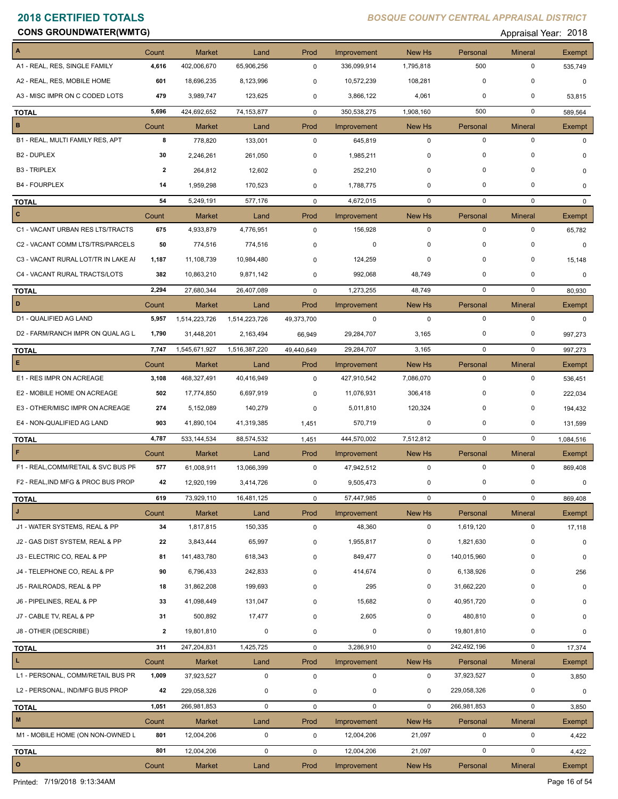**Constitution Constitution Constitution Constitution Constitution Constitution Constitution Constitution Constitution Constitution Constitution Constitution Constitution Constitution Constitution Constitution Constitution** 

| $\mathbf{A}$                        | Count          | <b>Market</b>        | Land                  | Prod                | Improvement                | New Hs                | Personal                | <b>Mineral</b>                | Exempt          |
|-------------------------------------|----------------|----------------------|-----------------------|---------------------|----------------------------|-----------------------|-------------------------|-------------------------------|-----------------|
| A1 - REAL, RES, SINGLE FAMILY       | 4,616          | 402,006,670          | 65,906,256            | 0                   | 336,099,914                | 1,795,818             | 500                     | $\mathbf 0$                   | 535,749         |
| A2 - REAL, RES, MOBILE HOME         | 601            | 18,696,235           | 8,123,996             | 0                   | 10,572,239                 | 108,281               | $\mathbf 0$             | 0                             | $\mathbf 0$     |
| A3 - MISC IMPR ON C CODED LOTS      | 479            | 3,989,747            | 123,625               | $\mathbf 0$         | 3,866,122                  | 4,061                 | 0                       | 0                             | 53,815          |
| <b>TOTAL</b>                        | 5,696          | 424,692,652          | 74,153,877            | 0                   | 350,538,275                | 1,908,160             | 500                     | $\mathbf 0$                   | 589,564         |
| $\, {\bf B}$                        | Count          | <b>Market</b>        | Land                  | Prod                | Improvement                | <b>New Hs</b>         | Personal                | <b>Mineral</b>                | <b>Exempt</b>   |
| B1 - REAL, MULTI FAMILY RES, APT    | 8              | 778,820              | 133,001               | $\mathbf 0$         | 645,819                    | $\mathbf 0$           | $\mathsf 0$             | $\mathbf 0$                   | $\Omega$        |
| B <sub>2</sub> - DUPLEX             | 30             | 2,246,261            | 261,050               | 0                   | 1,985,211                  | 0                     | $\mathbf 0$             | $\mathbf 0$                   | $\Omega$        |
| <b>B3 - TRIPLEX</b>                 | $\overline{2}$ | 264,812              | 12,602                | $\mathbf 0$         | 252,210                    | $\mathbf 0$           | $\mathbf 0$             | 0                             | 0               |
| <b>B4 - FOURPLEX</b>                | 14             | 1,959,298            | 170,523               | 0                   | 1,788,775                  | 0                     | $\mathbf 0$             | 0                             | 0               |
| <b>TOTAL</b>                        | 54             | 5,249,191            | 577,176               | 0                   | 4,672,015                  | $\mathbf 0$           | $\mathbf 0$             | $\mathbf 0$                   | $\mathbf{0}$    |
| $\mathbf{c}$                        | Count          | <b>Market</b>        | Land                  | Prod                | Improvement                | New Hs                | Personal                | <b>Mineral</b>                | Exempt          |
| C1 - VACANT URBAN RES LTS/TRACTS    | 675            | 4,933,879            | 4,776,951             | $\mathbf 0$         | 156,928                    | $\mathbf 0$           | $\mathbf 0$             | $\mathbf 0$                   | 65,782          |
| C2 - VACANT COMM LTS/TRS/PARCELS    | 50             | 774,516              | 774,516               | $\mathbf 0$         | $\pmb{0}$                  | 0                     | 0                       | 0                             | $\mathbf 0$     |
| C3 - VACANT RURAL LOT/TR IN LAKE AI | 1,187          | 11,108,739           | 10,984,480            | $\mathbf 0$         | 124,259                    | 0                     | $\mathbf 0$             | 0                             | 15,148          |
| C4 - VACANT RURAL TRACTS/LOTS       | 382            | 10,863,210           | 9,871,142             | 0                   | 992,068                    | 48,749                | 0                       | 0                             | 0               |
| <b>TOTAL</b>                        | 2,294          | 27,680,344           | 26,407,089            | $\mathbf 0$         | 1,273,255                  | 48,749                | $\mathbf 0$             | $\mathbf 0$                   | 80,930          |
| D                                   | Count          | <b>Market</b>        | Land                  | Prod                | Improvement                | New Hs                | Personal                | <b>Mineral</b>                | Exempt          |
| D1 - QUALIFIED AG LAND              | 5,957          | 1,514,223,726        | 1,514,223,726         | 49,373,700          | 0                          | $\mathbf 0$           | $\mathbf 0$             | $\mathbf 0$                   | 0               |
| D2 - FARM/RANCH IMPR ON QUAL AG L   | 1,790          | 31,448,201           | 2,163,494             | 66,949              | 29,284,707                 | 3,165                 | 0                       | 0                             | 997,273         |
| <b>TOTAL</b>                        | 7,747          | 1,545,671,927        | 1,516,387,220         | 49,440,649          | 29,284,707                 | 3,165                 | $\mathbf 0$             | $\mathbf 0$                   | 997,273         |
| E                                   | Count          | <b>Market</b>        | Land                  | Prod                | Improvement                | New Hs                | Personal                | <b>Mineral</b>                | Exempt          |
| E1 - RES IMPR ON ACREAGE            | 3,108          | 468,327,491          | 40,416,949            | $\mathbf 0$         | 427,910,542                | 7,086,070             | $\mathbf 0$             | $\mathbf 0$                   | 536,451         |
| E2 - MOBILE HOME ON ACREAGE         | 502            | 17,774,850           | 6,697,919             | $\mathbf 0$         | 11,076,931                 | 306,418               | $\mathbf 0$             | $\mathbf 0$                   | 222,034         |
| E3 - OTHER/MISC IMPR ON ACREAGE     | 274            | 5,152,089            | 140,279               | $\mathbf 0$         | 5,011,810                  | 120,324               | 0                       | 0                             | 194,432         |
| E4 - NON-QUALIFIED AG LAND          | 903            | 41,890,104           | 41,319,385            | 1,451               | 570,719                    | 0                     | 0                       | 0                             | 131,599         |
| <b>TOTAL</b>                        | 4,787          | 533, 144, 534        | 88,574,532            | 1,451               | 444,570,002                | 7,512,812             | $\mathbf 0$             | $\mathbf 0$                   | 1,084,516       |
| $\mathsf F$                         | Count          | <b>Market</b>        | Land                  | Prod                | Improvement                | New Hs                | Personal                | <b>Mineral</b>                | Exempt          |
| F1 - REAL, COMM/RETAIL & SVC BUS PF | 577            | 61,008,911           | 13,066,399            | 0                   | 47,942,512                 | $\mathbf 0$           | $\mathbf 0$             | $\mathbf 0$                   | 869,408         |
| F2 - REAL, IND MFG & PROC BUS PROP  | 42             | 12,920,199           | 3,414,726             | 0                   | 9,505,473                  | 0                     | 0                       | $\pmb{0}$                     | $\mathbf 0$     |
| <b>TOTAL</b>                        | 619            | 73,929,110           | 16,481,125            | 0                   | 57,447,985                 | 0                     | 0                       | 0                             | 869,408         |
| $\mathbf{J}^{\top}$                 | Count          | <b>Market</b>        | Land                  | Prod                | Improvement                | New Hs                | Personal                | <b>Mineral</b>                | <b>Exempt</b>   |
| J1 - WATER SYSTEMS, REAL & PP       | 34             | 1,817,815            | 150,335               | 0                   | 48,360                     | $\mathbf 0$           | 1,619,120               | $\mathbf 0$                   | 17,118          |
| J2 - GAS DIST SYSTEM, REAL & PP     | 22             | 3,843,444            | 65,997                | 0                   | 1,955,817                  | 0                     | 1,821,630               | 0                             | $\mathbf 0$     |
| J3 - ELECTRIC CO, REAL & PP         | 81             | 141,483,780          | 618,343               | 0                   | 849,477                    | 0                     | 140,015,960             | $\mathbf 0$                   | $\mathbf 0$     |
| J4 - TELEPHONE CO, REAL & PP        | 90             | 6,796,433            | 242,833<br>199.693    | 0                   | 414,674                    | 0                     | 6,138,926               | $\mathbf 0$<br>0              | 256             |
| J5 - RAILROADS, REAL & PP           | 18             | 31,862,208           |                       | 0                   | 295                        | 0                     | 31,662,220              |                               | 0               |
| J6 - PIPELINES, REAL & PP           | 33             | 41,098,449           | 131,047               | 0                   | 15,682                     | 0                     | 40,951,720              | 0<br>0                        | 0               |
| J7 - CABLE TV, REAL & PP            | 31             | 500,892              | 17,477<br>$\mathbf 0$ | 0                   | 2,605                      | 0<br>0                | 480,810                 | 0                             | 0               |
| J8 - OTHER (DESCRIBE)               | $\overline{2}$ | 19,801,810           |                       | 0                   | 0                          |                       | 19,801,810              |                               | 0               |
| <b>TOTAL</b><br>L.                  | 311            | 247,204,831          | 1,425,725             | $\mathsf{O}$        | 3,286,910                  | $\mathbf 0$           | 242,492,196             | 0                             | 17,374          |
| L1 - PERSONAL, COMM/RETAIL BUS PR   | Count<br>1,009 | Market<br>37,923,527 | Land<br>$\mathbf 0$   | Prod<br>$\mathsf 0$ | Improvement<br>$\mathbf 0$ | New Hs<br>$\mathbf 0$ | Personal<br>37,923,527  | <b>Mineral</b><br>$\mathsf 0$ | Exempt<br>3,850 |
| L2 - PERSONAL, IND/MFG BUS PROP     | 42             | 229,058,326          | 0                     | $\mathbf 0$         | $\mathbf 0$                | 0                     | 229,058,326             | $\mathbf 0$                   | 0               |
|                                     |                |                      | $\mathbf 0$           |                     |                            | $\mathbf{0}$          | 266,981,853             | 0                             |                 |
| <b>TOTAL</b><br>M                   | 1,051          | 266,981,853          |                       | 0                   | $\mathbf 0$                |                       |                         |                               | 3,850           |
| M1 - MOBILE HOME (ON NON-OWNED L    | Count<br>801   | Market<br>12,004,206 | Land<br>$\mathbf 0$   | Prod<br>0           | Improvement<br>12,004,206  | New Hs<br>21,097      | Personal<br>$\mathbf 0$ | <b>Mineral</b><br>$\pmb{0}$   | Exempt<br>4,422 |
|                                     | 801            | 12,004,206           | $\mathbf 0$           | $\mathbf 0$         | 12,004,206                 | 21,097                | $\mathbf 0$             | $\mathbf 0$                   | 4,422           |
| <b>TOTAL</b><br>$\mathbf{o}$        | Count          | Market               | Land                  | Prod                | Improvement                | New Hs                | Personal                | Mineral                       | Exempt          |
|                                     |                |                      |                       |                     |                            |                       |                         |                               |                 |

Printed: 7/19/2018 9:13:34AM Page 16 of 54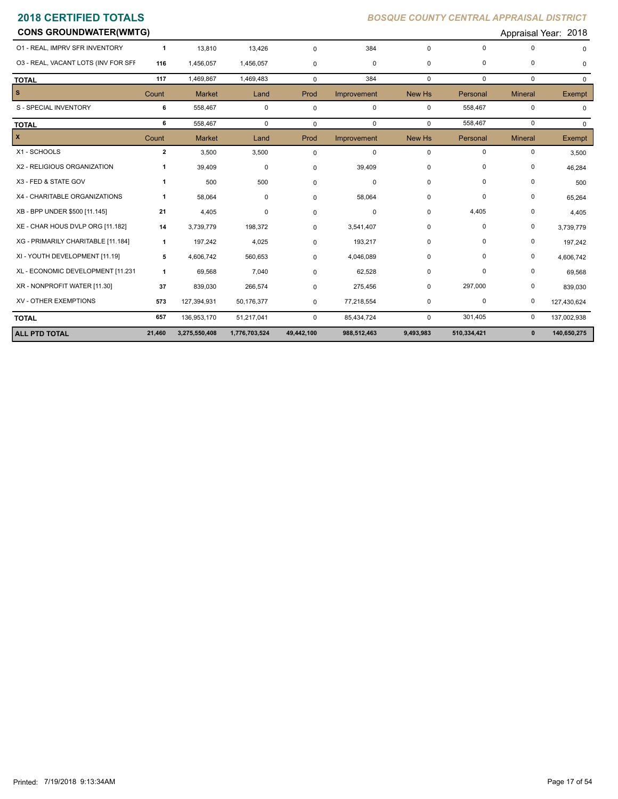| <b>CONS GROUNDWATER(WMTG)</b>       |              |               |               |             |             |             |             |                | Appraisal Year: 2018 |
|-------------------------------------|--------------|---------------|---------------|-------------|-------------|-------------|-------------|----------------|----------------------|
| 01 - REAL, IMPRV SFR INVENTORY      | $\mathbf{1}$ | 13,810        | 13,426        | $\mathbf 0$ | 384         | $\mathbf 0$ | $\Omega$    | 0              |                      |
| 03 - REAL, VACANT LOTS (INV FOR SFF | 116          | 1,456,057     | 1,456,057     | $\mathbf 0$ | 0           | $\mathbf 0$ | 0           | 0              | $\Omega$             |
| <b>TOTAL</b>                        | 117          | 1,469,867     | 1,469,483     | $\mathbf 0$ | 384         | $\mathbf 0$ | $\mathbf 0$ | $\mathbf 0$    | $\Omega$             |
| s.                                  | Count        | <b>Market</b> | Land          | Prod        | Improvement | New Hs      | Personal    | <b>Mineral</b> | Exempt               |
| S - SPECIAL INVENTORY               | 6            | 558,467       | $\mathbf 0$   | $\mathbf 0$ | $\mathbf 0$ | $\mathbf 0$ | 558,467     | 0              | 0                    |
| <b>TOTAL</b>                        | 6            | 558,467       | $\mathbf 0$   | $\mathbf 0$ | $\mathbf 0$ | $\mathbf 0$ | 558,467     | $\mathbf 0$    | $\Omega$             |
| x                                   | Count        | <b>Market</b> | Land          | Prod        | Improvement | New Hs      | Personal    | <b>Mineral</b> | Exempt               |
| X1 - SCHOOLS                        | $\mathbf{2}$ | 3,500         | 3,500         | $\mathbf 0$ | 0           | 0           | 0           | 0              | 3,500                |
| X2 - RELIGIOUS ORGANIZATION         |              | 39,409        | 0             | $\mathbf 0$ | 39,409      | 0           | $\Omega$    | 0              | 46,284               |
| X3 - FED & STATE GOV                | -1           | 500           | 500           | $\mathbf 0$ | 0           | 0           | 0           | 0              | 500                  |
| X4 - CHARITABLE ORGANIZATIONS       | 1            | 58,064        | 0             | 0           | 58,064      | 0           | $\mathbf 0$ | 0              | 65,264               |
| XB - BPP UNDER \$500 [11.145]       | 21           | 4,405         | 0             | $\mathbf 0$ | $\Omega$    | 0           | 4,405       | 0              | 4,405                |
| XE - CHAR HOUS DVLP ORG [11.182]    | 14           | 3,739,779     | 198,372       | $\mathbf 0$ | 3,541,407   | 0           | $\Omega$    | 0              | 3,739,779            |
| XG - PRIMARILY CHARITABLE [11.184]  | 1            | 197,242       | 4,025         | $\mathbf 0$ | 193,217     | 0           | $\Omega$    | 0              | 197,242              |
| XI - YOUTH DEVELOPMENT [11.19]      | 5            | 4,606,742     | 560,653       | $\mathbf 0$ | 4,046,089   | 0           | 0           | 0              | 4,606,742            |
| XL - ECONOMIC DEVELOPMENT [11.231   | 1            | 69,568        | 7,040         | $\mathbf 0$ | 62,528      | 0           | $\Omega$    | 0              | 69,568               |
| XR - NONPROFIT WATER [11.30]        | 37           | 839,030       | 266,574       | $\mathbf 0$ | 275,456     | $\mathbf 0$ | 297,000     | 0              | 839,030              |
| XV - OTHER EXEMPTIONS               | 573          | 127,394,931   | 50,176,377    | 0           | 77,218,554  | 0           | $\mathbf 0$ | 0              | 127,430,624          |
| <b>TOTAL</b>                        | 657          | 136,953,170   | 51,217,041    | 0           | 85,434,724  | $\mathbf 0$ | 301,405     | 0              | 137,002,938          |
| <b>ALL PTD TOTAL</b>                | 21,460       | 3,275,550,408 | 1,776,703,524 | 49,442,100  | 988,512,463 | 9,493,983   | 510,334,421 | $\mathbf 0$    | 140,650,275          |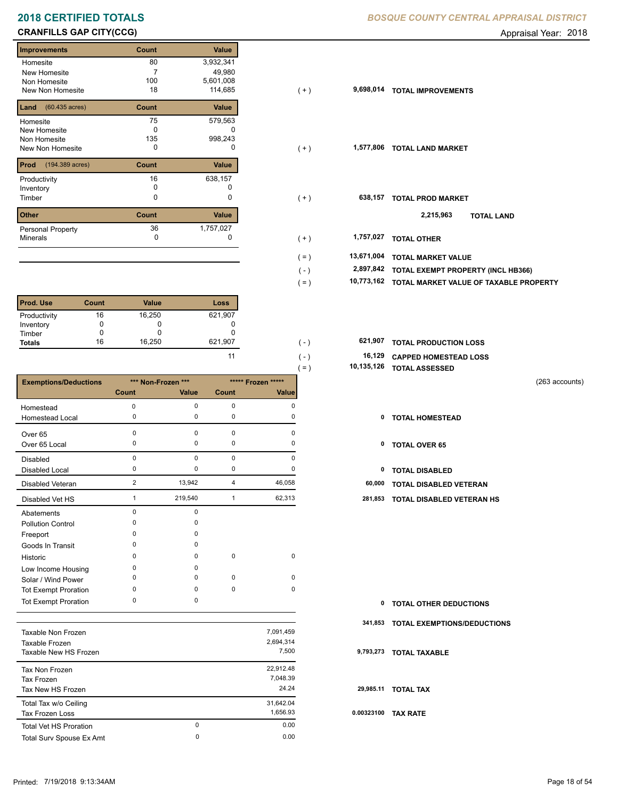# **CRANFILLS GAP CITY(CCG) CRANFILLS GAP CITY(CCG) Appraisal Year: 2018**

Е

| <b>Improvements</b>              | Count | <b>Value</b> |
|----------------------------------|-------|--------------|
| Homesite                         | 80    | 3,932,341    |
| New Homesite                     | 7     | 49,980       |
| Non Homesite                     | 100   | 5,601,008    |
| New Non Homesite                 | 18    | 114,685      |
| $(60.435 \text{ acres})$<br>Land | Count | Value        |
| Homesite                         | 75    | 579,563      |
| New Homesite                     | O     |              |
| Non Homesite                     | 135   | 998,243      |
| <b>New Non Homesite</b>          | 0     | O            |
| Prod<br>(194.389 acres)          | Count | Value        |
| Productivity                     | 16    | 638,157      |
| Inventory                        | O     |              |
| Timber                           | 0     | 0            |
| <b>Other</b>                     | Count | Value        |
| Personal Property                | 36    | 1,757,027    |
| <b>Minerals</b>                  | 0     | 0            |

| <b>Prod. Use</b> | <b>Count</b> | <b>Value</b> | Loss    |
|------------------|--------------|--------------|---------|
| Productivity     | 16           | 16,250       | 621,907 |
| Inventory        |              |              |         |
| Timber           |              |              |         |
| <b>Totals</b>    | 16           | 16,250       | 621,907 |

|                              |              |                    |             |                    | $( = )$ | 10,135,126 | <b>TOTAL ASSESSED</b>                                                                                                                                                                                                                                                                                                                                                                                                                                              |                |
|------------------------------|--------------|--------------------|-------------|--------------------|---------|------------|--------------------------------------------------------------------------------------------------------------------------------------------------------------------------------------------------------------------------------------------------------------------------------------------------------------------------------------------------------------------------------------------------------------------------------------------------------------------|----------------|
| <b>Exemptions/Deductions</b> |              | *** Non-Frozen *** |             | ***** Frozen ***** |         |            |                                                                                                                                                                                                                                                                                                                                                                                                                                                                    | (263 accounts) |
|                              | <b>Count</b> | Value              | Count       | <b>Value</b>       |         |            |                                                                                                                                                                                                                                                                                                                                                                                                                                                                    |                |
| Homestead                    | 0            | 0                  | 0           | $\Omega$           |         |            |                                                                                                                                                                                                                                                                                                                                                                                                                                                                    |                |
| Homestead Local              | $\Omega$     | 0                  | 0           | 0                  |         | 0          | <b>TOTAL HOMESTEAD</b>                                                                                                                                                                                                                                                                                                                                                                                                                                             |                |
| Over <sub>65</sub>           | $\Omega$     | 0                  | $\mathbf 0$ | $\Omega$           |         |            |                                                                                                                                                                                                                                                                                                                                                                                                                                                                    |                |
| Over 65 Local                | $\Omega$     | 0                  | 0           | $\Omega$           |         | 0          | <b>TOTAL OVER 65</b>                                                                                                                                                                                                                                                                                                                                                                                                                                               |                |
| Disabled                     | $\Omega$     | 0                  | $\mathbf 0$ | $\Omega$           |         |            |                                                                                                                                                                                                                                                                                                                                                                                                                                                                    |                |
| <b>Disabled Local</b>        | $\Omega$     | 0                  | $\pmb{0}$   | 0                  |         | 0          | <b>TOTAL DISABLED</b>                                                                                                                                                                                                                                                                                                                                                                                                                                              |                |
| Disabled Veteran             | 2            | 13,942             | 4           | 46,058             |         | 60,000     | TOTAL DISABLED VETERAN                                                                                                                                                                                                                                                                                                                                                                                                                                             |                |
| Disabled Vet HS              |              | 219,540            | -1          | 62,313             |         | 281,853    | TOTAL DISABLED VETERAN HS                                                                                                                                                                                                                                                                                                                                                                                                                                          |                |
| Abatements                   | $\Omega$     | 0                  |             |                    |         |            |                                                                                                                                                                                                                                                                                                                                                                                                                                                                    |                |
| <b>Pollution Control</b>     | ŋ            | 0                  |             |                    |         |            |                                                                                                                                                                                                                                                                                                                                                                                                                                                                    |                |
| Freeport                     | n            | <sup>0</sup>       |             |                    |         |            |                                                                                                                                                                                                                                                                                                                                                                                                                                                                    |                |
| Goods In Transit             | $\Omega$     | 0                  |             |                    |         |            |                                                                                                                                                                                                                                                                                                                                                                                                                                                                    |                |
| Historic                     | $\Omega$     | 0                  | 0           | 0                  |         |            |                                                                                                                                                                                                                                                                                                                                                                                                                                                                    |                |
| Low Income Housing           | $\Omega$     | 0                  |             |                    |         |            |                                                                                                                                                                                                                                                                                                                                                                                                                                                                    |                |
| Solar / Wind Power           | <sup>0</sup> | 0                  | $\pmb{0}$   | 0                  |         |            |                                                                                                                                                                                                                                                                                                                                                                                                                                                                    |                |
| <b>Tot Exempt Proration</b>  | $\Omega$     | 0                  | $\mathbf 0$ | 0                  |         |            |                                                                                                                                                                                                                                                                                                                                                                                                                                                                    |                |
| <b>Tot Exempt Proration</b>  | $\Omega$     | 0                  |             |                    |         | 0          | <b>TOTAL OTHER DEDUCTIONS</b>                                                                                                                                                                                                                                                                                                                                                                                                                                      |                |
|                              |              |                    |             |                    |         |            | $244.952$ = $\leftarrow$ = $\leftarrow$ = $\leftarrow$ = $\leftarrow$ = $\leftarrow$ $\leftarrow$ = $\leftarrow$ $\leftarrow$ $\leftarrow$ $\leftarrow$ $\leftarrow$ $\leftarrow$ $\leftarrow$ $\leftarrow$ $\leftarrow$ $\leftarrow$ $\leftarrow$ $\leftarrow$ $\leftarrow$ $\leftarrow$ $\leftarrow$ $\leftarrow$ $\leftarrow$ $\leftarrow$ $\leftarrow$ $\leftarrow$ $\leftarrow$ $\leftarrow$ $\leftarrow$ $\leftarrow$ $\leftarrow$ $\leftarrow$ $\leftarrow$ |                |

| Taxable Non Frozen<br>Taxable Frozen<br>Taxable New HS Frozen |   | 7,091,459<br>2.694.314<br>7.500 | 9.             |
|---------------------------------------------------------------|---|---------------------------------|----------------|
| Tax Non Frozen<br>Tax Frozen                                  |   | 22.912.48<br>7.048.39           |                |
| Tax New HS Frozen                                             |   | 24.24                           | $\overline{2}$ |
| Total Tax w/o Ceiling<br>Tax Frozen Loss                      |   | 31,642.04<br>1.656.93           | 0.0            |
| <b>Total Vet HS Proration</b>                                 | 0 | 0.00                            |                |
| Total Surv Spouse Ex Amt                                      | 0 | 0.00                            |                |

## **2018 CERTIFIED TOTALS** *BOSQUE COUNTY CENTRAL APPRAISAL DISTRICT*

| <b>Improvements</b>                  | Count    | Value     |                       |                                        |
|--------------------------------------|----------|-----------|-----------------------|----------------------------------------|
| Homesite                             | 80       | 3,932,341 |                       |                                        |
| New Homesite                         |          | 49,980    |                       |                                        |
| Non Homesite                         | 100      | 5,601,008 |                       |                                        |
| New Non Homesite                     | 18       | 114,685   | 9,698,014<br>$(+)$    | <b>TOTAL IMPROVEMENTS</b>              |
| <b>Land</b> $(60.435 \text{ acres})$ | Count    | Value     |                       |                                        |
| Homesite                             | 75       | 579,563   |                       |                                        |
| New Homesite                         | 0        | 0         |                       |                                        |
| Non Homesite                         | 135      | 998,243   |                       |                                        |
| New Non Homesite                     | 0        | 0         | 1,577,806<br>$(+)$    | <b>TOTAL LAND MARKET</b>               |
| <b>Prod</b> (194.389 acres)          | Count    | Value     |                       |                                        |
| Productivity                         | 16       | 638,157   |                       |                                        |
| Inventory                            | 0        |           |                       |                                        |
| Timber                               | 0        | 0         | 638,157<br>$(+)$      | <b>TOTAL PROD MARKET</b>               |
| Other                                | Count    | Value     |                       | 2,215,963<br><b>TOTAL LAND</b>         |
|                                      |          |           |                       |                                        |
| Personal Property                    | 36       | 1,757,027 |                       |                                        |
| Minerals                             | $\Omega$ | 0         | 1,757,027<br>$(+)$    | <b>TOTAL OTHER</b>                     |
|                                      |          |           | 13,671,004<br>$( = )$ | <b>TOTAL MARKET VALUE</b>              |
|                                      |          |           | 2,897,842<br>$(-)$    | TOTAL EXEMPT PROPERTY (INCL HB366)     |
|                                      |          |           |                       |                                        |
|                                      |          |           | 10,773,162<br>$( = )$ | TOTAL MARKET VALUE OF TAXABLE PROPERTY |
|                                      |          |           |                       |                                        |

| 621.907 | ( – )         | 621,907 TOTAL PRODUCTION LOSS |
|---------|---------------|-------------------------------|
| 11      | $( - )$       | 16,129 CAPPED HOMESTEAD LOSS  |
|         | $=$ $\lambda$ | 10,135,126 TOTAL ASSESSED     |

- 
- 

| $\mathbf{0}$ | <b>TOTAL OTHER DEDUCTIONS</b>       |
|--------------|-------------------------------------|
|              | 341,853 TOTAL EXEMPTIONS/DEDUCTIONS |
|              | 9,793,273 TOTAL TAXABLE             |
|              | 29,985.11 TOTAL TAX                 |
| 0.00323100   | <b>TAX RATE</b>                     |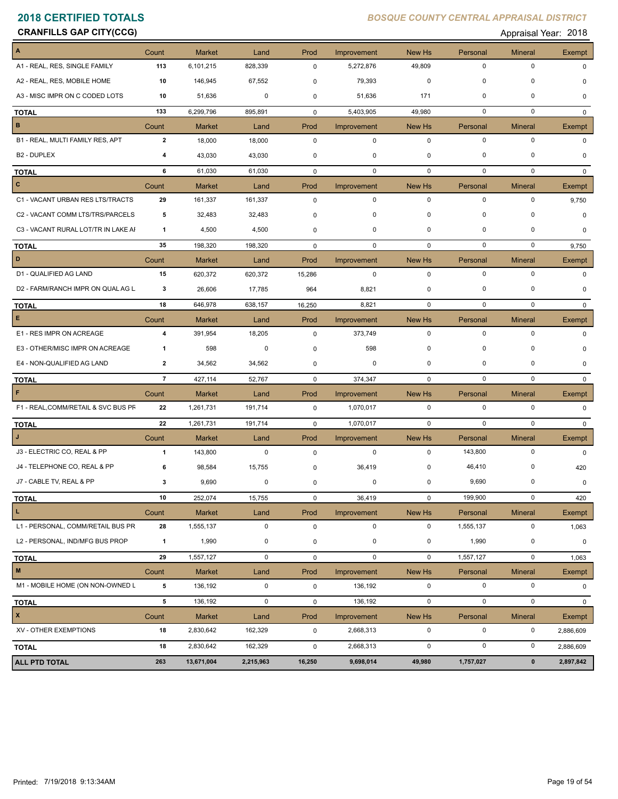**CRANFILLS GAP CITY(CCG) CRANFILLS GAP CITY(CCG) Appraisal Year: 2018** 

| A                                   | Count          | <b>Market</b> | Land        | Prod        | Improvement | New Hs      | Personal    | <b>Mineral</b> | Exempt    |
|-------------------------------------|----------------|---------------|-------------|-------------|-------------|-------------|-------------|----------------|-----------|
| A1 - REAL, RES, SINGLE FAMILY       | 113            | 6,101,215     | 828,339     | $\mathbf 0$ | 5,272,876   | 49,809      | 0           | 0              |           |
| A2 - REAL, RES, MOBILE HOME         | 10             | 146,945       | 67,552      | 0           | 79,393      | 0           | $\mathbf 0$ | 0              |           |
| A3 - MISC IMPR ON C CODED LOTS      | 10             | 51,636        | 0           | 0           | 51,636      | 171         | $\mathbf 0$ | 0              | $\Omega$  |
| <b>TOTAL</b>                        | 133            | 6,299,796     | 895,891     | $\mathbf 0$ | 5,403,905   | 49,980      | $\mathbf 0$ | $\mathbf 0$    | $\Omega$  |
| B                                   | Count          | <b>Market</b> | Land        | Prod        | Improvement | New Hs      | Personal    | <b>Mineral</b> | Exempt    |
| B1 - REAL, MULTI FAMILY RES, APT    | $\mathbf{2}$   | 18,000        | 18,000      | $\mathsf 0$ | $\mathbf 0$ | 0           | $\mathbf 0$ | $\pmb{0}$      | $\Omega$  |
| B <sub>2</sub> - DUPLEX             | 4              | 43,030        | 43,030      | 0           | 0           | 0           | 0           | 0              | 0         |
| <b>TOTAL</b>                        | 6              | 61,030        | 61,030      | $\mathbf 0$ | $\mathbf 0$ | $\mathbf 0$ | $\mathbf 0$ | $\mathbf 0$    | 0         |
| $\vert$ c                           | Count          | <b>Market</b> | Land        | Prod        | Improvement | New Hs      | Personal    | <b>Mineral</b> | Exempt    |
| C1 - VACANT URBAN RES LTS/TRACTS    | 29             | 161,337       | 161,337     | 0           | 0           | $\mathbf 0$ | $\mathbf 0$ | 0              | 9,750     |
| C2 - VACANT COMM LTS/TRS/PARCELS    | 5              | 32,483        | 32,483      | 0           | 0           | $\mathbf 0$ | 0           | $\mathbf 0$    | $\Omega$  |
| C3 - VACANT RURAL LOT/TR IN LAKE AI | 1              | 4,500         | 4,500       | 0           | 0           | 0           | $\mathbf 0$ | $\mathbf 0$    | $\Omega$  |
| <b>TOTAL</b>                        | 35             | 198,320       | 198,320     | 0           | $\mathbf 0$ | $\mathbf 0$ | 0           | $\mathbf 0$    | 9,750     |
| D                                   | Count          | <b>Market</b> | Land        | Prod        | Improvement | New Hs      | Personal    | <b>Mineral</b> | Exempt    |
| D1 - QUALIFIED AG LAND              | 15             | 620,372       | 620,372     | 15,286      | 0           | 0           | $\mathbf 0$ | $\pmb{0}$      | 0         |
| D2 - FARM/RANCH IMPR ON QUAL AG L   | 3              | 26,606        | 17,785      | 964         | 8,821       | 0           | 0           | 0              | 0         |
| <b>TOTAL</b>                        | 18             | 646,978       | 638,157     | 16,250      | 8,821       | 0           | 0           | 0              | 0         |
| $\mathsf E$                         | Count          | <b>Market</b> | Land        | Prod        | Improvement | New Hs      | Personal    | <b>Mineral</b> | Exempt    |
| E1 - RES IMPR ON ACREAGE            | 4              | 391,954       | 18,205      | $\mathbf 0$ | 373,749     | $\mathbf 0$ | 0           | 0              | $\Omega$  |
| E3 - OTHER/MISC IMPR ON ACREAGE     | 1              | 598           | 0           | 0           | 598         | $\mathbf 0$ | $\mathbf 0$ | 0              | n         |
| E4 - NON-QUALIFIED AG LAND          | 2              | 34,562        | 34,562      | 0           | 0           | $\mathbf 0$ | $\mathbf 0$ | $\Omega$       | $\Omega$  |
| <b>TOTAL</b>                        | $\overline{7}$ | 427,114       | 52,767      | 0           | 374,347     | 0           | 0           | 0              | 0         |
| F                                   | Count          | <b>Market</b> | Land        | Prod        | Improvement | New Hs      | Personal    | <b>Mineral</b> | Exempt    |
| F1 - REAL, COMM/RETAIL & SVC BUS PF | 22             | 1,261,731     | 191,714     | 0           | 1,070,017   | $\mathbf 0$ | 0           | 0              | $\Omega$  |
| <b>TOTAL</b>                        | 22             | 1,261,731     | 191,714     | $\mathbf 0$ | 1,070,017   | $\mathbf 0$ | $\mathbf 0$ | $\mathbf 0$    |           |
| $\mathsf{J}$                        | Count          | <b>Market</b> | Land        | Prod        | Improvement | New Hs      | Personal    | <b>Mineral</b> | Exempt    |
| J3 - ELECTRIC CO, REAL & PP         | $\mathbf{1}$   | 143,800       | $\mathbf 0$ | $\mathbf 0$ | $\mathbf 0$ | 0           | 143,800     | $\pmb{0}$      | $\Omega$  |
| J4 - TELEPHONE CO, REAL & PP        | 6              | 98,584        | 15,755      | 0           | 36,419      | 0           | 46,410      | 0              | 420       |
| J7 - CABLE TV, REAL & PP            | 3              | 9,690         | 0           | $\mathbf 0$ | 0           | $\mathbf 0$ | 9,690       | 0              | 0         |
| <b>TOTAL</b>                        | 10             | 252,074       | 15,755      | $\mathbf 0$ | 36,419      | $\mathbf 0$ | 199,900     | $\pmb{0}$      | 420       |
| $\mathbf{L}$                        | Count          | <b>Market</b> | Land        | Prod        | Improvement | New Hs      | Personal    | <b>Mineral</b> | Exempt    |
| L1 - PERSONAL, COMM/RETAIL BUS PR   | 28             | 1,555,137     | 0           | $\mathsf 0$ | $\pmb{0}$   | 0           | 1,555,137   | $\pmb{0}$      | 1,063     |
| L2 - PERSONAL, IND/MFG BUS PROP     | $\mathbf{1}$   | 1,990         | 0           | 0           | $\mathbf 0$ | $\mathbf 0$ | 1,990       | $\pmb{0}$      | 0         |
| <b>TOTAL</b>                        | 29             | 1,557,127     | 0           | 0           | 0           | $\mathbf 0$ | 1,557,127   | $\pmb{0}$      | 1,063     |
| $\blacksquare$                      | Count          | <b>Market</b> | Land        | Prod        | Improvement | New Hs      | Personal    | <b>Mineral</b> | Exempt    |
| M1 - MOBILE HOME (ON NON-OWNED L    | 5              | 136,192       | $\mathbf 0$ | $\mathbf 0$ | 136,192     | 0           | 0           | 0              | 0         |
| <b>TOTAL</b>                        | 5              | 136,192       | 0           | 0           | 136,192     | $\mathbf 0$ | $\mathbf 0$ | $\pmb{0}$      | 0         |
| $\mathbf{x}$                        | Count          | Market        | Land        | Prod        | Improvement | New Hs      | Personal    | <b>Mineral</b> | Exempt    |
| XV - OTHER EXEMPTIONS               | 18             | 2,830,642     | 162,329     | $\mathbf 0$ | 2,668,313   | $\mathbf 0$ | $\pmb{0}$   | 0              | 2,886,609 |
| <b>TOTAL</b>                        | 18             | 2,830,642     | 162,329     | 0           | 2,668,313   | $\mathbf 0$ | $\pmb{0}$   | $\pmb{0}$      | 2,886,609 |
| <b>ALL PTD TOTAL</b>                | 263            | 13,671,004    | 2,215,963   | 16,250      | 9,698,014   | 49,980      | 1,757,027   | $\pmb{0}$      | 2,897,842 |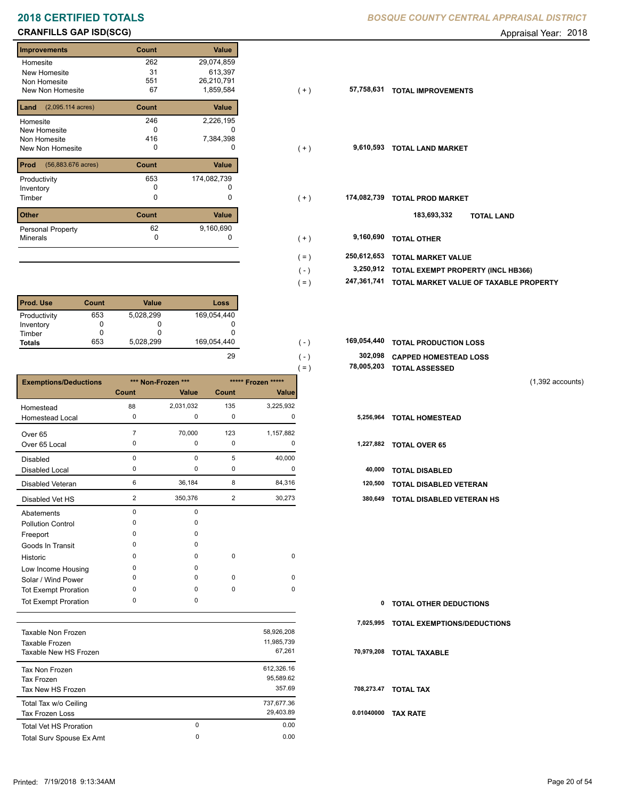# **CRANFILLS GAP ISD(SCG) CRANFILLS GAP ISD(SCG) Appraisal Year: 2018**

| <b>Improvements</b>                  | Count | Value       |
|--------------------------------------|-------|-------------|
| Homesite                             | 262   | 29,074,859  |
| <b>New Homesite</b>                  | 31    | 613,397     |
| Non Homesite                         | 551   | 26,210,791  |
| <b>New Non Homesite</b>              | 67    | 1,859,584   |
| Land<br>$(2,095.114 \text{ acres})$  | Count | Value       |
| Homesite                             | 246   | 2,226,195   |
| New Homesite                         | O     |             |
| Non Homesite                         | 416   | 7,384,398   |
| New Non Homesite                     | 0     | $\Omega$    |
| $(56,883.676 \text{ acres})$<br>Prod | Count | Value       |
| Productivity                         | 653   | 174,082,739 |
| Inventory                            | O     |             |
| Timber                               | 0     | 0           |
| <b>Other</b>                         | Count | Value       |
| <b>Personal Property</b>             | 62    | 9,160,690   |
| <b>Minerals</b>                      | 0     | O           |

| <b>Prod. Use</b> | <b>Count</b> | <b>Value</b> | Loss        |
|------------------|--------------|--------------|-------------|
| Productivity     | 653          | 5,028,299    | 169,054,440 |
| Inventory        |              |              |             |
| Timber           |              |              |             |
| <b>Totals</b>    | 653          | 5,028,299    | 169,054,440 |

|                              |                |                    |                |                    | $( = )$ | 78,005,203 | <b>TOTAL ASSESSED</b>         |
|------------------------------|----------------|--------------------|----------------|--------------------|---------|------------|-------------------------------|
| <b>Exemptions/Deductions</b> |                | *** Non-Frozen *** |                | ***** Frozen ***** |         |            |                               |
|                              | Count          | Value              | Count          | <b>Value</b>       |         |            |                               |
| Homestead                    | 88             | 2,031,032          | 135            | 3,225,932          |         |            |                               |
| <b>Homestead Local</b>       | 0              | 0                  | 0              | 0                  |         | 5,256,964  | <b>TOTAL HOMESTEAD</b>        |
| Over 65                      |                | 70,000             | 123            | 1,157,882          |         |            |                               |
| Over 65 Local                | 0              | 0                  | $\mathbf 0$    | 0                  |         | 1,227,882  | <b>TOTAL OVER 65</b>          |
| <b>Disabled</b>              | 0              | 0                  | 5              | 40,000             |         |            |                               |
| <b>Disabled Local</b>        | 0              | 0                  | 0              | 0                  |         | 40,000     | <b>TOTAL DISABLED</b>         |
| Disabled Veteran             | 6              | 36,184             | 8              | 84,316             |         | 120,500    | <b>TOTAL DISABLED VETERAN</b> |
| Disabled Vet HS              | $\overline{2}$ | 350,376            | $\overline{2}$ | 30,273             |         | 380,649    | TOTAL DISABLED VETERAN HS     |
| Abatements                   | 0              | 0                  |                |                    |         |            |                               |
| <b>Pollution Control</b>     | $\Omega$       | $\Omega$           |                |                    |         |            |                               |
| Freeport                     | $\Omega$       | 0                  |                |                    |         |            |                               |
| Goods In Transit             | 0              | 0                  |                |                    |         |            |                               |
| Historic                     | 0              | 0                  | $\mathbf 0$    | $\mathbf 0$        |         |            |                               |
| Low Income Housing           | 0              | 0                  |                |                    |         |            |                               |
| Solar / Wind Power           | 0              | $\Omega$           | $\mathbf 0$    | 0                  |         |            |                               |
| <b>Tot Exempt Proration</b>  | 0              | 0                  | $\mathbf 0$    | 0                  |         |            |                               |
| <b>Tot Exempt Proration</b>  | 0              | 0                  |                |                    |         | 0          | <b>TOTAL OTHER DEDUCTIONS</b> |

|                               |          |            | 7.  |
|-------------------------------|----------|------------|-----|
| Taxable Non Frozen            |          | 58,926,208 |     |
| Taxable Frozen                |          | 11,985,739 |     |
| Taxable New HS Frozen         |          | 67,261     | 70  |
| Tax Non Frozen                |          | 612,326.16 |     |
| Tax Frozen                    |          | 95.589.62  |     |
| Tax New HS Frozen             |          | 357.69     | 70  |
| Total Tax w/o Ceiling         |          | 737,677.36 |     |
| Tax Frozen Loss               |          | 29,403.89  | 0.0 |
| <b>Total Vet HS Proration</b> | $\Omega$ | 0.00       |     |
| Total Surv Spouse Ex Amt      | 0        | 0.00       |     |
|                               |          |            |     |

## **2018 CERTIFIED TOTALS** *BOSQUE COUNTY CENTRAL APPRAISAL DISTRICT*

| Improvements                            | Count | Value       |         |             |                                        |
|-----------------------------------------|-------|-------------|---------|-------------|----------------------------------------|
| Homesite                                | 262   | 29,074,859  |         |             |                                        |
| New Homesite                            | 31    | 613,397     |         |             |                                        |
| Non Homesite                            | 551   | 26,210,791  |         |             |                                        |
| New Non Homesite                        | 67    | 1,859,584   | $(+)$   | 57,758,631  | <b>TOTAL IMPROVEMENTS</b>              |
| <b>Land</b> $(2,095.114 \text{ acres})$ | Count | Value       |         |             |                                        |
| Homesite                                | 246   | 2,226,195   |         |             |                                        |
| New Homesite                            | 0     |             |         |             |                                        |
| Non Homesite                            | 416   | 7,384,398   |         |             |                                        |
| New Non Homesite                        | 0     | 0           | $(+)$   | 9,610,593   | <b>TOTAL LAND MARKET</b>               |
| <b>Prod</b> (56,883.676 acres)          | Count | Value       |         |             |                                        |
| Productivity                            | 653   | 174,082,739 |         |             |                                        |
| Inventory                               | 0     |             |         |             |                                        |
| Timber                                  | 0     | 0           | $(+)$   | 174,082,739 | <b>TOTAL PROD MARKET</b>               |
| Other                                   | Count | Value       |         |             | 183,693,332                            |
|                                         |       |             |         |             | <b>TOTAL LAND</b>                      |
| Personal Property                       | 62    | 9,160,690   |         |             |                                        |
| Minerals                                | 0     |             | $(+)$   | 9,160,690   | <b>TOTAL OTHER</b>                     |
|                                         |       |             | $( = )$ | 250,612,653 | <b>TOTAL MARKET VALUE</b>              |
|                                         |       |             | $(-)$   | 3,250,912   | TOTAL EXEMPT PROPERTY (INCL HB366)     |
|                                         |       |             |         |             |                                        |
|                                         |       |             | $( = )$ | 247,361,741 | TOTAL MARKET VALUE OF TAXABLE PROPERTY |

| 169.054.440 | (1)           | 169,054,440 TOTAL PRODUCTION LOSS |
|-------------|---------------|-----------------------------------|
| 29          | $( - )$       | 302,098 CAPPED HOMESTEAD LOSS     |
|             | $=$ $\lambda$ | 78,005,203 TOTAL ASSESSED         |

| $\mathbf{0}$ | <b>TOTAL OTHER DEDUCTIONS</b>         |
|--------------|---------------------------------------|
|              | 7,025,995 TOTAL EXEMPTIONS/DEDUCTIONS |
|              | 70,979,208 TOTAL TAXABLE              |
|              | 708,273.47 TOTAL TAX                  |
|              | 0.01040000 TAX RATE                   |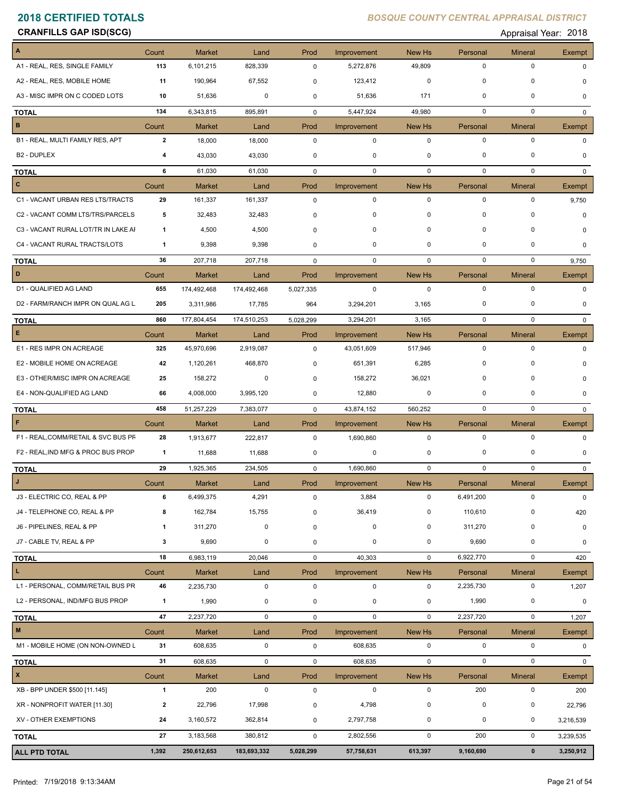**CRANFILLS GAP ISD(SCG) CRANFILLS GAP ISD(SCG) Appraisal Year: 2018** 

| A                                   | Count        | <b>Market</b> | Land        | Prod        | Improvement | New Hs       | Personal    | <b>Mineral</b> | Exempt        |
|-------------------------------------|--------------|---------------|-------------|-------------|-------------|--------------|-------------|----------------|---------------|
| A1 - REAL, RES, SINGLE FAMILY       | 113          | 6,101,215     | 828,339     | 0           | 5,272,876   | 49,809       | 0           | $\pmb{0}$      | <sup>0</sup>  |
| A2 - REAL, RES, MOBILE HOME         | 11           | 190,964       | 67,552      | 0           | 123,412     | 0            | 0           | 0              | O             |
| A3 - MISC IMPR ON C CODED LOTS      | 10           | 51,636        | 0           | 0           | 51,636      | 171          | $\mathbf 0$ | $\Omega$       | 0             |
| <b>TOTAL</b>                        | 134          | 6,343,815     | 895,891     | 0           | 5,447,924   | 49,980       | 0           | $\mathbf 0$    | $\mathbf{0}$  |
| B                                   | Count        | <b>Market</b> | Land        | Prod        | Improvement | New Hs       | Personal    | <b>Mineral</b> | Exempt        |
| B1 - REAL, MULTI FAMILY RES, APT    | $\mathbf{2}$ | 18,000        | 18,000      | $\mathbf 0$ | $\mathbf 0$ | $\mathbf 0$  | $\mathbf 0$ | $\pmb{0}$      | 0             |
| <b>B2 - DUPLEX</b>                  | 4            | 43,030        | 43,030      | 0           | 0           | 0            | 0           | 0              |               |
| <b>TOTAL</b>                        | 6            | 61,030        | 61,030      | $\mathbf 0$ | $\mathbf 0$ | $\mathbf 0$  | $\mathbf 0$ | $\mathbf 0$    | $\Omega$      |
| $\overline{c}$                      | Count        | <b>Market</b> | Land        | Prod        | Improvement | New Hs       | Personal    | <b>Mineral</b> | Exempt        |
| C1 - VACANT URBAN RES LTS/TRACTS    | 29           | 161,337       | 161,337     | 0           | 0           | $\mathbf 0$  | 0           | 0              | 9,750         |
| C2 - VACANT COMM LTS/TRS/PARCELS    | 5            | 32,483        | 32,483      | 0           | 0           | $\mathbf 0$  | 0           | 0              | $\Omega$      |
| C3 - VACANT RURAL LOT/TR IN LAKE AI | 1            | 4,500         | 4,500       | 0           | 0           | $\mathbf 0$  | 0           | $\pmb{0}$      | O             |
| C4 - VACANT RURAL TRACTS/LOTS       | 1            | 9,398         | 9,398       | 0           | 0           | $\mathbf 0$  | $\mathbf 0$ | 0              | 0             |
| <b>TOTAL</b>                        | 36           | 207,718       | 207,718     | $\mathbf 0$ | 0           | 0            | $\mathbf 0$ | 0              | 9,750         |
| D                                   | Count        | Market        | Land        | Prod        | Improvement | New Hs       | Personal    | <b>Mineral</b> | Exempt        |
| D1 - QUALIFIED AG LAND              | 655          | 174,492,468   | 174,492,468 | 5,027,335   | $\mathbf 0$ | $\mathbf 0$  | $\mathbf 0$ | $\mathbf 0$    | $\Omega$      |
| D2 - FARM/RANCH IMPR ON QUAL AG L   | 205          | 3,311,986     | 17,785      | 964         | 3,294,201   | 3,165        | 0           | 0              | 0             |
| <b>TOTAL</b>                        | 860          | 177,804,454   | 174,510,253 | 5,028,299   | 3,294,201   | 3,165        | 0           | 0              | $\Omega$      |
| E                                   | Count        | Market        | Land        | Prod        | Improvement | New Hs       | Personal    | <b>Mineral</b> | Exempt        |
| E1 - RES IMPR ON ACREAGE            | 325          | 45,970,696    | 2,919,087   | 0           | 43,051,609  | 517,946      | 0           | 0              | $\Omega$      |
| E2 - MOBILE HOME ON ACREAGE         | 42           | 1,120,261     | 468,870     | 0           | 651,391     | 6,285        | 0           | $\Omega$       | O             |
| E3 - OTHER/MISC IMPR ON ACREAGE     | 25           | 158,272       | 0           | 0           | 158,272     | 36,021       | $\mathbf 0$ | 0              | 0             |
| E4 - NON-QUALIFIED AG LAND          | 66           | 4,008,000     | 3,995,120   | 0           | 12,880      | 0            | 0           | 0              | $\Omega$      |
| <b>TOTAL</b>                        | 458          | 51,257,229    | 7,383,077   | $\mathbf 0$ | 43,874,152  | 560,252      | $\mathbf 0$ | 0              | 0             |
| F                                   | Count        | <b>Market</b> | Land        | Prod        | Improvement | New Hs       | Personal    | <b>Mineral</b> | Exempt        |
| F1 - REAL, COMM/RETAIL & SVC BUS PF | 28           | 1,913,677     | 222,817     | 0           | 1,690,860   | $\mathbf 0$  | $\mathbf 0$ | 0              | $\Omega$      |
| F2 - REAL, IND MFG & PROC BUS PROP  | $\mathbf{1}$ | 11,688        | 11,688      | 0           | 0           | 0            | 0           | 0              | $\Omega$      |
| <b>TOTAL</b>                        | 29           | 1,925,365     | 234,505     | $\mathbf 0$ | 1,690,860   | $\mathbf{0}$ | 0           | 0              | $^{\circ}$    |
| $\mathsf{J}$                        | Count        | <b>Market</b> | Land        | Prod        | Improvement | New Hs       | Personal    | <b>Mineral</b> | <b>Exempt</b> |
| J3 - ELECTRIC CO, REAL & PP         | 6            | 6,499,375     | 4,291       | 0           | 3,884       | 0            | 6,491,200   | 0              | $\mathbf 0$   |
| J4 - TELEPHONE CO, REAL & PP        | 8            | 162,784       | 15,755      | $\mathbf 0$ | 36,419      | $\mathbf 0$  | 110,610     | 0              | 420           |
| J6 - PIPELINES, REAL & PP           | 1            | 311,270       | $\pmb{0}$   | 0           | $\pmb{0}$   | 0            | 311,270     | $\pmb{0}$      | $\pmb{0}$     |
| J7 - CABLE TV, REAL & PP            | 3            | 9,690         | 0           | 0           | 0           | 0            | 9,690       | $\pmb{0}$      | 0             |
| <b>TOTAL</b>                        | 18           | 6,983,119     | 20,046      | 0           | 40,303      | $\mathbf 0$  | 6,922,770   | $\pmb{0}$      | 420           |
| L.                                  | Count        | <b>Market</b> | Land        | Prod        | Improvement | New Hs       | Personal    | <b>Mineral</b> | Exempt        |
| L1 - PERSONAL, COMM/RETAIL BUS PR   | 46           | 2,235,730     | $\mathbf 0$ | 0           | $\mathbf 0$ | $\mathbf 0$  | 2,235,730   | 0              | 1,207         |
| L2 - PERSONAL, IND/MFG BUS PROP     | $\mathbf{1}$ | 1,990         | 0           | 0           | 0           | 0            | 1,990       | 0              | $\mathbf 0$   |
| <b>TOTAL</b>                        | 47           | 2,237,720     | $\mathbf 0$ | 0           | $\mathbf 0$ | $\mathbf 0$  | 2,237,720   | $\pmb{0}$      | 1,207         |
| M                                   | Count        | Market        | Land        | Prod        | Improvement | New Hs       | Personal    | <b>Mineral</b> | Exempt        |
| M1 - MOBILE HOME (ON NON-OWNED L    | 31           | 608,635       | $\pmb{0}$   | $\pmb{0}$   | 608,635     | 0            | $\mathbf 0$ | $\pmb{0}$      | $\mathbf 0$   |
| <b>TOTAL</b>                        | 31           | 608,635       | $\pmb{0}$   | 0           | 608,635     | $\mathbf 0$  | $\pmb{0}$   | $\pmb{0}$      | $\mathbf{0}$  |
| $\mathbf{x}$                        | Count        | <b>Market</b> | Land        | Prod        | Improvement | New Hs       | Personal    | <b>Mineral</b> | Exempt        |
| XB - BPP UNDER \$500 [11.145]       | $\mathbf{1}$ | 200           | $\pmb{0}$   | 0           | $\mathbf 0$ | 0            | 200         | 0              | 200           |
| XR - NONPROFIT WATER [11.30]        | $\mathbf{2}$ | 22,796        | 17,998      | 0           | 4,798       | 0            | $\pmb{0}$   | $\pmb{0}$      | 22,796        |
| XV - OTHER EXEMPTIONS               | 24           | 3,160,572     | 362,814     | 0           | 2,797,758   | 0            | 0           | 0              | 3,216,539     |
|                                     | 27           |               |             |             |             |              | 200         | 0              |               |
| <b>TOTAL</b>                        |              | 3,183,568     | 380,812     | 0           | 2,802,556   | $\mathbf 0$  |             |                | 3,239,535     |
| <b>ALL PTD TOTAL</b>                | 1,392        | 250,612,653   | 183,693,332 | 5,028,299   | 57,758,631  | 613,397      | 9,160,690   | $\pmb{0}$      | 3,250,912     |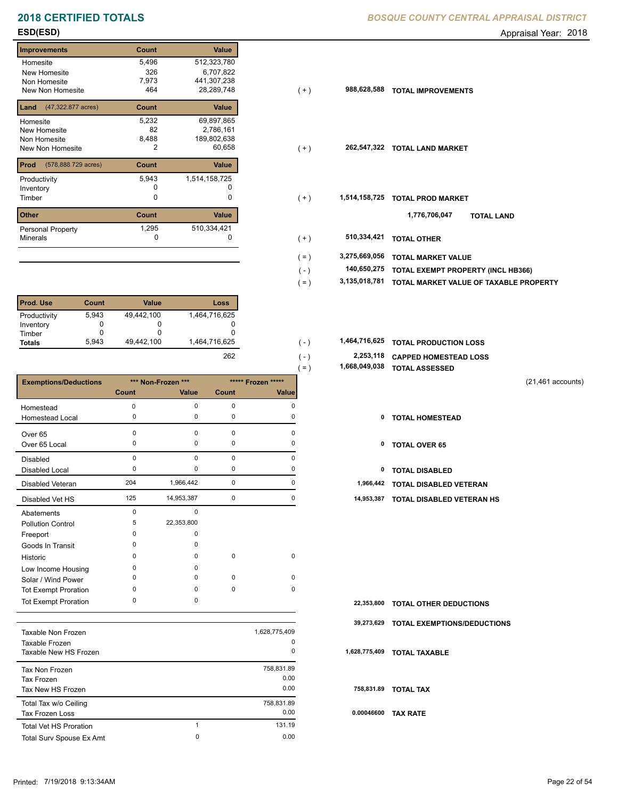## **2018 CERTIFIED TOTALS BOSQUE COUNTY CENTRAL APPRAISAL DISTRICTION CENTRAL APPROXIMATION**

## **Improvements Count Value** Homesite New Homesite Non Homesite New Non Homesite **TOTAL 1999**  5,496 512,323,780 326 6,707,822 2,786,161 82 7,973 441,307,238  $28,289,748$ **Land** (47,322.877 acres) **Count Value** Homesite New Homesite Non Homesite New Non Homesite **TOTAL 2** 60,658 5,232 69,897,865 8,488 189,802,638 **Prod Count Value** (578,888.729 acres) Productivity 1,514,158,725 5,943 Inventory 0 0 **Other Count Value** Minerals Personal Property 1,295 1,334,421<br>0<br>0

| <b>Prod. Use</b> | Count | Value      | Loss          |
|------------------|-------|------------|---------------|
| Productivity     | 5.943 | 49,442,100 | 1,464,716,625 |
| Inventory        |       |            |               |
| Timber           |       |            |               |
| <b>Totals</b>    | 5.943 | 49.442.100 | 1,464,716,625 |

|                              |          |                    |             |                    | = )<br>1,000,070,000 | TUTAL ASSESSED                   |                     |
|------------------------------|----------|--------------------|-------------|--------------------|----------------------|----------------------------------|---------------------|
| <b>Exemptions/Deductions</b> |          | *** Non-Frozen *** |             | ***** Frozen ***** |                      |                                  | $(21,461$ accounts) |
|                              | Count    | Value              | Count       | Value              |                      |                                  |                     |
| Homestead                    | $\Omega$ | 0                  | 0           | $\Omega$           |                      |                                  |                     |
| Homestead Local              | 0        | 0                  | 0           | 0                  |                      | 0<br><b>TOTAL HOMESTEAD</b>      |                     |
| Over 65                      | $\Omega$ | $\Omega$           | $\mathbf 0$ | O                  |                      |                                  |                     |
| Over 65 Local                | 0        | 0                  | 0           | $\Omega$           |                      | <b>TOTAL OVER 65</b><br>0        |                     |
| <b>Disabled</b>              | 0        | 0                  | 0           | $\Omega$           |                      |                                  |                     |
| <b>Disabled Local</b>        | $\Omega$ | 0                  | 0           | O                  |                      | 0<br><b>TOTAL DISABLED</b>       |                     |
| Disabled Veteran             | 204      | 1,966,442          | 0           | 0                  | 1,966,442            | TOTAL DISABLED VETERAN           |                     |
| Disabled Vet HS              | 125      | 14,953,387         | 0           | $\Omega$           | 14,953,387           | <b>TOTAL DISABLED VETERAN HS</b> |                     |
| Abatements                   | 0        | 0                  |             |                    |                      |                                  |                     |
| <b>Pollution Control</b>     | 5        | 22,353,800         |             |                    |                      |                                  |                     |
| Freeport                     | $\Omega$ | 0                  |             |                    |                      |                                  |                     |
| Goods In Transit             | $\Omega$ | 0                  |             |                    |                      |                                  |                     |
| Historic                     | 0        | 0                  | 0           | 0                  |                      |                                  |                     |
| Low Income Housing           | $\Omega$ | 0                  |             |                    |                      |                                  |                     |
| Solar / Wind Power           | ŋ        | 0                  | 0           | 0                  |                      |                                  |                     |
| Tot Exempt Proration         | $\Omega$ | 0                  | $\mathbf 0$ | $\mathbf 0$        |                      |                                  |                     |
| <b>Tot Exempt Proration</b>  | 0        | 0                  |             |                    | 22,353,800           | <b>TOTAL OTHER DEDUCTIONS</b>    |                     |

|                               |               | 39.         |
|-------------------------------|---------------|-------------|
| Taxable Non Frozen            | 1,628,775,409 |             |
| Taxable Frozen                |               | 0           |
| Taxable New HS Frozen         |               | 0<br>1,628  |
| Tax Non Frozen                | 758,831.89    |             |
| Tax Frozen                    |               | 0.00        |
| Tax New HS Frozen             |               | 0.00<br>75  |
| Total Tax w/o Ceiling         | 758,831.89    |             |
| <b>Tax Frozen Loss</b>        |               | 0.00<br>0.0 |
| <b>Total Vet HS Proration</b> | 4             | 131.19      |
| Total Surv Spouse Ex Amt      | 0             | 0.00        |
|                               |               |             |

|  |  | BOSQUE COUNTY CENTRAL APPRAISAL DISTRICT |
|--|--|------------------------------------------|
|  |  |                                          |

**ESD(ESD)** Appraisal Year: 2018

| Homesite                                 | 5,496 | 512,323,780   |                   |               |                                           |
|------------------------------------------|-------|---------------|-------------------|---------------|-------------------------------------------|
| New Homesite                             | 326   | 6,707,822     |                   |               |                                           |
| Non Homesite                             | 7,973 | 441,307,238   |                   |               |                                           |
| New Non Homesite                         | 464   | 28,289,748    | $(+)$             | 988,628,588   | <b>TOTAL IMPROVEMENTS</b>                 |
| <b>Land</b> $(47,322.877 \text{ acres})$ | Count | Value         |                   |               |                                           |
| Homesite                                 | 5,232 | 69,897,865    |                   |               |                                           |
| New Homesite                             | 82    | 2,786,161     |                   |               |                                           |
| Non Homesite                             | 8,488 | 189,802,638   |                   |               |                                           |
| New Non Homesite                         | 2     | 60,658        | $(+)$             | 262,547,322   | <b>TOTAL LAND MARKET</b>                  |
|                                          |       |               |                   |               |                                           |
| <b>Prod</b> (578,888.729 acres)          | Count | Value         |                   |               |                                           |
| Productivity                             | 5,943 | 1,514,158,725 |                   |               |                                           |
| Inventory                                |       |               |                   |               |                                           |
| Timber                                   | 0     |               | $(+)$             | 1,514,158,725 | <b>TOTAL PROD MARKET</b>                  |
|                                          |       |               |                   |               |                                           |
| Other                                    | Count | Value         |                   |               | 1,776,706,047<br><b>TOTAL LAND</b>        |
| Personal Property                        | 1,295 | 510,334,421   |                   |               |                                           |
| Minerals                                 | 0     | O             | $(+)$             | 510,334,421   | <b>TOTAL OTHER</b>                        |
|                                          |       |               |                   |               |                                           |
|                                          |       |               | (=)               | 3,275,669,056 | <b>TOTAL MARKET VALUE</b>                 |
|                                          |       |               |                   | 140,650,275   |                                           |
|                                          |       |               | $\left( -\right)$ |               | <b>TOTAL EXEMPT PROPERTY (INCL HB366)</b> |

- **3,135,018,781 TOTAL MARKET VALUE OF TAXABLE PROPERTY** ( = )
- **TOTAL PRODUCTION LOSS** 1,464,716,625 **1,464,716,625** ( )
	- **2,253,118 CAPPED HOMESTEAD LOSS**
	- **1,668,049,038 TOTAL ASSESSED** ( = )

 $( - )$ 

262

- (21,461 accounts)
- 
- 
- 
- 
- 125 14,953,387 0 0 **14,953,387 TOTAL DISABLED VETERAN HS**

| 22,353,800 TOTAL OTHER DEDUCTIONS      |
|----------------------------------------|
| 39,273,629 TOTAL EXEMPTIONS/DEDUCTIONS |
| 1,628,775,409 TOTAL TAXABLE            |
| 758,831.89 TOTAL TAX                   |
| 0.00046600 TAX RATE                    |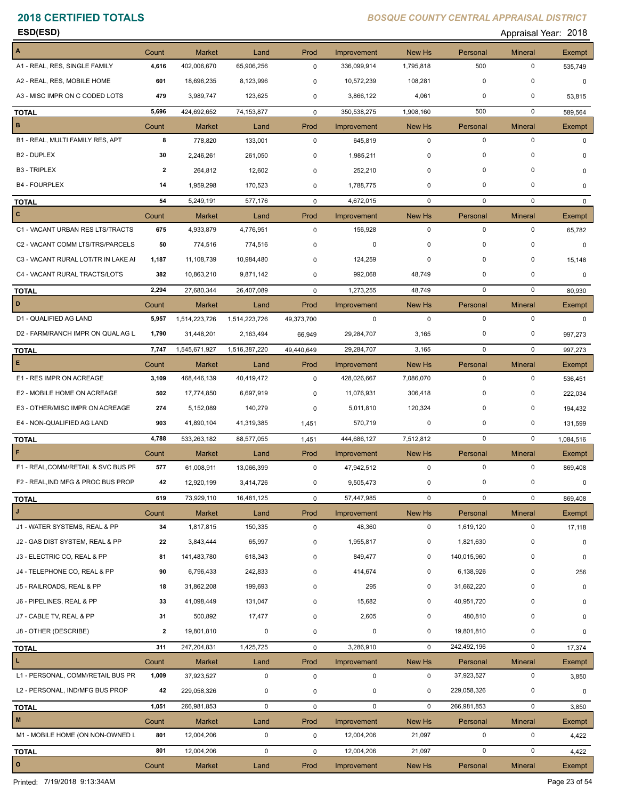**ESD(ESD)** Appraisal Year: 2018

| A1 - REAL, RES, SINGLE FAMILY<br>A2 - REAL, RES, MOBILE HOME<br>A3 - MISC IMPR ON C CODED LOTS<br><b>TOTAL</b><br>B<br>B1 - REAL, MULTI FAMILY RES, APT<br>B <sub>2</sub> - DUPLEX<br><b>B3 - TRIPLEX</b><br><b>B4 - FOURPLEX</b><br><b>TOTAL</b><br>$\mathbf{c}$<br>C1 - VACANT URBAN RES LTS/TRACTS<br>C2 - VACANT COMM LTS/TRS/PARCELS<br>C3 - VACANT RURAL LOT/TR IN LAKE AI<br>C4 - VACANT RURAL TRACTS/LOTS<br><b>TOTAL</b><br>D<br>D1 - QUALIFIED AG LAND<br>D2 - FARM/RANCH IMPR ON QUAL AG L<br><b>TOTAL</b><br>$\mathsf E$<br>E1 - RES IMPR ON ACREAGE | 4,616<br>601<br>479<br>5,696<br>Count<br>8<br>30<br>$\overline{\mathbf{2}}$<br>14<br>54<br>Count<br>675<br>50<br>1,187<br>382<br>2,294<br>Count<br>5,957<br>1,790<br>7,747<br>Count<br>3,109 | 402,006,670<br>18,696,235<br>3,989,747<br>424,692,652<br><b>Market</b><br>778,820<br>2,246,261<br>264,812<br>1,959,298<br>5,249,191<br><b>Market</b><br>4,933,879<br>774,516<br>11,108,739<br>10,863,210<br>27,680,344<br><b>Market</b><br>1,514,223,726<br>31,448,201<br>1,545,671,927<br><b>Market</b> | 65,906,256<br>8,123,996<br>123,625<br>74, 153, 877<br>Land<br>133,001<br>261,050<br>12,602<br>170,523<br>577,176<br>Land<br>4,776,951<br>774,516<br>10,984,480<br>9,871,142<br>26,407,089<br>Land<br>1,514,223,726<br>2,163,494<br>1,516,387,220<br>Land | 0<br>0<br>0<br>$\mathbf 0$<br>Prod<br>$\mathbf 0$<br>0<br>0<br>0<br>$\mathbf 0$<br>Prod<br>$\mathbf 0$<br>0<br>0<br>0<br>$\mathbf 0$<br>Prod<br>49,373,700<br>66,949<br>49,440,649<br>Prod | 336,099,914<br>10,572,239<br>3,866,122<br>350,538,275<br>Improvement<br>645,819<br>1,985,211<br>252,210<br>1,788,775<br>4,672,015<br>Improvement<br>156,928<br>0<br>124,259<br>992,068<br>1,273,255<br>Improvement<br>$\mathbf 0$<br>29,284,707<br>29,284,707 | 1,795,818<br>108,281<br>4,061<br>1,908,160<br>New Hs<br>$\mathbf 0$<br>$\mathbf 0$<br>0<br>0<br>$\mathbf 0$<br>New Hs<br>$\mathbf 0$<br>$\mathbf 0$<br>0<br>48,749<br>48,749<br>New Hs<br>$\mathbf 0$<br>3,165<br>3,165 | 500<br>0<br>0<br>500<br>Personal<br>$\mathbf 0$<br>$\mathbf 0$<br>$\mathbf 0$<br>$\mathbf 0$<br>$\mathbf 0$<br>Personal<br>$\mathbf 0$<br>$\mathbf 0$<br>0<br>$\mathbf 0$<br>0<br>Personal<br>$\mathbf 0$<br>0<br>$\mathbf 0$ | 0<br>0<br>0<br>$\mathbf 0$<br><b>Mineral</b><br>$\pmb{0}$<br>0<br>0<br>0<br>$\mathbf 0$<br><b>Mineral</b><br>$\pmb{0}$<br>0<br>0<br>0<br>$\pmb{0}$<br><b>Mineral</b><br>$\pmb{0}$<br>0<br>$\mathbf 0$ | 535,749<br>0<br>53,815<br>589,564<br>Exempt<br>$\Omega$<br>0<br>0<br>$\Omega$<br>Exempt<br>65,782<br>0<br>15,148<br>0<br>80,930<br>Exempt<br>$\mathbf 0$<br>997,273 |
|------------------------------------------------------------------------------------------------------------------------------------------------------------------------------------------------------------------------------------------------------------------------------------------------------------------------------------------------------------------------------------------------------------------------------------------------------------------------------------------------------------------------------------------------------------------|----------------------------------------------------------------------------------------------------------------------------------------------------------------------------------------------|----------------------------------------------------------------------------------------------------------------------------------------------------------------------------------------------------------------------------------------------------------------------------------------------------------|----------------------------------------------------------------------------------------------------------------------------------------------------------------------------------------------------------------------------------------------------------|--------------------------------------------------------------------------------------------------------------------------------------------------------------------------------------------|---------------------------------------------------------------------------------------------------------------------------------------------------------------------------------------------------------------------------------------------------------------|-------------------------------------------------------------------------------------------------------------------------------------------------------------------------------------------------------------------------|-------------------------------------------------------------------------------------------------------------------------------------------------------------------------------------------------------------------------------|-------------------------------------------------------------------------------------------------------------------------------------------------------------------------------------------------------|---------------------------------------------------------------------------------------------------------------------------------------------------------------------|
|                                                                                                                                                                                                                                                                                                                                                                                                                                                                                                                                                                  |                                                                                                                                                                                              |                                                                                                                                                                                                                                                                                                          |                                                                                                                                                                                                                                                          |                                                                                                                                                                                            |                                                                                                                                                                                                                                                               |                                                                                                                                                                                                                         |                                                                                                                                                                                                                               |                                                                                                                                                                                                       |                                                                                                                                                                     |
|                                                                                                                                                                                                                                                                                                                                                                                                                                                                                                                                                                  |                                                                                                                                                                                              |                                                                                                                                                                                                                                                                                                          |                                                                                                                                                                                                                                                          |                                                                                                                                                                                            |                                                                                                                                                                                                                                                               |                                                                                                                                                                                                                         |                                                                                                                                                                                                                               |                                                                                                                                                                                                       |                                                                                                                                                                     |
|                                                                                                                                                                                                                                                                                                                                                                                                                                                                                                                                                                  |                                                                                                                                                                                              |                                                                                                                                                                                                                                                                                                          |                                                                                                                                                                                                                                                          |                                                                                                                                                                                            |                                                                                                                                                                                                                                                               |                                                                                                                                                                                                                         |                                                                                                                                                                                                                               |                                                                                                                                                                                                       |                                                                                                                                                                     |
|                                                                                                                                                                                                                                                                                                                                                                                                                                                                                                                                                                  |                                                                                                                                                                                              |                                                                                                                                                                                                                                                                                                          |                                                                                                                                                                                                                                                          |                                                                                                                                                                                            |                                                                                                                                                                                                                                                               |                                                                                                                                                                                                                         |                                                                                                                                                                                                                               |                                                                                                                                                                                                       |                                                                                                                                                                     |
|                                                                                                                                                                                                                                                                                                                                                                                                                                                                                                                                                                  |                                                                                                                                                                                              |                                                                                                                                                                                                                                                                                                          |                                                                                                                                                                                                                                                          |                                                                                                                                                                                            |                                                                                                                                                                                                                                                               |                                                                                                                                                                                                                         |                                                                                                                                                                                                                               |                                                                                                                                                                                                       |                                                                                                                                                                     |
|                                                                                                                                                                                                                                                                                                                                                                                                                                                                                                                                                                  |                                                                                                                                                                                              |                                                                                                                                                                                                                                                                                                          |                                                                                                                                                                                                                                                          |                                                                                                                                                                                            |                                                                                                                                                                                                                                                               |                                                                                                                                                                                                                         |                                                                                                                                                                                                                               |                                                                                                                                                                                                       |                                                                                                                                                                     |
|                                                                                                                                                                                                                                                                                                                                                                                                                                                                                                                                                                  |                                                                                                                                                                                              |                                                                                                                                                                                                                                                                                                          |                                                                                                                                                                                                                                                          |                                                                                                                                                                                            |                                                                                                                                                                                                                                                               |                                                                                                                                                                                                                         |                                                                                                                                                                                                                               |                                                                                                                                                                                                       |                                                                                                                                                                     |
|                                                                                                                                                                                                                                                                                                                                                                                                                                                                                                                                                                  |                                                                                                                                                                                              |                                                                                                                                                                                                                                                                                                          |                                                                                                                                                                                                                                                          |                                                                                                                                                                                            |                                                                                                                                                                                                                                                               |                                                                                                                                                                                                                         |                                                                                                                                                                                                                               |                                                                                                                                                                                                       |                                                                                                                                                                     |
|                                                                                                                                                                                                                                                                                                                                                                                                                                                                                                                                                                  |                                                                                                                                                                                              |                                                                                                                                                                                                                                                                                                          |                                                                                                                                                                                                                                                          |                                                                                                                                                                                            |                                                                                                                                                                                                                                                               |                                                                                                                                                                                                                         |                                                                                                                                                                                                                               |                                                                                                                                                                                                       |                                                                                                                                                                     |
|                                                                                                                                                                                                                                                                                                                                                                                                                                                                                                                                                                  |                                                                                                                                                                                              |                                                                                                                                                                                                                                                                                                          |                                                                                                                                                                                                                                                          |                                                                                                                                                                                            |                                                                                                                                                                                                                                                               |                                                                                                                                                                                                                         |                                                                                                                                                                                                                               |                                                                                                                                                                                                       |                                                                                                                                                                     |
|                                                                                                                                                                                                                                                                                                                                                                                                                                                                                                                                                                  |                                                                                                                                                                                              |                                                                                                                                                                                                                                                                                                          |                                                                                                                                                                                                                                                          |                                                                                                                                                                                            |                                                                                                                                                                                                                                                               |                                                                                                                                                                                                                         |                                                                                                                                                                                                                               |                                                                                                                                                                                                       |                                                                                                                                                                     |
|                                                                                                                                                                                                                                                                                                                                                                                                                                                                                                                                                                  |                                                                                                                                                                                              |                                                                                                                                                                                                                                                                                                          |                                                                                                                                                                                                                                                          |                                                                                                                                                                                            |                                                                                                                                                                                                                                                               |                                                                                                                                                                                                                         |                                                                                                                                                                                                                               |                                                                                                                                                                                                       |                                                                                                                                                                     |
|                                                                                                                                                                                                                                                                                                                                                                                                                                                                                                                                                                  |                                                                                                                                                                                              |                                                                                                                                                                                                                                                                                                          |                                                                                                                                                                                                                                                          |                                                                                                                                                                                            |                                                                                                                                                                                                                                                               |                                                                                                                                                                                                                         |                                                                                                                                                                                                                               |                                                                                                                                                                                                       |                                                                                                                                                                     |
|                                                                                                                                                                                                                                                                                                                                                                                                                                                                                                                                                                  |                                                                                                                                                                                              |                                                                                                                                                                                                                                                                                                          |                                                                                                                                                                                                                                                          |                                                                                                                                                                                            |                                                                                                                                                                                                                                                               |                                                                                                                                                                                                                         |                                                                                                                                                                                                                               |                                                                                                                                                                                                       |                                                                                                                                                                     |
|                                                                                                                                                                                                                                                                                                                                                                                                                                                                                                                                                                  |                                                                                                                                                                                              |                                                                                                                                                                                                                                                                                                          |                                                                                                                                                                                                                                                          |                                                                                                                                                                                            |                                                                                                                                                                                                                                                               |                                                                                                                                                                                                                         |                                                                                                                                                                                                                               |                                                                                                                                                                                                       |                                                                                                                                                                     |
|                                                                                                                                                                                                                                                                                                                                                                                                                                                                                                                                                                  |                                                                                                                                                                                              |                                                                                                                                                                                                                                                                                                          |                                                                                                                                                                                                                                                          |                                                                                                                                                                                            |                                                                                                                                                                                                                                                               |                                                                                                                                                                                                                         |                                                                                                                                                                                                                               |                                                                                                                                                                                                       |                                                                                                                                                                     |
|                                                                                                                                                                                                                                                                                                                                                                                                                                                                                                                                                                  |                                                                                                                                                                                              |                                                                                                                                                                                                                                                                                                          |                                                                                                                                                                                                                                                          |                                                                                                                                                                                            |                                                                                                                                                                                                                                                               |                                                                                                                                                                                                                         |                                                                                                                                                                                                                               |                                                                                                                                                                                                       |                                                                                                                                                                     |
|                                                                                                                                                                                                                                                                                                                                                                                                                                                                                                                                                                  |                                                                                                                                                                                              |                                                                                                                                                                                                                                                                                                          |                                                                                                                                                                                                                                                          |                                                                                                                                                                                            |                                                                                                                                                                                                                                                               |                                                                                                                                                                                                                         |                                                                                                                                                                                                                               |                                                                                                                                                                                                       |                                                                                                                                                                     |
|                                                                                                                                                                                                                                                                                                                                                                                                                                                                                                                                                                  |                                                                                                                                                                                              |                                                                                                                                                                                                                                                                                                          |                                                                                                                                                                                                                                                          |                                                                                                                                                                                            |                                                                                                                                                                                                                                                               |                                                                                                                                                                                                                         |                                                                                                                                                                                                                               |                                                                                                                                                                                                       |                                                                                                                                                                     |
|                                                                                                                                                                                                                                                                                                                                                                                                                                                                                                                                                                  |                                                                                                                                                                                              |                                                                                                                                                                                                                                                                                                          |                                                                                                                                                                                                                                                          |                                                                                                                                                                                            |                                                                                                                                                                                                                                                               |                                                                                                                                                                                                                         |                                                                                                                                                                                                                               |                                                                                                                                                                                                       | 997,273                                                                                                                                                             |
|                                                                                                                                                                                                                                                                                                                                                                                                                                                                                                                                                                  |                                                                                                                                                                                              |                                                                                                                                                                                                                                                                                                          |                                                                                                                                                                                                                                                          |                                                                                                                                                                                            | Improvement                                                                                                                                                                                                                                                   | New Hs                                                                                                                                                                                                                  | Personal                                                                                                                                                                                                                      | <b>Mineral</b>                                                                                                                                                                                        | Exempt                                                                                                                                                              |
|                                                                                                                                                                                                                                                                                                                                                                                                                                                                                                                                                                  |                                                                                                                                                                                              | 468,446,139                                                                                                                                                                                                                                                                                              | 40,419,472                                                                                                                                                                                                                                               | $\mathbf 0$                                                                                                                                                                                | 428,026,667                                                                                                                                                                                                                                                   | 7,086,070                                                                                                                                                                                                               | $\mathbf 0$                                                                                                                                                                                                                   | $\pmb{0}$                                                                                                                                                                                             | 536,451                                                                                                                                                             |
| E2 - MOBILE HOME ON ACREAGE                                                                                                                                                                                                                                                                                                                                                                                                                                                                                                                                      | 502                                                                                                                                                                                          | 17,774,850                                                                                                                                                                                                                                                                                               | 6,697,919                                                                                                                                                                                                                                                | 0                                                                                                                                                                                          | 11,076,931                                                                                                                                                                                                                                                    | 306,418                                                                                                                                                                                                                 | 0                                                                                                                                                                                                                             | 0                                                                                                                                                                                                     | 222,034                                                                                                                                                             |
| E3 - OTHER/MISC IMPR ON ACREAGE                                                                                                                                                                                                                                                                                                                                                                                                                                                                                                                                  | 274                                                                                                                                                                                          | 5,152,089                                                                                                                                                                                                                                                                                                | 140,279                                                                                                                                                                                                                                                  | 0                                                                                                                                                                                          | 5,011,810                                                                                                                                                                                                                                                     | 120,324                                                                                                                                                                                                                 | $\mathbf 0$                                                                                                                                                                                                                   | 0                                                                                                                                                                                                     | 194,432                                                                                                                                                             |
| E4 - NON-QUALIFIED AG LAND                                                                                                                                                                                                                                                                                                                                                                                                                                                                                                                                       | 903                                                                                                                                                                                          | 41,890,104                                                                                                                                                                                                                                                                                               | 41,319,385                                                                                                                                                                                                                                               | 1,451                                                                                                                                                                                      | 570,719                                                                                                                                                                                                                                                       | 0                                                                                                                                                                                                                       | 0                                                                                                                                                                                                                             | $\Omega$                                                                                                                                                                                              | 131,599                                                                                                                                                             |
| <b>TOTAL</b>                                                                                                                                                                                                                                                                                                                                                                                                                                                                                                                                                     | 4,788                                                                                                                                                                                        | 533,263,182                                                                                                                                                                                                                                                                                              | 88,577,055                                                                                                                                                                                                                                               | 1,451                                                                                                                                                                                      | 444,686,127                                                                                                                                                                                                                                                   | 7,512,812                                                                                                                                                                                                               | $\mathbf 0$                                                                                                                                                                                                                   | $\mathbf 0$                                                                                                                                                                                           | 1,084,516                                                                                                                                                           |
| $\mathsf F$                                                                                                                                                                                                                                                                                                                                                                                                                                                                                                                                                      | Count                                                                                                                                                                                        | <b>Market</b>                                                                                                                                                                                                                                                                                            | Land                                                                                                                                                                                                                                                     | Prod                                                                                                                                                                                       | Improvement                                                                                                                                                                                                                                                   | New Hs                                                                                                                                                                                                                  | Personal                                                                                                                                                                                                                      | <b>Mineral</b>                                                                                                                                                                                        | Exempt                                                                                                                                                              |
| F1 - REAL, COMM/RETAIL & SVC BUS PF                                                                                                                                                                                                                                                                                                                                                                                                                                                                                                                              | 577                                                                                                                                                                                          | 61,008,911                                                                                                                                                                                                                                                                                               | 13,066,399                                                                                                                                                                                                                                               | $\mathbf 0$                                                                                                                                                                                | 47,942,512                                                                                                                                                                                                                                                    | $\mathbf 0$                                                                                                                                                                                                             | $\mathbf 0$                                                                                                                                                                                                                   | $\pmb{0}$                                                                                                                                                                                             | 869,408                                                                                                                                                             |
| F2 - REAL.IND MFG & PROC BUS PROP                                                                                                                                                                                                                                                                                                                                                                                                                                                                                                                                | 42                                                                                                                                                                                           | 12,920,199                                                                                                                                                                                                                                                                                               | 3,414,726                                                                                                                                                                                                                                                | 0                                                                                                                                                                                          | 9,505,473                                                                                                                                                                                                                                                     | 0                                                                                                                                                                                                                       | $\mathbf 0$                                                                                                                                                                                                                   | $\mathbf 0$                                                                                                                                                                                           | 0                                                                                                                                                                   |
| <b>TOTAL</b>                                                                                                                                                                                                                                                                                                                                                                                                                                                                                                                                                     | 619                                                                                                                                                                                          | 73,929,110                                                                                                                                                                                                                                                                                               | 16,481,125                                                                                                                                                                                                                                               | 0                                                                                                                                                                                          | 57,447,985                                                                                                                                                                                                                                                    | 0                                                                                                                                                                                                                       | $\pmb{0}$                                                                                                                                                                                                                     | $\pmb{0}$                                                                                                                                                                                             | 869,408                                                                                                                                                             |
| J                                                                                                                                                                                                                                                                                                                                                                                                                                                                                                                                                                | Count                                                                                                                                                                                        | <b>Market</b>                                                                                                                                                                                                                                                                                            | Land                                                                                                                                                                                                                                                     | Prod                                                                                                                                                                                       | Improvement                                                                                                                                                                                                                                                   | New Hs                                                                                                                                                                                                                  | Personal                                                                                                                                                                                                                      | <b>Mineral</b>                                                                                                                                                                                        | Exempt                                                                                                                                                              |
| J1 - WATER SYSTEMS, REAL & PP                                                                                                                                                                                                                                                                                                                                                                                                                                                                                                                                    | 34                                                                                                                                                                                           | 1,817,815                                                                                                                                                                                                                                                                                                | 150,335                                                                                                                                                                                                                                                  | 0                                                                                                                                                                                          | 48,360                                                                                                                                                                                                                                                        | 0                                                                                                                                                                                                                       | 1,619,120                                                                                                                                                                                                                     | 0                                                                                                                                                                                                     | 17,118                                                                                                                                                              |
| J2 - GAS DIST SYSTEM, REAL & PP                                                                                                                                                                                                                                                                                                                                                                                                                                                                                                                                  | 22                                                                                                                                                                                           | 3,843,444                                                                                                                                                                                                                                                                                                | 65,997                                                                                                                                                                                                                                                   | 0                                                                                                                                                                                          | 1,955,817                                                                                                                                                                                                                                                     | 0                                                                                                                                                                                                                       | 1,821,630                                                                                                                                                                                                                     | 0                                                                                                                                                                                                     | 0                                                                                                                                                                   |
| J3 - ELECTRIC CO, REAL & PP                                                                                                                                                                                                                                                                                                                                                                                                                                                                                                                                      | 81                                                                                                                                                                                           | 141,483,780                                                                                                                                                                                                                                                                                              | 618,343                                                                                                                                                                                                                                                  | 0                                                                                                                                                                                          | 849,477                                                                                                                                                                                                                                                       | 0                                                                                                                                                                                                                       | 140,015,960                                                                                                                                                                                                                   | $\pmb{0}$                                                                                                                                                                                             | 0                                                                                                                                                                   |
| J4 - TELEPHONE CO, REAL & PP                                                                                                                                                                                                                                                                                                                                                                                                                                                                                                                                     | 90                                                                                                                                                                                           | 6,796,433                                                                                                                                                                                                                                                                                                | 242,833                                                                                                                                                                                                                                                  | 0                                                                                                                                                                                          | 414,674                                                                                                                                                                                                                                                       | 0                                                                                                                                                                                                                       | 6,138,926                                                                                                                                                                                                                     | 0                                                                                                                                                                                                     | 256                                                                                                                                                                 |
| J5 - RAILROADS, REAL & PP                                                                                                                                                                                                                                                                                                                                                                                                                                                                                                                                        | 18                                                                                                                                                                                           | 31,862,208                                                                                                                                                                                                                                                                                               | 199,693                                                                                                                                                                                                                                                  | 0                                                                                                                                                                                          | 295                                                                                                                                                                                                                                                           | 0                                                                                                                                                                                                                       | 31,662,220                                                                                                                                                                                                                    | 0                                                                                                                                                                                                     | 0                                                                                                                                                                   |
| J6 - PIPELINES, REAL & PP                                                                                                                                                                                                                                                                                                                                                                                                                                                                                                                                        | 33                                                                                                                                                                                           | 41,098,449                                                                                                                                                                                                                                                                                               | 131,047                                                                                                                                                                                                                                                  | 0                                                                                                                                                                                          | 15,682                                                                                                                                                                                                                                                        | 0                                                                                                                                                                                                                       | 40,951,720                                                                                                                                                                                                                    | 0                                                                                                                                                                                                     | 0                                                                                                                                                                   |
| J7 - CABLE TV, REAL & PP                                                                                                                                                                                                                                                                                                                                                                                                                                                                                                                                         | 31                                                                                                                                                                                           | 500,892                                                                                                                                                                                                                                                                                                  | 17,477                                                                                                                                                                                                                                                   | 0                                                                                                                                                                                          | 2,605                                                                                                                                                                                                                                                         | 0                                                                                                                                                                                                                       | 480,810                                                                                                                                                                                                                       | 0                                                                                                                                                                                                     | 0                                                                                                                                                                   |
| J8 - OTHER (DESCRIBE)                                                                                                                                                                                                                                                                                                                                                                                                                                                                                                                                            | $\overline{\mathbf{2}}$                                                                                                                                                                      | 19,801,810                                                                                                                                                                                                                                                                                               | 0                                                                                                                                                                                                                                                        | 0                                                                                                                                                                                          | 0                                                                                                                                                                                                                                                             | 0                                                                                                                                                                                                                       | 19,801,810                                                                                                                                                                                                                    | 0                                                                                                                                                                                                     | 0                                                                                                                                                                   |
| <b>TOTAL</b>                                                                                                                                                                                                                                                                                                                                                                                                                                                                                                                                                     | 311                                                                                                                                                                                          | 247,204,831                                                                                                                                                                                                                                                                                              | 1,425,725                                                                                                                                                                                                                                                | 0                                                                                                                                                                                          | 3,286,910                                                                                                                                                                                                                                                     | $\mathbf 0$                                                                                                                                                                                                             | 242,492,196                                                                                                                                                                                                                   | $\pmb{0}$                                                                                                                                                                                             | 17,374                                                                                                                                                              |
| L                                                                                                                                                                                                                                                                                                                                                                                                                                                                                                                                                                | Count                                                                                                                                                                                        | Market                                                                                                                                                                                                                                                                                                   | Land                                                                                                                                                                                                                                                     | Prod                                                                                                                                                                                       | Improvement                                                                                                                                                                                                                                                   | New Hs                                                                                                                                                                                                                  | Personal                                                                                                                                                                                                                      | Mineral                                                                                                                                                                                               | Exempt                                                                                                                                                              |
| L1 - PERSONAL, COMM/RETAIL BUS PR                                                                                                                                                                                                                                                                                                                                                                                                                                                                                                                                | 1,009                                                                                                                                                                                        | 37,923,527                                                                                                                                                                                                                                                                                               | 0                                                                                                                                                                                                                                                        | $\mathsf 0$                                                                                                                                                                                | $\mathbf 0$                                                                                                                                                                                                                                                   | 0                                                                                                                                                                                                                       | 37,923,527                                                                                                                                                                                                                    | $\pmb{0}$                                                                                                                                                                                             | 3,850                                                                                                                                                               |
| L2 - PERSONAL, IND/MFG BUS PROP                                                                                                                                                                                                                                                                                                                                                                                                                                                                                                                                  | 42                                                                                                                                                                                           | 229,058,326                                                                                                                                                                                                                                                                                              | 0                                                                                                                                                                                                                                                        | 0                                                                                                                                                                                          | $\mathbf 0$                                                                                                                                                                                                                                                   | 0                                                                                                                                                                                                                       | 229,058,326                                                                                                                                                                                                                   | 0                                                                                                                                                                                                     | 0                                                                                                                                                                   |
|                                                                                                                                                                                                                                                                                                                                                                                                                                                                                                                                                                  | 1,051                                                                                                                                                                                        | 266,981,853                                                                                                                                                                                                                                                                                              | 0                                                                                                                                                                                                                                                        | 0                                                                                                                                                                                          | $\mathbf 0$                                                                                                                                                                                                                                                   | $\mathbf 0$                                                                                                                                                                                                             | 266,981,853                                                                                                                                                                                                                   | 0                                                                                                                                                                                                     | 3,850                                                                                                                                                               |
| <b>TOTAL</b><br>M                                                                                                                                                                                                                                                                                                                                                                                                                                                                                                                                                | Count                                                                                                                                                                                        | <b>Market</b>                                                                                                                                                                                                                                                                                            | Land                                                                                                                                                                                                                                                     | Prod                                                                                                                                                                                       | Improvement                                                                                                                                                                                                                                                   | New Hs                                                                                                                                                                                                                  | Personal                                                                                                                                                                                                                      | <b>Mineral</b>                                                                                                                                                                                        | Exempt                                                                                                                                                              |
| M1 - MOBILE HOME (ON NON-OWNED L                                                                                                                                                                                                                                                                                                                                                                                                                                                                                                                                 | 801                                                                                                                                                                                          | 12,004,206                                                                                                                                                                                                                                                                                               | 0                                                                                                                                                                                                                                                        | 0                                                                                                                                                                                          | 12,004,206                                                                                                                                                                                                                                                    | 21,097                                                                                                                                                                                                                  | $\pmb{0}$                                                                                                                                                                                                                     | $\pmb{0}$                                                                                                                                                                                             | 4,422                                                                                                                                                               |
|                                                                                                                                                                                                                                                                                                                                                                                                                                                                                                                                                                  | 801                                                                                                                                                                                          | 12,004,206                                                                                                                                                                                                                                                                                               | 0                                                                                                                                                                                                                                                        | 0                                                                                                                                                                                          | 12,004,206                                                                                                                                                                                                                                                    | 21,097                                                                                                                                                                                                                  | $\mathbf 0$                                                                                                                                                                                                                   | $\pmb{0}$                                                                                                                                                                                             | 4,422                                                                                                                                                               |
| <b>TOTAL</b><br>$\vert$ o                                                                                                                                                                                                                                                                                                                                                                                                                                                                                                                                        | Count                                                                                                                                                                                        | <b>Market</b>                                                                                                                                                                                                                                                                                            | Land                                                                                                                                                                                                                                                     | Prod                                                                                                                                                                                       | Improvement                                                                                                                                                                                                                                                   | New Hs                                                                                                                                                                                                                  | Personal                                                                                                                                                                                                                      | Mineral                                                                                                                                                                                               | Exempt                                                                                                                                                              |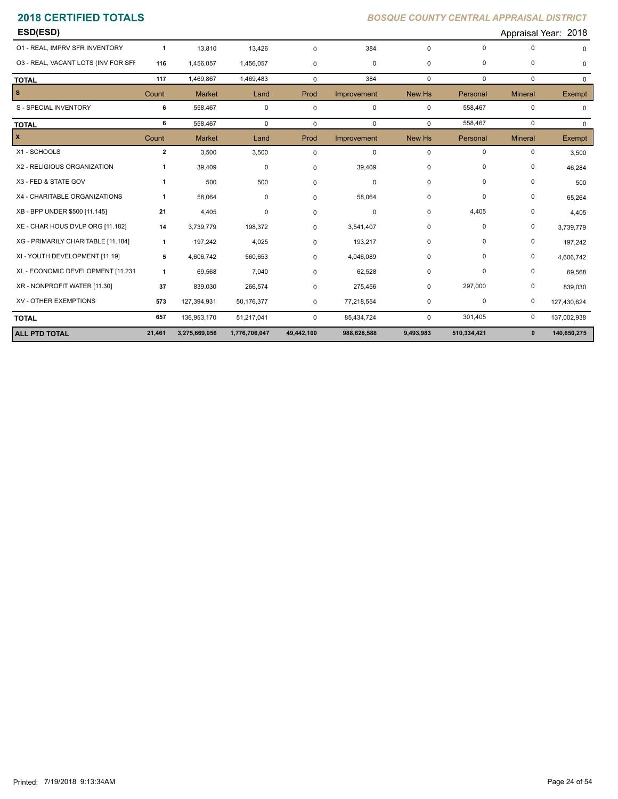| 01 - REAL, IMPRV SFR INVENTORY<br>384<br>$\Omega$<br>0<br>13,810<br>13,426<br>$\mathbf 0$<br>$\mathbf 0$<br>-1<br>03 - REAL, VACANT LOTS (INV FOR SFF<br>116<br>0<br>0<br>1,456,057<br>1,456,057<br>$\mathbf 0$<br>0<br>$\mathbf 0$<br>1,469,483<br>384<br>$\mathbf 0$<br>$\mathbf 0$<br>$\mathbf 0$<br>117<br>1,469,867<br>$\mathbf 0$<br><b>TOTAL</b><br>s.<br>Count<br><b>Market</b><br>Prod<br>Improvement<br>New Hs<br>Personal<br><b>Mineral</b><br>Land<br>S - SPECIAL INVENTORY<br>558,467<br>0<br>$\mathbf 0$<br>$\mathbf 0$<br>6<br>558,467<br>0<br>$\mathbf 0$<br>6<br>558,467<br>$\mathbf 0$<br>558,467<br>$\mathbf{0}$<br>$\mathbf 0$<br>$\mathbf 0$<br>$\mathbf 0$<br><b>TOTAL</b><br>X<br>Count<br><b>Market</b><br>Prod<br>Improvement<br>New Hs<br>Personal<br><b>Mineral</b><br>Land<br>X1 - SCHOOLS<br>0<br>$\overline{2}$<br>3,500<br>3,500<br>$\mathbf 0$<br>$\mathbf 0$<br>0<br>$\mathbf 0$<br>X2 - RELIGIOUS ORGANIZATION<br>39,409<br>0<br>0<br>39,409<br>0<br>0<br>0<br>X3 - FED & STATE GOV<br>500<br>500<br>0<br>0<br>0<br>0<br>1<br>0<br>X4 - CHARITABLE ORGANIZATIONS<br>0<br>0<br>58,064<br>58,064<br>0<br>0<br>0<br>$\mathbf{1}$<br>4,405<br>XB - BPP UNDER \$500 [11.145]<br>4,405<br>0<br>0<br>21<br>0<br>$\Omega$<br>$\mathbf 0$<br>XE - CHAR HOUS DVLP ORG [11.182]<br>0<br>14<br>3,739,779<br>198,372<br>0<br>3,541,407<br>0<br>$\mathbf 0$<br>XG - PRIMARILY CHARITABLE [11.184]<br>197,242<br>4,025<br>193,217<br>0<br>0<br>0<br>$\mathbf{1}$<br>$\mathbf 0$<br>XI - YOUTH DEVELOPMENT [11.19]<br>0<br>0<br>5<br>4,606,742<br>560,653<br>$\mathbf 0$<br>4,046,089<br>0<br>XL - ECONOMIC DEVELOPMENT [11.231<br>69,568<br>7,040<br>62,528<br>$\overline{0}$<br>0<br>0<br>$\mathbf{1}$<br>0<br>XR - NONPROFIT WATER [11.30]<br>297,000<br>0<br>37<br>839,030<br>266,574<br>275,456<br>0<br>$\mathbf 0$<br>XV - OTHER EXEMPTIONS<br>573<br>77,218,554<br>0<br>127,394,931<br>50,176,377<br>$\mathbf 0$<br>$\mathbf 0$<br>0<br>657<br>301,405<br>$\mathbf 0$<br>136,953,170<br>51,217,041<br>$\mathbf 0$<br>$\mathbf 0$<br>85,434,724<br><b>TOTAL</b> | <b>ALL PTD TOTAL</b> | 21,461 | 3,275,669,056 | 1,776,706,047 | 49,442,100 | 988,628,588 | 9,493,983 | 510,334,421 | $\mathbf 0$ | 140,650,275 |
|-----------------------------------------------------------------------------------------------------------------------------------------------------------------------------------------------------------------------------------------------------------------------------------------------------------------------------------------------------------------------------------------------------------------------------------------------------------------------------------------------------------------------------------------------------------------------------------------------------------------------------------------------------------------------------------------------------------------------------------------------------------------------------------------------------------------------------------------------------------------------------------------------------------------------------------------------------------------------------------------------------------------------------------------------------------------------------------------------------------------------------------------------------------------------------------------------------------------------------------------------------------------------------------------------------------------------------------------------------------------------------------------------------------------------------------------------------------------------------------------------------------------------------------------------------------------------------------------------------------------------------------------------------------------------------------------------------------------------------------------------------------------------------------------------------------------------------------------------------------------------------------------------------------------------------------------------------------------------------------------------------------------------------------------------------------------------------------------|----------------------|--------|---------------|---------------|------------|-------------|-----------|-------------|-------------|-------------|
|                                                                                                                                                                                                                                                                                                                                                                                                                                                                                                                                                                                                                                                                                                                                                                                                                                                                                                                                                                                                                                                                                                                                                                                                                                                                                                                                                                                                                                                                                                                                                                                                                                                                                                                                                                                                                                                                                                                                                                                                                                                                                         |                      |        |               |               |            |             |           |             |             | 137,002,938 |
|                                                                                                                                                                                                                                                                                                                                                                                                                                                                                                                                                                                                                                                                                                                                                                                                                                                                                                                                                                                                                                                                                                                                                                                                                                                                                                                                                                                                                                                                                                                                                                                                                                                                                                                                                                                                                                                                                                                                                                                                                                                                                         |                      |        |               |               |            |             |           |             |             | 127,430,624 |
|                                                                                                                                                                                                                                                                                                                                                                                                                                                                                                                                                                                                                                                                                                                                                                                                                                                                                                                                                                                                                                                                                                                                                                                                                                                                                                                                                                                                                                                                                                                                                                                                                                                                                                                                                                                                                                                                                                                                                                                                                                                                                         |                      |        |               |               |            |             |           |             |             | 839,030     |
|                                                                                                                                                                                                                                                                                                                                                                                                                                                                                                                                                                                                                                                                                                                                                                                                                                                                                                                                                                                                                                                                                                                                                                                                                                                                                                                                                                                                                                                                                                                                                                                                                                                                                                                                                                                                                                                                                                                                                                                                                                                                                         |                      |        |               |               |            |             |           |             |             | 69,568      |
|                                                                                                                                                                                                                                                                                                                                                                                                                                                                                                                                                                                                                                                                                                                                                                                                                                                                                                                                                                                                                                                                                                                                                                                                                                                                                                                                                                                                                                                                                                                                                                                                                                                                                                                                                                                                                                                                                                                                                                                                                                                                                         |                      |        |               |               |            |             |           |             |             | 4,606,742   |
|                                                                                                                                                                                                                                                                                                                                                                                                                                                                                                                                                                                                                                                                                                                                                                                                                                                                                                                                                                                                                                                                                                                                                                                                                                                                                                                                                                                                                                                                                                                                                                                                                                                                                                                                                                                                                                                                                                                                                                                                                                                                                         |                      |        |               |               |            |             |           |             |             | 197,242     |
|                                                                                                                                                                                                                                                                                                                                                                                                                                                                                                                                                                                                                                                                                                                                                                                                                                                                                                                                                                                                                                                                                                                                                                                                                                                                                                                                                                                                                                                                                                                                                                                                                                                                                                                                                                                                                                                                                                                                                                                                                                                                                         |                      |        |               |               |            |             |           |             |             | 3,739,779   |
|                                                                                                                                                                                                                                                                                                                                                                                                                                                                                                                                                                                                                                                                                                                                                                                                                                                                                                                                                                                                                                                                                                                                                                                                                                                                                                                                                                                                                                                                                                                                                                                                                                                                                                                                                                                                                                                                                                                                                                                                                                                                                         |                      |        |               |               |            |             |           |             |             | 4,405       |
|                                                                                                                                                                                                                                                                                                                                                                                                                                                                                                                                                                                                                                                                                                                                                                                                                                                                                                                                                                                                                                                                                                                                                                                                                                                                                                                                                                                                                                                                                                                                                                                                                                                                                                                                                                                                                                                                                                                                                                                                                                                                                         |                      |        |               |               |            |             |           |             |             | 65,264      |
|                                                                                                                                                                                                                                                                                                                                                                                                                                                                                                                                                                                                                                                                                                                                                                                                                                                                                                                                                                                                                                                                                                                                                                                                                                                                                                                                                                                                                                                                                                                                                                                                                                                                                                                                                                                                                                                                                                                                                                                                                                                                                         |                      |        |               |               |            |             |           |             |             | 500         |
|                                                                                                                                                                                                                                                                                                                                                                                                                                                                                                                                                                                                                                                                                                                                                                                                                                                                                                                                                                                                                                                                                                                                                                                                                                                                                                                                                                                                                                                                                                                                                                                                                                                                                                                                                                                                                                                                                                                                                                                                                                                                                         |                      |        |               |               |            |             |           |             |             | 46,284      |
|                                                                                                                                                                                                                                                                                                                                                                                                                                                                                                                                                                                                                                                                                                                                                                                                                                                                                                                                                                                                                                                                                                                                                                                                                                                                                                                                                                                                                                                                                                                                                                                                                                                                                                                                                                                                                                                                                                                                                                                                                                                                                         |                      |        |               |               |            |             |           |             |             | 3,500       |
|                                                                                                                                                                                                                                                                                                                                                                                                                                                                                                                                                                                                                                                                                                                                                                                                                                                                                                                                                                                                                                                                                                                                                                                                                                                                                                                                                                                                                                                                                                                                                                                                                                                                                                                                                                                                                                                                                                                                                                                                                                                                                         |                      |        |               |               |            |             |           |             |             | Exempt      |
|                                                                                                                                                                                                                                                                                                                                                                                                                                                                                                                                                                                                                                                                                                                                                                                                                                                                                                                                                                                                                                                                                                                                                                                                                                                                                                                                                                                                                                                                                                                                                                                                                                                                                                                                                                                                                                                                                                                                                                                                                                                                                         |                      |        |               |               |            |             |           |             |             | $\Omega$    |
|                                                                                                                                                                                                                                                                                                                                                                                                                                                                                                                                                                                                                                                                                                                                                                                                                                                                                                                                                                                                                                                                                                                                                                                                                                                                                                                                                                                                                                                                                                                                                                                                                                                                                                                                                                                                                                                                                                                                                                                                                                                                                         |                      |        |               |               |            |             |           |             |             | $\mathbf 0$ |
|                                                                                                                                                                                                                                                                                                                                                                                                                                                                                                                                                                                                                                                                                                                                                                                                                                                                                                                                                                                                                                                                                                                                                                                                                                                                                                                                                                                                                                                                                                                                                                                                                                                                                                                                                                                                                                                                                                                                                                                                                                                                                         |                      |        |               |               |            |             |           |             |             | Exempt      |
|                                                                                                                                                                                                                                                                                                                                                                                                                                                                                                                                                                                                                                                                                                                                                                                                                                                                                                                                                                                                                                                                                                                                                                                                                                                                                                                                                                                                                                                                                                                                                                                                                                                                                                                                                                                                                                                                                                                                                                                                                                                                                         |                      |        |               |               |            |             |           |             |             | $\mathbf 0$ |
|                                                                                                                                                                                                                                                                                                                                                                                                                                                                                                                                                                                                                                                                                                                                                                                                                                                                                                                                                                                                                                                                                                                                                                                                                                                                                                                                                                                                                                                                                                                                                                                                                                                                                                                                                                                                                                                                                                                                                                                                                                                                                         |                      |        |               |               |            |             |           |             |             | $\Omega$    |
|                                                                                                                                                                                                                                                                                                                                                                                                                                                                                                                                                                                                                                                                                                                                                                                                                                                                                                                                                                                                                                                                                                                                                                                                                                                                                                                                                                                                                                                                                                                                                                                                                                                                                                                                                                                                                                                                                                                                                                                                                                                                                         |                      |        |               |               |            |             |           |             |             |             |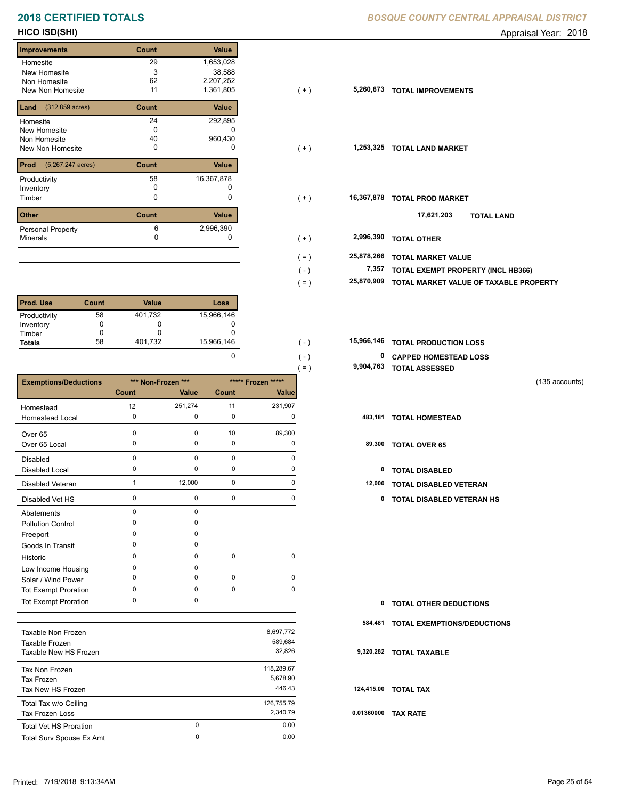## **2018 CERTIFIED TOTALS BOSQUE COUNTY CENTRAL APPRAISAL DISTRICTION CENTRAL APPROXIMATION**

## **Improvements Count Value Homesite** New Homesite Non Homesite New Non Homesite **TOTAL IMPROVEMENTS**  29 1,653,028 3 38,588 62 2,207,252 11 1,361,805 **5,260,673 Land** (312.859 acres) **Count Value** Homesite New Homesite Non Homesite New Non Homesite **TOTAL CONSUMING MARKET**  24 292,895  $\overline{0}$  c 40 960,430 **Prod Count Value** (5,267.247 acres) Productivity 16,367,878 Inventory<br>Timber 0 0 **Other Count Value** Minerals Personal Property 16,367,878 6 2,996,390

| <b>Prod. Use</b> | Count | Value   | Loss       |
|------------------|-------|---------|------------|
| Productivity     | 58    | 401,732 | 15,966,146 |
| Inventory        |       |         |            |
| Timber           |       |         |            |
| <b>Totals</b>    | 58    | 401,732 | 15,966,146 |

|                              |             |                    |             |                    | $=$ ) | 9,904,763 | <b>TOTAL ASSESSED</b>         |                |
|------------------------------|-------------|--------------------|-------------|--------------------|-------|-----------|-------------------------------|----------------|
| <b>Exemptions/Deductions</b> |             | *** Non-Frozen *** |             | ***** Frozen ***** |       |           |                               | (135 accounts) |
|                              | Count       | Value              | Count       | Value              |       |           |                               |                |
| Homestead                    | 12          | 251,274            | 11          | 231,907            |       |           |                               |                |
| Homestead Local              | 0           | 0                  | 0           | 0                  |       | 483,181   | <b>TOTAL HOMESTEAD</b>        |                |
| Over 65                      | $\Omega$    | 0                  | 10          | 89,300             |       |           |                               |                |
| Over 65 Local                | 0           | 0                  | 0           | 0                  |       | 89,300    | <b>TOTAL OVER 65</b>          |                |
| <b>Disabled</b>              | $\Omega$    | $\mathbf 0$        | $\mathbf 0$ | $\Omega$           |       |           |                               |                |
| <b>Disabled Local</b>        | $\Omega$    | 0                  | 0           | 0                  |       | 0         | <b>TOTAL DISABLED</b>         |                |
| Disabled Veteran             |             | 12,000             | 0           | 0                  |       | 12,000    | TOTAL DISABLED VETERAN        |                |
| Disabled Vet HS              | $\mathbf 0$ | 0                  | 0           | 0                  |       | 0         | TOTAL DISABLED VETERAN HS     |                |
| Abatements                   | $\Omega$    | 0                  |             |                    |       |           |                               |                |
| <b>Pollution Control</b>     |             | 0                  |             |                    |       |           |                               |                |
| Freeport                     |             | 0                  |             |                    |       |           |                               |                |
| Goods In Transit             |             | 0                  |             |                    |       |           |                               |                |
| Historic                     | ∩           | 0                  | $\mathbf 0$ | 0                  |       |           |                               |                |
| Low Income Housing           | $\Omega$    | 0                  |             |                    |       |           |                               |                |
| Solar / Wind Power           | 0           | 0                  | $\mathbf 0$ | 0                  |       |           |                               |                |
| <b>Tot Exempt Proration</b>  | $\Omega$    | 0                  | $\mathbf 0$ | 0                  |       |           |                               |                |
| <b>Tot Exempt Proration</b>  | 0           | 0                  |             |                    |       | 0         | <b>TOTAL OTHER DEDUCTIONS</b> |                |

| Taxable Non Frozen            |   | 8,697,772  |                 |
|-------------------------------|---|------------|-----------------|
| Taxable Frozen                |   | 589.684    |                 |
| Taxable New HS Frozen         |   | 32,826     | 9.              |
| Tax Non Frozen                |   | 118,289.67 |                 |
| Tax Frozen                    |   | 5,678.90   |                 |
| Tax New HS Frozen             |   | 446.43     | 12 <sub>0</sub> |
| Total Tax w/o Ceiling         |   | 126,755.79 |                 |
| Tax Frozen Loss               |   | 2.340.79   | 0.0             |
| <b>Total Vet HS Proration</b> | 0 | 0.00       |                 |
| Total Surv Spouse Ex Amt      | 0 | 0.00       |                 |
|                               |   |            |                 |

| BOSQUE COUNTY CENTRAL APPRAISAL DISTRICT |  |  |
|------------------------------------------|--|--|
|                                          |  |  |

**HICO ISD(SHI)** Appraisal Year: 2018

| Improvements                          | Count    | <b>Value</b> |                       |                                        |
|---------------------------------------|----------|--------------|-----------------------|----------------------------------------|
| Homesite                              | 29       | 1,653,028    |                       |                                        |
| New Homesite                          | 3        | 38,588       |                       |                                        |
| Non Homesite                          | 62       | 2,207,252    |                       |                                        |
| New Non Homesite                      | 11       | 1,361,805    | 5,260,673<br>$(+)$    | <b>TOTAL IMPROVEMENTS</b>              |
| <b>Land</b> $(312.859 \text{ acres})$ | Count    | Value        |                       |                                        |
| Homesite                              | 24       | 292,895      |                       |                                        |
| New Homesite                          | 0        |              |                       |                                        |
| Non Homesite                          | 40       | 960,430      |                       |                                        |
| New Non Homesite                      | 0        | 0            | 1,253,325<br>$(+)$    | <b>TOTAL LAND MARKET</b>               |
| <b>Prod</b> (5,267.247 acres)         | Count    | Value        |                       |                                        |
| Productivity                          | 58       | 16,367,878   |                       |                                        |
| Inventory                             |          |              |                       |                                        |
| Timber                                | 0        | 0            | 16,367,878<br>$(+)$   | <b>TOTAL PROD MARKET</b>               |
| Other                                 | Count    | Value        |                       | 17,621,203<br><b>TOTAL LAND</b>        |
| Personal Property                     | 6        | 2,996,390    |                       |                                        |
| Minerals                              | $\Omega$ | 0            | 2,996,390<br>$(+)$    | <b>TOTAL OTHER</b>                     |
|                                       |          |              |                       |                                        |
|                                       |          |              | 25,878,266<br>$( = )$ | <b>TOTAL MARKET VALUE</b>              |
|                                       |          |              | 7,357<br>$(-)$        | TOTAL EXEMPT PROPERTY (INCL HB366)     |
|                                       |          |              | 25,870,909<br>$( = )$ | TOTAL MARKET VALUE OF TAXABLE PROPERTY |
|                                       |          |              |                       |                                        |

| 15.966.146 | $( - )$ | <b>15,966,146 TOTAL PRODUCTION LOSS</b> |
|------------|---------|-----------------------------------------|
|            | $( - )$ | <sup>0</sup> CAPPED HOMESTEAD LOSS      |
|            | ั= 1    | 9,904,763 TOTAL ASSESSED                |

| $\mathbf{0}$ | <b>TOTAL OTHER DEDUCTIONS</b>      |
|--------------|------------------------------------|
| 584,481      | <b>TOTAL EXEMPTIONS/DEDUCTIONS</b> |
|              | 9,320,282 TOTAL TAXABLE            |
|              | 124,415.00 TOTAL TAX               |
| 0.01360000   | TAX RATE                           |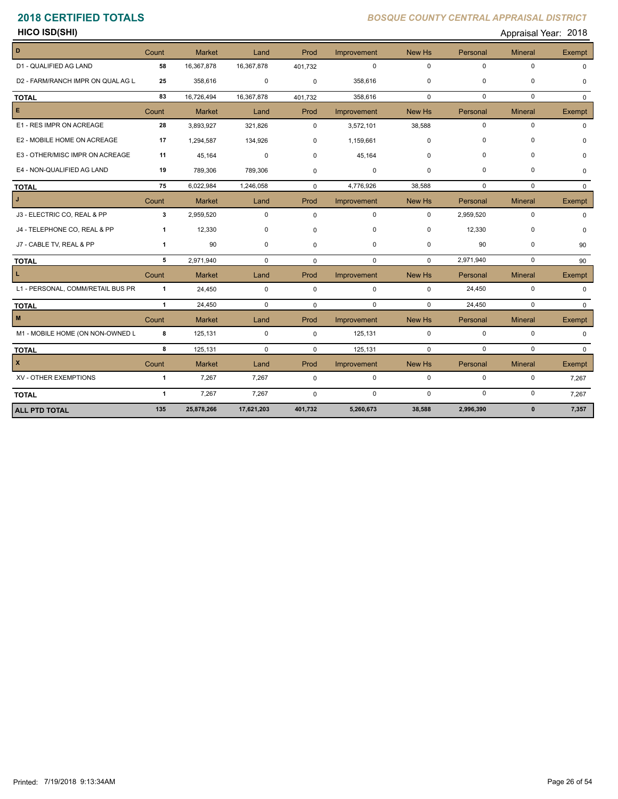**HICO ISD(SHI)** Appraisal Year: 2018

| D                                 | Count          | <b>Market</b> | Land        | Prod        | Improvement | New Hs      | Personal    | <b>Mineral</b> | <b>Exempt</b> |
|-----------------------------------|----------------|---------------|-------------|-------------|-------------|-------------|-------------|----------------|---------------|
| D1 - QUALIFIED AG LAND            | 58             | 16,367,878    | 16,367,878  | 401,732     | $\mathbf 0$ | $\Omega$    | $\Omega$    | $\mathbf 0$    |               |
| D2 - FARM/RANCH IMPR ON QUAL AG L | 25             | 358,616       | 0           | $\mathbf 0$ | 358,616     | $\mathbf 0$ | 0           | $\pmb{0}$      | $\Omega$      |
| <b>TOTAL</b>                      | 83             | 16,726,494    | 16,367,878  | 401,732     | 358,616     | $\mathbf 0$ | $\Omega$    | $\Omega$       | $\Omega$      |
| E.                                | Count          | <b>Market</b> | Land        | Prod        | Improvement | New Hs      | Personal    | <b>Mineral</b> | Exempt        |
| E1 - RES IMPR ON ACREAGE          | 28             | 3,893,927     | 321,826     | $\Omega$    | 3,572,101   | 38,588      | $\mathbf 0$ | $\mathbf 0$    |               |
| E2 - MOBILE HOME ON ACREAGE       | 17             | 1,294,587     | 134,926     | $\mathbf 0$ | 1,159,661   | $\Omega$    | $\Omega$    | $\mathbf 0$    |               |
| E3 - OTHER/MISC IMPR ON ACREAGE   | 11             | 45,164        | $\mathbf 0$ | $\Omega$    | 45,164      | $\Omega$    | $\Omega$    | 0              |               |
| E4 - NON-QUALIFIED AG LAND        | 19             | 789,306       | 789,306     | $\mathbf 0$ | 0           | 0           | $\Omega$    | 0              | $\Omega$      |
| <b>TOTAL</b>                      | 75             | 6,022,984     | 1,246,058   | $\Omega$    | 4,776,926   | 38,588      | $\mathbf 0$ | $\mathbf 0$    | $\Omega$      |
| J                                 | Count          | <b>Market</b> | Land        | Prod        | Improvement | New Hs      | Personal    | <b>Mineral</b> | Exempt        |
| J3 - ELECTRIC CO, REAL & PP       | 3              | 2,959,520     | $\mathbf 0$ | $\mathbf 0$ | $\mathbf 0$ | $\Omega$    | 2,959,520   | $\pmb{0}$      | <sup>0</sup>  |
| J4 - TELEPHONE CO, REAL & PP      | $\mathbf{1}$   | 12,330        | 0           | $\mathbf 0$ | 0           | 0           | 12,330      | 0              | $\Omega$      |
| J7 - CABLE TV, REAL & PP          | $\mathbf{1}$   | 90            | 0           | $\mathbf 0$ | $\mathbf 0$ | 0           | 90          | $\pmb{0}$      | 90            |
| <b>TOTAL</b>                      | 5              | 2,971,940     | $\mathbf 0$ | $\mathbf 0$ | $\mathbf 0$ | 0           | 2,971,940   | $\mathbf 0$    | 90            |
|                                   | Count          | <b>Market</b> | Land        | Prod        | Improvement | New Hs      | Personal    | <b>Mineral</b> | Exempt        |
| L1 - PERSONAL, COMM/RETAIL BUS PR | $\mathbf{1}$   | 24,450        | $\mathbf 0$ | $\mathbf 0$ | $\mathsf 0$ | $\mathbf 0$ | 24,450      | $\mathbf 0$    | $\Omega$      |
| <b>TOTAL</b>                      | $\overline{1}$ | 24,450        | $\mathbf 0$ | $\mathbf 0$ | $\mathbf 0$ | $\Omega$    | 24,450      | $\mathbf 0$    | $\Omega$      |
| M                                 | Count          | <b>Market</b> | Land        | Prod        | Improvement | New Hs      | Personal    | <b>Mineral</b> | Exempt        |
| M1 - MOBILE HOME (ON NON-OWNED L  | 8              | 125,131       | $\mathbf 0$ | $\mathbf 0$ | 125,131     | $\mathbf 0$ | $\mathbf 0$ | $\mathbf 0$    | $\Omega$      |
| <b>TOTAL</b>                      | 8              | 125,131       | $\mathbf 0$ | $\Omega$    | 125,131     | $\mathbf 0$ | $\mathbf 0$ | $\Omega$       | $\Omega$      |
| $\mathbf{x}$                      | Count          | <b>Market</b> | Land        | Prod        | Improvement | New Hs      | Personal    | <b>Mineral</b> | Exempt        |
| XV - OTHER EXEMPTIONS             | $\mathbf{1}$   | 7,267         | 7,267       | 0           | $\mathbf 0$ | $\mathbf 0$ | $\pmb{0}$   | $\pmb{0}$      | 7,267         |
| <b>TOTAL</b>                      | $\mathbf{1}$   | 7,267         | 7,267       | $\Omega$    | $\mathbf 0$ | $\Omega$    | $\mathbf 0$ | $\mathbf 0$    | 7,267         |
| <b>ALL PTD TOTAL</b>              | 135            | 25,878,266    | 17,621,203  | 401,732     | 5,260,673   | 38,588      | 2,996,390   | $\mathbf{0}$   | 7,357         |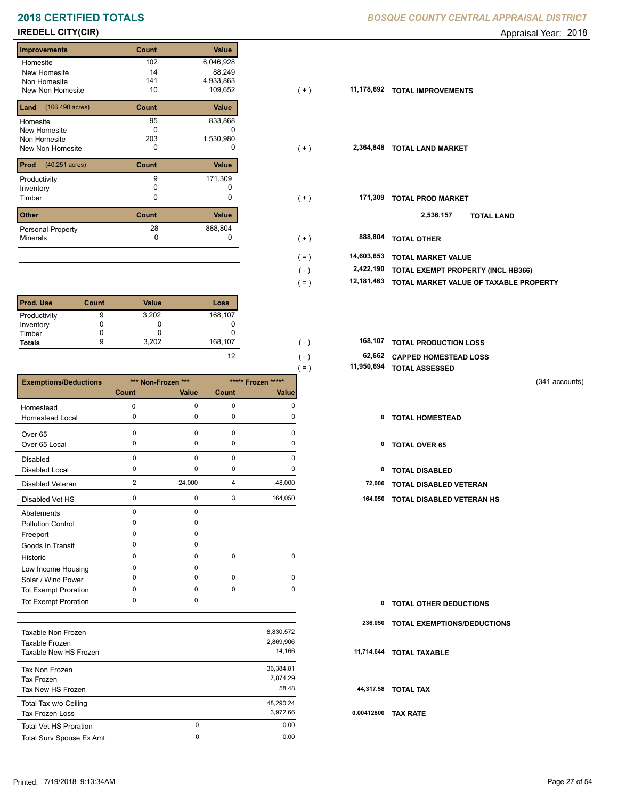# **2018 CERTIFIED TOTALS BOSQUE COUNTY CENTRAL APPRAISAL DISTRICTION CENTRAL APPROXIMATION**

## **Improvements Count Value Homesite** New Homesite Non Homesite New Non Homesite **TOTAL IMPROVEMENTS** 10 109,652 102 6,046,928 14 88,249 141 4,933,863 **Land** (106.490 acres) **Count Value** Homesite New Homesite Non Homesite New Non Homesite **TOTAL CONSUMING MARKET**  95 833,868  $\overline{0}$  c 203 1,530,980 **Prod Count Value** (40.251 acres) Productivity 171,309 Inventory<br>Timber 0 0 **Other Count Value** Minerals Personal Property 171,309 28 888,804

| <b>Prod. Use</b> | Count | <b>Value</b> | Loss    |
|------------------|-------|--------------|---------|
| Productivity     | 9     | 3,202        | 168,107 |
| Inventory        |       |              |         |
| Timber           |       |              |         |
| <b>Totals</b>    | 9     | 3,202        | 168,107 |

|                              |                |                    |             |                    | 11,950,694<br>$=$ ) | <b>TOTAL ASSESSED</b>         |                |
|------------------------------|----------------|--------------------|-------------|--------------------|---------------------|-------------------------------|----------------|
| <b>Exemptions/Deductions</b> |                | *** Non-Frozen *** |             | ***** Frozen ***** |                     |                               | (341 accounts) |
|                              | <b>Count</b>   | Value              | Count       | Value              |                     |                               |                |
| Homestead                    | 0              | 0                  | $\mathbf 0$ | 0                  |                     |                               |                |
| Homestead Local              | 0              | 0                  | 0           | 0                  | 0                   | <b>TOTAL HOMESTEAD</b>        |                |
| Over <sub>65</sub>           | $\Omega$       | 0                  | $\pmb{0}$   | $\Omega$           |                     |                               |                |
| Over 65 Local                | $\Omega$       | 0                  | 0           | 0                  | 0                   | <b>TOTAL OVER 65</b>          |                |
| Disabled                     | $\mathbf 0$    | 0                  | $\pmb{0}$   | 0                  |                     |                               |                |
| <b>Disabled Local</b>        | 0              | 0                  | 0           | $\Omega$           | 0                   | <b>TOTAL DISABLED</b>         |                |
| Disabled Veteran             | $\overline{2}$ | 24,000             | 4           | 48,000             | 72,000              | TOTAL DISABLED VETERAN        |                |
| Disabled Vet HS              | 0              | 0                  | 3           | 164,050            | 164,050             | TOTAL DISABLED VETERAN HS     |                |
| Abatements                   | $\mathbf 0$    | 0                  |             |                    |                     |                               |                |
| <b>Pollution Control</b>     | ∩              | 0                  |             |                    |                     |                               |                |
| Freeport                     |                | 0                  |             |                    |                     |                               |                |
| Goods In Transit             | n              | 0                  |             |                    |                     |                               |                |
| Historic                     | $\Omega$       | 0                  | $\mathbf 0$ | $\mathbf 0$        |                     |                               |                |
| Low Income Housing           | <sup>0</sup>   | 0                  |             |                    |                     |                               |                |
| Solar / Wind Power           | ŋ              | 0                  | 0           | 0                  |                     |                               |                |
| <b>Tot Exempt Proration</b>  | $\Omega$       | 0                  | $\pmb{0}$   | $\mathbf 0$        |                     |                               |                |
| <b>Tot Exempt Proration</b>  | $\Omega$       | 0                  |             |                    | 0                   | <b>TOTAL OTHER DEDUCTIONS</b> |                |
|                              |                |                    |             |                    |                     |                               |                |

| Taxable Non Frozen<br>Taxable Frozen<br>Taxable New HS Frozen |        | 8,830,572<br>2,869,906<br>14.166 | 11. |
|---------------------------------------------------------------|--------|----------------------------------|-----|
| Tax Non Frozen<br>Tax Frozen<br>Tax New HS Frozen             |        | 36.384.81<br>7.874.29<br>58.48   | 4   |
| Total Tax w/o Ceiling<br><b>Tax Frozen Loss</b>               |        | 48.290.24<br>3,972.66            | 0.0 |
| <b>Total Vet HS Proration</b><br>Total Surv Spouse Ex Amt     | 0<br>0 | 0.00<br>0.00                     |     |
|                                                               |        |                                  |     |

| <b>3OSQUE COUNTY CENTRAL APPRAISAL DISTRICT</b> |  |  |
|-------------------------------------------------|--|--|
|                                                 |  |  |

**IREDELL CITY(CIR)** Appraisal Year: 2018

| improvements                          | <b>Count</b> | value     |                       |         |                           |                                        |  |
|---------------------------------------|--------------|-----------|-----------------------|---------|---------------------------|----------------------------------------|--|
| Homesite                              | 102          | 6,046,928 |                       |         |                           |                                        |  |
| New Homesite                          | 14           | 88,249    |                       |         |                           |                                        |  |
| Non Homesite                          | 141          | 4,933,863 |                       |         |                           |                                        |  |
| New Non Homesite                      | 10           | 109,652   | 11,178,692<br>$(+)$   |         | <b>TOTAL IMPROVEMENTS</b> |                                        |  |
| <b>Land</b> $(106.490 \text{ acres})$ | Count        | Value     |                       |         |                           |                                        |  |
| Homesite                              | 95           | 833,868   |                       |         |                           |                                        |  |
| New Homesite                          | $\Omega$     |           |                       |         |                           |                                        |  |
| Non Homesite                          | 203          | 1,530,980 |                       |         |                           |                                        |  |
| New Non Homesite                      | 0            | 0         | 2,364,848<br>$(+)$    |         | <b>TOTAL LAND MARKET</b>  |                                        |  |
|                                       |              |           |                       |         |                           |                                        |  |
| <b>Prod</b> $(40.251 \text{ acres})$  | Count        | Value     |                       |         |                           |                                        |  |
| Productivity                          | 9            | 171,309   |                       |         |                           |                                        |  |
| Inventory                             | 0            |           |                       |         |                           |                                        |  |
| Timber                                | 0            | 0         | $(+)$                 | 171,309 | <b>TOTAL PROD MARKET</b>  |                                        |  |
|                                       |              |           |                       |         |                           |                                        |  |
| Other                                 | Count        | Value     |                       |         | 2,536,157                 | <b>TOTAL LAND</b>                      |  |
| Personal Property                     | 28           | 888,804   |                       |         |                           |                                        |  |
| Minerals                              | 0            | 0         | $(+)$                 | 888,804 | <b>TOTAL OTHER</b>        |                                        |  |
|                                       |              |           |                       |         |                           |                                        |  |
|                                       |              |           | 14,603,653<br>$( = )$ |         | TOTAL MARKET VALUE        |                                        |  |
|                                       |              |           | 2,422,190<br>$(-)$    |         |                           | TOTAL EXEMPT PROPERTY (INCL HB366)     |  |
|                                       |              |           | 12,181,463<br>$( = )$ |         |                           | TOTAL MARKET VALUE OF TAXABLE PROPERTY |  |
|                                       |              |           |                       |         |                           |                                        |  |

| 168.107 | .             | <b>168,107 TOTAL PRODUCTION LOSS</b> |
|---------|---------------|--------------------------------------|
| 12      | ( – )         | 62,662 CAPPED HOMESTEAD LOSS         |
|         | $=$ $\lambda$ | 11,950,694 TOTAL ASSESSED            |

- 
- 
- 
- 0 0 3 164,050 **164,050 TOTAL DISABLED VETERAN HS**

|            | 0 TOTAL OTHER DEDUCTIONS            |
|------------|-------------------------------------|
|            | 236,050 TOTAL EXEMPTIONS/DEDUCTIONS |
|            | 11,714,644 TOTAL TAXABLE            |
|            | 44,317.58 TOTAL TAX                 |
| 0.00412800 | <b>TAX RATE</b>                     |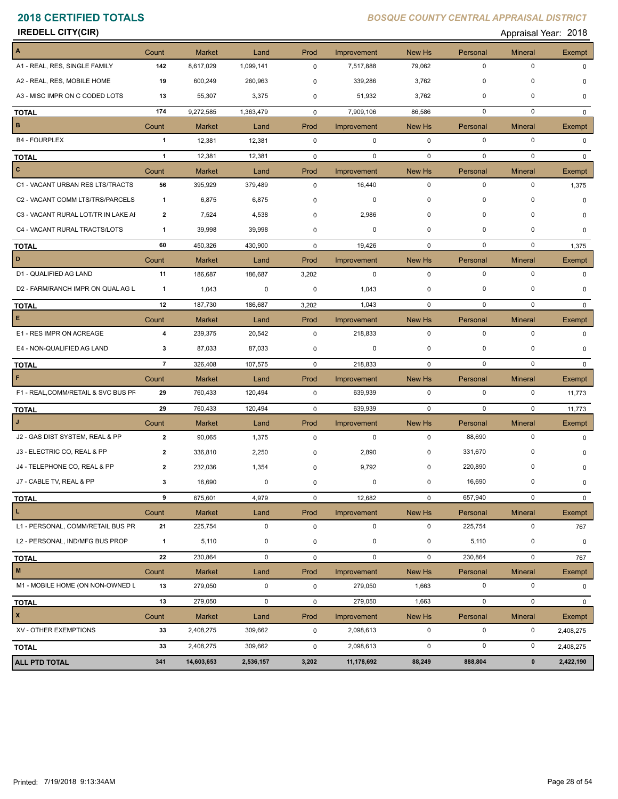| <b>IREDELL CITY(CIR)</b>            |                         |               |             |             |             |             |             | Appraisal Year: 2018 |               |
|-------------------------------------|-------------------------|---------------|-------------|-------------|-------------|-------------|-------------|----------------------|---------------|
| A                                   | Count                   | <b>Market</b> | Land        | Prod        | Improvement | New Hs      | Personal    | <b>Mineral</b>       | Exempt        |
| A1 - REAL, RES, SINGLE FAMILY       | 142                     | 8,617,029     | 1,099,141   | 0           | 7,517,888   | 79,062      | $\mathbf 0$ | $\pmb{0}$            | 0             |
| A2 - REAL, RES, MOBILE HOME         | 19                      | 600,249       | 260,963     | 0           | 339,286     | 3,762       | 0           | 0                    | 0             |
| A3 - MISC IMPR ON C CODED LOTS      | 13                      | 55,307        | 3,375       | 0           | 51,932      | 3,762       | 0           | $\pmb{0}$            | 0             |
| <b>TOTAL</b>                        | 174                     | 9,272,585     | 1,363,479   | $\mathbf 0$ | 7,909,106   | 86,586      | 0           | 0                    | 0             |
| $\vert$ B                           | Count                   | <b>Market</b> | Land        | Prod        | Improvement | New Hs      | Personal    | <b>Mineral</b>       | Exempt        |
| <b>B4 - FOURPLEX</b>                | $\mathbf{1}$            | 12,381        | 12,381      | $\mathbf 0$ | 0           | $\mathbf 0$ | $\mathbf 0$ | 0                    | 0             |
| <b>TOTAL</b>                        | $\overline{1}$          | 12,381        | 12,381      | $\mathbf 0$ | $\mathbf 0$ | $\mathbf 0$ | $\mathbf 0$ | $\mathbf 0$          | $\mathbf{0}$  |
| $\vert$ c                           | Count                   | <b>Market</b> | Land        | Prod        | Improvement | New Hs      | Personal    | <b>Mineral</b>       | Exempt        |
| C1 - VACANT URBAN RES LTS/TRACTS    | 56                      | 395,929       | 379,489     | 0           | 16,440      | $\mathbf 0$ | $\mathbf 0$ | 0                    | 1,375         |
| C2 - VACANT COMM LTS/TRS/PARCELS    | $\mathbf{1}$            | 6,875         | 6,875       | 0           | $\mathbf 0$ | 0           | 0           | 0                    | $\Omega$      |
| C3 - VACANT RURAL LOT/TR IN LAKE AI | 2                       | 7,524         | 4,538       | 0           | 2,986       | 0           | $\mathbf 0$ | 0                    | 0             |
| C4 - VACANT RURAL TRACTS/LOTS       | 1                       | 39,998        | 39,998      | 0           | 0           | $\mathbf 0$ | $\mathbf 0$ | 0                    | 0             |
| <b>TOTAL</b>                        | 60                      | 450,326       | 430,900     | $\mathbf 0$ | 19,426      | $\mathbf 0$ | 0           | 0                    | 1,375         |
| D                                   | Count                   | <b>Market</b> | Land        | Prod        | Improvement | New Hs      | Personal    | <b>Mineral</b>       | <b>Exempt</b> |
| D1 - QUALIFIED AG LAND              | 11                      | 186,687       | 186,687     | 3,202       | $\mathbf 0$ | $\mathbf 0$ | $\mathbf 0$ | 0                    | 0             |
| D2 - FARM/RANCH IMPR ON QUAL AG L   | $\mathbf{1}$            | 1,043         | 0           | 0           | 1,043       | 0           | 0           | 0                    | 0             |
| <b>TOTAL</b>                        | 12                      | 187,730       | 186,687     | 3,202       | 1,043       | 0           | $\mathbf 0$ | $\mathbf 0$          | $\Omega$      |
| $\mathsf E$                         | Count                   | <b>Market</b> | Land        | Prod        | Improvement | New Hs      | Personal    | <b>Mineral</b>       | Exempt        |
| E1 - RES IMPR ON ACREAGE            | 4                       | 239,375       | 20,542      | $\mathbf 0$ | 218,833     | $\mathbf 0$ | $\mathbf 0$ | $\pmb{0}$            | $\Omega$      |
| E4 - NON-QUALIFIED AG LAND          | 3                       | 87,033        | 87,033      | 0           | 0           | 0           | $\mathbf 0$ | $\mathbf 0$          | 0             |
| <b>TOTAL</b>                        | $\overline{7}$          | 326,408       | 107,575     | 0           | 218,833     | $\mathbf 0$ | 0           | $\mathbf 0$          | $\Omega$      |
| F                                   | Count                   | <b>Market</b> | Land        | Prod        | Improvement | New Hs      | Personal    | <b>Mineral</b>       | Exempt        |
| F1 - REAL, COMM/RETAIL & SVC BUS PF | 29                      | 760,433       | 120,494     | $\mathbf 0$ | 639,939     | $\mathbf 0$ | 0           | 0                    | 11,773        |
| <b>TOTAL</b>                        | 29                      | 760,433       | 120,494     | 0           | 639,939     | $\mathbf 0$ | $\mathbf 0$ | $\mathbf 0$          | 11,773        |
| $\mathsf{J}$                        | Count                   | <b>Market</b> | Land        | Prod        | Improvement | New Hs      | Personal    | <b>Mineral</b>       | Exempt        |
| J2 - GAS DIST SYSTEM, REAL & PP     | $\overline{2}$          | 90,065        | 1,375       | $\mathbf 0$ | $\mathbf 0$ | $\mathbf 0$ | 88,690      | 0                    | 0             |
| J3 - ELECTRIC CO, REAL & PP         | 2                       | 336,810       | 2,250       | 0           | 2,890       | 0           | 331,670     | 0                    | 0             |
| J4 - TELEPHONE CO, REAL & PP        | $\overline{\mathbf{2}}$ | 232,036       | 1,354       | 0           | 9,792       | $\mathbf 0$ | 220,890     | $\mathbf 0$          | 0             |
| J7 - CABLE TV, REAL & PP            | 3                       | 16,690        | 0           | $\pmb{0}$   | 0           | $\mathbf 0$ | 16,690      | $\pmb{0}$            | 0             |
| <b>TOTAL</b>                        | 9                       | 675,601       | 4,979       | 0           | 12,682      | $\mathbf 0$ | 657,940     | $\pmb{0}$            | 0             |
| L.                                  | Count                   | <b>Market</b> | Land        | Prod        | Improvement | New Hs      | Personal    | <b>Mineral</b>       | Exempt        |
| L1 - PERSONAL, COMM/RETAIL BUS PR   | 21                      | 225,754       | $\mathbf 0$ | 0           | $\mathbf 0$ | 0           | 225,754     | 0                    | 767           |
| L2 - PERSONAL, IND/MFG BUS PROP     | $\mathbf{1}$            | 5,110         | 0           | 0           | $\mathbf 0$ | 0           | 5,110       | 0                    | 0             |
| <b>TOTAL</b>                        | 22                      | 230,864       | 0           | 0           | $\mathbf 0$ | $\mathbf 0$ | 230,864     | 0                    | 767           |
| $\blacksquare$                      | Count                   | <b>Market</b> | Land        | Prod        | Improvement | New Hs      | Personal    | <b>Mineral</b>       | Exempt        |
| M1 - MOBILE HOME (ON NON-OWNED L    | 13                      | 279,050       | $\mathbf 0$ | $\mathbf 0$ | 279,050     | 1,663       | $\pmb{0}$   | $\pmb{0}$            | 0             |
| <b>TOTAL</b>                        | 13                      | 279,050       | $\mathbf 0$ | 0           | 279,050     | 1,663       | $\pmb{0}$   | $\pmb{0}$            | 0             |
| $\vert x \vert$                     | Count                   | <b>Market</b> | Land        | Prod        | Improvement | New Hs      | Personal    | <b>Mineral</b>       | Exempt        |
| XV - OTHER EXEMPTIONS               | 33                      | 2,408,275     | 309,662     | $\mathbf 0$ | 2,098,613   | 0           | $\pmb{0}$   | 0                    | 2,408,275     |
| <b>TOTAL</b>                        | 33                      | 2,408,275     | 309,662     | 0           | 2,098,613   | 0           | $\pmb{0}$   | $\pmb{0}$            | 2,408,275     |
|                                     | 341                     | 14,603,653    | 2,536,157   | 3,202       | 11,178,692  | 88,249      | 888,804     | $\pmb{0}$            | 2,422,190     |
| <b>ALL PTD TOTAL</b>                |                         |               |             |             |             |             |             |                      |               |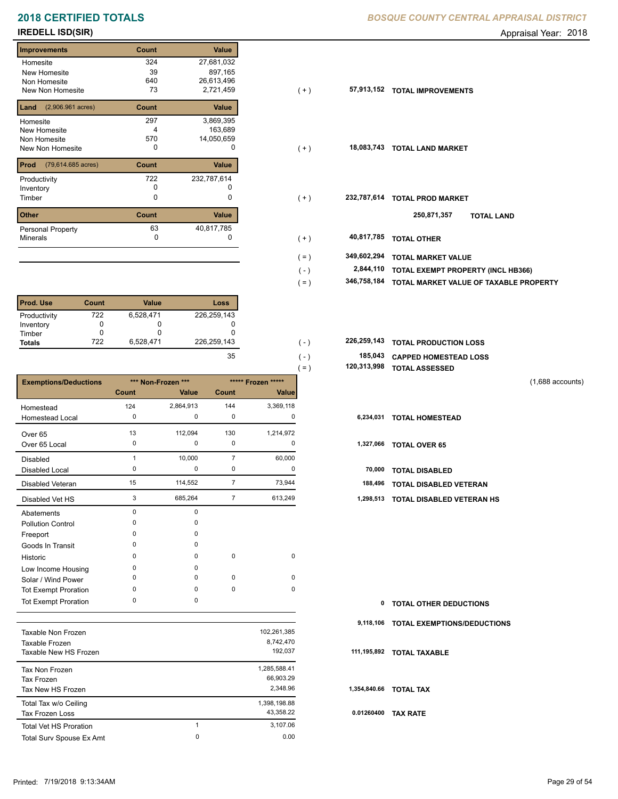## **Improvements Count Value Homesite** New Homesite Non Homesite New Non Homesite **Table 73**  324 27,681,032 39 897,165 163,689 4 640 26,613,496 73 2,721,459 **57,913,152 Land Count Value** (2,906.961 acres) Homesite New Homesite Non Homesite New Non Homesite **TOTAL CONSUMING MARKET**  297 3,869,395 570 14,050,659 **Prod Count Value** (79,614.685 acres) Productivity 232,787,614 722 Inventory<br>Timber 0 0 **Other Count Value** Minerals Personal Property 63 40,817,785

| <b>Prod. Use</b> | <b>Count</b> | <b>Value</b> | Loss        |
|------------------|--------------|--------------|-------------|
| Productivity     | 722          | 6,528,471    | 226,259,143 |
| Inventory        |              |              |             |
| Timber           |              |              |             |
| <b>Totals</b>    | 722          | 6,528,471    | 226,259,143 |

|                              |                    |           |                    |              | $=$ ) | 120,313,998 | <b>TOTAL ASSESSED</b>            |                    |
|------------------------------|--------------------|-----------|--------------------|--------------|-------|-------------|----------------------------------|--------------------|
| <b>Exemptions/Deductions</b> | *** Non-Frozen *** |           | ***** Frozen ***** |              |       |             |                                  | $(1,688$ accounts) |
|                              | Count              | Value     | <b>Count</b>       | <b>Value</b> |       |             |                                  |                    |
| Homestead                    | 124                | 2,864,913 | 144                | 3,369,118    |       |             |                                  |                    |
| Homestead Local              | 0                  | 0         | 0                  | 0            |       | 6,234,031   | <b>TOTAL HOMESTEAD</b>           |                    |
| Over 65                      | 13                 | 112,094   | 130                | 1,214,972    |       |             |                                  |                    |
| Over 65 Local                | 0                  | 0         | 0                  | 0            |       | 1,327,066   | <b>TOTAL OVER 65</b>             |                    |
| <b>Disabled</b>              |                    | 10,000    | $\overline{7}$     | 60,000       |       |             |                                  |                    |
| <b>Disabled Local</b>        | 0                  | 0         | 0                  | 0            |       | 70,000      | <b>TOTAL DISABLED</b>            |                    |
| Disabled Veteran             | 15                 | 114,552   | $\overline{7}$     | 73,944       |       | 188,496     | <b>TOTAL DISABLED VETERAN</b>    |                    |
| Disabled Vet HS              | 3                  | 685,264   | $\overline{7}$     | 613,249      |       | 1,298,513   | <b>TOTAL DISABLED VETERAN HS</b> |                    |
| Abatements                   | $\mathbf 0$        | $\Omega$  |                    |              |       |             |                                  |                    |
| <b>Pollution Control</b>     | $\Omega$           | $\Omega$  |                    |              |       |             |                                  |                    |
| Freeport                     | 0                  | 0         |                    |              |       |             |                                  |                    |
| Goods In Transit             | O                  | $\Omega$  |                    |              |       |             |                                  |                    |
| Historic                     | $\Omega$           | $\Omega$  | $\mathbf 0$        | $\mathbf 0$  |       |             |                                  |                    |
| Low Income Housing           | 0                  | $\Omega$  |                    |              |       |             |                                  |                    |
| Solar / Wind Power           | $\Omega$           | 0         | $\mathbf 0$        | $\mathbf 0$  |       |             |                                  |                    |
| <b>Tot Exempt Proration</b>  | 0                  | 0         | $\mathbf 0$        | 0            |       |             |                                  |                    |
| <b>Tot Exempt Proration</b>  | $\mathbf 0$        | 0         |                    |              |       | 0           | <b>TOTAL OTHER DEDUCTIONS</b>    |                    |

|                               |   |              | 9    |
|-------------------------------|---|--------------|------|
| Taxable Non Frozen            |   | 102,261,385  |      |
| Taxable Frozen                |   | 8,742,470    |      |
| Taxable New HS Frozen         |   | 192.037      | 111  |
| Tax Non Frozen                |   | 1,285,588.41 |      |
| Tax Frozen                    |   | 66.903.29    |      |
| Tax New HS Frozen             |   | 2.348.96     | 1,35 |
| Total Tax w/o Ceiling         |   | 1,398,198.88 |      |
| Tax Frozen Loss               |   | 43,358.22    | 0.0  |
| <b>Total Vet HS Proration</b> | 1 | 3.107.06     |      |
| Total Surv Spouse Ex Amt      | 0 | 0.00         |      |
|                               |   |              |      |

## **2018 CERTIFIED TOTALS** *BOSQUE COUNTY CENTRAL APPRAISAL DISTRICT*

**IREDELL ISD(SIR)** Appraisal Year: 2018

| <b>Improvements</b>                     | Count | Value       |         |             |                                        |
|-----------------------------------------|-------|-------------|---------|-------------|----------------------------------------|
| Homesite                                | 324   | 27,681,032  |         |             |                                        |
| New Homesite                            | 39    | 897,165     |         |             |                                        |
| Non Homesite                            | 640   | 26,613,496  |         |             |                                        |
| New Non Homesite                        | 73    | 2,721,459   | $(+)$   | 57,913,152  | <b>TOTAL IMPROVEMENTS</b>              |
| <b>Land</b> $(2,906.961 \text{ acres})$ | Count | Value       |         |             |                                        |
| Homesite                                | 297   | 3,869,395   |         |             |                                        |
| New Homesite                            |       | 163,689     |         |             |                                        |
| Non Homesite                            | 570   | 14,050,659  |         |             |                                        |
| New Non Homesite                        | 0     | 0           | $(+)$   | 18,083,743  | <b>TOTAL LAND MARKET</b>               |
| <b>Prod</b> (79,614.685 acres)          | Count | Value       |         |             |                                        |
| Productivity                            | 722   | 232,787,614 |         |             |                                        |
| Inventory                               | 0     | 0           |         |             |                                        |
| Timber                                  | 0     | 0           | $(+)$   | 232,787,614 | <b>TOTAL PROD MARKET</b>               |
| Other                                   | Count | Value       |         |             | 250,871,357<br><b>TOTAL LAND</b>       |
| Personal Property                       | 63    | 40,817,785  |         |             |                                        |
| Minerals                                | 0     |             | $(+)$   | 40,817,785  | <b>TOTAL OTHER</b>                     |
|                                         |       |             | $( = )$ | 349,602,294 | <b>TOTAL MARKET VALUE</b>              |
|                                         |       |             | $(-)$   | 2,844,110   | TOTAL EXEMPT PROPERTY (INCL HB366)     |
|                                         |       |             | $( = )$ | 346,758,184 | TOTAL MARKET VALUE OF TAXABLE PROPERTY |
|                                         |       |             |         |             |                                        |

| 226.259.143 | $($ – | <b>226,259,143 TOTAL PRODUCTION LOSS</b> |
|-------------|-------|------------------------------------------|
| 35          | ( –   | 185,043 CAPPED HOMESTEAD LOSS            |

| 120,313,998 TOTAL ASSESSED |  |
|----------------------------|--|
|                            |  |

| $\mathbf 0$ | <b>TOTAL OTHER DEDUCTIONS</b>         |
|-------------|---------------------------------------|
|             | 9,118,106 TOTAL EXEMPTIONS/DEDUCTIONS |
|             | 111,195,892 TOTAL TAXABLE             |
|             | 1,354,840.66 TOTAL TAX                |
| 0.01260400  | <b>TAX RATE</b>                       |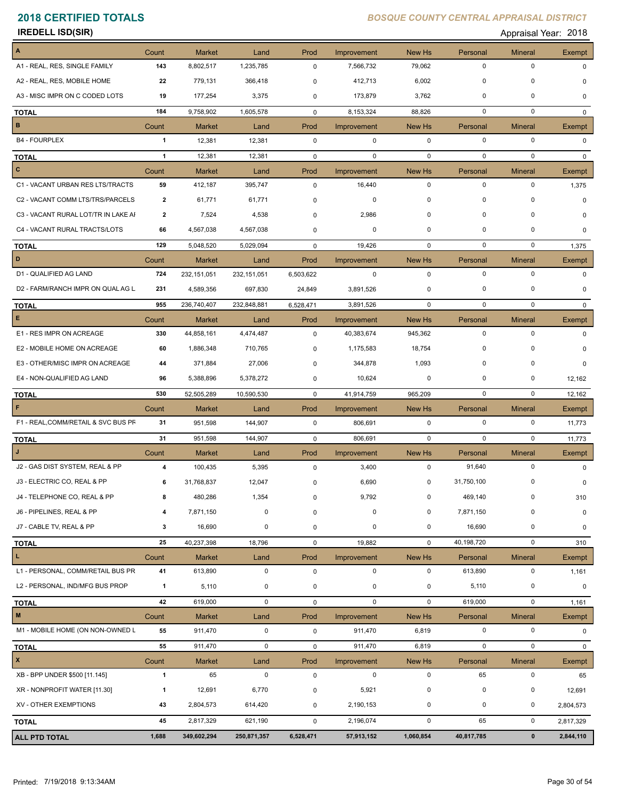| <b>IREDELL ISD(SIR)</b>             |                         |               |               |             |             |             |             | Appraisal Year: 2018 |               |
|-------------------------------------|-------------------------|---------------|---------------|-------------|-------------|-------------|-------------|----------------------|---------------|
| A                                   | Count                   | <b>Market</b> | Land          | Prod        | Improvement | New Hs      | Personal    | <b>Mineral</b>       | Exempt        |
| A1 - REAL, RES, SINGLE FAMILY       | 143                     | 8,802,517     | 1,235,785     | 0           | 7,566,732   | 79,062      | $\mathbf 0$ | $\pmb{0}$            | $\Omega$      |
| A2 - REAL, RES, MOBILE HOME         | 22                      | 779,131       | 366,418       | 0           | 412,713     | 6,002       | 0           | 0                    | 0             |
| A3 - MISC IMPR ON C CODED LOTS      | 19                      | 177,254       | 3,375         | 0           | 173,879     | 3,762       | $\mathbf 0$ | 0                    | 0             |
| <b>TOTAL</b>                        | 184                     | 9,758,902     | 1,605,578     | 0           | 8,153,324   | 88,826      | $\mathbf 0$ | $\mathbf 0$          | 0             |
| B                                   | Count                   | <b>Market</b> | Land          | Prod        | Improvement | New Hs      | Personal    | <b>Mineral</b>       | Exempt        |
| <b>B4 - FOURPLEX</b>                | 1                       | 12,381        | 12,381        | $\mathbf 0$ | $\mathbf 0$ | $\mathbf 0$ | $\mathbf 0$ | $\pmb{0}$            | $\Omega$      |
| <b>TOTAL</b>                        | $\mathbf{1}$            | 12,381        | 12,381        | $\mathbf 0$ | 0           | $\mathbf 0$ | $\mathbf 0$ | $\mathbf 0$          | $\Omega$      |
| $\overline{c}$                      | Count                   | <b>Market</b> | Land          | Prod        | Improvement | New Hs      | Personal    | <b>Mineral</b>       | Exempt        |
| C1 - VACANT URBAN RES LTS/TRACTS    | 59                      | 412,187       | 395,747       | $\mathbf 0$ | 16,440      | $\mathbf 0$ | 0           | 0                    | 1,375         |
| C2 - VACANT COMM LTS/TRS/PARCELS    | 2                       | 61,771        | 61,771        | 0           | 0           | $\mathbf 0$ | $\mathbf 0$ | 0                    | $\Omega$      |
| C3 - VACANT RURAL LOT/TR IN LAKE AI | $\overline{\mathbf{2}}$ | 7,524         | 4,538         | 0           | 2,986       | 0           | 0           | $\mathbf 0$          | 0             |
| C4 - VACANT RURAL TRACTS/LOTS       | 66                      | 4,567,038     | 4,567,038     | 0           | 0           | $\mathbf 0$ | 0           | 0                    | 0             |
| <b>TOTAL</b>                        | 129                     | 5,048,520     | 5,029,094     | 0           | 19,426      | 0           | $\mathbf 0$ | $\mathbf 0$          | 1,375         |
| D                                   | Count                   | <b>Market</b> | Land          | Prod        | Improvement | New Hs      | Personal    | <b>Mineral</b>       | Exempt        |
| D1 - QUALIFIED AG LAND              | 724                     | 232, 151, 051 | 232, 151, 051 | 6,503,622   | $\mathbf 0$ | $\mathbf 0$ | $\mathbf 0$ | $\pmb{0}$            | 0             |
| D2 - FARM/RANCH IMPR ON QUAL AG L   | 231                     | 4,589,356     | 697,830       | 24,849      | 3,891,526   | 0           | 0           | 0                    | $\Omega$      |
| <b>TOTAL</b>                        | 955                     | 236,740,407   | 232,848,881   | 6,528,471   | 3,891,526   | 0           | $\mathbf 0$ | $\mathbf 0$          | $\mathbf{0}$  |
| $\mathsf E$                         | Count                   | <b>Market</b> | Land          | Prod        | Improvement | New Hs      | Personal    | <b>Mineral</b>       | Exempt        |
| E1 - RES IMPR ON ACREAGE            | 330                     | 44,858,161    | 4,474,487     | 0           | 40,383,674  | 945,362     | 0           | 0                    | 0             |
| E2 - MOBILE HOME ON ACREAGE         | 60                      | 1,886,348     | 710,765       | 0           | 1,175,583   | 18,754      | $\mathbf 0$ | 0                    | 0             |
| E3 - OTHER/MISC IMPR ON ACREAGE     | 44                      | 371,884       | 27,006        | 0           | 344,878     | 1,093       | $\mathbf 0$ | 0                    | 0             |
| E4 - NON-QUALIFIED AG LAND          | 96                      | 5,388,896     | 5,378,272     | 0           | 10,624      | 0           | 0           | 0                    | 12,162        |
| <b>TOTAL</b>                        | 530                     | 52,505,289    | 10,590,530    | $\mathbf 0$ | 41,914,759  | 965,209     | $\mathbf 0$ | $\mathbf 0$          | 12,162        |
| $\mathsf F$                         | Count                   | <b>Market</b> | Land          | Prod        | Improvement | New Hs      | Personal    | <b>Mineral</b>       | Exempt        |
| F1 - REAL, COMM/RETAIL & SVC BUS PF | 31                      | 951,598       | 144,907       | $\mathbf 0$ | 806,691     | $\mathbf 0$ | 0           | 0                    | 11,773        |
| <b>TOTAL</b>                        | 31                      | 951,598       | 144,907       | $\mathbf 0$ | 806,691     | 0           | 0           | $\mathbf 0$          | 11,773        |
| IJ                                  | Count                   | <b>Market</b> | Land          | Prod        | Improvement | New Hs      | Personal    | <b>Mineral</b>       | <b>Exempt</b> |
| J2 - GAS DIST SYSTEM, REAL & PP     | 4                       | 100,435       | 5,395         | $\mathbf 0$ | 3,400       | $\mathbf 0$ | 91,640      | $\pmb{0}$            | $\mathbf 0$   |
| J3 - ELECTRIC CO, REAL & PP         | 6                       | 31,768,837    | 12,047        | 0           | 6,690       | $\pmb{0}$   | 31,750,100  | 0                    | 0             |
| J4 - TELEPHONE CO, REAL & PP        | 8                       | 480,286       | 1,354         | 0           | 9,792       | $\mathbf 0$ | 469,140     | 0                    | 310           |
| J6 - PIPELINES, REAL & PP           | 4                       | 7,871,150     | 0             | 0           | $\mathbf 0$ | 0           | 7,871,150   | 0                    | 0             |
| J7 - CABLE TV, REAL & PP            | 3                       | 16,690        | 0             | 0           | $\mathbf 0$ | 0           | 16,690      | $\pmb{0}$            | 0             |
| <b>TOTAL</b>                        | 25                      | 40,237,398    | 18,796        | 0           | 19,882      | $\mathbf 0$ | 40,198,720  | $\pmb{0}$            | 310           |
| $\mathbf{L}$                        | Count                   | <b>Market</b> | Land          | Prod        | Improvement | New Hs      | Personal    | <b>Mineral</b>       | Exempt        |
| L1 - PERSONAL, COMM/RETAIL BUS PR   | 41                      | 613,890       | $\mathbf 0$   | $\mathbf 0$ | 0           | $\mathbf 0$ | 613,890     | $\pmb{0}$            | 1,161         |
| L2 - PERSONAL, IND/MFG BUS PROP     | $\mathbf{1}$            | 5,110         | 0             | 0           | $\mathbf 0$ | 0           | 5,110       | 0                    | 0             |
| <b>TOTAL</b>                        | 42                      | 619,000       | 0             | 0           | $\mathbf 0$ | $\mathbf 0$ | 619,000     | $\pmb{0}$            | 1,161         |
| $\blacksquare$                      | Count                   | <b>Market</b> | Land          | Prod        | Improvement | New Hs      | Personal    | <b>Mineral</b>       | Exempt        |
| M1 - MOBILE HOME (ON NON-OWNED L    | 55                      | 911,470       | 0             | 0           | 911,470     | 6,819       | $\pmb{0}$   | $\pmb{0}$            | $\mathbf 0$   |
| <b>TOTAL</b>                        | 55                      | 911,470       | 0             | 0           | 911,470     | 6,819       | 0           | $\pmb{0}$            | 0             |
| $\boldsymbol{\mathsf{x}}$           | Count                   | <b>Market</b> | Land          | Prod        | Improvement | New Hs      | Personal    | <b>Mineral</b>       | Exempt        |
| XB - BPP UNDER \$500 [11.145]       | $\mathbf{1}$            | 65            | $\mathbf 0$   | $\mathbf 0$ | $\mathbf 0$ | $\mathbf 0$ | 65          | 0                    | 65            |
| XR - NONPROFIT WATER [11.30]        | $\mathbf{1}$            | 12,691        | 6,770         | 0           | 5,921       | 0           | 0           | 0                    | 12,691        |
| XV - OTHER EXEMPTIONS               | 43                      | 2,804,573     | 614,420       | 0           | 2,190,153   | 0           | 0           | 0                    | 2,804,573     |
| <b>TOTAL</b>                        | 45                      | 2,817,329     | 621,190       | 0           | 2,196,074   | $\mathbf 0$ | 65          | $\pmb{0}$            | 2,817,329     |
|                                     | 1,688                   | 349,602,294   |               |             | 57,913,152  |             |             | $\pmb{0}$            |               |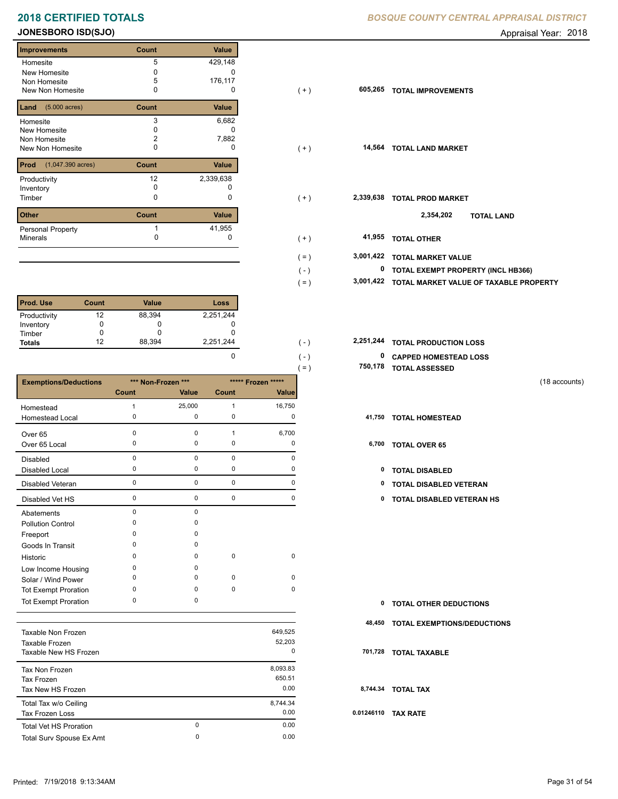# **2018 CERTIFIED TOTALS BOSQUE COUNTY CENTRAL APPRAISAL DISTRICTION CENTRAL APPROXIMATION**

## **JONESBORO ISD(SJO) Appraisal Year: 2018**

Е

| 5<br>429,148<br>Homesite                              |
|-------------------------------------------------------|
| New Homesite<br>0                                     |
| 5<br>176,117<br>Non Homesite                          |
| New Non Homesite<br>0<br>O                            |
| $(5.000 \text{ acres})$<br>Value<br>Land<br>Count     |
| 3<br>6,682<br>Homesite                                |
| New Homesite<br>O                                     |
| 7,882<br>2<br>Non Homesite                            |
| New Non Homesite<br>o<br>O                            |
| Value<br>Prod<br>$(1,047.390 \text{ acres})$<br>Count |
| 12<br>2,339,638<br>Productivity                       |
| <sup>0</sup><br>Inventory                             |
| 0<br>0<br>Timber                                      |
| Value<br><b>Other</b><br>Count                        |
| 41,955<br>Personal Property                           |
| 0<br><b>Minerals</b>                                  |

| <b>Prod. Use</b> | Count | <b>Value</b> | Loss      |
|------------------|-------|--------------|-----------|
| Productivity     | 12    | 88,394       | 2,251,244 |
| Inventory        |       |              |           |
| Timber           |       |              |           |
| <b>Totals</b>    | 12    | 88,394       | 2,251,244 |

|                              |              |                    |              |                    | $( = )$ | 750,178 | <b>TOTAL ASSESSED</b>         |               |
|------------------------------|--------------|--------------------|--------------|--------------------|---------|---------|-------------------------------|---------------|
| <b>Exemptions/Deductions</b> |              | *** Non-Frozen *** |              | ***** Frozen ***** |         |         |                               | (18 accounts) |
|                              | <b>Count</b> | Value              | Count        | <b>Value</b>       |         |         |                               |               |
| Homestead                    |              | 25,000             | $\mathbf{1}$ | 16,750             |         |         |                               |               |
| Homestead Local              | 0            | 0                  | 0            | 0                  |         | 41,750  | <b>TOTAL HOMESTEAD</b>        |               |
| Over 65                      | 0            | 0                  | 1            | 6,700              |         |         |                               |               |
| Over 65 Local                | 0            | 0                  | 0            | 0                  |         | 6,700   | <b>TOTAL OVER 65</b>          |               |
| Disabled                     | $\mathbf 0$  | 0                  | $\mathbf 0$  | 0                  |         |         |                               |               |
| Disabled Local               | 0            | 0                  | 0            | 0                  |         | 0       | <b>TOTAL DISABLED</b>         |               |
| Disabled Veteran             | 0            | 0                  | $\mathbf 0$  | 0                  |         | 0       | TOTAL DISABLED VETERAN        |               |
| Disabled Vet HS              | 0            | 0                  | 0            | 0                  |         | 0       | TOTAL DISABLED VETERAN HS     |               |
| Abatements                   | $\mathbf 0$  | 0                  |              |                    |         |         |                               |               |
| <b>Pollution Control</b>     | O            | 0                  |              |                    |         |         |                               |               |
| Freeport                     | O            | $\Omega$           |              |                    |         |         |                               |               |
| Goods In Transit             | O            | 0                  |              |                    |         |         |                               |               |
| Historic                     | O            | 0                  | $\pmb{0}$    | 0                  |         |         |                               |               |
| Low Income Housing           | $\Omega$     | 0                  |              |                    |         |         |                               |               |
| Solar / Wind Power           | $\Omega$     | $\Omega$           | $\mathbf 0$  | 0                  |         |         |                               |               |
| <b>Tot Exempt Proration</b>  | 0            | 0                  | $\mathbf 0$  | 0                  |         |         |                               |               |
| <b>Tot Exempt Proration</b>  | 0            | 0                  |              |                    |         | 0       | <b>TOTAL OTHER DEDUCTIONS</b> |               |

| Taxable Non Frozen<br>Taxable Frozen<br>Taxable New HS Frozen |               | 649.525<br>52,203<br>0     |     |
|---------------------------------------------------------------|---------------|----------------------------|-----|
| Tax Non Frozen<br>Tax Frozen<br>Tax New HS Frozen             |               | 8,093.83<br>650.51<br>0.00 |     |
| Total Tax w/o Ceiling<br><b>Tax Frozen Loss</b>               |               | 8,744.34<br>0.00           | 0.0 |
| <b>Total Vet HS Proration</b><br>Total Surv Spouse Ex Amt     | $\Omega$<br>0 | 0.00<br>0.00               |     |

|  |  | BOSQUE COUNTY CENTRAL APPRAISAL DISTRICT |
|--|--|------------------------------------------|
|  |  |                                          |

| <b>Improvements</b>                 | Count | Value     |         |              |                                        |
|-------------------------------------|-------|-----------|---------|--------------|----------------------------------------|
| Homesite                            | 5     | 429,148   |         |              |                                        |
| New Homesite                        |       | $\Omega$  |         |              |                                        |
| Non Homesite                        | 5     | 176,117   |         |              |                                        |
| New Non Homesite                    | 0     | 0         | $(+)$   | 605,265      | <b>TOTAL IMPROVEMENTS</b>              |
| <b>Land</b> $(5.000 \text{ acres})$ | Count | Value     |         |              |                                        |
| Homesite                            | 3     | 6,682     |         |              |                                        |
| New Homesite                        |       | $\Omega$  |         |              |                                        |
| Non Homesite                        |       | 7,882     |         |              |                                        |
| New Non Homesite                    | 0     | 0         | $(+)$   |              | 14,564 TOTAL LAND MARKET               |
| <b>Prod</b> (1,047.390 acres)       | Count | Value     |         |              |                                        |
| Productivity                        | 12    | 2,339,638 |         |              |                                        |
| Inventory                           | 0     |           |         |              |                                        |
| Timber                              | 0     | 0         | $(+)$   | 2,339,638    | <b>TOTAL PROD MARKET</b>               |
| Other                               | Count | Value     |         |              | 2,354,202<br><b>TOTAL LAND</b>         |
| Personal Property                   |       | 41,955    |         |              |                                        |
| Minerals                            | n     | 0         | $(+)$   | 41,955       | <b>TOTAL OTHER</b>                     |
|                                     |       |           | $( = )$ | 3,001,422    | <b>TOTAL MARKET VALUE</b>              |
|                                     |       |           |         |              |                                        |
|                                     |       |           | $(-)$   | $\mathbf{0}$ | TOTAL EXEMPT PROPERTY (INCL HB366)     |
|                                     |       |           | $( = )$ | 3,001,422    | TOTAL MARKET VALUE OF TAXABLE PROPERTY |
|                                     |       |           |         |              |                                        |

| 2.251.244 | $\overline{\phantom{a}}$ | 2,251,244 TOTAL PRODUCTION LOSS    |
|-----------|--------------------------|------------------------------------|
|           | $\overline{\phantom{a}}$ | <sup>0</sup> CAPPED HOMESTEAD LOSS |

- **750,178 TOTAL ASSESSED**
- (18 accounts)

- -
	-
	- 0 0 0 0 **0 TOTAL DISABLED VETERAN HS**

| 0 TOTAL OTHER DEDUCTIONS           |  |
|------------------------------------|--|
| 48,450 TOTAL EXEMPTIONS/DEDUCTIONS |  |

 **701,728 TOTAL TAXABLE**

 **8,744.34 TOTAL TAX**

 **0.01246110 TAX RATE**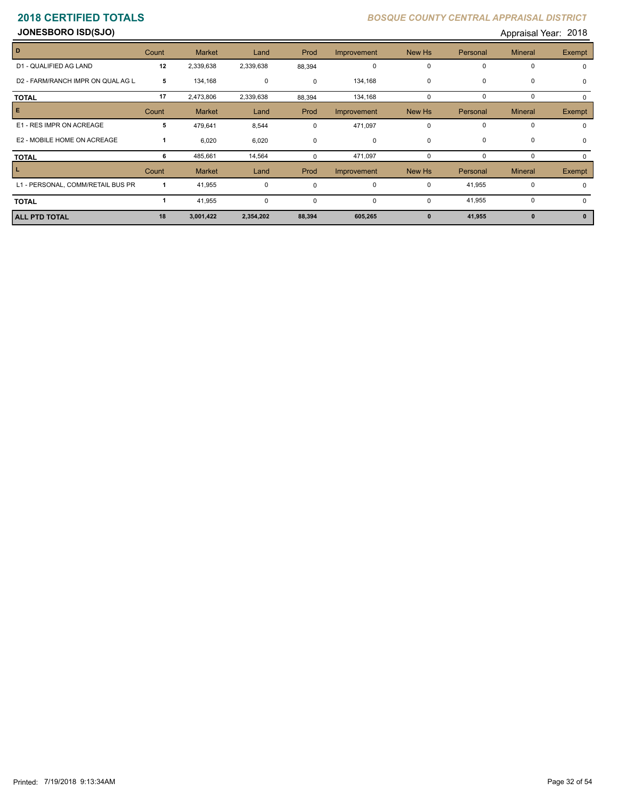**JONESBORO ISD(SJO)** Appraisal Year: 2018

| D                                 | Count | <b>Market</b> | Land        | Prod        | Improvement | New Hs       | Personal    | <b>Mineral</b> | <b>Exempt</b> |
|-----------------------------------|-------|---------------|-------------|-------------|-------------|--------------|-------------|----------------|---------------|
| D1 - QUALIFIED AG LAND            | 12    | 2,339,638     | 2,339,638   | 88,394      | $\mathbf 0$ | $\Omega$     | 0           | 0              |               |
| D2 - FARM/RANCH IMPR ON QUAL AG L | 5     | 134,168       | 0           | $\mathbf 0$ | 134,168     | $\mathbf 0$  | $\mathbf 0$ | 0              | $\Omega$      |
| <b>TOTAL</b>                      | 17    | 2,473,806     | 2,339,638   | 88,394      | 134,168     | $\Omega$     | 0           | 0              |               |
| E.                                | Count | <b>Market</b> | Land        | Prod        | Improvement | New Hs       | Personal    | <b>Mineral</b> | Exempt        |
| E1 - RES IMPR ON ACREAGE          | 5     | 479,641       | 8,544       | $\Omega$    | 471,097     | $\mathbf 0$  | $\mathbf 0$ | $\mathbf 0$    |               |
| E2 - MOBILE HOME ON ACREAGE       |       | 6,020         | 6,020       | $\Omega$    | 0           | $\mathbf 0$  | $\mathbf 0$ | 0              | $\Omega$      |
| <b>TOTAL</b>                      | 6     | 485,661       | 14,564      |             | 471,097     | 0            | 0           | 0              |               |
|                                   | Count | <b>Market</b> | Land        | Prod        | Improvement | New Hs       | Personal    | <b>Mineral</b> | Exempt        |
| L1 - PERSONAL, COMM/RETAIL BUS PR |       | 41,955        | $\mathbf 0$ | $\Omega$    | $\mathbf 0$ | 0            | 41,955      | 0              |               |
| <b>TOTAL</b>                      |       | 41,955        | 0           | $\mathbf 0$ | $\mathbf 0$ | $\mathbf 0$  | 41,955      | 0              |               |
| <b>ALL PTD TOTAL</b>              | 18    | 3,001,422     | 2,354,202   | 88,394      | 605,265     | $\mathbf{0}$ | 41,955      | $\mathbf{0}$   |               |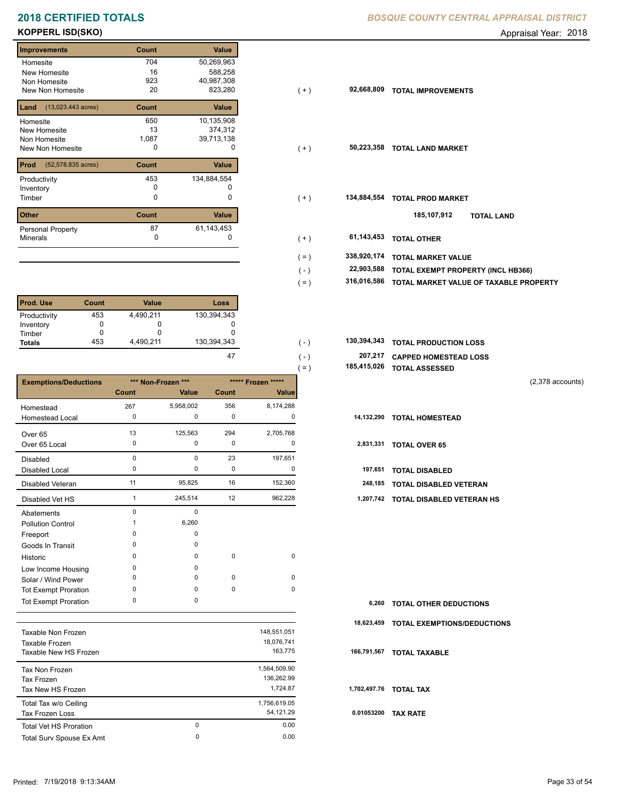# **2018 CERTIFIED TOTALS BOSQUE COUNTY CENTRAL APPRAISAL DISTRICTION CENTRAL APPROXIMATION**

## **KOPPERL ISD(SKO)** Appraisal Year: 2018

| <b>Improvements</b>                  | Count | Value        |
|--------------------------------------|-------|--------------|
| Homesite                             | 704   | 50,269,963   |
| New Homesite                         | 16    | 588,258      |
| Non Homesite                         | 923   | 40,987,308   |
| New Non Homesite                     | 20    | 823,280      |
| $(13,023.443 \text{ acres})$<br>Land | Count | <b>Value</b> |
| Homesite                             | 650   | 10,135,908   |
| <b>New Homesite</b>                  | 13    | 374,312      |
| Non Homesite                         | 1,087 | 39,713,138   |
| <b>New Non Homesite</b>              | O     | O            |
| Prod<br>(52,578.835 acres)           | Count | Value        |
| Productivity                         | 453   | 134,884,554  |
| Inventory                            | O     | U            |
| Timber                               | 0     | 0            |
| <b>Other</b>                         | Count | Value        |
| Personal Property                    | 87    | 61,143,453   |
| <b>Minerals</b>                      | 0     | O            |

| l Prod. Use   | Count | <b>Value</b> | Loss        |
|---------------|-------|--------------|-------------|
| Productivity  | 453   | 4,490,211    | 130,394,343 |
| Inventory     |       |              |             |
| Timber        |       |              |             |
| <b>Totals</b> | 453   | 4.490.211    | 130,394,343 |

|                              |              |                    |             |                    | $( = )$ | 185,415,026 | <b>TOTAL ASSESSED</b>         |                    |
|------------------------------|--------------|--------------------|-------------|--------------------|---------|-------------|-------------------------------|--------------------|
| <b>Exemptions/Deductions</b> |              | *** Non-Frozen *** |             | ***** Frozen ***** |         |             |                               | $(2,378$ accounts) |
|                              | Count        | Value              | Count       | Value              |         |             |                               |                    |
| Homestead                    | 267          | 5,958,002          | 356         | 8,174,288          |         |             |                               |                    |
| <b>Homestead Local</b>       | 0            | 0                  | 0           | 0                  |         | 14,132,290  | <b>TOTAL HOMESTEAD</b>        |                    |
| Over 65                      | 13           | 125,563            | 294         | 2,705,768          |         |             |                               |                    |
| Over 65 Local                | 0            | 0                  | 0           | 0                  |         | 2,831,331   | <b>TOTAL OVER 65</b>          |                    |
| <b>Disabled</b>              | $\Omega$     | 0                  | 23          | 197,651            |         |             |                               |                    |
| <b>Disabled Local</b>        | 0            | 0                  | 0           | 0                  |         | 197,651     | <b>TOTAL DISABLED</b>         |                    |
| Disabled Veteran             | 11           | 95,825             | 16          | 152,360            |         | 248,185     | TOTAL DISABLED VETERAN        |                    |
| Disabled Vet HS              |              | 245,514            | 12          | 962,228            |         | 1,207,742   | TOTAL DISABLED VETERAN HS     |                    |
| Abatements                   | $\Omega$     | 0                  |             |                    |         |             |                               |                    |
| <b>Pollution Control</b>     |              | 6,260              |             |                    |         |             |                               |                    |
| Freeport                     | $\Omega$     | $\Omega$           |             |                    |         |             |                               |                    |
| Goods In Transit             | <sup>0</sup> | 0                  |             |                    |         |             |                               |                    |
| Historic                     | $\Omega$     | 0                  | $\pmb{0}$   | 0                  |         |             |                               |                    |
| Low Income Housing           | $\Omega$     | 0                  |             |                    |         |             |                               |                    |
| Solar / Wind Power           | <sup>0</sup> | 0                  | 0           | 0                  |         |             |                               |                    |
| <b>Tot Exempt Proration</b>  | $\Omega$     | 0                  | $\mathbf 0$ | 0                  |         |             |                               |                    |
| <b>Tot Exempt Proration</b>  | 0            | 0                  |             |                    |         | 6,260       | <b>TOTAL OTHER DEDUCTIONS</b> |                    |

|                               |          |              | 18   |
|-------------------------------|----------|--------------|------|
| Taxable Non Frozen            |          | 148,551,051  |      |
| Taxable Frozen                |          | 18,076,741   |      |
| Taxable New HS Frozen         |          | 163,775      | 166  |
| Tax Non Frozen                |          | 1,564,509.90 |      |
| Tax Frozen                    |          | 136.262.99   |      |
| Tax New HS Frozen             |          | 1.724.87     | 1,70 |
| Total Tax w/o Ceiling         |          | 1,756,619.05 |      |
| Tax Frozen Loss               |          | 54,121.29    | 0.0  |
| <b>Total Vet HS Proration</b> | $\Omega$ | 0.00         |      |
| Total Surv Spouse Ex Amt      | 0        | 0.00         |      |
|                               |          |              |      |

|  | BOSQUE COUNTY CENTRAL APPRAISAL DISTRICT |  |
|--|------------------------------------------|--|
|  |                                          |  |

| ilipi ovenienis                          | <b>UUUIL</b> | value       |         |             |                                        |
|------------------------------------------|--------------|-------------|---------|-------------|----------------------------------------|
| Homesite                                 | 704          | 50,269,963  |         |             |                                        |
| New Homesite                             | 16           | 588,258     |         |             |                                        |
| Non Homesite                             | 923          | 40,987,308  |         |             |                                        |
| New Non Homesite                         | 20           | 823,280     | ( + )   | 92,668,809  | <b>TOTAL IMPROVEMENTS</b>              |
| <b>Land</b> $(13,023.443 \text{ acres})$ | Count        | Value       |         |             |                                        |
| Homesite                                 | 650          | 10,135,908  |         |             |                                        |
| New Homesite                             | 13           | 374,312     |         |             |                                        |
| Non Homesite                             | 1,087        | 39,713,138  |         |             |                                        |
| New Non Homesite                         | 0            | 0           | $(+)$   | 50,223,358  | <b>TOTAL LAND MARKET</b>               |
| <b>Prod</b> (52,578.835 acres)           | Count        | Value       |         |             |                                        |
| Productivity                             | 453          | 134,884,554 |         |             |                                        |
| Inventory                                | 0            |             |         |             |                                        |
| Timber                                   | 0            | 0           | $(+)$   | 134,884,554 | <b>TOTAL PROD MARKET</b>               |
| Other                                    | Count        | Value       |         |             | 185,107,912<br><b>TOTAL LAND</b>       |
| Personal Property                        | 87           | 61,143,453  |         |             |                                        |
| Minerals                                 | 0            |             | $(+)$   | 61,143,453  | <b>TOTAL OTHER</b>                     |
|                                          |              |             | $( = )$ | 338,920,174 | <b>TOTAL MARKET VALUE</b>              |
|                                          |              |             |         | 22,903,588  |                                        |
|                                          |              |             | $(-)$   |             | TOTAL EXEMPT PROPERTY (INCL HB366)     |
|                                          |              |             | $( = )$ | 316,016,586 | TOTAL MARKET VALUE OF TAXABLE PROPERTY |

| 130.394.343 | $($ – | 130,394,343 TOTAL PRODUCTION LOSS |
|-------------|-------|-----------------------------------|
| 47          | $($ – | 207,217 CAPPED HOMESTEAD LOSS     |

| 185,415,026 TOTAL ASSESSED |  |
|----------------------------|--|
|                            |  |

| 6,260 TOTAL OTHER DEDUCTIONS           |
|----------------------------------------|
| 18,623,459 TOTAL EXEMPTIONS/DEDUCTIONS |
| 166,791,567 TOTAL TAXABLE              |
|                                        |
| 1.702,497.76 TOTAL TAX                 |
| 0.01053200 TAX RATE                    |
|                                        |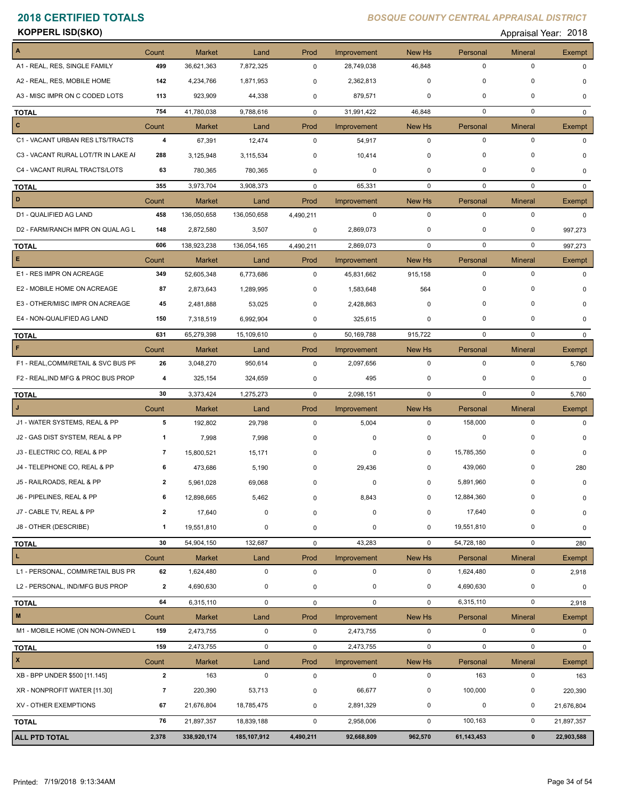**KOPPERL ISD(SKO)** Appraisal Year: 2018

| $\boldsymbol{\mathsf{A}}$           | Count                   | <b>Market</b> | Land          | Prod         | Improvement | New Hs      | Personal    | <b>Mineral</b> | Exempt       |
|-------------------------------------|-------------------------|---------------|---------------|--------------|-------------|-------------|-------------|----------------|--------------|
| A1 - REAL, RES, SINGLE FAMILY       | 499                     | 36,621,363    | 7,872,325     | $\mathbf 0$  | 28,749,038  | 46,848      | 0           | $\pmb{0}$      | $\Omega$     |
| A2 - REAL, RES, MOBILE HOME         | 142                     | 4,234,766     | 1,871,953     | 0            | 2,362,813   | 0           | 0           | 0              | $\Omega$     |
| A3 - MISC IMPR ON C CODED LOTS      | 113                     | 923,909       | 44,338        | 0            | 879,571     | 0           | 0           | $\mathbf 0$    | $\Omega$     |
| <b>TOTAL</b>                        | 754                     | 41,780,038    | 9,788,616     | $\mathbf 0$  | 31,991,422  | 46,848      | $\mathbf 0$ | $\mathbf 0$    | $\mathbf{0}$ |
| $\mathbf{C}$                        | Count                   | <b>Market</b> | Land          | Prod         | Improvement | New Hs      | Personal    | <b>Mineral</b> | Exempt       |
| C1 - VACANT URBAN RES LTS/TRACTS    | 4                       | 67,391        | 12,474        | $\mathbf 0$  | 54,917      | $\mathbf 0$ | $\mathbf 0$ | $\pmb{0}$      | $\Omega$     |
| C3 - VACANT RURAL LOT/TR IN LAKE AI | 288                     | 3,125,948     | 3,115,534     | 0            | 10,414      | 0           | $\Omega$    | 0              |              |
| C4 - VACANT RURAL TRACTS/LOTS       | 63                      | 780,365       | 780,365       | $\mathbf 0$  | 0           | 0           | 0           | 0              | 0            |
| <b>TOTAL</b>                        | 355                     | 3,973,704     | 3,908,373     | $\mathbf 0$  | 65,331      | $\mathbf 0$ | 0           | 0              | $\Omega$     |
| D                                   | Count                   | <b>Market</b> | Land          | Prod         | Improvement | New Hs      | Personal    | <b>Mineral</b> | Exempt       |
| D1 - QUALIFIED AG LAND              | 458                     | 136,050,658   | 136,050,658   | 4,490,211    | 0           | 0           | $\mathbf 0$ | $\pmb{0}$      | 0            |
| D2 - FARM/RANCH IMPR ON QUAL AG L   | 148                     | 2,872,580     | 3,507         | 0            | 2,869,073   | 0           | 0           | 0              | 997,273      |
| <b>TOTAL</b>                        | 606                     | 138,923,238   | 136,054,165   | 4,490,211    | 2,869,073   | $\mathbf 0$ | $\mathbf 0$ | $\mathbf 0$    | 997,273      |
| E.                                  | Count                   | <b>Market</b> | Land          | Prod         | Improvement | New Hs      | Personal    | <b>Mineral</b> | Exempt       |
| E1 - RES IMPR ON ACREAGE            | 349                     | 52,605,348    | 6,773,686     | $\mathbf 0$  | 45,831,662  | 915,158     | $\mathbf 0$ | $\pmb{0}$      | $\Omega$     |
| E2 - MOBILE HOME ON ACREAGE         | 87                      | 2,873,643     | 1,289,995     | 0            | 1,583,648   | 564         | $\mathbf 0$ | $\mathbf 0$    |              |
| E3 - OTHER/MISC IMPR ON ACREAGE     | 45                      | 2,481,888     | 53,025        | 0            | 2,428,863   | 0           | 0           | 0              | O            |
| E4 - NON-QUALIFIED AG LAND          | 150                     | 7,318,519     | 6,992,904     | 0            | 325,615     | 0           | 0           | 0              | O            |
| <b>TOTAL</b>                        | 631                     | 65,279,398    | 15,109,610    | $\Omega$     | 50,169,788  | 915,722     | $\mathbf 0$ | $\mathbf 0$    | $\Omega$     |
| $\mathsf F$                         | Count                   | <b>Market</b> | Land          | Prod         | Improvement | New Hs      | Personal    | <b>Mineral</b> | Exempt       |
| F1 - REAL, COMM/RETAIL & SVC BUS PF | 26                      | 3,048,270     | 950,614       | 0            | 2,097,656   | $\mathbf 0$ | $\mathbf 0$ | $\pmb{0}$      | 5,760        |
| F2 - REAL, IND MFG & PROC BUS PROP  | 4                       | 325,154       | 324,659       | 0            | 495         | 0           | 0           | 0              | 0            |
| <b>TOTAL</b>                        | 30                      | 3,373,424     | 1,275,273     | $\mathbf 0$  | 2,098,151   | 0           | $\mathbf 0$ | $\mathbf 0$    | 5,760        |
| J.                                  | Count                   | <b>Market</b> | Land          | Prod         | Improvement | New Hs      | Personal    | <b>Mineral</b> | Exempt       |
| J1 - WATER SYSTEMS, REAL & PP       | 5                       | 192,802       | 29,798        | $\mathbf 0$  | 5,004       | $\mathbf 0$ | 158,000     | $\mathbf 0$    | $\Omega$     |
| J2 - GAS DIST SYSTEM, REAL & PP     | 1                       | 7,998         | 7,998         | 0            | 0           | 0           | 0           | $\mathbf 0$    | $\Omega$     |
| J3 - ELECTRIC CO, REAL & PP         | 7                       | 15,800,521    | 15,171        | 0            | 0           | 0           | 15,785,350  | 0              | $\Omega$     |
| J4 - TELEPHONE CO, REAL & PP        | 6                       | 473,686       | 5,190         | 0            | 29,436      | 0           | 439,060     | 0              | 280          |
| J5 - RAILROADS, REAL & PP           | $\mathbf{2}$            | 5,961,028     | 69,068        | 0            | 0           | 0           | 5,891,960   | 0              | 0            |
| J6 - PIPELINES, REAL & PP           | 6                       | 12,898,665    | 5,462         | 0            | 8,843       | 0           | 12,884,360  | 0              | 0            |
| J7 - CABLE TV, REAL & PP            | 2                       | 17,640        | 0             | 0            | 0           | 0           | 17,640      | 0              | 0            |
| J8 - OTHER (DESCRIBE)               | 1                       | 19,551,810    | 0             | 0            | $\pmb{0}$   | 0           | 19,551,810  | $\pmb{0}$      | 0            |
| <b>TOTAL</b>                        | 30                      | 54,904,150    | 132,687       | $\mathbf 0$  | 43,283      | 0           | 54,728,180  | $\pmb{0}$      | 280          |
| L                                   | Count                   | <b>Market</b> | Land          | Prod         | Improvement | New Hs      | Personal    | <b>Mineral</b> | Exempt       |
| L1 - PERSONAL, COMM/RETAIL BUS PR   | 62                      | 1,624,480     | $\mathbf 0$   | $\mathsf 0$  | $\mathbf 0$ | $\mathbf 0$ | 1,624,480   | $\pmb{0}$      | 2,918        |
| L2 - PERSONAL, IND/MFG BUS PROP     | $\overline{\mathbf{2}}$ | 4,690,630     | 0             | 0            | $\mathbf 0$ | 0           | 4,690,630   | 0              | 0            |
| <b>TOTAL</b>                        | 64                      | 6,315,110     | 0             | $\mathsf{O}$ | $\mathsf 0$ | $\mathbf 0$ | 6,315,110   | $\pmb{0}$      | 2,918        |
| $\mathbf M$                         | Count                   | <b>Market</b> | Land          | Prod         | Improvement | New Hs      | Personal    | <b>Mineral</b> | Exempt       |
| M1 - MOBILE HOME (ON NON-OWNED L    | 159                     | 2,473,755     | $\mathbf 0$   | $\mathbf 0$  | 2,473,755   | $\mathbf 0$ | $\pmb{0}$   | $\pmb{0}$      | 0            |
| <b>TOTAL</b>                        | 159                     | 2,473,755     | 0             | $\mathbf 0$  | 2,473,755   | 0           | 0           | $\mathbf 0$    | 0            |
| $\mathbf{x}$                        | Count                   | <b>Market</b> | Land          | Prod         | Improvement | New Hs      | Personal    | <b>Mineral</b> | Exempt       |
| XB - BPP UNDER \$500 [11.145]       | $\mathbf{2}$            | 163           | 0             | $\mathbf 0$  | 0           | 0           | 163         | $\pmb{0}$      | 163          |
| XR - NONPROFIT WATER [11.30]        | $\overline{7}$          | 220,390       | 53,713        | 0            | 66,677      | 0           | 100,000     | 0              | 220,390      |
| XV - OTHER EXEMPTIONS               | 67                      | 21,676,804    | 18,785,475    | 0            | 2,891,329   | 0           | $\pmb{0}$   | $\pmb{0}$      | 21,676,804   |
| <b>TOTAL</b>                        | 76                      | 21,897,357    | 18,839,188    | $\mathbf 0$  | 2,958,006   | 0           | 100,163     | $\pmb{0}$      | 21,897,357   |
| <b>ALL PTD TOTAL</b>                | 2,378                   | 338,920,174   | 185, 107, 912 | 4,490,211    | 92,668,809  | 962,570     | 61,143,453  | $\pmb{0}$      | 22,903,588   |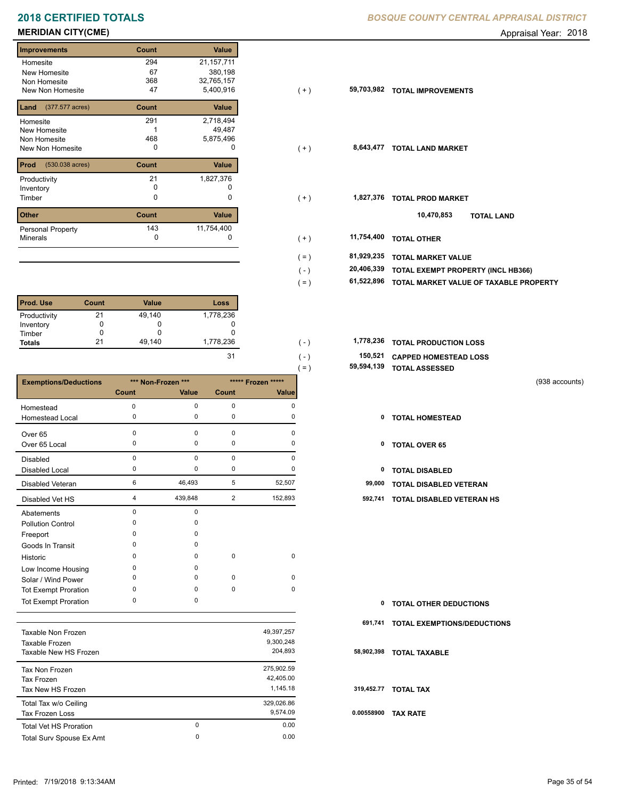# **2018 CERTIFIED TOTALS** *B*

## **MERIDIAN CITY(CME)** Appraisal Year: 2018

## **Improvements Count Value Homesite** New Homesite Non Homesite New Non Homesite **TOTAL IMPROVEMENTS**  294 21,157,711 67 380,198 49,487 1 368 32,765,157  $5,400,916$ **Land Count Value** (377.577 acres) Homesite New Homesite Non Homesite New Non Homesite **TOTAL CONSUMING MARKET**  291 2,718,494 468 5,875,496 **Prod Count Value** (530.038 acres) Productivity 21 1,827,376<br>
Inventory 0 0 Inventory<br>Timber 0 0 **Other Count Value** Minerals Personal Property **Exercise 143** 1,827,376 143 11,754,400

| <b>Prod. Use</b> | Count | <b>Value</b> | Loss      |
|------------------|-------|--------------|-----------|
| Productivity     | 21    | 49,140       | 1,778,236 |
| Inventory        |       | O            |           |
| Timber           |       | O            |           |
| <b>Totals</b>    | 21    | 49,140       | 1,778,236 |

|                              |              |                    |             |                    | 59,594,139<br>$=$ ) | <b>TOTAL ASSESSED</b>                |  |
|------------------------------|--------------|--------------------|-------------|--------------------|---------------------|--------------------------------------|--|
| <b>Exemptions/Deductions</b> |              | *** Non-Frozen *** |             | ***** Frozen ***** |                     | (938 accounts)                       |  |
|                              | Count        | Value              | Count       | <b>Value</b>       |                     |                                      |  |
| Homestead                    | 0            | 0                  | 0           | $\Omega$           |                     |                                      |  |
| Homestead Local              | 0            | 0                  | 0           | $\Omega$           | 0                   | <b>TOTAL HOMESTEAD</b>               |  |
| Over 65                      | $\Omega$     | 0                  | $\mathbf 0$ | U                  |                     |                                      |  |
| Over 65 Local                | 0            | 0                  | 0           | $\Omega$           | 0                   | <b>TOTAL OVER 65</b>                 |  |
| Disabled                     | $\Omega$     | 0                  | $\mathbf 0$ | $\Omega$           |                     |                                      |  |
| <b>Disabled Local</b>        | 0            | 0                  | $\pmb{0}$   | 0                  | 0                   | <b>TOTAL DISABLED</b>                |  |
| Disabled Veteran             | 6            | 46,493             | 5           | 52,507             | 99,000              | <b>TOTAL DISABLED VETERAN</b>        |  |
| Disabled Vet HS              | 4            | 439,848            | 2           | 152,893            | 592,741             | <b>TOTAL DISABLED VETERAN HS</b>     |  |
| Abatements                   | $\Omega$     | 0                  |             |                    |                     |                                      |  |
| <b>Pollution Control</b>     | $\Omega$     | 0                  |             |                    |                     |                                      |  |
| Freeport                     | ŋ            | 0                  |             |                    |                     |                                      |  |
| Goods In Transit             | <sup>0</sup> | 0                  |             |                    |                     |                                      |  |
| Historic                     | <sup>0</sup> | 0                  | $\mathbf 0$ | 0                  |                     |                                      |  |
| Low Income Housing           | $\Omega$     | 0                  |             |                    |                     |                                      |  |
| Solar / Wind Power           | ŋ            | 0                  | 0           | 0                  |                     |                                      |  |
| <b>Tot Exempt Proration</b>  | $\Omega$     | 0                  | $\pmb{0}$   | 0                  |                     |                                      |  |
| <b>Tot Exempt Proration</b>  | 0            | 0                  |             |                    | 0                   | <b>TOTAL OTHER DEDUCTIONS</b>        |  |
|                              |              |                    |             |                    |                     | 694 744 TOTAL EVENDTIONS IDEDUCTIONS |  |

| Taxable Non Frozen<br>Taxable Frozen<br>Taxable New HS Frozen |          | 49,397,257<br>9,300,248<br>204.893 | 58  |
|---------------------------------------------------------------|----------|------------------------------------|-----|
| Tax Non Frozen<br>Tax Frozen                                  |          | 275,902.59<br>42.405.00            |     |
| Tax New HS Frozen                                             |          | 1.145.18                           | 31  |
| Total Tax w/o Ceiling<br>Tax Frozen Loss                      |          | 329,026.86<br>9.574.09             | 0.0 |
| <b>Total Vet HS Proration</b>                                 | $\Omega$ | 0.00                               |     |
| Total Surv Spouse Ex Amt                                      | 0        | 0.00                               |     |

|  | <b>8OSQUE COUNTY CENTRAL APPRAISAL DISTRICT</b> |
|--|-------------------------------------------------|
|--|-------------------------------------------------|

| <b>Improvements</b>                   | Count | Value        |         |            |                                        |
|---------------------------------------|-------|--------------|---------|------------|----------------------------------------|
| Homesite                              | 294   | 21, 157, 711 |         |            |                                        |
| New Homesite                          | 67    | 380,198      |         |            |                                        |
| Non Homesite                          | 368   | 32,765,157   |         |            |                                        |
| New Non Homesite                      | 47    | 5,400,916    | $(+)$   | 59,703,982 | <b>TOTAL IMPROVEMENTS</b>              |
| <b>Land</b> $(377.577 \text{ acres})$ | Count | Value        |         |            |                                        |
| Homesite                              | 291   | 2,718,494    |         |            |                                        |
| New Homesite                          |       | 49,487       |         |            |                                        |
| Non Homesite                          | 468   | 5,875,496    |         |            |                                        |
| New Non Homesite                      | 0     | 0            | $(+)$   | 8,643,477  | <b>TOTAL LAND MARKET</b>               |
| <b>Prod</b> (530.038 acres)           | Count | Value        |         |            |                                        |
| Productivity                          | 21    | 1,827,376    |         |            |                                        |
| Inventory                             | 0     | 0            |         |            |                                        |
| Timber                                | 0     | 0            | $(+)$   | 1,827,376  | <b>TOTAL PROD MARKET</b>               |
| <b>Other</b>                          | Count | Value        |         |            | 10,470,853<br><b>TOTAL LAND</b>        |
| Personal Property                     | 143   | 11,754,400   |         |            |                                        |
| Minerals                              | 0     |              | $(+)$   | 11,754,400 | <b>TOTAL OTHER</b>                     |
|                                       |       |              | $( = )$ | 81,929,235 | <b>TOTAL MARKET VALUE</b>              |
|                                       |       |              | $(-)$   | 20,406,339 | TOTAL EXEMPT PROPERTY (INCL HB366)     |
|                                       |       |              | $( = )$ | 61,522,896 | TOTAL MARKET VALUE OF TAXABLE PROPERTY |
|                                       |       |              |         |            |                                        |

| 1.778.236 | - 1   | 1,778,236 TOTAL PRODUCTION LOSS |
|-----------|-------|---------------------------------|
|           | ( – ) | 150,521 CAPPED HOMESTEAD LOSS   |
|           | $=$   | 59,594,139 TOTAL ASSESSED       |

- 
- 

| $\mathbf{0}$ | <b>TOTAL OTHER DEDUCTIONS</b>      |
|--------------|------------------------------------|
| 691,741      | <b>TOTAL EXEMPTIONS/DEDUCTIONS</b> |
|              | 58,902,398 TOTAL TAXABLE           |
|              | 319,452.77 TOTAL TAX               |
| 0.00558900   | <b>TAX RATE</b>                    |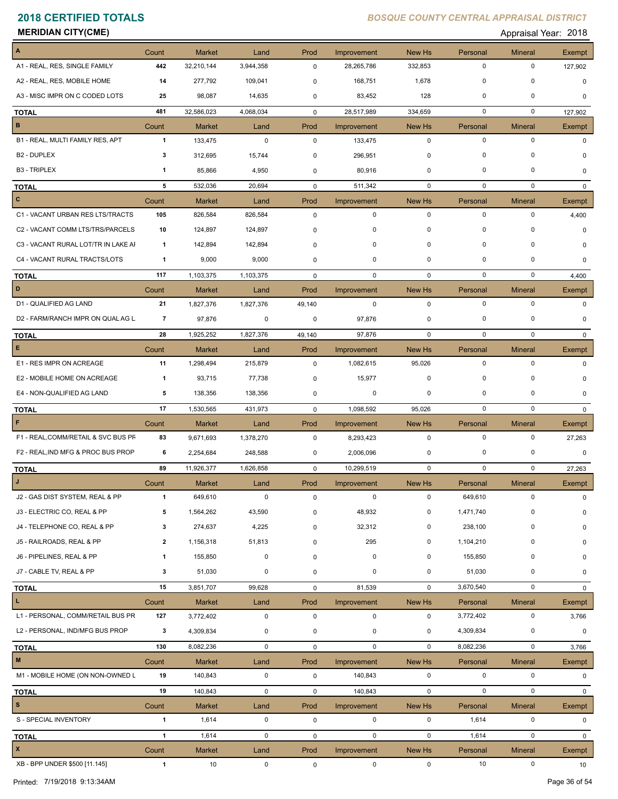**MERIDIAN CITY(CME)** Appraisal Year: 2018

| $\boldsymbol{\mathsf{A}}$           | Count                 | <b>Market</b> | Land        | Prod        | Improvement                | New Hs                | Personal       | <b>Mineral</b>      | Exempt        |
|-------------------------------------|-----------------------|---------------|-------------|-------------|----------------------------|-----------------------|----------------|---------------------|---------------|
| A1 - REAL, RES, SINGLE FAMILY       | 442                   | 32,210,144    | 3,944,358   | $\mathbf 0$ | 28,265,786                 | 332,853               | $\mathbf 0$    | $\mathbf 0$         | 127,902       |
| A2 - REAL, RES, MOBILE HOME         | 14                    | 277,792       | 109,041     | 0           | 168,751                    | 1,678                 | $\pmb{0}$      | $\mathbf 0$         | $\Omega$      |
| A3 - MISC IMPR ON C CODED LOTS      | 25                    | 98,087        | 14,635      | 0           | 83,452                     | 128                   | 0              | 0                   | 0             |
| <b>TOTAL</b>                        | 481                   | 32,586,023    | 4,068,034   | $\mathbf 0$ | 28,517,989                 | 334,659               | $\mathbf 0$    | $\mathbf 0$         | 127,902       |
| $\mathbf B$                         | Count                 | <b>Market</b> | Land        | Prod        | Improvement                | New Hs                | Personal       | <b>Mineral</b>      | Exempt        |
| B1 - REAL, MULTI FAMILY RES, APT    | $\mathbf{1}$          | 133,475       | $\pmb{0}$   | 0           | 133,475                    | $\mathbf 0$           | $\mathbf 0$    | $\mathbf 0$         | $\Omega$      |
| B <sub>2</sub> - DUPLEX             | 3                     | 312,695       | 15,744      | 0           | 296,951                    | $\mathbf 0$           | $\mathbf 0$    | $\mathbf 0$         | O             |
| <b>B3 - TRIPLEX</b>                 | $\mathbf{1}$          | 85,866        | 4,950       | 0           | 80,916                     | 0                     | 0              | $\mathbf 0$         | 0             |
| <b>TOTAL</b>                        | 5                     | 532,036       | 20,694      | 0           | 511,342                    | 0                     | 0              | $\mathbf 0$         | $\Omega$      |
| $\mathbf{C}$                        | Count                 | <b>Market</b> | Land        | Prod        | Improvement                | New Hs                | Personal       | <b>Mineral</b>      | Exempt        |
| C1 - VACANT URBAN RES LTS/TRACTS    | 105                   | 826,584       | 826,584     | 0           | 0                          | $\mathbf 0$           | $\mathbf 0$    | 0                   | 4,400         |
| C2 - VACANT COMM LTS/TRS/PARCELS    | 10                    | 124,897       | 124,897     | 0           | 0                          | 0                     | 0              | 0                   | $\mathbf 0$   |
| C3 - VACANT RURAL LOT/TR IN LAKE AI | $\mathbf{1}$          | 142,894       | 142,894     | 0           | 0                          | $\mathbf 0$           | 0              | $\mathbf 0$         | 0             |
| C4 - VACANT RURAL TRACTS/LOTS       | $\mathbf{1}$          | 9,000         | 9,000       | 0           | $\mathbf 0$                | 0                     | 0              | 0                   | 0             |
| <b>TOTAL</b>                        | 117                   | 1,103,375     | 1,103,375   | $\mathbf 0$ | $\mathbf 0$                | $\mathbf 0$           | $\mathbf 0$    | $\mathbf 0$         | 4,400         |
| D                                   | Count                 | <b>Market</b> | Land        | Prod        | Improvement                | New Hs                | Personal       | <b>Mineral</b>      | Exempt        |
| D1 - QUALIFIED AG LAND              | 21                    | 1,827,376     | 1,827,376   | 49,140      | $\mathbf 0$                | $\mathbf 0$           | $\mathbf 0$    | $\mathbf 0$         | $\Omega$      |
| D2 - FARM/RANCH IMPR ON QUAL AG L   | $\overline{7}$        | 97,876        | 0           | 0           | 97,876                     | 0                     | 0              | $\mathbf 0$         | $\Omega$      |
| <b>TOTAL</b>                        | 28                    | 1,925,252     | 1,827,376   | 49,140      | 97,876                     | $\mathbf 0$           | $\mathbf 0$    | $\mathbf 0$         | $\mathbf{0}$  |
| E                                   | Count                 | <b>Market</b> | Land        | Prod        | Improvement                | New Hs                | Personal       | <b>Mineral</b>      | Exempt        |
| E1 - RES IMPR ON ACREAGE            | 11                    | 1,298,494     | 215,879     | $\mathbf 0$ | 1,082,615                  | 95,026                | $\mathbf 0$    | 0                   | 0             |
| E2 - MOBILE HOME ON ACREAGE         | $\mathbf{1}$          | 93,715        | 77,738      | 0           | 15,977                     | $\mathbf 0$           | 0              | $\mathbf 0$         | 0             |
| E4 - NON-QUALIFIED AG LAND          | 5                     | 138,356       | 138,356     | 0           | 0                          | 0                     | 0              | 0                   | $\mathbf 0$   |
| <b>TOTAL</b>                        | 17                    | 1,530,565     | 431,973     | $\mathbf 0$ | 1,098,592                  | 95,026                | $\mathbf 0$    | $\mathbf 0$         | $\mathbf{0}$  |
| F                                   | Count                 | <b>Market</b> | Land        | Prod        | Improvement                | New Hs                | Personal       | <b>Mineral</b>      | Exempt        |
| F1 - REAL, COMM/RETAIL & SVC BUS PF | 83                    | 9,671,693     | 1,378,270   | 0           | 8,293,423                  | $\mathbf 0$           | $\mathbf 0$    | 0                   | 27,263        |
| F2 - REAL, IND MFG & PROC BUS PROP  | 6                     | 2,254,684     | 248,588     | 0           | 2,006,096                  | 0                     | 0              | 0                   | 0             |
| <b>TOTAL</b>                        | 89                    | 11,926,377    | 1,626,858   | $\mathbf 0$ | 10,299,519                 | $\mathbf{0}$          | 0              | $\mathbf 0$         | 27,263        |
| J                                   | Count                 | <b>Market</b> | Land        | Prod        | Improvement                | New Hs                | Personal       | <b>Mineral</b>      | <b>Exempt</b> |
| J2 - GAS DIST SYSTEM, REAL & PP     | 1                     | 649,610       | $\pmb{0}$   | 0           | 0                          | 0                     | 649,610        | 0                   | 0             |
| J3 - ELECTRIC CO, REAL & PP         | 5                     | 1,564,262     | 43,590      | 0           | 48,932                     | 0                     | 1,471,740      | $\Omega$            | $\mathbf 0$   |
| J4 - TELEPHONE CO, REAL & PP        | 3                     | 274,637       | 4,225       | 0           | 32,312                     | 0                     | 238,100        | 0                   | 0             |
| J5 - RAILROADS, REAL & PP           | $\overline{2}$        | 1,156,318     | 51,813      | 0           | 295                        | 0                     | 1,104,210      | 0                   | 0             |
| J6 - PIPELINES, REAL & PP           | $\mathbf{1}$          | 155,850       | $\pmb{0}$   | 0           | 0                          | $\mathbf 0$           | 155,850        | $\mathbf 0$         | 0             |
| J7 - CABLE TV, REAL & PP            | 3                     | 51,030        | 0           | 0           | $\pmb{0}$                  | $\mathbf 0$           | 51,030         | $\mathbf 0$         | 0             |
| <b>TOTAL</b>                        | 15                    | 3,851,707     | 99,628      | 0           | 81,539                     | $\mathbf 0$           | 3,670,540      | $\mathbf 0$         | 0             |
| $\mathbf{L}_1$                      | Count                 | <b>Market</b> | Land        | Prod        | Improvement                | New Hs                | Personal       | <b>Mineral</b>      | Exempt        |
| L1 - PERSONAL, COMM/RETAIL BUS PR   | 127                   | 3,772,402     | 0           | 0           | $\mathbf 0$                | $\mathbf 0$           | 3,772,402      | $\mathsf 0$         | 3,766         |
| L2 - PERSONAL, IND/MFG BUS PROP     | 3                     | 4,309,834     | 0           | 0           | $\pmb{0}$                  | 0                     | 4,309,834      | 0                   | 0             |
| <b>TOTAL</b>                        | 130                   | 8,082,236     | $\mathbf 0$ | 0           | $\mathbf 0$                | $\mathbf 0$           | 8,082,236      | $\mathbf 0$         | 3,766         |
| $\mathbf M$                         | Count                 | Market        | Land        | Prod        | Improvement                | New Hs                | Personal       | <b>Mineral</b>      | Exempt        |
| M1 - MOBILE HOME (ON NON-OWNED L    | 19                    | 140,843       | $\mathbf 0$ | 0           | 140,843                    | $\mathbf 0$           | 0              | $\mathbf 0$         | $\mathbf 0$   |
|                                     | 19                    | 140,843       | $\mathbf 0$ | 0           | 140,843                    | $\mathbf 0$           | $\pmb{0}$      | $\pmb{0}$           | $\mathbf{0}$  |
| <b>TOTAL</b><br>$\mathbf{s}$        | Count                 | <b>Market</b> | Land        | Prod        | Improvement                | New Hs                | Personal       | <b>Mineral</b>      | Exempt        |
| S - SPECIAL INVENTORY               | $\mathbf{1}$          | 1,614         | 0           | 0           | 0                          | $\mathbf 0$           | 1,614          | 0                   | 0             |
|                                     | $\mathbf{1}$          | 1,614         | $\mathbf 0$ | 0           | $\mathbf 0$                | $\mathbf 0$           | 1,614          | $\pmb{0}$           |               |
| <b>TOTAL</b><br>$\pmb{\mathsf{x}}$  |                       |               |             |             |                            |                       |                |                     | $\mathbf 0$   |
| XB - BPP UNDER \$500 [11.145]       | Count<br>$\mathbf{1}$ | Market<br>10  | Land<br>0   | Prod        | Improvement<br>$\mathbf 0$ | New Hs<br>$\mathbf 0$ | Personal<br>10 | <b>Mineral</b><br>0 | Exempt        |
|                                     |                       |               |             | 0           |                            |                       |                |                     | 10            |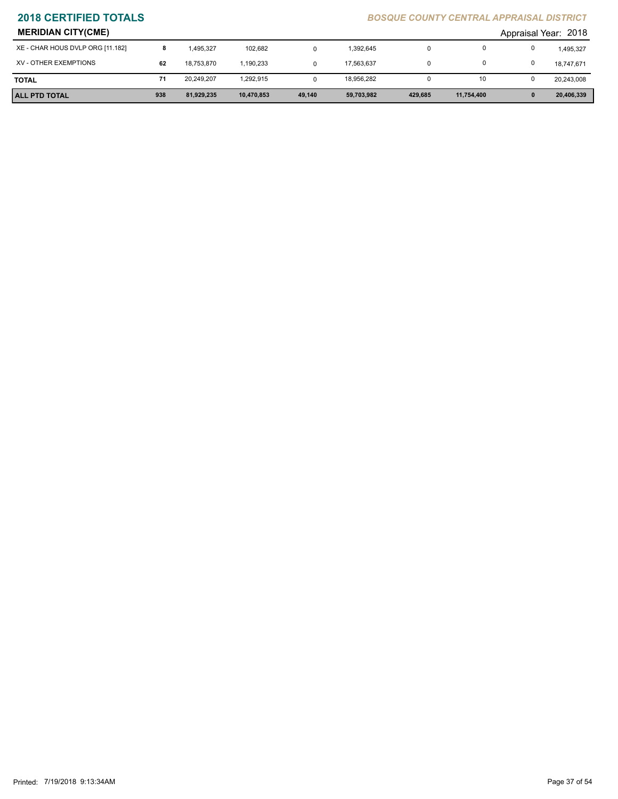| <b>MERIDIAN CITY(CME)</b>        |     |            |            |        |            |         |            |              | Appraisal Year: 2018 |
|----------------------------------|-----|------------|------------|--------|------------|---------|------------|--------------|----------------------|
| XE - CHAR HOUS DVLP ORG [11.182] | 8   | 1.495.327  | 102,682    |        | 1,392,645  |         |            |              | 1,495,327            |
| XV - OTHER EXEMPTIONS            | 62  | 18.753.870 | .190.233   |        | 17.563.637 |         |            |              | 18,747,671           |
| <b>TOTAL</b>                     |     | 20,249,207 | 1,292,915  |        | 18,956,282 |         | 10         |              | 20,243,008           |
| <b>ALL PTD TOTAL</b>             | 938 | 81,929,235 | 10,470,853 | 49,140 | 59,703,982 | 429.685 | 11,754,400 | $\mathbf{0}$ | 20,406,339           |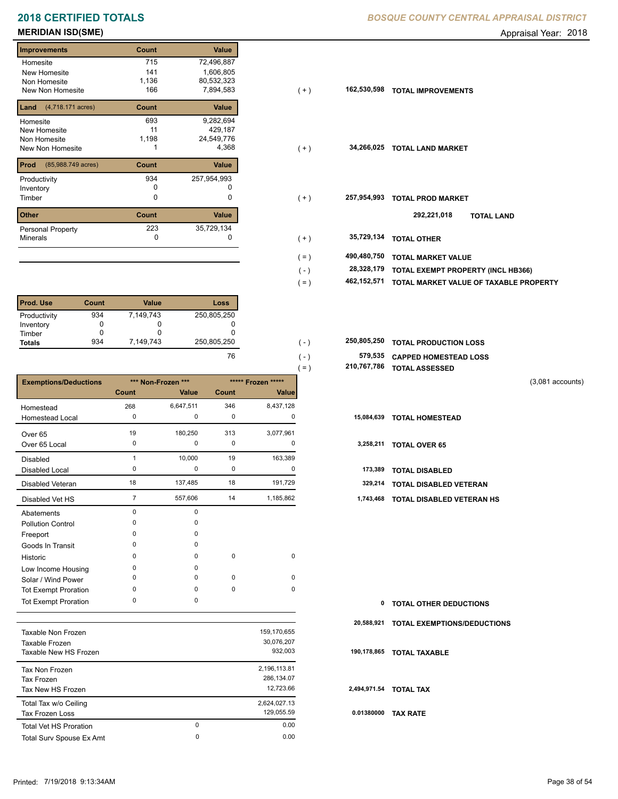# **2018 CERTIFIED TOTALS BOSQUE COUNTY CENTRAL APPRAISAL DISTRICTION CENTRAL APPROXIMATION**

## **MERIDIAN ISD(SME)** Appraisal Year: 2018

## **Improvements Count Value Homesite** New Homesite Non Homesite New Non Homesite **The Strate 166**  715 72,496,887 141 1,606,805 429,187 11 1,136 80,532,323 166 7,894,583 **162,530,598 Land** (4,718.171 acres) **Count Value** Homesite New Homesite Non Homesite New Non Homesite **TOTAL 1** 1 4,368 693 9,282,694 1,198 24,549,776 **Prod Count Value** (85,988.749 acres) Productivity 257,954,993 934 Inventory<br>Timber 0 0 **Other Count Value** Minerals Personal Property **Exercise 223** 223 35,729,134

| <b>Prod. Use</b> | Count | <b>Value</b> | Loss        |
|------------------|-------|--------------|-------------|
| Productivity     | 934   | 7,149,743    | 250,805,250 |
| Inventory        |       |              |             |
| Timber           |       |              |             |
| <b>Totals</b>    | 934   | 7,149,743    | 250,805,250 |

|                              |                |                    |             |                    | $=$ ) | 210,767,786 | <b>TOTAL ASSESSED</b>         |                    |
|------------------------------|----------------|--------------------|-------------|--------------------|-------|-------------|-------------------------------|--------------------|
| <b>Exemptions/Deductions</b> |                | *** Non-Frozen *** |             | ***** Frozen ***** |       |             |                               | $(3,081$ accounts) |
|                              | Count          | Value              | Count       | <b>Value</b>       |       |             |                               |                    |
| Homestead                    | 268            | 6,647,511          | 346         | 8,437,128          |       |             |                               |                    |
| <b>Homestead Local</b>       | 0              | 0                  | 0           | 0                  |       | 15,084,639  | <b>TOTAL HOMESTEAD</b>        |                    |
| Over 65                      | 19             | 180,250            | 313         | 3,077,961          |       |             |                               |                    |
| Over 65 Local                | 0              | 0                  | 0           | 0                  |       | 3,258,211   | <b>TOTAL OVER 65</b>          |                    |
| <b>Disabled</b>              |                | 10,000             | 19          | 163,389            |       |             |                               |                    |
| Disabled Local               | 0              | 0                  | 0           | 0                  |       | 173,389     | <b>TOTAL DISABLED</b>         |                    |
| Disabled Veteran             | 18             | 137,485            | 18          | 191,729            |       | 329,214     | TOTAL DISABLED VETERAN        |                    |
| Disabled Vet HS              | $\overline{7}$ | 557,606            | 14          | 1,185,862          |       | 1,743,468   | TOTAL DISABLED VETERAN HS     |                    |
| Abatements                   | 0              | 0                  |             |                    |       |             |                               |                    |
| <b>Pollution Control</b>     | $\Omega$       | 0                  |             |                    |       |             |                               |                    |
| Freeport                     | O              | $\Omega$           |             |                    |       |             |                               |                    |
| Goods In Transit             | O              | 0                  |             |                    |       |             |                               |                    |
| Historic                     | $\Omega$       | 0                  | $\mathbf 0$ | 0                  |       |             |                               |                    |
| Low Income Housing           | 0              | $\Omega$           |             |                    |       |             |                               |                    |
| Solar / Wind Power           | 0              | 0                  | 0           | 0                  |       |             |                               |                    |
| <b>Tot Exempt Proration</b>  | 0              | 0                  | $\pmb{0}$   | 0                  |       |             |                               |                    |
| <b>Tot Exempt Proration</b>  | 0              | 0                  |             |                    |       | 0           | <b>TOTAL OTHER DEDUCTIONS</b> |                    |

|                               |   |              | 20   |
|-------------------------------|---|--------------|------|
| Taxable Non Frozen            |   | 159,170,655  |      |
| Taxable Frozen                |   | 30.076.207   |      |
| Taxable New HS Frozen         |   | 932.003      | 190  |
| Tax Non Frozen                |   | 2,196,113.81 |      |
| Tax Frozen                    |   | 286.134.07   |      |
| Tax New HS Frozen             |   | 12.723.66    | 2,49 |
| Total Tax w/o Ceiling         |   | 2,624,027.13 |      |
| Tax Frozen Loss               |   | 129,055.59   | 0.0  |
| <b>Total Vet HS Proration</b> | 0 | 0.00         |      |
| Total Surv Spouse Ex Amt      | 0 | 0.00         |      |
|                               |   |              |      |

|  |  | <b>3OSQUE COUNTY CENTRAL APPRAISAL DISTRICT</b> |
|--|--|-------------------------------------------------|
|  |  |                                                 |

| ımprovements                            | Count        | value       |                        |                                        |
|-----------------------------------------|--------------|-------------|------------------------|----------------------------------------|
| Homesite                                | 715          | 72,496,887  |                        |                                        |
| New Homesite                            | 141          | 1,606,805   |                        |                                        |
| Non Homesite                            | 1,136        | 80,532,323  |                        |                                        |
| New Non Homesite                        | 166          | 7,894,583   | 162,530,598<br>$(+)$   | <b>TOTAL IMPROVEMENTS</b>              |
| <b>Land</b> $(4,718.171 \text{ acres})$ | Count        | Value       |                        |                                        |
| Homesite                                | 693          | 9,282,694   |                        |                                        |
| New Homesite                            | 11           | 429,187     |                        |                                        |
| Non Homesite                            | 1,198        | 24,549,776  |                        |                                        |
| New Non Homesite                        |              | 4,368       | 34,266,025<br>$(+)$    | <b>TOTAL LAND MARKET</b>               |
| <b>Prod</b> (85,988.749 acres)          | <b>Count</b> | Value       |                        |                                        |
| Productivity                            | 934          | 257,954,993 |                        |                                        |
| Inventory                               | 0            |             |                        |                                        |
| Timber                                  | 0            | 0           | 257,954,993<br>$(+)$   | <b>TOTAL PROD MARKET</b>               |
| Other                                   | Count        | Value       |                        | 292,221,018<br><b>TOTAL LAND</b>       |
| Personal Property                       | 223          | 35,729,134  |                        |                                        |
| Minerals                                | 0            | 0           | 35,729,134<br>$(+)$    | <b>TOTAL OTHER</b>                     |
|                                         |              |             |                        |                                        |
|                                         |              |             | 490,480,750<br>$( = )$ | <b>TOTAL MARKET VALUE</b>              |
|                                         |              |             | 28,328,179<br>$(-)$    | TOTAL EXEMPT PROPERTY (INCL HB366)     |
|                                         |              |             | 462,152,571<br>$( = )$ | TOTAL MARKET VALUE OF TAXABLE PROPERTY |
|                                         |              |             |                        |                                        |

| 250.805.250 | 250,805,250 TOTAL PRODUCTION LOSS |
|-------------|-----------------------------------|
|             | 579,535 CAPPED HOMESTEAD LOSS     |

| 210,767,786 TOTAL ASSESSED |  |
|----------------------------|--|
|                            |  |

- 
- 7 557,606 14 1,185,862 **1,743,468 TOTAL DISABLED VETERAN HS**

| $\mathbf{0}$ | <b>TOTAL OTHER DEDUCTIONS</b>          |
|--------------|----------------------------------------|
|              | 20,588,921 TOTAL EXEMPTIONS/DEDUCTIONS |
|              | 190,178,865 TOTAL TAXABLE              |
|              | 2,494,971.54 TOTAL TAX                 |
|              | 0.01380000 TAX RATE                    |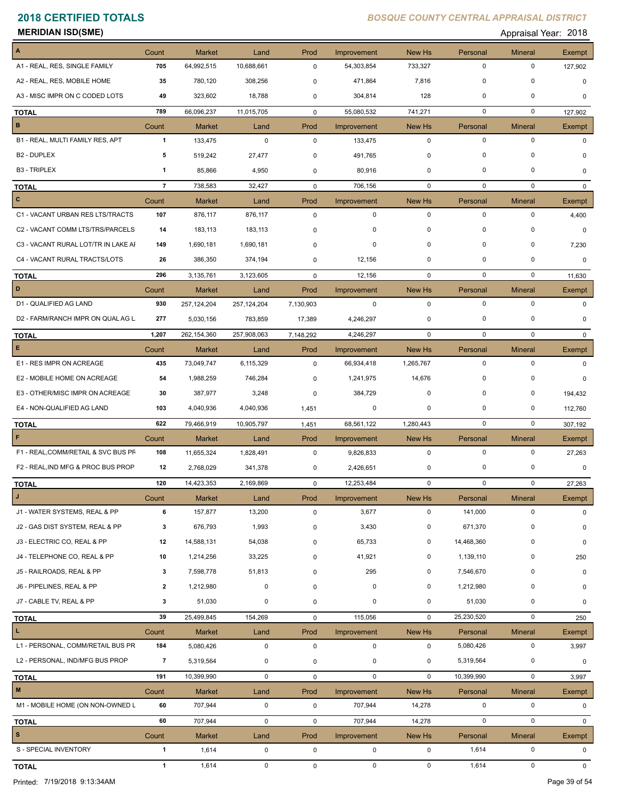| MERIDIAN ISD(SME) |  |
|-------------------|--|
|-------------------|--|

Appraisal Year: 2018

| $\blacktriangle$                    | Count                 | Market                 | Land              | Prod        | Improvement                | New Hs                | Personal          | <b>Mineral</b>              | Exempt                       |
|-------------------------------------|-----------------------|------------------------|-------------------|-------------|----------------------------|-----------------------|-------------------|-----------------------------|------------------------------|
| A1 - REAL, RES, SINGLE FAMILY       | 705                   | 64,992,515             | 10,688,661        | $\mathbf 0$ | 54,303,854                 | 733,327               | $\mathbf 0$       | $\mathbf 0$                 | 127,902                      |
| A2 - REAL, RES, MOBILE HOME         | 35                    | 780,120                | 308,256           | 0           | 471,864                    | 7,816                 | $\mathbf 0$       | $\mathbf 0$                 | $\mathbf 0$                  |
| A3 - MISC IMPR ON C CODED LOTS      | 49                    | 323,602                | 18,788            | 0           | 304,814                    | 128                   | $\mathbf 0$       | $\mathbf 0$                 | $\Omega$                     |
| <b>TOTAL</b>                        | 789                   | 66,096,237             | 11,015,705        | 0           | 55,080,532                 | 741,271               | $\mathbf 0$       | $\mathbf 0$                 | 127,902                      |
| $\mathbf{B}$                        | Count                 | <b>Market</b>          | Land              | Prod        | Improvement                | New Hs                | Personal          | <b>Mineral</b>              | Exempt                       |
| B1 - REAL, MULTI FAMILY RES, APT    | $\mathbf{1}$          | 133,475                | $\pmb{0}$         | $\mathbf 0$ | 133,475                    | $\mathbf 0$           | $\mathbf 0$       | $\mathbf 0$                 | 0                            |
| <b>B2 - DUPLEX</b>                  | 5                     | 519,242                | 27,477            | 0           | 491,765                    | 0                     | $\mathbf 0$       | 0                           | 0                            |
| <b>B3 - TRIPLEX</b>                 | $\mathbf{1}$          | 85,866                 | 4,950             | 0           | 80,916                     | 0                     | 0                 | $\mathbf 0$                 | $\mathbf 0$                  |
| <b>TOTAL</b>                        | $\overline{7}$        | 738,583                | 32,427            | $\mathbf 0$ | 706,156                    | $\mathbf 0$           | $\mathbf 0$       | $\mathbf 0$                 | $\mathbf{0}$                 |
| $\mathbf{C}$                        | Count                 | <b>Market</b>          | Land              | Prod        | Improvement                | New Hs                | Personal          | <b>Mineral</b>              | Exempt                       |
| C1 - VACANT URBAN RES LTS/TRACTS    | 107                   | 876,117                | 876,117           | 0           | $\mathbf 0$                | $\mathbf 0$           | $\mathbf 0$       | 0                           | 4,400                        |
| C2 - VACANT COMM LTS/TRS/PARCELS    | 14                    | 183,113                | 183,113           | 0           | 0                          | 0                     | $\mathbf 0$       | 0                           | $\mathbf 0$                  |
| C3 - VACANT RURAL LOT/TR IN LAKE AI | 149                   | 1,690,181              | 1,690,181         | 0           | 0                          | $\Omega$              | $\mathbf 0$       | $\mathbf 0$                 | 7,230                        |
| C4 - VACANT RURAL TRACTS/LOTS       | 26                    | 386,350                | 374,194           | 0           | 12,156                     | 0                     | 0                 | $\mathbf 0$                 | $\mathbf 0$                  |
| <b>TOTAL</b>                        | 296                   | 3,135,761              | 3,123,605         | $\mathbf 0$ | 12,156                     | $\mathbf 0$           | $\mathbf 0$       | $\mathbf 0$                 | 11,630                       |
| D                                   | Count                 | <b>Market</b>          | Land              | Prod        | Improvement                | <b>New Hs</b>         | Personal          | <b>Mineral</b>              | Exempt                       |
| D1 - QUALIFIED AG LAND              | 930                   | 257,124,204            | 257,124,204       | 7,130,903   | 0                          | $\mathbf 0$           | $\mathbf 0$       | $\mathbf 0$                 | 0                            |
| D2 - FARM/RANCH IMPR ON QUAL AG L   | 277                   | 5,030,156              | 783,859           | 17,389      | 4,246,297                  | 0                     | 0                 | 0                           | $\mathbf 0$                  |
|                                     | 1,207                 | 262,154,360            | 257,908,063       | 7,148,292   | 4,246,297                  | $\mathbf 0$           | $\mathbf 0$       | $\mathbf 0$                 | $\Omega$                     |
| <b>TOTAL</b><br>$\mathsf E$         | Count                 | <b>Market</b>          | Land              | Prod        | Improvement                | New Hs                | Personal          | <b>Mineral</b>              | <b>Exempt</b>                |
| E1 - RES IMPR ON ACREAGE            | 435                   | 73,049,747             | 6,115,329         | $\mathbf 0$ | 66,934,418                 | 1,265,767             | $\mathbf 0$       | $\mathbf 0$                 | $\Omega$                     |
| E2 - MOBILE HOME ON ACREAGE         |                       |                        |                   |             |                            |                       | 0                 | 0                           |                              |
|                                     | 54                    | 1,988,259              | 746,284           | 0           | 1,241,975                  | 14,676                |                   |                             | 0                            |
| E3 - OTHER/MISC IMPR ON ACREAGE     | 30                    | 387,977                | 3,248             | 0           | 384,729                    | 0                     | 0                 | 0                           | 194,432                      |
| E4 - NON-QUALIFIED AG LAND          | 103                   | 4,040,936              | 4,040,936         | 1,451       | 0                          | 0                     | $\mathbf 0$       | $\mathbf 0$                 | 112,760                      |
| <b>TOTAL</b>                        | 622                   | 79,466,919             | 10,905,797        | 1,451       | 68,561,122                 | 1,280,443             | $\mathbf 0$       | $\mathbf 0$                 | 307,192                      |
| $\mathsf F$                         | Count                 | <b>Market</b>          | Land              | Prod        | Improvement                | New Hs                | Personal          | <b>Mineral</b>              | Exempt                       |
| F1 - REAL, COMM/RETAIL & SVC BUS PF | 108                   | 11,655,324             | 1,828,491         | $\mathbf 0$ | 9,826,833                  | $\mathbf 0$           | $\mathbf 0$       | $\mathbf 0$                 | 27,263                       |
| F2 - REAL, IND MFG & PROC BUS PROP  | 12                    | 2,768,029              | 341,378           | 0           | 2,426,651                  | 0                     | 0                 | 0                           | 0                            |
| <b>TOTAL</b>                        | 120                   | 14,423,353             | 2,169,869         | 0           | 12,253,484                 | $\mathbf 0$           | $\mathbf 0$       | $\mathbf 0$                 | 27,263                       |
| J                                   | Count                 | <b>Market</b>          | Land              | Prod        | Improvement                | New Hs                | Personal          | <b>Mineral</b>              | Exempt                       |
| J1 - WATER SYSTEMS, REAL & PP       | 6                     | 157,877                | 13,200            | 0           | 3,677                      | $\mathbf 0$           | 141,000           | $\mathbf 0$                 | 0                            |
| J2 - GAS DIST SYSTEM, REAL & PP     | 3                     | 676,793                | 1,993             | 0           | 3,430                      | 0                     | 671,370           | 0                           | 0                            |
| J3 - ELECTRIC CO, REAL & PP         | 12                    | 14,588,131             | 54,038            | 0           | 65,733                     | 0                     | 14,468,360        | 0                           | 0                            |
| J4 - TELEPHONE CO, REAL & PP        | 10                    | 1,214,256              | 33,225            | 0           | 41,921                     | 0                     | 1,139,110         | 0                           | 250                          |
| J5 - RAILROADS, REAL & PP           | 3                     | 7,598,778              | 51,813            | 0           | 295                        | $\mathbf 0$           | 7,546,670         | 0                           | 0                            |
| J6 - PIPELINES, REAL & PP           | $\mathbf{2}$          | 1,212,980              | 0                 | 0           | 0                          | 0                     | 1,212,980         | $\mathbf 0$                 | 0                            |
| J7 - CABLE TV, REAL & PP            | 3                     | 51,030                 | 0                 | 0           | 0                          | 0                     | 51,030            | 0                           | 0                            |
| <b>TOTAL</b>                        | 39                    | 25,499,845             | 154,269           | 0           | 115,056                    | $\mathbf 0$           | 25,230,520        | $\mathbf 0$                 | 250                          |
| L                                   | Count                 | Market                 | Land              | Prod        | Improvement                | New Hs                | Personal          | <b>Mineral</b>              | Exempt                       |
| L1 - PERSONAL, COMM/RETAIL BUS PR   | 184                   | 5,080,426              | $\pmb{0}$         | 0           | 0                          | $\mathbf 0$           | 5,080,426         | 0                           | 3,997                        |
| L2 - PERSONAL, IND/MFG BUS PROP     | $\overline{7}$        | 5,319,564              | 0                 | 0           | 0                          | 0                     | 5,319,564         | 0                           | 0                            |
| <b>TOTAL</b>                        | 191                   | 10,399,990             | $\mathbf 0$       | $\mathbf 0$ | $\mathbf 0$                | $\mathbf 0$           | 10,399,990        | $\mathbf 0$                 | 3,997                        |
| ${\bf M}$                           | Count                 | Market                 | Land              | Prod        | Improvement                | New Hs                | Personal          | <b>Mineral</b>              | Exempt                       |
| M1 - MOBILE HOME (ON NON-OWNED L    | 60                    | 707,944                | $\pmb{0}$         | 0           | 707,944                    | 14,278                | 0                 | 0                           | 0                            |
|                                     | 60                    | 707,944                | $\pmb{0}$         | 0           | 707,944                    | 14,278                | $\mathbf 0$       | $\mathbf 0$                 | 0                            |
| <b>TOTAL</b><br>$\mathbf s$         |                       |                        |                   |             |                            |                       |                   |                             |                              |
| S - SPECIAL INVENTORY               | Count<br>$\mathbf{1}$ | <b>Market</b><br>1,614 | Land<br>$\pmb{0}$ | Prod<br>0   | Improvement<br>$\mathbf 0$ | New Hs<br>$\mathbf 0$ | Personal<br>1,614 | <b>Mineral</b><br>$\pmb{0}$ | <b>Exempt</b><br>$\mathbf 0$ |
|                                     |                       |                        |                   |             |                            |                       |                   |                             |                              |
| <b>TOTAL</b>                        | $\mathbf{1}$          | 1,614                  | 0                 | 0           | $\mathbf 0$                | $\mathbf 0$           | 1,614             | $\mathbf 0$                 | $\mathbf 0$                  |

Printed: 7/19/2018 9:13:34AM Page 39 of 54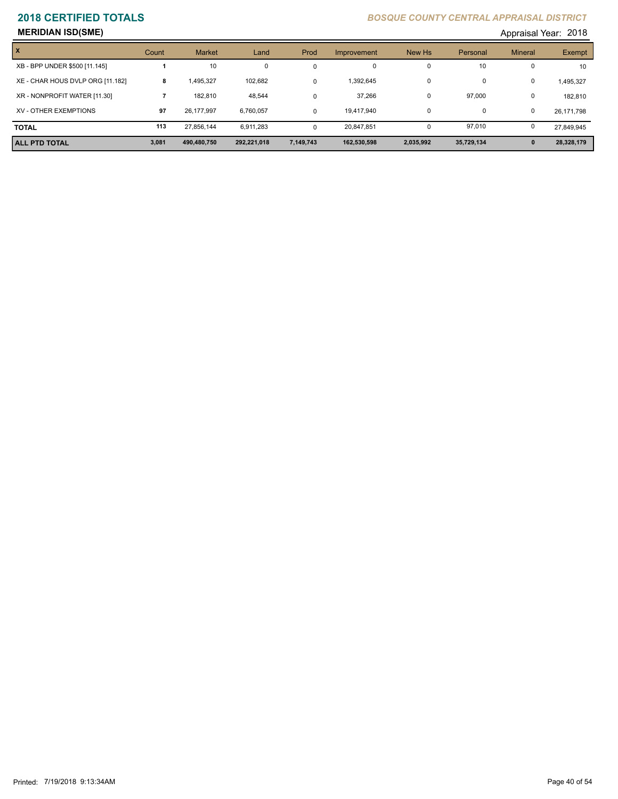# **MERIDIAN ISD(SME)** Appraisal Year: 2018

| 101، Appraisal Year:  201 |  |
|---------------------------|--|
|---------------------------|--|

| X                                | Count | <b>Market</b> | Land        | Prod      | Improvement | New Hs       | Personal   | <b>Mineral</b> | Exempt     |
|----------------------------------|-------|---------------|-------------|-----------|-------------|--------------|------------|----------------|------------|
| XB - BPP UNDER \$500 [11.145]    |       | 10            | $\Omega$    | 0         | $\Omega$    | $\Omega$     | 10         | 0              | 10         |
| XE - CHAR HOUS DVLP ORG [11.182] | 8     | .495.327      | 102.682     | 0         | 1,392,645   | 0            | 0          | 0              | 1,495,327  |
| XR - NONPROFIT WATER [11.30]     |       | 182.810       | 48.544      | 0         | 37,266      | 0            | 97,000     | 0              | 182,810    |
| XV - OTHER EXEMPTIONS            | 97    | 26.177.997    | 6,760,057   | $\Omega$  | 19.417.940  | 0            | 0          | 0              | 26,171,798 |
| <b>TOTAL</b>                     | 113   | 27,856,144    | 6,911,283   | $\Omega$  | 20,847,851  | $\mathbf{0}$ | 97,010     | 0              | 27,849,945 |
| <b>ALL PTD TOTAL</b>             | 3,081 | 490,480,750   | 292,221,018 | 7,149,743 | 162,530,598 | 2,035,992    | 35,729,134 | $\mathbf{0}$   | 28,328,179 |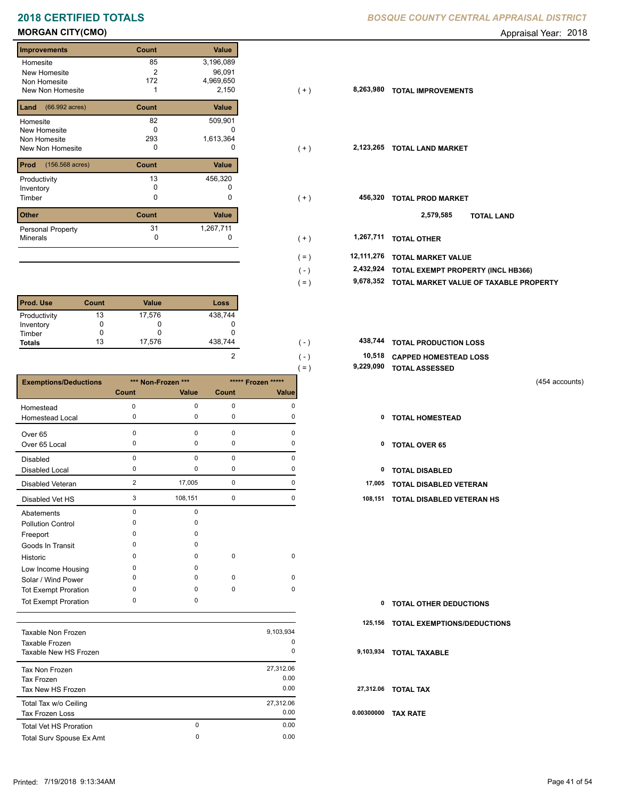# **2018 CERTIFIED TOTALS** *B*

## **MORGAN CITY(CMO) Appraisal Year: 2018**

## **Improvements Count Value Homesite** New Homesite Non Homesite New Non Homesite **TOTAL IMPROVEMENTS** 1 2,150 85 3,196,089 2 96,091 172 4,969,650 **Land Count Value** (66.992 acres) Homesite New Homesite Non Homesite New Non Homesite **TOTAL CONSUMING MARKET**  82 509,901  $\overline{0}$  c 293 1,613,364 **Prod Count Value** (156.568 acres) Productivity 13 456,320<br>
Inventory 0 0 0 Inventory<br>Timber 0 0 **Other Count Value** Minerals Personal Property 456,320 31 1,267,711

| <b>Prod. Use</b> | Count | <b>Value</b> | Loss    |
|------------------|-------|--------------|---------|
| Productivity     | 13    | 17,576       | 438,744 |
| Inventory        |       | O            |         |
| Timber           |       | O            |         |
| <b>Totals</b>    | 13    | 17,576       | 438,744 |

|                              |                |                                          |             |             | $=$ ) | 9,229,090 | <b>TOTAL ASSESSED</b>         |  |
|------------------------------|----------------|------------------------------------------|-------------|-------------|-------|-----------|-------------------------------|--|
| <b>Exemptions/Deductions</b> |                | *** Non-Frozen ***<br>***** Frozen ***** |             |             |       |           | (454 accounts)                |  |
|                              | Count          | Value                                    | Count       | Value       |       |           |                               |  |
| Homestead                    | 0              | 0                                        | $\mathbf 0$ | 0           |       |           |                               |  |
| Homestead Local              | 0              | 0                                        | 0           | 0           |       | 0         | <b>TOTAL HOMESTEAD</b>        |  |
| Over 65                      | $\Omega$       | $\Omega$                                 | $\pmb{0}$   | $\mathbf 0$ |       |           |                               |  |
| Over 65 Local                | 0              | 0                                        | 0           | 0           |       | 0         | <b>TOTAL OVER 65</b>          |  |
| <b>Disabled</b>              | $\Omega$       | $\mathbf 0$                              | $\mathbf 0$ | $\Omega$    |       |           |                               |  |
| <b>Disabled Local</b>        | $\Omega$       | 0                                        | 0           | O           |       | 0         | <b>TOTAL DISABLED</b>         |  |
| Disabled Veteran             | $\overline{2}$ | 17,005                                   | 0           | 0           |       | 17,005    | TOTAL DISABLED VETERAN        |  |
| Disabled Vet HS              | 3              | 108,151                                  | 0           | 0           |       | 108,151   | TOTAL DISABLED VETERAN HS     |  |
| Abatements                   | $\Omega$       | 0                                        |             |             |       |           |                               |  |
| <b>Pollution Control</b>     |                | 0                                        |             |             |       |           |                               |  |
| Freeport                     |                | 0                                        |             |             |       |           |                               |  |
| Goods In Transit             |                | 0                                        |             |             |       |           |                               |  |
| Historic                     | ∩              | 0                                        | $\mathbf 0$ | 0           |       |           |                               |  |
| Low Income Housing           | $\Omega$       | 0                                        |             |             |       |           |                               |  |
| Solar / Wind Power           | $\Omega$       | 0                                        | $\mathbf 0$ | 0           |       |           |                               |  |
| <b>Tot Exempt Proration</b>  | $\Omega$       | 0                                        | $\mathbf 0$ | 0           |       |           |                               |  |
| <b>Tot Exempt Proration</b>  | 0              | 0                                        |             |             |       | 0         | <b>TOTAL OTHER DEDUCTIONS</b> |  |

| Taxable Non Frozen<br>Taxable Frozen<br>Taxable New HS Frozen |               | 9,103,934<br>0<br>0       | 9.                    |
|---------------------------------------------------------------|---------------|---------------------------|-----------------------|
| Tax Non Frozen<br>Tax Frozen<br>Tax New HS Frozen             |               | 27,312.06<br>0.00<br>0.00 | $\mathbf{2}^{\prime}$ |
| Total Tax w/o Ceiling<br><b>Tax Frozen Loss</b>               |               | 27,312.06<br>0.00         | 0.0                   |
| <b>Total Vet HS Proration</b><br>Total Surv Spouse Ex Amt     | $\Omega$<br>0 | 0.00<br>0.00              |                       |

|  | <b>3OSQUE COUNTY CENTRAL APPRAISAL DISTRICT</b> |  |
|--|-------------------------------------------------|--|
|  |                                                 |  |

| <b>Improvements</b>                                          | Count               | Value                                     |                       |                                        |
|--------------------------------------------------------------|---------------------|-------------------------------------------|-----------------------|----------------------------------------|
| Homesite<br>New Homesite<br>Non Homesite<br>New Non Homesite | 85<br>2<br>172      | 3,196,089<br>96,091<br>4,969,650<br>2,150 | 8,263,980<br>$(+)$    | <b>TOTAL IMPROVEMENTS</b>              |
| <b>Land</b> $(66.992 \text{ acres})$                         | Count               | Value                                     |                       |                                        |
| Homesite<br>New Homesite<br>Non Homesite<br>New Non Homesite | 82<br>0<br>293<br>0 | 509,901<br>0<br>1,613,364<br>0            | 2,123,265<br>$(+)$    | <b>TOTAL LAND MARKET</b>               |
| <b>Prod</b> (156.568 acres)                                  | Count               | Value                                     |                       |                                        |
| Productivity<br>Inventory<br>Timber                          | 13<br>0<br>0        | 456,320<br>0<br>0                         | 456,320<br>$(+)$      | <b>TOTAL PROD MARKET</b>               |
| <b>Other</b>                                                 | Count               | Value                                     |                       | 2,579,585<br><b>TOTAL LAND</b>         |
| Personal Property<br>Minerals                                | 31<br>0             | 1,267,711                                 | 1,267,711<br>$(+)$    | <b>TOTAL OTHER</b>                     |
|                                                              |                     |                                           | 12,111,276<br>$( = )$ | <b>TOTAL MARKET VALUE</b>              |
|                                                              |                     |                                           | 2,432,924<br>$(-)$    | TOTAL EXEMPT PROPERTY (INCL HB366)     |
|                                                              |                     |                                           | 9,678,352<br>$( = )$  | TOTAL MARKET VALUE OF TAXABLE PROPERTY |

| 438.744 | $\sim$ $\sim$ | 438,744 TOTAL PRODUCTION LOSS |
|---------|---------------|-------------------------------|
|         | ( – )         | 10,518 CAPPED HOMESTEAD LOSS  |
|         | $=$ $\lambda$ | 9,229,090 TOTAL ASSESSED      |

- 
- 
- 
- 3 108,151 0 0 **108,151 TOTAL DISABLED VETERAN HS**

| <b>0 TOTAL OTHER DEDUCTIONS</b>     |
|-------------------------------------|
| 125,156 TOTAL EXEMPTIONS/DEDUCTIONS |
| 9,103,934 TOTAL TAXABLE             |
| 27,312.06 TOTAL TAX                 |
| 0.00300000 TAX RATE                 |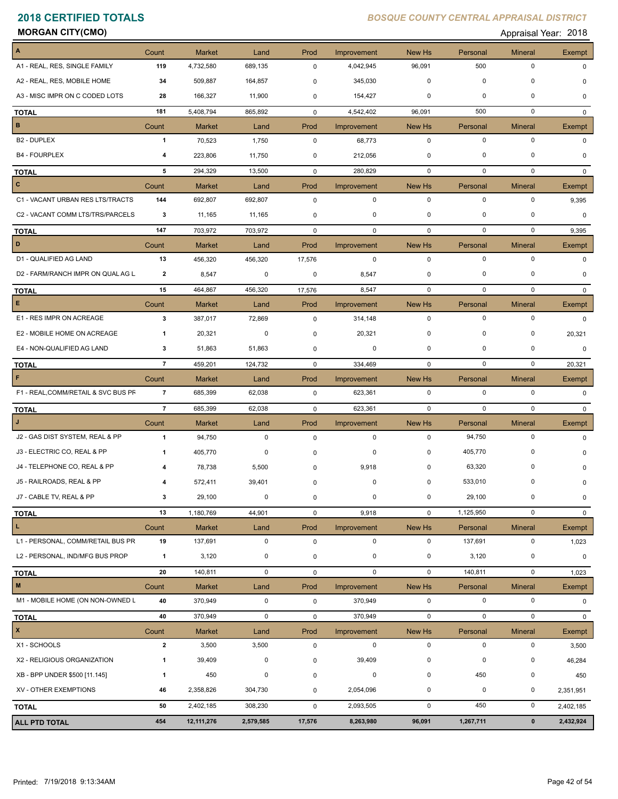**MORGAN CITY(CMO)** Appraisal Year: 2018

| $\blacktriangle$                    | Count          | <b>Market</b> | Land        | Prod        | Improvement | New Hs      | Personal    | <b>Mineral</b> | Exempt        |
|-------------------------------------|----------------|---------------|-------------|-------------|-------------|-------------|-------------|----------------|---------------|
| A1 - REAL, RES, SINGLE FAMILY       | 119            | 4,732,580     | 689,135     | $\mathbf 0$ | 4,042,945   | 96,091      | 500         | $\pmb{0}$      | 0             |
| A2 - REAL, RES, MOBILE HOME         | 34             | 509,887       | 164,857     | 0           | 345,030     | 0           | 0           | 0              |               |
| A3 - MISC IMPR ON C CODED LOTS      | 28             | 166,327       | 11,900      | 0           | 154,427     | 0           | 0           | 0              | O             |
| <b>TOTAL</b>                        | 181            | 5,408,794     | 865,892     | $\mathbf 0$ | 4,542,402   | 96,091      | 500         | $\mathbf 0$    | 0             |
| B                                   | Count          | <b>Market</b> | Land        | Prod        | Improvement | New Hs      | Personal    | <b>Mineral</b> | <b>Exempt</b> |
| B <sub>2</sub> - DUPLEX             | 1              | 70,523        | 1,750       | 0           | 68,773      | $\mathbf 0$ | $\mathbf 0$ | $\pmb{0}$      | 0             |
| <b>B4 - FOURPLEX</b>                | 4              | 223,806       | 11,750      | 0           | 212,056     | 0           | 0           | 0              | <sup>0</sup>  |
| <b>TOTAL</b>                        | 5              | 294,329       | 13,500      | 0           | 280,829     | 0           | 0           | $\pmb{0}$      | 0             |
| $\mathbf{c}$                        | Count          | <b>Market</b> | Land        | Prod        | Improvement | New Hs      | Personal    | <b>Mineral</b> | Exempt        |
| C1 - VACANT URBAN RES LTS/TRACTS    | 144            | 692,807       | 692,807     | $\mathbf 0$ | $\mathbf 0$ | 0           | $\mathbf 0$ | $\pmb{0}$      | 9,395         |
| C2 - VACANT COMM LTS/TRS/PARCELS    | 3              | 11,165        | 11,165      | 0           | 0           | 0           | 0           | $\mathbf 0$    | 0             |
| <b>TOTAL</b>                        | 147            | 703,972       | 703,972     | $\mathbf 0$ | 0           | 0           | 0           | $\pmb{0}$      | 9,395         |
| D                                   | Count          | <b>Market</b> | Land        | Prod        | Improvement | New Hs      | Personal    | Mineral        | Exempt        |
| D1 - QUALIFIED AG LAND              | 13             | 456,320       | 456,320     | 17,576      | 0           | 0           | 0           | 0              | 0             |
| D2 - FARM/RANCH IMPR ON QUAL AG L   | 2              | 8,547         | 0           | 0           | 8,547       | 0           | 0           | 0              | 0             |
| <b>TOTAL</b>                        | 15             | 464,867       | 456,320     | 17,576      | 8,547       | 0           | 0           | 0              | $\Omega$      |
| $\mathsf E$                         | Count          | <b>Market</b> | Land        | Prod        | Improvement | New Hs      | Personal    | <b>Mineral</b> | Exempt        |
| E1 - RES IMPR ON ACREAGE            | 3              | 387,017       | 72,869      | $\mathbf 0$ | 314,148     | 0           | $\mathbf 0$ | 0              | 0             |
| E2 - MOBILE HOME ON ACREAGE         | 1              | 20,321        | 0           | 0           | 20,321      | 0           | 0           | 0              | 20,321        |
| E4 - NON-QUALIFIED AG LAND          | 3              | 51,863        | 51,863      | 0           | 0           | $\mathbf 0$ | $\mathbf 0$ | 0              | 0             |
| <b>TOTAL</b>                        | $\overline{7}$ | 459,201       | 124,732     | $\mathbf 0$ | 334,469     | 0           | 0           | $\pmb{0}$      | 20,321        |
| F                                   | Count          | <b>Market</b> | Land        | Prod        | Improvement | New Hs      | Personal    | <b>Mineral</b> | <b>Exempt</b> |
| F1 - REAL, COMM/RETAIL & SVC BUS PF | $\overline{7}$ | 685,399       | 62,038      | $\mathbf 0$ | 623,361     | $\mathbf 0$ | 0           | $\pmb{0}$      | $\Omega$      |
| <b>TOTAL</b>                        | $\overline{7}$ | 685,399       | 62,038      | $\mathbf 0$ | 623,361     | $\mathbf 0$ | $\mathbf 0$ | $\mathbf 0$    | $\Omega$      |
| J                                   | Count          | <b>Market</b> | Land        | Prod        | Improvement | New Hs      | Personal    | <b>Mineral</b> | Exempt        |
| J2 - GAS DIST SYSTEM, REAL & PP     | $\overline{1}$ | 94,750        | $\mathbf 0$ | $\mathbf 0$ | $\mathbf 0$ | 0           | 94,750      | $\pmb{0}$      | $\Omega$      |
| J3 - ELECTRIC CO, REAL & PP         | 1              | 405,770       | 0           | 0           | 0           | 0           | 405,770     | 0              | O             |
| J4 - TELEPHONE CO, REAL & PP        |                | 78,738        | 5,500       | 0           | 9,918       | 0           | 63,320      | 0              |               |
| J5 - RAILROADS, REAL & PP           | 4              | 572,411       | 39,401      | 0           | 0           | $\mathbf 0$ | 533,010     | $\Omega$       | 0             |
| J7 - CABLE TV, REAL & PP            | $\mathbf 3$    | 29,100        | $\mathbf 0$ | 0           | $\pmb{0}$   | $\mathbf 0$ | 29,100      | $\pmb{0}$      | 0             |
| <b>TOTAL</b>                        | 13             | 1,180,769     | 44,901      | 0           | 9,918       | $\mathbf 0$ | 1,125,950   | $\pmb{0}$      | 0             |
| L.                                  | Count          | <b>Market</b> | Land        | Prod        | Improvement | New Hs      | Personal    | <b>Mineral</b> | Exempt        |
| L1 - PERSONAL, COMM/RETAIL BUS PR   | 19             | 137,691       | 0           | $\mathsf 0$ | $\mathbf 0$ | 0           | 137,691     | $\pmb{0}$      | 1,023         |
| L2 - PERSONAL, IND/MFG BUS PROP     | $\overline{1}$ | 3,120         | 0           | 0           | $\pmb{0}$   | $\mathbf 0$ | 3,120       | $\pmb{0}$      | 0             |
| <b>TOTAL</b>                        | 20             | 140,811       | 0           | 0           | $\mathbf 0$ | $\mathbf 0$ | 140,811     | $\pmb{0}$      | 1,023         |
| M                                   | Count          | <b>Market</b> | Land        | Prod        | Improvement | New Hs      | Personal    | <b>Mineral</b> | Exempt        |
| M1 - MOBILE HOME (ON NON-OWNED L    | 40             | 370,949       | $\mathbf 0$ | $\mathbf 0$ | 370,949     | $\mathbf 0$ | $\pmb{0}$   | $\pmb{0}$      | 0             |
| <b>TOTAL</b>                        | 40             | 370,949       | $\mathbf 0$ | 0           | 370,949     | $\mathbf 0$ | $\mathbf 0$ | $\pmb{0}$      | 0             |
| $\vert x \vert$                     | Count          | <b>Market</b> | Land        | Prod        | Improvement | New Hs      | Personal    | <b>Mineral</b> | Exempt        |
| X1 - SCHOOLS                        | $\mathbf{2}$   | 3,500         | 3,500       | 0           | $\mathbf 0$ | 0           | $\mathbf 0$ | $\pmb{0}$      | 3,500         |
|                                     |                |               |             |             |             |             |             |                |               |
| X2 - RELIGIOUS ORGANIZATION         | 1              | 39,409        | 0           | 0           | 39,409      | $\pmb{0}$   | 0           | 0              | 46,284        |
| XB - BPP UNDER \$500 [11.145]       | 1              | 450           | 0           | 0           | 0           | $\mathbf 0$ | 450         | $\pmb{0}$      | 450           |
| XV - OTHER EXEMPTIONS               | 46             | 2,358,826     | 304,730     | 0           | 2,054,096   | 0           | 0           | $\pmb{0}$      | 2,351,951     |
| <b>TOTAL</b>                        | 50             | 2,402,185     | 308,230     | 0           | 2,093,505   | $\mathbf 0$ | 450         | $\pmb{0}$      | 2,402,185     |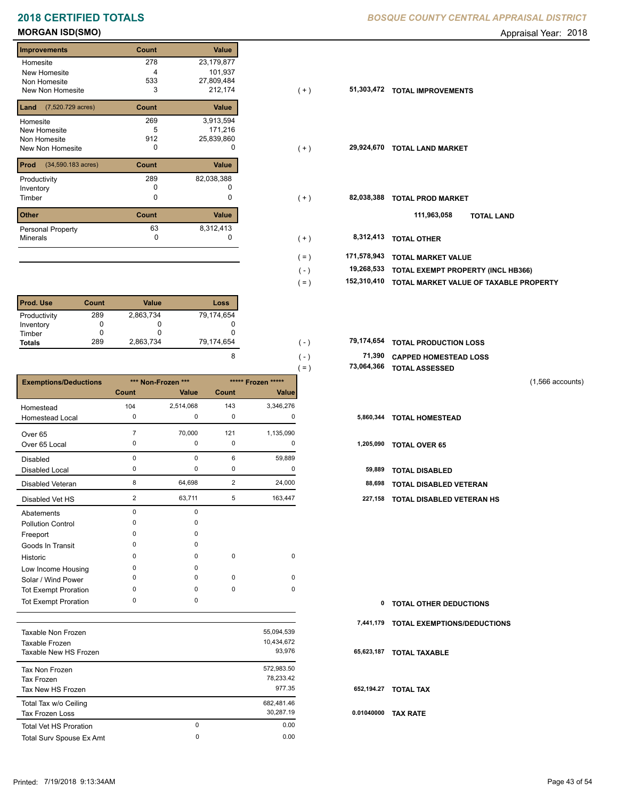# **MORGAN ISD(SMO)** Appraisal Year: 2018

| <b>Improvements</b>                  | Count | <b>Value</b> |
|--------------------------------------|-------|--------------|
| Homesite                             | 278   | 23,179,877   |
| New Homesite                         | 4     | 101,937      |
| Non Homesite                         | 533   | 27,809,484   |
| New Non Homesite                     | 3     | 212,174      |
| $(7,520.729 \text{ acres})$<br>Land  | Count | <b>Value</b> |
| Homesite                             | 269   | 3,913,594    |
| <b>New Homesite</b>                  | 5     | 171,216      |
| Non Homesite                         | 912   | 25,839,860   |
| New Non Homesite                     | O     | O            |
| Prod<br>$(34,590.183 \text{ acres})$ | Count | Value        |
| Productivity                         | 289   | 82,038,388   |
| Inventory                            | O     |              |
| Timber                               | 0     | 0            |
| <b>Other</b>                         | Count | Value        |
| <b>Personal Property</b>             | 63    | 8,312,413    |
| <b>Minerals</b>                      | 0     | 0            |

| <b>Prod. Use</b> | Count | Value     | Loss       |
|------------------|-------|-----------|------------|
| Productivity     | 289   | 2,863,734 | 79,174,654 |
| Inventory        |       | 0         |            |
| Timber           |       |           |            |
| <b>Totals</b>    | 289   | 2,863,734 | 79,174,654 |

|                              |                |                    |                |                    | $( = )$ | 73,064,366 | <b>TOTAL ASSESSED</b>         |                    |
|------------------------------|----------------|--------------------|----------------|--------------------|---------|------------|-------------------------------|--------------------|
| <b>Exemptions/Deductions</b> |                | *** Non-Frozen *** |                | ***** Frozen ***** |         |            |                               | $(1,566$ accounts) |
|                              | Count          | Value              | Count          | <b>Value</b>       |         |            |                               |                    |
| Homestead                    | 104            | 2,514,068          | 143            | 3,346,276          |         |            |                               |                    |
| <b>Homestead Local</b>       | 0              | 0                  | 0              | 0                  |         | 5,860,344  | <b>TOTAL HOMESTEAD</b>        |                    |
| Over 65                      |                | 70,000             | 121            | 1,135,090          |         |            |                               |                    |
| Over 65 Local                | $\Omega$       | 0                  | 0              | 0                  |         | 1,205,090  | <b>TOTAL OVER 65</b>          |                    |
| Disabled                     | $\mathbf 0$    | 0                  | 6              | 59,889             |         |            |                               |                    |
| Disabled Local               | 0              | 0                  | 0              | 0                  |         | 59,889     | <b>TOTAL DISABLED</b>         |                    |
| Disabled Veteran             | 8              | 64,698             | $\overline{2}$ | 24,000             |         | 88,698     | <b>TOTAL DISABLED VETERAN</b> |                    |
| Disabled Vet HS              | $\overline{2}$ | 63,711             | 5              | 163,447            |         | 227,158    | TOTAL DISABLED VETERAN HS     |                    |
| Abatements                   | $\Omega$       | 0                  |                |                    |         |            |                               |                    |
| <b>Pollution Control</b>     | $\Omega$       | 0                  |                |                    |         |            |                               |                    |
| Freeport                     | $\Omega$       | 0                  |                |                    |         |            |                               |                    |
| Goods In Transit             | O              | $\Omega$           |                |                    |         |            |                               |                    |
| Historic                     | $\Omega$       | $\Omega$           | $\mathbf 0$    | $\mathbf 0$        |         |            |                               |                    |
| Low Income Housing           | 0              | 0                  |                |                    |         |            |                               |                    |
| Solar / Wind Power           | $\Omega$       | 0                  | $\mathbf 0$    | 0                  |         |            |                               |                    |
| <b>Tot Exempt Proration</b>  | $\Omega$       | 0                  | $\mathbf 0$    | $\mathbf 0$        |         |            |                               |                    |
| <b>Tot Exempt Proration</b>  | $\mathbf 0$    | 0                  |                |                    |         | 0          | <b>TOTAL OTHER DEDUCTIONS</b> |                    |

|                               |          |            | 7.  |
|-------------------------------|----------|------------|-----|
| Taxable Non Frozen            |          | 55,094,539 |     |
| Taxable Frozen                |          | 10,434,672 |     |
| Taxable New HS Frozen         |          | 93.976     | 65  |
| Tax Non Frozen                |          | 572,983.50 |     |
| Tax Frozen                    |          | 78.233.42  |     |
| Tax New HS Frozen             |          | 977.35     | 65  |
| Total Tax w/o Ceiling         |          | 682.481.46 |     |
| <b>Tax Frozen Loss</b>        |          | 30.287.19  | 0.0 |
| <b>Total Vet HS Proration</b> | $\Omega$ | 0.00       |     |
| Total Surv Spouse Ex Amt      | 0        | 0.00       |     |
|                               |          |            |     |

| <b>Improvements</b>                      | Count | Value      |                        |                                                       |
|------------------------------------------|-------|------------|------------------------|-------------------------------------------------------|
| Homesite                                 | 278   | 23,179,877 |                        |                                                       |
| New Homesite                             | 4     | 101,937    |                        |                                                       |
| Non Homesite                             | 533   | 27,809,484 |                        |                                                       |
| New Non Homesite                         | 3     | 212,174    | $(+)$                  | 51,303,472<br><b>TOTAL IMPROVEMENTS</b>               |
| <b>Land</b> $(7,520.729 \text{ acres})$  | Count | Value      |                        |                                                       |
| Homesite                                 | 269   | 3,913,594  |                        |                                                       |
| New Homesite                             | 5     | 171,216    |                        |                                                       |
| Non Homesite                             | 912   | 25,839,860 |                        |                                                       |
| New Non Homesite                         | 0     | 0          | $(+)$                  | 29,924,670<br><b>TOTAL LAND MARKET</b>                |
| <b>Prod</b> $(34,590.183 \text{ acres})$ | Count | Value      |                        |                                                       |
| Productivity                             | 289   | 82,038,388 |                        |                                                       |
| Inventory                                | 0     | 0          |                        |                                                       |
| Timber                                   | 0     | 0          | $(+)$                  | 82,038,388<br><b>TOTAL PROD MARKET</b>                |
| <b>Other</b>                             | Count | Value      |                        | 111,963,058<br><b>TOTAL LAND</b>                      |
| Personal Property                        | 63    | 8,312,413  |                        |                                                       |
| Minerals                                 | 0     |            | $(+)$                  | 8,312,413<br><b>TOTAL OTHER</b>                       |
|                                          |       |            | 171,578,943<br>$( = )$ | <b>TOTAL MARKET VALUE</b>                             |
|                                          |       |            | $(\, - \,)$            | 19,268,533<br>TOTAL EXEMPT PROPERTY (INCL HB366)      |
|                                          |       |            | $( = )$                | 152,310,410<br>TOTAL MARKET VALUE OF TAXABLE PROPERTY |
|                                          |       |            |                        |                                                       |

| 79.174.654 | $(-)$   | 79,174,654 TOTAL PRODUCTION LOSS |
|------------|---------|----------------------------------|
|            | $( - )$ | 71,390 CAPPED HOMESTEAD LOSS     |
|            | $( = )$ | 73,064,366 TOTAL ASSESSED        |

| 1,205,090 | <b>TOTAL OVER 65</b> |
|-----------|----------------------|
|-----------|----------------------|

|  | 59,889 TOTAL DISABLED |  |
|--|-----------------------|--|

|  | 88,698 TOTAL DISABLED VETERAN |
|--|-------------------------------|
|  |                               |

| 0 TOTAL OTHER DEDUCTIONS              |
|---------------------------------------|
| 7,441,179 TOTAL EXEMPTIONS/DEDUCTIONS |
| 65,623,187 TOTAL TAXABLE              |
| 652,194.27 TOTAL TAX                  |
| 0.01040000 TAX RATE                   |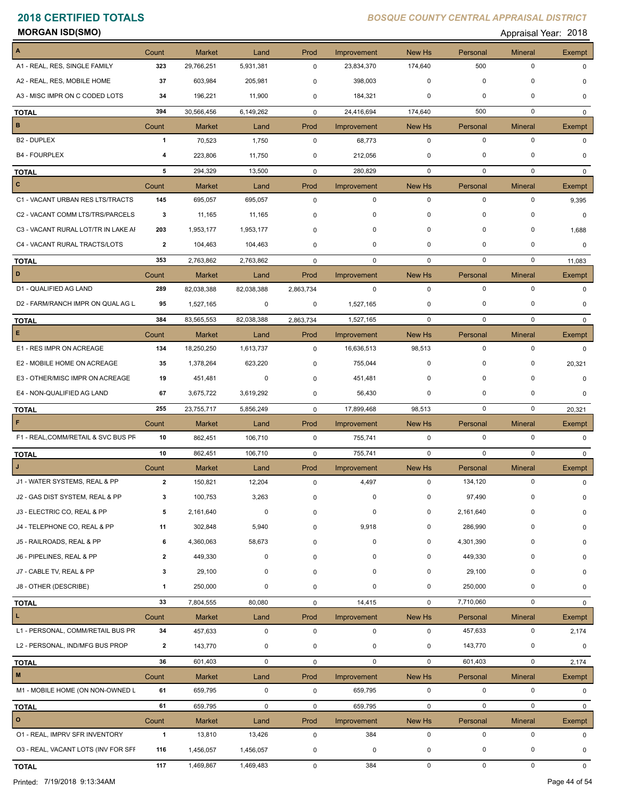**MORGAN ISD(SMO)** Appraisal Year: 2018

| A                                   | Count        | <b>Market</b> | Land        | Prod         | Improvement        | New Hs      | Personal    | <b>Mineral</b> | Exempt        |
|-------------------------------------|--------------|---------------|-------------|--------------|--------------------|-------------|-------------|----------------|---------------|
| A1 - REAL, RES, SINGLE FAMILY       | 323          | 29,766,251    | 5,931,381   | 0            | 23,834,370         | 174,640     | 500         | $\pmb{0}$      | $\Omega$      |
| A2 - REAL, RES, MOBILE HOME         | 37           | 603,984       | 205,981     | 0            | 398,003            | 0           | 0           | 0              |               |
| A3 - MISC IMPR ON C CODED LOTS      | 34           | 196,221       | 11,900      | 0            | 184,321            | 0           | 0           | 0              | $\Omega$      |
| <b>TOTAL</b>                        | 394          | 30,566,456    | 6,149,262   | 0            | 24,416,694         | 174,640     | 500         | $\mathbf 0$    | $\Omega$      |
| B                                   | Count        | <b>Market</b> | Land        | Prod         | Improvement        | New Hs      | Personal    | <b>Mineral</b> | Exempt        |
| <b>B2 - DUPLEX</b>                  | $\mathbf{1}$ | 70,523        | 1,750       | $\mathbf 0$  | 68,773             | $\mathbf 0$ | $\mathbf 0$ | $\pmb{0}$      | $\Omega$      |
| <b>B4 - FOURPLEX</b>                | 4            | 223,806       | 11,750      | 0            | 212,056            | 0           | 0           | 0              | 0             |
| <b>TOTAL</b>                        | 5            | 294,329       | 13,500      | $\mathbf 0$  | 280,829            | $\mathbf 0$ | $\mathbf 0$ | $\mathbf 0$    | $\Omega$      |
| c                                   | Count        | <b>Market</b> | Land        | Prod         | Improvement        | New Hs      | Personal    | <b>Mineral</b> | Exempt        |
| C1 - VACANT URBAN RES LTS/TRACTS    | 145          | 695,057       | 695,057     | 0            | $\mathbf 0$        | $\mathbf 0$ | $\mathbf 0$ | $\pmb{0}$      | 9,395         |
| C2 - VACANT COMM LTS/TRS/PARCELS    | 3            | 11,165        | 11,165      | 0            | 0                  | 0           | 0           | 0              | 0             |
| C3 - VACANT RURAL LOT/TR IN LAKE AI | 203          | 1,953,177     | 1,953,177   | $\mathbf 0$  | 0                  | 0           | 0           | $\pmb{0}$      | 1,688         |
| C4 - VACANT RURAL TRACTS/LOTS       | 2            | 104,463       | 104,463     | $\mathbf{0}$ | 0                  | 0           | 0           | 0              | 0             |
| <b>TOTAL</b>                        | 353          | 2,763,862     | 2,763,862   | $\mathbf 0$  | $\mathbf 0$        | $\mathbf 0$ | $\mathbf 0$ | $\mathbf 0$    | 11,083        |
| D                                   | Count        | <b>Market</b> | Land        | Prod         | Improvement        | New Hs      | Personal    | <b>Mineral</b> | Exempt        |
| D1 - QUALIFIED AG LAND              | 289          | 82,038,388    | 82,038,388  | 2,863,734    | 0                  | $\mathbf 0$ | $\mathbf 0$ | $\mathbf 0$    | $\Omega$      |
| D2 - FARM/RANCH IMPR ON QUAL AG L   | 95           | 1,527,165     | 0           | 0            | 1,527,165          | 0           | 0           | $\mathbf 0$    | $\Omega$      |
| <b>TOTAL</b>                        | 384          | 83,565,553    | 82,038,388  | 2,863,734    | 1,527,165          | 0           | 0           | $\mathbf 0$    | 0             |
| E                                   | Count        | <b>Market</b> | Land        | Prod         | Improvement        | New Hs      | Personal    | <b>Mineral</b> | Exempt        |
| E1 - RES IMPR ON ACREAGE            | 134          | 18,250,250    | 1,613,737   | 0            | 16,636,513         | 98,513      | 0           | 0              | 0             |
| E2 - MOBILE HOME ON ACREAGE         | 35           | 1,378,264     | 623,220     | 0            | 755,044            | 0           | 0           | 0              | 20,321        |
| E3 - OTHER/MISC IMPR ON ACREAGE     | 19           | 451,481       | 0           | 0            | 451,481            | 0           | 0           | $\pmb{0}$      | 0             |
| E4 - NON-QUALIFIED AG LAND          | 67           | 3,675,722     | 3,619,292   | 0            | 56,430             | 0           | 0           | $\mathbf 0$    | 0             |
| TOTAL                               | 255          | 23,755,717    | 5,856,249   | $\mathbf 0$  | 17,899,468         | 98,513      | 0           | 0              | 20,321        |
| F                                   | Count        | <b>Market</b> | Land        | Prod         | Improvement        | New Hs      | Personal    | <b>Mineral</b> | <b>Exempt</b> |
| F1 - REAL, COMM/RETAIL & SVC BUS PF | 10           | 862,451       | 106,710     | $\mathbf 0$  | 755,741            | $\mathbf 0$ | 0           | $\pmb{0}$      | 0             |
| <b>TOTAL</b>                        | 10           | 862,451       | 106,710     | $\mathbf 0$  | 755,741            | $\mathbf 0$ | $\mathbf 0$ | $\mathbf 0$    | $\mathbf{0}$  |
| J                                   | Count        | <b>Market</b> | Land        | Prod         | Improvement        | New Hs      | Personal    | <b>Mineral</b> | Exempt        |
| J1 - WATER SYSTEMS, REAL & PP       | $\mathbf{2}$ | 150,821       | 12,204      | 0            | 4,497              | $\mathbf 0$ | 134,120     | $\pmb{0}$      | 0             |
| J2 - GAS DIST SYSTEM, REAL & PP     | 3            | 100,753       | 3,263       | $\pmb{0}$    | 0                  | 0           | 97,490      | $\pmb{0}$      | 0             |
| J3 - ELECTRIC CO, REAL & PP         | 5            | 2,161,640     | 0           | 0            | 0                  | 0           | 2,161,640   | 0              | 0             |
| J4 - TELEPHONE CO, REAL & PP        | 11           | 302,848       | 5,940       | 0            | 9,918              | 0           | 286,990     | 0              | 0             |
| J5 - RAILROADS, REAL & PP           | 6            | 4,360,063     | 58,673      | 0            | 0                  | 0           | 4,301,390   | 0              | 0             |
| J6 - PIPELINES, REAL & PP           | $\mathbf{2}$ | 449,330       | 0           | 0            | 0                  | 0           | 449,330     | 0              | 0             |
| J7 - CABLE TV, REAL & PP            | 3            | 29,100        | 0           | 0            | 0                  | 0           | 29,100      | 0              | 0             |
| J8 - OTHER (DESCRIBE)               | 1            | 250,000       | 0           | 0            | $\pmb{0}$          | 0           | 250,000     | 0              | 0             |
| <b>TOTAL</b>                        | 33           | 7,804,555     | 80,080      | 0            | 14,415             | 0           | 7,710,060   | $\pmb{0}$      | 0             |
| L                                   | Count        | <b>Market</b> | Land        | Prod         | Improvement        | New Hs      | Personal    | <b>Mineral</b> | Exempt        |
| L1 - PERSONAL, COMM/RETAIL BUS PR   | 34           | 457,633       | $\mathbf 0$ | $\mathsf 0$  | $\mathbf 0$        | 0           | 457,633     | $\pmb{0}$      | 2,174         |
| L2 - PERSONAL, IND/MFG BUS PROP     | $\mathbf{2}$ | 143,770       | 0           | 0            | 0                  | 0           | 143,770     | 0              | 0             |
| <b>TOTAL</b>                        | 36           | 601,403       | 0           | $\mathbf 0$  | $\mathbf 0$        | $\mathbf 0$ | 601,403     | $\pmb{0}$      | 2,174         |
| M                                   | Count        | <b>Market</b> | Land        | Prod         | Improvement        | New Hs      | Personal    | <b>Mineral</b> | Exempt        |
| M1 - MOBILE HOME (ON NON-OWNED L    | 61           | 659,795       | $\mathbf 0$ | $\mathbf 0$  | 659,795            | 0           | 0           | $\pmb{0}$      | 0             |
|                                     | 61           | 659,795       | 0           | 0            | 659,795            | $\mathbf 0$ | $\mathbf 0$ | $\pmb{0}$      | 0             |
| <b>TOTAL</b><br>$\mathbf{o}$        | Count        | <b>Market</b> | Land        | Prod         |                    |             | Personal    | <b>Mineral</b> | Exempt        |
| 01 - REAL, IMPRV SFR INVENTORY      | $\mathbf{1}$ | 13,810        | 13,426      | $\mathbf 0$  | Improvement<br>384 | New Hs<br>0 | $\pmb{0}$   | $\pmb{0}$      | 0             |
| 03 - REAL, VACANT LOTS (INV FOR SFF | 116          | 1,456,057     | 1,456,057   | 0            | 0                  | 0           | 0           | 0              | 0             |
|                                     |              |               |             |              |                    |             |             |                |               |
| <b>TOTAL</b>                        | 117          | 1,469,867     | 1,469,483   | 0            | 384                | $\mathsf 0$ | $\pmb{0}$   | $\pmb{0}$      | 0             |

Printed: 7/19/2018 9:13:34AM Page 44 of 54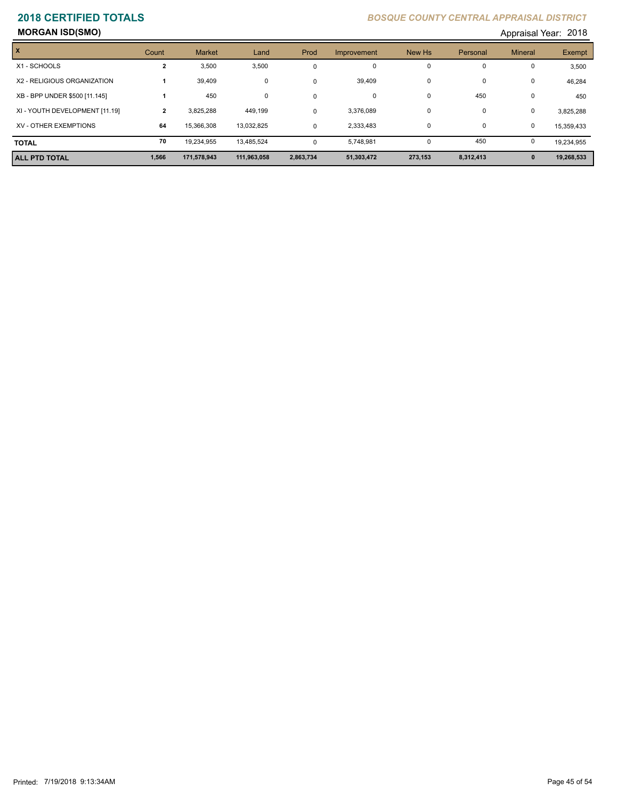## **MORGAN ISD(SMO)** Appraisal Year: 2018

| 101، Appraisal Year: 201 |  |  |
|--------------------------|--|--|
|--------------------------|--|--|

| $\boldsymbol{\mathsf{x}}$      | Count          | <b>Market</b> | Land        | Prod      | Improvement | New Hs   | Personal    | <b>Mineral</b> | Exempt     |
|--------------------------------|----------------|---------------|-------------|-----------|-------------|----------|-------------|----------------|------------|
| X1 - SCHOOLS                   | 2              | 3,500         | 3,500       |           | 0           | $\Omega$ | $\Omega$    | 0              | 3,500      |
| X2 - RELIGIOUS ORGANIZATION    |                | 39,409        | 0           | $\Omega$  | 39,409      | $\Omega$ | 0           | 0              | 46,284     |
| XB - BPP UNDER \$500 [11.145]  |                | 450           | 0           | $\Omega$  | 0           | $\Omega$ | 450         | 0              | 450        |
| XI - YOUTH DEVELOPMENT [11.19] | $\overline{2}$ | 3.825.288     | 449,199     | $\Omega$  | 3,376,089   | $\Omega$ | $\Omega$    | 0              | 3,825,288  |
| XV - OTHER EXEMPTIONS          | 64             | 15.366.308    | 13.032.825  | $\Omega$  | 2.333.483   | $\Omega$ | $\mathbf 0$ | 0              | 15.359.433 |
| <b>TOTAL</b>                   | 70             | 19.234.955    | 13.485.524  | $\Omega$  | 5.748.981   | $\Omega$ | 450         | 0              | 19,234,955 |
| <b>ALL PTD TOTAL</b>           | 1,566          | 171,578,943   | 111,963,058 | 2,863,734 | 51,303,472  | 273,153  | 8,312,413   | $\mathbf{0}$   | 19,268,533 |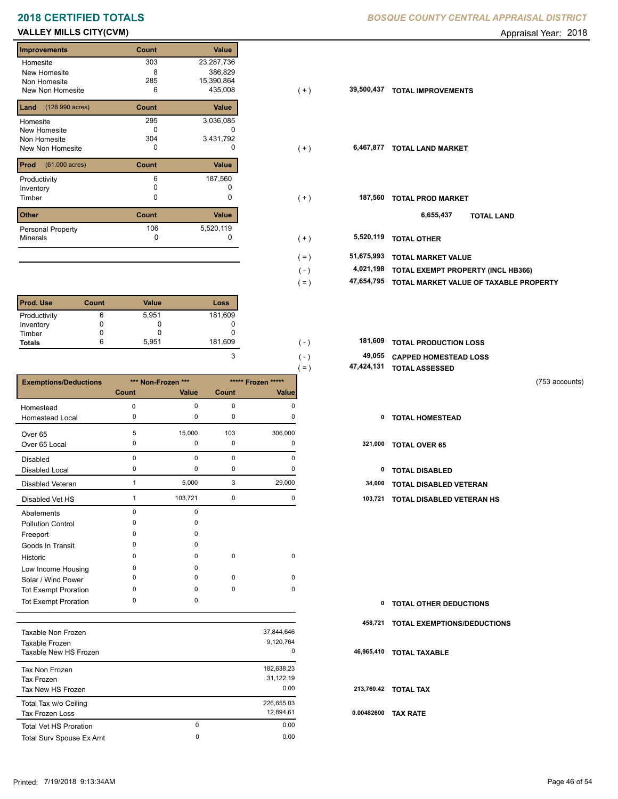# **VALLEY MILLS CITY(CVM) CONSUMED Appraisal Year: 2018**

Е

| <b>Improvements</b>              | Count | <b>Value</b> |
|----------------------------------|-------|--------------|
| Homesite                         | 303   | 23,287,736   |
| New Homesite                     | 8     | 386,829      |
| Non Homesite                     | 285   | 15,390,864   |
| New Non Homesite                 | 6     | 435,008      |
| (128.990 acres)<br>Land          | Count | Value        |
| Homesite                         | 295   | 3,036,085    |
| New Homesite                     | O     |              |
| Non Homesite                     | 304   | 3,431,792    |
| New Non Homesite                 | 0     | o            |
| Prod<br>$(61.000 \text{ acres})$ | Count | Value        |
| Productivity                     | 6     | 187,560      |
| Inventory                        | O     |              |
| Timber                           | 0     | 0            |
| <b>Other</b>                     | Count | <b>Value</b> |
| <b>Personal Property</b>         | 106   | 5,520,119    |
| <b>Minerals</b>                  | O     | 0            |

| <b>Prod. Use</b> | Count | <b>Value</b> | Loss    |
|------------------|-------|--------------|---------|
| Productivity     | 6     | 5,951        | 181,609 |
| Inventory        |       |              | U       |
| Timber           |       |              |         |
| <b>Totals</b>    | 6     | 5,951        | 181,609 |

|                              |             |                    |             |                    | $( = )$ | 47,424,131 | <b>TOTAL ASSESSED</b>         |                |
|------------------------------|-------------|--------------------|-------------|--------------------|---------|------------|-------------------------------|----------------|
| <b>Exemptions/Deductions</b> |             | *** Non-Frozen *** |             | ***** Frozen ***** |         |            |                               | (753 accounts) |
|                              | Count       | Value              | Count       | <b>Value</b>       |         |            |                               |                |
| Homestead                    | $\Omega$    | 0                  | $\mathbf 0$ | $\Omega$           |         |            |                               |                |
| Homestead Local              | 0           | 0                  | 0           | 0                  |         | 0          | <b>TOTAL HOMESTEAD</b>        |                |
| Over 65                      | 5           | 15,000             | 103         | 306,000            |         |            |                               |                |
| Over 65 Local                | 0           | 0                  | 0           | 0                  |         | 321,000    | <b>TOTAL OVER 65</b>          |                |
| Disabled                     | $\mathbf 0$ | $\Omega$           | $\mathbf 0$ | $\Omega$           |         |            |                               |                |
| <b>Disabled Local</b>        | 0           | 0                  | 0           | 0                  |         | 0          | <b>TOTAL DISABLED</b>         |                |
| <b>Disabled Veteran</b>      |             | 5,000              | 3           | 29,000             |         | 34,000     | TOTAL DISABLED VETERAN        |                |
| Disabled Vet HS              |             | 103,721            | $\mathbf 0$ | 0                  |         | 103,721    | TOTAL DISABLED VETERAN HS     |                |
| Abatements                   | $\Omega$    | $\Omega$           |             |                    |         |            |                               |                |
| <b>Pollution Control</b>     | 0           | 0                  |             |                    |         |            |                               |                |
| Freeport                     | $\Omega$    | $\Omega$           |             |                    |         |            |                               |                |
| Goods In Transit             | $\Omega$    | $\Omega$           |             |                    |         |            |                               |                |
| Historic                     | $\Omega$    | 0                  | $\mathbf 0$ | $\mathbf 0$        |         |            |                               |                |
| Low Income Housing           | 0           | $\Omega$           |             |                    |         |            |                               |                |
| Solar / Wind Power           | O           | $\Omega$           | 0           | $\mathbf 0$        |         |            |                               |                |
| <b>Tot Exempt Proration</b>  | 0           | 0                  | $\mathbf 0$ | $\mathbf 0$        |         |            |                               |                |
| <b>Tot Exempt Proration</b>  | $\mathbf 0$ | 0                  |             |                    |         | 0          | <b>TOTAL OTHER DEDUCTIONS</b> |                |

| Taxable Non Frozen            |          | 37,844,646 |     |
|-------------------------------|----------|------------|-----|
| Taxable Frozen                |          | 9,120,764  |     |
| Taxable New HS Frozen         |          | 0          | 46  |
| Tax Non Frozen                |          | 182,638.23 |     |
| Tax Frozen                    |          | 31,122.19  |     |
| Tax New HS Frozen             |          | 0.00       | 21  |
| Total Tax w/o Ceiling         |          | 226,655.03 |     |
| <b>Tax Frozen Loss</b>        |          | 12,894.61  | 0.0 |
| <b>Total Vet HS Proration</b> | $\Omega$ | 0.00       |     |
| Total Surv Spouse Ex Amt      | 0        | 0.00       |     |
|                               |          |            |     |

## **2018 CERTIFIED TOTALS** *BOSQUE COUNTY CENTRAL APPRAISAL DISTRICT*

| <b>Improvements</b>         | Count | Value      |         |            |                                        |
|-----------------------------|-------|------------|---------|------------|----------------------------------------|
| Homesite                    | 303   | 23,287,736 |         |            |                                        |
| New Homesite                | 8     | 386,829    |         |            |                                        |
| Non Homesite                | 285   | 15,390,864 |         |            |                                        |
| New Non Homesite            | 6     | 435,008    | $(+)$   | 39,500,437 | <b>TOTAL IMPROVEMENTS</b>              |
| <b>Land</b> (128.990 acres) | Count | Value      |         |            |                                        |
| Homesite                    | 295   | 3,036,085  |         |            |                                        |
| New Homesite                | 0     | 0          |         |            |                                        |
| Non Homesite                | 304   | 3,431,792  |         |            |                                        |
| New Non Homesite            | 0     | 0          | $(+)$   | 6,467,877  | <b>TOTAL LAND MARKET</b>               |
| <b>Prod</b> (61.000 acres)  | Count | Value      |         |            |                                        |
| Productivity                | 6     | 187,560    |         |            |                                        |
| Inventory                   | 0     | 0          |         |            |                                        |
| Timber                      | 0     | 0          | $(+)$   | 187,560    | <b>TOTAL PROD MARKET</b>               |
| Other                       | Count | Value      |         |            | 6,655,437<br><b>TOTAL LAND</b>         |
| Personal Property           | 106   | 5,520,119  |         |            |                                        |
| Minerals                    | 0     |            | $(+)$   | 5,520,119  | <b>TOTAL OTHER</b>                     |
|                             |       |            | $( = )$ | 51,675,993 | <b>TOTAL MARKET VALUE</b>              |
|                             |       |            | $(-)$   | 4,021,198  | TOTAL EXEMPT PROPERTY (INCL HB366)     |
|                             |       |            | $( = )$ | 47,654,795 | TOTAL MARKET VALUE OF TAXABLE PROPERTY |
|                             |       |            |         |            |                                        |

| 181.609 | ' - 1         | <b>181,609 TOTAL PRODUCTION LOSS</b> |
|---------|---------------|--------------------------------------|
|         | ( – )         | 49,055 CAPPED HOMESTEAD LOSS         |
|         | $=$ $\lambda$ | 47,424,131 TOTAL ASSESSED            |

| 0 TOTAL OTHER DEDUCTIONS            |
|-------------------------------------|
| 458,721 TOTAL EXEMPTIONS/DEDUCTIONS |
| 46,965,410 TOTAL TAXABLE            |
| 213,760.42 TOTAL TAX                |
| 0.00482600 TAX RATE                 |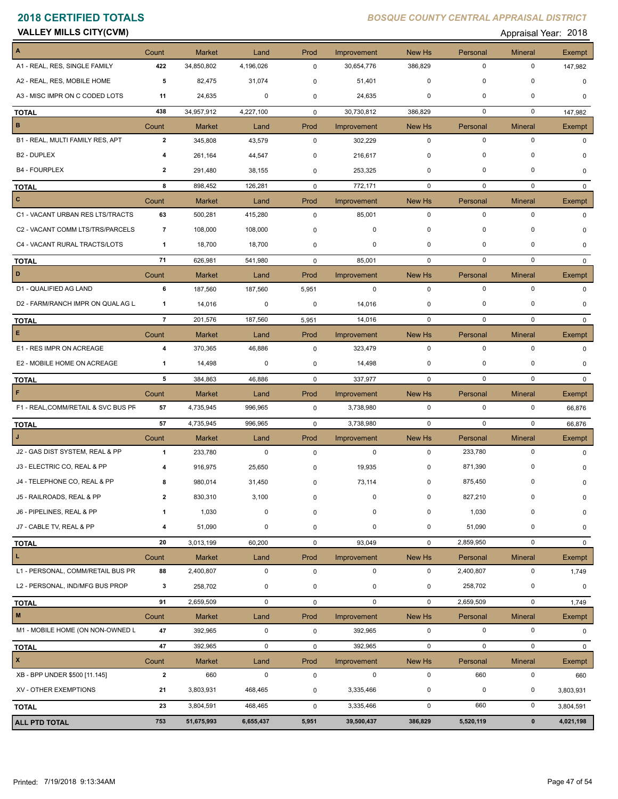**VALLEY MILLS CITY(CVM) CONSUMED Appraisal Year: 2018** 

| A                                   | Count          | <b>Market</b> | Land        | Prod        | Improvement | New Hs      | Personal         | <b>Mineral</b> | <b>Exempt</b> |
|-------------------------------------|----------------|---------------|-------------|-------------|-------------|-------------|------------------|----------------|---------------|
| A1 - REAL, RES, SINGLE FAMILY       | 422            | 34,850,802    | 4,196,026   | 0           | 30,654,776  | 386,829     | 0                | 0              | 147,982       |
| A2 - REAL, RES, MOBILE HOME         | 5              | 82,475        | 31,074      | 0           | 51,401      | 0           | $\mathbf 0$      | 0              | $\mathbf 0$   |
| A3 - MISC IMPR ON C CODED LOTS      | 11             | 24,635        | 0           | 0           | 24,635      | 0           | $\mathbf 0$      | $\mathbf 0$    | $\Omega$      |
| <b>TOTAL</b>                        | 438            | 34,957,912    | 4,227,100   | $\mathbf 0$ | 30,730,812  | 386,829     | 0                | 0              | 147,982       |
| B                                   | Count          | Market        | Land        | Prod        | Improvement | New Hs      | Personal         | <b>Mineral</b> | Exempt        |
| B1 - REAL, MULTI FAMILY RES, APT    | $\overline{2}$ | 345,808       | 43,579      | $\mathbf 0$ | 302,229     | $\mathbf 0$ | $\mathbf 0$      | $\pmb{0}$      | 0             |
| <b>B2 - DUPLEX</b>                  | 4              | 261,164       | 44,547      | $\mathbf 0$ | 216,617     | 0           | $\mathbf 0$      | 0              |               |
| <b>B4 - FOURPLEX</b>                | $\overline{2}$ | 291,480       | 38,155      | 0           | 253,325     | $\mathbf 0$ | $\mathbf 0$      | 0              | 0             |
| <b>TOTAL</b>                        | 8              | 898,452       | 126,281     | 0           | 772,171     | 0           | 0                | 0              | $\Omega$      |
| $\mathbf{C}$                        | Count          | <b>Market</b> | Land        | Prod        | Improvement | New Hs      | Personal         | <b>Mineral</b> | Exempt        |
| C1 - VACANT URBAN RES LTS/TRACTS    | 63             | 500,281       | 415,280     | 0           | 85,001      | $\mathbf 0$ | $\mathbf 0$      | $\pmb{0}$      | $\Omega$      |
| C2 - VACANT COMM LTS/TRS/PARCELS    | $\overline{7}$ | 108,000       | 108,000     | 0           | 0           | $\mathbf 0$ | 0                | 0              | O             |
| C4 - VACANT RURAL TRACTS/LOTS       | 1              | 18,700        | 18,700      | 0           | 0           | $\mathbf 0$ | $\mathbf 0$      | 0              | $\Omega$      |
| <b>TOTAL</b>                        | 71             | 626,981       | 541,980     | 0           | 85,001      | $\mathbf 0$ | $\mathbf 0$      | $\mathbf 0$    | $\Omega$      |
| D                                   | Count          | <b>Market</b> | Land        | Prod        | Improvement | New Hs      | Personal         | <b>Mineral</b> | Exempt        |
| D1 - QUALIFIED AG LAND              | 6              | 187,560       | 187,560     | 5,951       | $\mathbf 0$ | $\mathbf 0$ | $\mathbf 0$      | $\mathbf 0$    | $\mathbf 0$   |
| D2 - FARM/RANCH IMPR ON QUAL AG L   | 1              | 14,016        | 0           | 0           | 14,016      | 0           | 0                | 0              | $\Omega$      |
| <b>TOTAL</b>                        | $\overline{7}$ | 201,576       | 187,560     | 5,951       | 14,016      | $\mathbf 0$ | $\mathbf 0$      | $\mathbf 0$    | $\Omega$      |
| E                                   | Count          | <b>Market</b> | Land        | Prod        | Improvement | New Hs      | Personal         | <b>Mineral</b> | Exempt        |
| E1 - RES IMPR ON ACREAGE            | 4              | 370,365       | 46,886      | 0           | 323,479     | $\mathbf 0$ | $\mathbf 0$      | $\pmb{0}$      | $\Omega$      |
| E2 - MOBILE HOME ON ACREAGE         | 1              | 14,498        | 0           | 0           | 14,498      | 0           | 0                | 0              | $\Omega$      |
| <b>TOTAL</b>                        | 5              | 384,863       | 46,886      | 0           | 337,977     | $\mathbf 0$ | $\mathbf 0$      | $\mathbf 0$    | 0             |
| F                                   | Count          | <b>Market</b> | Land        | Prod        | Improvement | New Hs      | Personal         | <b>Mineral</b> | Exempt        |
| F1 - REAL, COMM/RETAIL & SVC BUS PF | 57             | 4,735,945     | 996,965     | 0           | 3,738,980   | $\mathbf 0$ | 0                | 0              | 66,876        |
| <b>TOTAL</b>                        | 57             | 4,735,945     | 996,965     | 0           | 3,738,980   | $\mathbf 0$ | 0                | $\mathbf 0$    | 66,876        |
| $\mathbf{J}$                        | Count          | <b>Market</b> | Land        | Prod        | Improvement | New Hs      | Personal         | <b>Mineral</b> | Exempt        |
| J2 - GAS DIST SYSTEM, REAL & PP     | $\mathbf{1}$   | 233,780       | $\mathbf 0$ | 0           | $\mathbf 0$ | $\mathbf 0$ | 233,780          | $\pmb{0}$      | $\Omega$      |
| J3 - ELECTRIC CO, REAL & PP         | 4              | 916,975       | 25,650      | 0           | 19,935      | 0           | 871,390          | 0              | O             |
| J4 - TELEPHONE CO, REAL & PP        | 8              | 980,014       | 31,450      | 0           | 73,114      | 0           | 875,450          | 0              | 0             |
| J5 - RAILROADS, REAL & PP           | 2              | 830,310       | 3,100       | 0           | 0           | 0           | 827,210          | 0              | 0             |
| J6 - PIPELINES, REAL & PP           | 1              | 1,030         | 0           | 0           | 0           | $\mathbf 0$ | 1,030            | $\pmb{0}$      | 0             |
| J7 - CABLE TV, REAL & PP            | 4              | 51,090        | 0           | 0           | 0           | 0           | 51,090           | 0              | 0             |
| TOTAL                               | 20             | 3,013,199     | 60,200      | 0           | 93,049      | $\mathbf 0$ | 2,859,950        | $\pmb{0}$      | $\mathbf 0$   |
| L                                   | Count          | Market        | Land        | Prod        | Improvement | New Hs      | Personal         | <b>Mineral</b> | Exempt        |
| L1 - PERSONAL, COMM/RETAIL BUS PR   | 88             | 2,400,807     | $\pmb{0}$   | $\pmb{0}$   | $\mathbf 0$ | $\mathbf 0$ | 2,400,807        | $\pmb{0}$      | 1,749         |
| L2 - PERSONAL, IND/MFG BUS PROP     | 3              | 258,702       | 0           | 0           | 0           | 0           | 258,702          | $\pmb{0}$      | 0             |
| <b>TOTAL</b>                        | 91             | 2,659,509     | $\mathbf 0$ | 0           | $\mathbf 0$ | $\mathbf 0$ | 2,659,509        | $\pmb{0}$      | 1,749         |
| M                                   | Count          | Market        | Land        | Prod        | Improvement | New Hs      | Personal         | <b>Mineral</b> | Exempt        |
| M1 - MOBILE HOME (ON NON-OWNED L    | 47             | 392,965       | $\pmb{0}$   | $\pmb{0}$   | 392,965     | 0           | $\mathbf 0$      | $\pmb{0}$      | $\mathbf 0$   |
| <b>TOTAL</b>                        | 47             | 392,965       | $\pmb{0}$   | 0           | 392,965     | $\mathbf 0$ | $\mathbf 0$      | $\mathbf 0$    | 0             |
| $\mathbf{x}$                        | Count          | Market        | Land        | Prod        | Improvement | New Hs      | Personal         | <b>Mineral</b> | Exempt        |
| XB - BPP UNDER \$500 [11.145]       | $\mathbf{2}$   | 660           | $\pmb{0}$   | 0           | $\mathbf 0$ | $\mathbf 0$ | 660              | $\pmb{0}$      | 660           |
| XV - OTHER EXEMPTIONS               | 21             | 3,803,931     | 468,465     | 0           | 3,335,466   | 0           | $\boldsymbol{0}$ | 0              | 3,803,931     |
| <b>TOTAL</b>                        | 23             | 3,804,591     | 468,465     | 0           | 3,335,466   | 0           | 660              | $\pmb{0}$      | 3,804,591     |
|                                     |                |               |             |             |             |             |                  |                |               |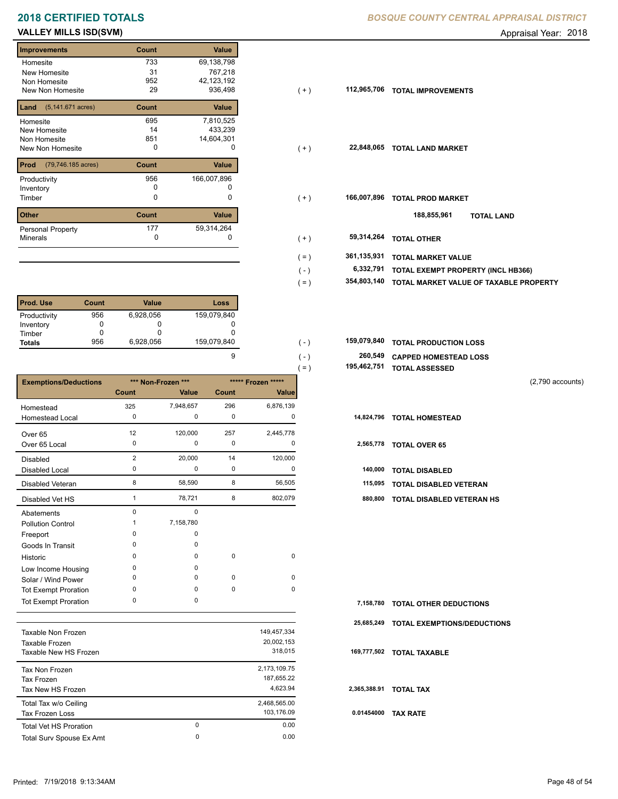# **2018 CERTIFIED TOTALS BOSQUE COUNTY CENTRAL APPRAISAL DISTRICTION CENTRAL APPROXIMATION**

# **VALLEY MILLS ISD(SVM) CONSUMER ADDITED A CONSUMING THE CONSUMING A CONSUMING THE CONSUMING A CONSUMING A CONSUMING THE CONSUMING A CONSUMING A CONSUMING A CONSUMING A CONSUMING A CONSUMING A CONSUMING A CONSUMING A CONS**

## **Improvements Count Value Homesite** New Homesite Non Homesite New Non Homesite **TOTAL IMPROVEMENTS** 29 036,498 733 69,138,798 31 767,218 433,239 14 952 42,123,192 **Land Count Value** (5,141.671 acres) Homesite New Homesite Non Homesite New Non Homesite **TOTAL CONSUMING MARKET**  695 7,810,525 851 14,604,301 **Prod Count Value** (79,746.185 acres) Productivity 166,007,896<br>
Inventory 0 0 0 Inventory<br>Timber 0 0 **Other Count Value** Minerals Personal Property **Exercise 177** 166,007,896 177 59,314,264

| <b>Prod. Use</b> | Count | Value     | Loss        |
|------------------|-------|-----------|-------------|
| Productivity     | 956   | 6,928,056 | 159,079,840 |
| Inventory        |       |           |             |
| Timber           |       |           |             |
| <b>Totals</b>    | 956   | 6,928,056 | 159,079,840 |

|                              |                |                    |             |                    | $=$ ) | 195,462,751 | <b>TOTAL ASSESSED</b>            |                    |
|------------------------------|----------------|--------------------|-------------|--------------------|-------|-------------|----------------------------------|--------------------|
| <b>Exemptions/Deductions</b> |                | *** Non-Frozen *** |             | ***** Frozen ***** |       |             |                                  | $(2,790$ accounts) |
|                              | Count          | Value              | Count       | Value              |       |             |                                  |                    |
| Homestead                    | 325            | 7,948,657          | 296         | 6,876,139          |       |             |                                  |                    |
| <b>Homestead Local</b>       | 0              | 0                  | 0           | 0                  |       | 14,824,796  | <b>TOTAL HOMESTEAD</b>           |                    |
| Over <sub>65</sub>           | 12             | 120,000            | 257         | 2,445,778          |       |             |                                  |                    |
| Over 65 Local                | 0              | $\Omega$           | 0           | 0                  |       | 2,565,778   | <b>TOTAL OVER 65</b>             |                    |
| <b>Disabled</b>              | $\overline{2}$ | 20,000             | 14          | 120,000            |       |             |                                  |                    |
| Disabled Local               | 0              | 0                  | 0           | 0                  |       | 140,000     | <b>TOTAL DISABLED</b>            |                    |
| Disabled Veteran             | 8              | 58,590             | 8           | 56,505             |       | 115,095     | <b>TOTAL DISABLED VETERAN</b>    |                    |
| Disabled Vet HS              |                | 78,721             | 8           | 802,079            |       | 880,800     | <b>TOTAL DISABLED VETERAN HS</b> |                    |
| Abatements                   | $\Omega$       | 0                  |             |                    |       |             |                                  |                    |
| <b>Pollution Control</b>     |                | 7,158,780          |             |                    |       |             |                                  |                    |
| Freeport                     | $\Omega$       | $\Omega$           |             |                    |       |             |                                  |                    |
| Goods In Transit             | $\Omega$       | $\Omega$           |             |                    |       |             |                                  |                    |
| Historic                     | $\Omega$       | $\Omega$           | $\mathbf 0$ | $\mathbf 0$        |       |             |                                  |                    |
| Low Income Housing           | 0              | 0                  |             |                    |       |             |                                  |                    |
| Solar / Wind Power           | 0              | $\Omega$           | 0           | $\mathbf 0$        |       |             |                                  |                    |
| <b>Tot Exempt Proration</b>  | $\Omega$       | 0                  | $\mathbf 0$ | $\mathbf 0$        |       |             |                                  |                    |
| <b>Tot Exempt Proration</b>  | 0              | 0                  |             |                    |       | 7,158,780   | <b>TOTAL OTHER DEDUCTIONS</b>    |                    |

|                               |   |              | 25.  |
|-------------------------------|---|--------------|------|
| Taxable Non Frozen            |   | 149,457,334  |      |
| Taxable Frozen                |   | 20,002,153   |      |
| Taxable New HS Frozen         |   | 318,015      | 169  |
| Tax Non Frozen                |   | 2,173,109.75 |      |
| Tax Frozen                    |   | 187,655.22   |      |
| Tax New HS Frozen             |   | 4.623.94     | 2,36 |
| Total Tax w/o Ceiling         |   | 2,468,565.00 |      |
| Tax Frozen Loss               |   | 103,176.09   | 0.0  |
| <b>Total Vet HS Proration</b> | 0 | 0.00         |      |
| Total Surv Spouse Ex Amt      | 0 | 0.00         |      |
|                               |   |              |      |

|  | BOSQUE COUNTY CENTRAL APPRAISAL DISTRICT |  |
|--|------------------------------------------|--|
|  |                                          |  |

| Improvements                             | Count | Value       |                          |                                        |
|------------------------------------------|-------|-------------|--------------------------|----------------------------------------|
| Homesite                                 | 733   | 69,138,798  |                          |                                        |
| New Homesite                             | 31    | 767,218     |                          |                                        |
| Non Homesite                             | 952   | 42,123,192  |                          |                                        |
| New Non Homesite                         | 29    | 936,498     | 112,965,706<br>$(+)$     | <b>TOTAL IMPROVEMENTS</b>              |
| <b>Land</b> $(5, 141.671 \text{ acres})$ | Count | Value       |                          |                                        |
| Homesite                                 | 695   | 7,810,525   |                          |                                        |
| New Homesite                             | 14    | 433,239     |                          |                                        |
| Non Homesite                             | 851   | 14,604,301  |                          |                                        |
| New Non Homesite                         | 0     | 0           | 22,848,065<br>$(+)$      | <b>TOTAL LAND MARKET</b>               |
| <b>Prod</b> (79,746.185 acres)           | Count | Value       |                          |                                        |
| Productivity                             | 956   | 166,007,896 |                          |                                        |
| Inventory                                | 0     |             |                          |                                        |
| Timber                                   | 0     | 0           | 166,007,896<br>$(+)$     | <b>TOTAL PROD MARKET</b>               |
| Other                                    | Count | Value       |                          | 188,855,961<br><b>TOTAL LAND</b>       |
| Personal Property                        | 177   | 59,314,264  |                          |                                        |
| Minerals                                 | 0     |             | 59,314,264<br>$(+)$      | <b>TOTAL OTHER</b>                     |
|                                          |       |             | 361,135,931<br>$($ = $)$ | <b>TOTAL MARKET VALUE</b>              |
|                                          |       |             | 6,332,791<br>$(-)$       | TOTAL EXEMPT PROPERTY (INCL HB366)     |
|                                          |       |             |                          |                                        |
|                                          |       |             | 354,803,140<br>$( = )$   | TOTAL MARKET VALUE OF TAXABLE PROPERTY |

| 159.079.840 | $\epsilon$ . | 159,079,840 TOTAL PRODUCTION LOSS |
|-------------|--------------|-----------------------------------|
|             | $($ –        | 260,549 CAPPED HOMESTEAD LOSS     |

| 195,462,751 TOTAL ASSESSED |  |
|----------------------------|--|
|                            |  |

|              | 7,158,780 TOTAL OTHER DEDUCTIONS   |
|--------------|------------------------------------|
| 25,685,249   | <b>TOTAL EXEMPTIONS/DEDUCTIONS</b> |
|              | 169,777,502 TOTAL TAXABLE          |
| 2,365,388.91 | <b>TOTAL TAX</b>                   |
| 0.01454000   | <b>TAX RATE</b>                    |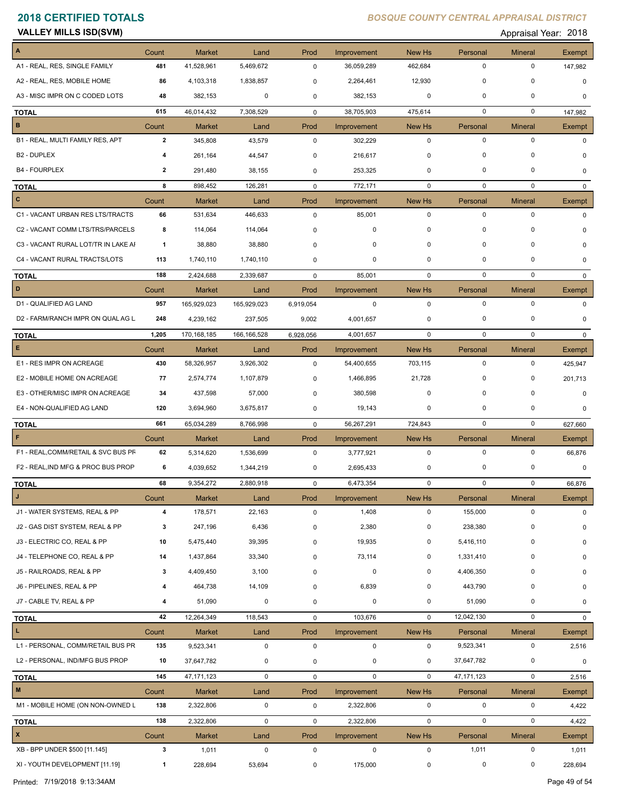| <b>VALLEY MILLS ISD(SVM)</b> |  |
|------------------------------|--|
|------------------------------|--|

Appraisal Year: 2018

| A                                   | Count          | <b>Market</b>               | Land              | Prod                | Improvement               | New Hs            | Personal                | <b>Mineral</b>                | Exempt        |
|-------------------------------------|----------------|-----------------------------|-------------------|---------------------|---------------------------|-------------------|-------------------------|-------------------------------|---------------|
| A1 - REAL, RES, SINGLE FAMILY       | 481            | 41,528,961                  | 5,469,672         | $\mathbf 0$         | 36,059,289                | 462,684           | $\mathbf 0$             | $\mathbf 0$                   | 147,982       |
| A2 - REAL, RES, MOBILE HOME         | 86             | 4,103,318                   | 1,838,857         | 0                   | 2,264,461                 | 12,930            | 0                       | 0                             | $\mathbf 0$   |
| A3 - MISC IMPR ON C CODED LOTS      | 48             | 382,153                     | 0                 | 0                   | 382,153                   | 0                 | $\mathbf 0$             | 0                             | 0             |
| <b>TOTAL</b>                        | 615            | 46,014,432                  | 7,308,529         | $\mathbf 0$         | 38,705,903                | 475,614           | $\mathbf 0$             | $\mathbf 0$                   | 147,982       |
| B                                   | Count          | <b>Market</b>               | Land              | Prod                | Improvement               | New Hs            | Personal                | <b>Mineral</b>                | <b>Exempt</b> |
| B1 - REAL, MULTI FAMILY RES, APT    | $\overline{2}$ | 345,808                     | 43,579            | $\mathbf 0$         | 302,229                   | $\mathbf 0$       | $\mathbf 0$             | $\mathbf 0$                   | $\Omega$      |
| B2 - DUPLEX                         | 4              | 261,164                     | 44,547            | $\pmb{0}$           | 216,617                   | 0                 | $\mathbf 0$             | 0                             | 0             |
| <b>B4 - FOURPLEX</b>                | $\mathbf{2}$   | 291,480                     | 38,155            | 0                   | 253,325                   | 0                 | $\mathbf 0$             | $\Omega$                      | 0             |
| <b>TOTAL</b>                        | 8              | 898.452                     | 126,281           | $\mathbf 0$         | 772,171                   | $\mathbf 0$       | $\mathbf 0$             | $\mathbf 0$                   | $\mathbf{0}$  |
| $\mathbf{C}$                        | Count          | <b>Market</b>               | Land              | Prod                | Improvement               | New Hs            | Personal                | <b>Mineral</b>                | Exempt        |
| C1 - VACANT URBAN RES LTS/TRACTS    | 66             | 531,634                     | 446,633           | $\pmb{0}$           | 85,001                    | $\mathbf 0$       | $\mathbf 0$             | $\mathbf 0$                   | 0             |
| C2 - VACANT COMM LTS/TRS/PARCELS    | 8              | 114,064                     | 114,064           | $\mathbf 0$         | 0                         | 0                 | 0                       | $\Omega$                      |               |
| C3 - VACANT RURAL LOT/TR IN LAKE AI | $\mathbf{1}$   | 38,880                      | 38,880            | $\mathbf 0$         | 0                         | 0                 | $\mathbf 0$             | 0                             | 0             |
| C4 - VACANT RURAL TRACTS/LOTS       | 113            | 1,740,110                   | 1,740,110         | 0                   | 0                         | 0                 | $\mathbf 0$             | 0                             | 0             |
| <b>TOTAL</b>                        | 188            | 2,424,688                   | 2,339,687         | $\mathbf 0$         | 85,001                    | $\mathbf 0$       | 0                       | $\mathbf 0$                   | $\Omega$      |
| D                                   | Count          | <b>Market</b>               | Land              | Prod                | Improvement               | New Hs            | Personal                | <b>Mineral</b>                | Exempt        |
| D1 - QUALIFIED AG LAND              | 957            | 165,929,023                 | 165,929,023       | 6,919,054           | $\mathbf 0$               | $\mathbf 0$       | $\mathbf 0$             | $\mathbf 0$                   | $\mathbf{0}$  |
| D2 - FARM/RANCH IMPR ON QUAL AG L   | 248            | 4,239,162                   | 237,505           | 9,002               | 4,001,657                 | 0                 | 0                       | 0                             | 0             |
|                                     | 1,205          | 170, 168, 185               | 166,166,528       |                     | 4,001,657                 | $\mathbf 0$       | $\mathbf 0$             | $\mathbf 0$                   | $\Omega$      |
| <b>TOTAL</b><br>E.                  |                |                             |                   | 6,928,056           |                           |                   |                         |                               |               |
| E1 - RES IMPR ON ACREAGE            | Count<br>430   | <b>Market</b><br>58,326,957 | Land<br>3,926,302 | Prod<br>$\mathbf 0$ | Improvement<br>54,400,655 | New Hs<br>703,115 | Personal<br>$\mathbf 0$ | <b>Mineral</b><br>$\mathbf 0$ | <b>Exempt</b> |
| E2 - MOBILE HOME ON ACREAGE         |                |                             |                   |                     |                           |                   | 0                       | 0                             | 425,947       |
|                                     | 77             | 2,574,774                   | 1,107,879         | 0                   | 1,466,895                 | 21,728            | $\mathbf 0$             | $\Omega$                      | 201,713       |
| E3 - OTHER/MISC IMPR ON ACREAGE     | 34             | 437,598                     | 57,000            | $\mathbf 0$         | 380,598                   | 0                 |                         |                               | $\mathbf 0$   |
| E4 - NON-QUALIFIED AG LAND          | 120            | 3,694,960                   | 3,675,817         | 0                   | 19,143                    | 0                 | 0                       | 0                             | $\mathbf 0$   |
| <b>TOTAL</b>                        | 661            | 65,034,289                  | 8,766,998         | $\mathbf 0$         | 56,267,291                | 724,843           | $\mathbf 0$             | $\mathbf 0$                   | 627,660       |
| F                                   | Count          | <b>Market</b>               | Land              | Prod                | Improvement               | New Hs            | Personal                | <b>Mineral</b>                | Exempt        |
| F1 - REAL, COMM/RETAIL & SVC BUS PF | 62             | 5,314,620                   | 1,536,699         | $\pmb{0}$           | 3,777,921                 | $\mathbf 0$       | $\mathbf 0$             | $\mathbf 0$                   | 66,876        |
| F2 - REAL, IND MFG & PROC BUS PROP  | 6              | 4,039,652                   | 1,344,219         | 0                   | 2,695,433                 | 0                 | 0                       | 0                             | $\mathbf 0$   |
| <b>TOTAL</b>                        | 68             | 9,354,272                   | 2,880,918         | 0                   | 6,473,354                 | $\mathbf 0$       | $\mathbf 0$             | $\mathbf 0$                   | 66,876        |
|                                     | Count          | Market                      | Land              | Prod                | Improvement               | New Hs            | Personal                | <b>Mineral</b>                | Exempt        |
| J1 - WATER SYSTEMS, REAL & PP       | 4              | 178,571                     | 22,163            | $\mathbf 0$         | 1,408                     | $\mathbf 0$       | 155,000                 | $\mathbf 0$                   | 0             |
| J2 - GAS DIST SYSTEM, REAL & PP     | 3              | 247,196                     | 6,436             | 0                   | 2,380                     | 0                 | 238,380                 | $\mathbf 0$                   | O             |
| J3 - ELECTRIC CO, REAL & PP         | 10             | 5,475,440                   | 39,395            | 0                   | 19,935                    | 0                 | 5,416,110               | 0                             | 0             |
| J4 - TELEPHONE CO, REAL & PP        | 14             | 1,437,864                   | 33,340            | 0                   | 73,114                    | 0                 | 1,331,410               | 0                             | 0             |
| J5 - RAILROADS, REAL & PP           | 3              | 4,409,450                   | 3,100             | $\mathbf 0$         | 0                         | 0                 | 4,406,350               | 0                             | 0             |
| J6 - PIPELINES, REAL & PP           | 4              | 464,738                     | 14,109            | 0                   | 6,839                     | 0                 | 443,790                 | $\Omega$                      | 0             |
| J7 - CABLE TV, REAL & PP            | 4              | 51,090                      | 0                 | 0                   | 0                         | 0                 | 51,090                  | 0                             | 0             |
| <b>TOTAL</b>                        | 42             | 12,264,349                  | 118,543           | 0                   | 103,676                   | $\mathbf 0$       | 12,042,130              | 0                             | $\mathbf{0}$  |
| L.                                  | Count          | Market                      | Land              | Prod                | Improvement               | New Hs            | Personal                | <b>Mineral</b>                | Exempt        |
| L1 - PERSONAL, COMM/RETAIL BUS PR   | 135            | 9,523,341                   | 0                 | $\mathsf 0$         | 0                         | $\mathbf 0$       | 9,523,341               | $\pmb{0}$                     | 2,516         |
| L2 - PERSONAL, IND/MFG BUS PROP     | 10             | 37,647,782                  | 0                 | $\pmb{0}$           | 0                         | 0                 | 37,647,782              | 0                             | 0             |
| <b>TOTAL</b>                        | 145            | 47, 171, 123                | $\mathbf 0$       | 0                   | $\mathbf 0$               | $\mathbf 0$       | 47, 171, 123            | 0                             | 2,516         |
| M                                   | Count          | <b>Market</b>               | Land              | Prod                | Improvement               | New Hs            | Personal                | <b>Mineral</b>                | Exempt        |
| M1 - MOBILE HOME (ON NON-OWNED L    | 138            | 2,322,806                   | 0                 | 0                   | 2,322,806                 | 0                 | $\mathbf 0$             | $\pmb{0}$                     | 4,422         |
| <b>TOTAL</b>                        | 138            | 2,322,806                   | $\mathbf 0$       | 0                   | 2,322,806                 | $\mathbf 0$       | $\mathbf 0$             | 0                             | 4,422         |
| $\pmb{\mathsf{x}}$                  | Count          | <b>Market</b>               | Land              | Prod                | Improvement               | New Hs            | Personal                | <b>Mineral</b>                | Exempt        |
| XB - BPP UNDER \$500 [11.145]       | 3              | 1,011                       | $\mathbf 0$       | $\pmb{0}$           | $\mathbf 0$               | 0                 | 1,011                   | $\pmb{0}$                     | 1,011         |
| XI - YOUTH DEVELOPMENT [11.19]      | -1             | 228,694                     | 53,694            | $\mathbf 0$         | 175,000                   | $\mathbf 0$       | 0                       | 0                             | 228,694       |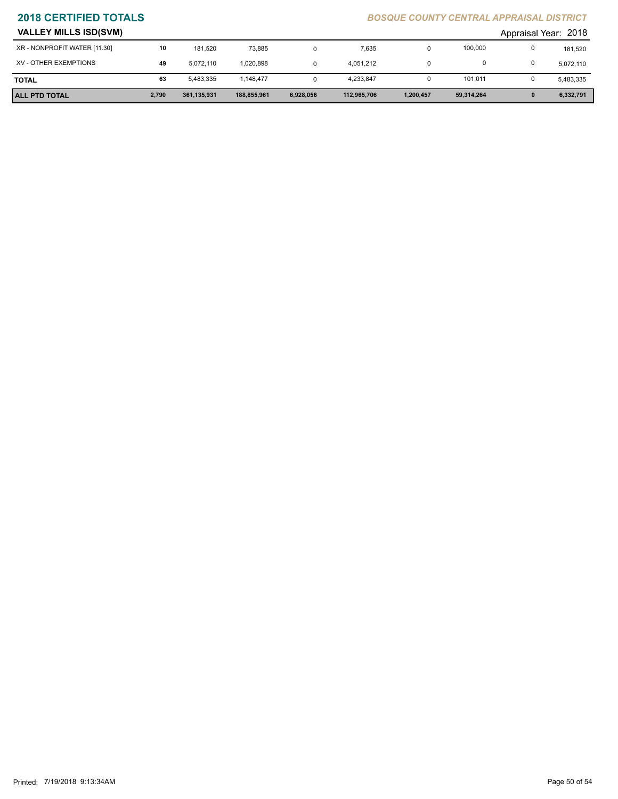| <b>VALLEY MILLS ISD(SVM)</b> |       |             |             |           |             |           |            | Appraisal Year: 2018 |           |
|------------------------------|-------|-------------|-------------|-----------|-------------|-----------|------------|----------------------|-----------|
| XR - NONPROFIT WATER [11.30] | 10    | 181.520     | 73.885      |           | 7,635       | 0         | 100,000    |                      | 181,520   |
| XV - OTHER EXEMPTIONS        | 49    | 5.072.110   | 1,020,898   |           | 4,051,212   |           |            |                      | 5,072,110 |
| <b>TOTAL</b>                 | 63    | 5,483,335   | 1,148,477   |           | 4,233,847   |           | 101,011    |                      | 5,483,335 |
| <b>ALL PTD TOTAL</b>         | 2,790 | 361,135,931 | 188,855,961 | 6,928,056 | 112,965,706 | 1,200,457 | 59,314,264 |                      | 6,332,791 |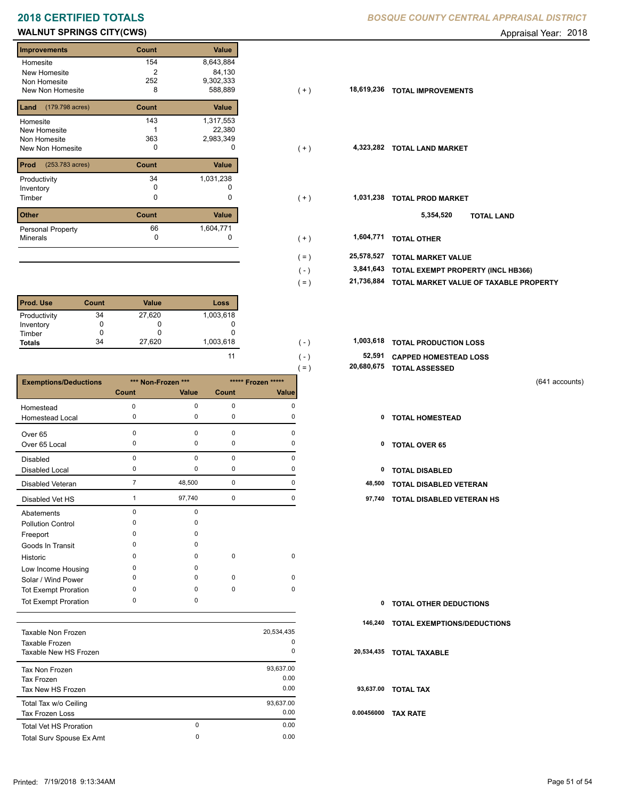# **2018 CERTIFIED TOTALS** *B*

# **WALNUT SPRINGS CITY(CWS) CONSERVERS Appraisal Year: 2018**

| <b>Improvements</b>      | Count | <b>Value</b> |
|--------------------------|-------|--------------|
| Homesite                 | 154   | 8,643,884    |
| New Homesite             | 2     | 84,130       |
| Non Homesite             | 252   | 9,302,333    |
| New Non Homesite         | 8     | 588,889      |
| (179.798 acres)<br>Land  | Count | Value        |
| Homesite                 | 143   | 1,317,553    |
| New Homesite             |       | 22,380       |
| Non Homesite             | 363   | 2,983,349    |
| New Non Homesite         | 0     | O            |
| Prod<br>(253.783 acres)  | Count | Value        |
| Productivity             | 34    | 1,031,238    |
| Inventory                | o     |              |
| Timber                   | 0     | 0            |
| <b>Other</b>             | Count | <b>Value</b> |
| <b>Personal Property</b> | 66    | 1,604,771    |
| <b>Minerals</b>          | 0     | 0            |

| <b>Prod. Use</b> | Count | <b>Value</b> | Loss      |
|------------------|-------|--------------|-----------|
| Productivity     | 34    | 27,620       | 1,003,618 |
| Inventory        |       |              |           |
| Timber           |       |              |           |
| <b>Totals</b>    | 34    | 27,620       | 1,003,618 |

|                              |                |                    |             |                    | $( = )$ | 20,680,675 | <b>TOTAL ASSESSED</b>         |                |
|------------------------------|----------------|--------------------|-------------|--------------------|---------|------------|-------------------------------|----------------|
| <b>Exemptions/Deductions</b> |                | *** Non-Frozen *** |             | ***** Frozen ***** |         |            |                               | (641 accounts) |
|                              | Count          | Value              | Count       | Value              |         |            |                               |                |
| Homestead                    | $\Omega$       | 0                  | 0           | 0                  |         |            |                               |                |
| <b>Homestead Local</b>       | 0              | 0                  | 0           | 0                  |         | 0          | <b>TOTAL HOMESTEAD</b>        |                |
| Over 65                      | $\mathbf 0$    | 0                  | $\mathbf 0$ | 0                  |         |            |                               |                |
| Over 65 Local                | 0              | 0                  | 0           | 0                  |         | 0          | <b>TOTAL OVER 65</b>          |                |
| Disabled                     | 0              | 0                  | $\mathbf 0$ | $\Omega$           |         |            |                               |                |
| <b>Disabled Local</b>        | 0              | 0                  | 0           | O                  |         | 0          | <b>TOTAL DISABLED</b>         |                |
| Disabled Veteran             | $\overline{7}$ | 48,500             | 0           | 0                  |         | 48,500     | <b>TOTAL DISABLED VETERAN</b> |                |
| Disabled Vet HS              |                | 97,740             | $\mathbf 0$ | $\Omega$           |         | 97,740     | TOTAL DISABLED VETERAN HS     |                |
| Abatements                   | $\Omega$       | 0                  |             |                    |         |            |                               |                |
| <b>Pollution Control</b>     | O              | 0                  |             |                    |         |            |                               |                |
| Freeport                     | O              | $\Omega$           |             |                    |         |            |                               |                |
| Goods In Transit             | $\Omega$       | 0                  |             |                    |         |            |                               |                |
| Historic                     | $\Omega$       | 0                  | $\mathbf 0$ | 0                  |         |            |                               |                |
| Low Income Housing           | 0              | 0                  |             |                    |         |            |                               |                |
| Solar / Wind Power           | 0              | 0                  | $\mathbf 0$ | 0                  |         |            |                               |                |
| Tot Exempt Proration         | $\Omega$       | 0                  | $\mathbf 0$ | $\mathbf 0$        |         |            |                               |                |
| <b>Tot Exempt Proration</b>  | $\mathbf 0$    | 0                  |             |                    |         | 0          | <b>TOTAL OTHER DEDUCTIONS</b> |                |
|                              |                |                    |             |                    |         |            |                               |                |

| Taxable Non Frozen            |   | 20,534,435 |     |
|-------------------------------|---|------------|-----|
| Taxable Frozen                |   | 0          |     |
| Taxable New HS Frozen         |   | 0          | 20  |
| Tax Non Frozen                |   | 93,637.00  |     |
| Tax Frozen                    |   | 0.00       |     |
| Tax New HS Frozen             |   | 0.00       | 9   |
| Total Tax w/o Ceiling         |   | 93,637.00  |     |
| <b>Tax Frozen Loss</b>        |   | 0.00       | 0.0 |
| <b>Total Vet HS Proration</b> | 0 | 0.00       |     |
| Total Surv Spouse Ex Amt      | 0 | 0.00       |     |
|                               |   |            |     |

| <b>3OSQUE COUNTY CENTRAL APPRAISAL DISTRICT</b> |  |  |
|-------------------------------------------------|--|--|
|                                                 |  |  |

| <b>Improvements</b>                   | Count | Value     |         |            |                                        |
|---------------------------------------|-------|-----------|---------|------------|----------------------------------------|
| Homesite                              | 154   | 8,643,884 |         |            |                                        |
| New Homesite                          | 2     | 84,130    |         |            |                                        |
| Non Homesite                          | 252   | 9,302,333 |         |            |                                        |
| New Non Homesite                      | 8     | 588,889   | $(+)$   | 18,619,236 | <b>TOTAL IMPROVEMENTS</b>              |
| <b>Land</b> $(179.798 \text{ acres})$ | Count | Value     |         |            |                                        |
| Homesite                              | 143   | 1,317,553 |         |            |                                        |
| New Homesite                          |       | 22,380    |         |            |                                        |
| Non Homesite                          | 363   | 2,983,349 |         |            |                                        |
| New Non Homesite                      | 0     | 0         | $(+)$   |            | 4,323,282 TOTAL LAND MARKET            |
| <b>Prod</b> (253.783 acres)           | Count | Value     |         |            |                                        |
| Productivity                          | 34    | 1,031,238 |         |            |                                        |
| Inventory                             | 0     | 0         |         |            |                                        |
| Timber                                | 0     | 0         | $(+)$   | 1,031,238  | <b>TOTAL PROD MARKET</b>               |
| Other                                 | Count | Value     |         |            | 5,354,520<br><b>TOTAL LAND</b>         |
| Personal Property                     | 66    | 1,604,771 |         |            |                                        |
| Minerals                              | 0     | 0         | $(+)$   | 1,604,771  | <b>TOTAL OTHER</b>                     |
|                                       |       |           | $( = )$ | 25,578,527 | <b>TOTAL MARKET VALUE</b>              |
|                                       |       |           | $(-)$   | 3,841,643  | TOTAL EXEMPT PROPERTY (INCL HB366)     |
|                                       |       |           | $( = )$ | 21,736,884 | TOTAL MARKET VALUE OF TAXABLE PROPERTY |
|                                       |       |           |         |            |                                        |

| 1.003.618 | ( – )   | 1,003,618 TOTAL PRODUCTION LOSS |
|-----------|---------|---------------------------------|
|           | $( - )$ | 52,591 CAPPED HOMESTEAD LOSS    |
|           | $=$     | 20,680,675 TOTAL ASSESSED       |

- 
- 

| $\mathbf{0}$ | <b>TOTAL OTHER DEDUCTIONS</b>      |
|--------------|------------------------------------|
| 146,240      | <b>TOTAL EXEMPTIONS/DEDUCTIONS</b> |
|              | 20,534,435 TOTAL TAXABLE           |
|              | 93,637.00 TOTAL TAX                |
| 0.00456000   | <b>TAX RATE</b>                    |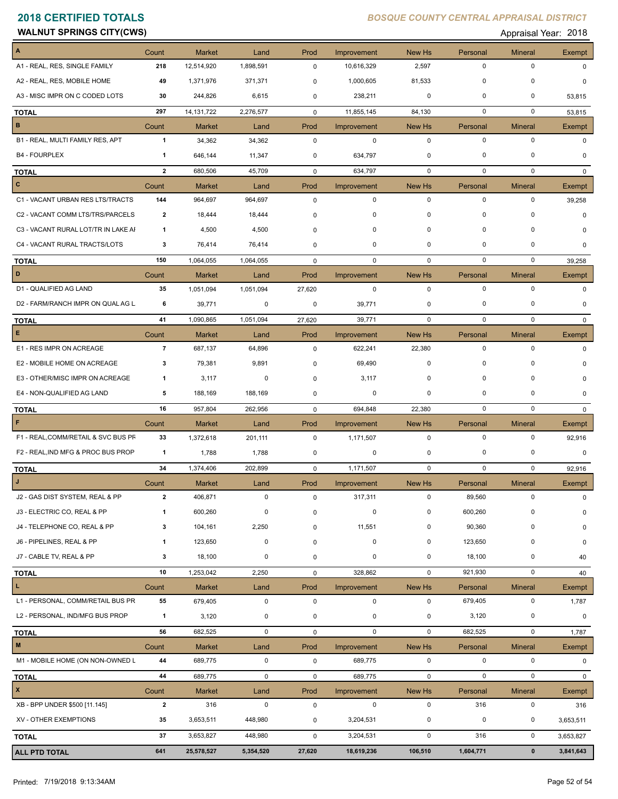| <b>CWS</b><br><b>WALNUT</b><br><b>SPRINGS</b><br>u | Year.<br>Appraisal | 0010<br>20 I O |
|----------------------------------------------------|--------------------|----------------|
|                                                    |                    |                |

| $\mathbf{A}$                        | Count          | <b>Market</b> | Land        | Prod         | Improvement | New Hs      | Personal    | <b>Mineral</b> | Exempt                 |
|-------------------------------------|----------------|---------------|-------------|--------------|-------------|-------------|-------------|----------------|------------------------|
| A1 - REAL, RES, SINGLE FAMILY       | 218            | 12,514,920    | 1,898,591   | 0            | 10,616,329  | 2,597       | $\mathbf 0$ | $\mathbf 0$    | $\Omega$               |
| A2 - REAL, RES, MOBILE HOME         | 49             | 1,371,976     | 371,371     | 0            | 1,000,605   | 81,533      | $\mathbf 0$ | 0              | 0                      |
| A3 - MISC IMPR ON C CODED LOTS      | 30             | 244,826       | 6,615       | 0            | 238,211     | $\mathbf 0$ | $\mathbf 0$ | 0              | 53,815                 |
| <b>TOTAL</b>                        | 297            | 14, 131, 722  | 2,276,577   | $\mathbf 0$  | 11,855,145  | 84,130      | $\mathbf 0$ | $\mathbf 0$    | 53,815                 |
| $\mathbf B$                         | Count          | <b>Market</b> | Land        | Prod         | Improvement | New Hs      | Personal    | Mineral        | Exempt                 |
| B1 - REAL, MULTI FAMILY RES, APT    | $\mathbf{1}$   | 34,362        | 34,362      | $\mathbf 0$  | $\mathbf 0$ | $\mathbf 0$ | $\mathbf 0$ | $\mathbf 0$    | $\Omega$               |
| <b>B4 - FOURPLEX</b>                | 1              | 646,144       | 11,347      | 0            | 634,797     | 0           | 0           | $\mathbf 0$    | $\Omega$               |
| <b>TOTAL</b>                        | $\overline{2}$ | 680,506       | 45,709      | $\mathbf 0$  | 634,797     | 0           | $\mathbf 0$ | $\mathbf 0$    | $\Omega$               |
| $\mathbf{C}$                        | Count          | <b>Market</b> | Land        | Prod         | Improvement | New Hs      | Personal    | <b>Mineral</b> | Exempt                 |
| C1 - VACANT URBAN RES LTS/TRACTS    | 144            | 964,697       | 964,697     | $\mathbf 0$  | 0           | $\mathbf 0$ | $\mathbf 0$ | 0              | 39,258                 |
| C2 - VACANT COMM LTS/TRS/PARCELS    | 2              | 18,444        | 18,444      | 0            | 0           | $\mathbf 0$ | $\mathbf 0$ | 0              | $\Omega$               |
| C3 - VACANT RURAL LOT/TR IN LAKE AI | -1             | 4,500         | 4,500       | 0            | 0           | 0           | $\mathbf 0$ | 0              | $\Omega$               |
| C4 - VACANT RURAL TRACTS/LOTS       | 3              | 76,414        | 76,414      | 0            | 0           | $\mathbf 0$ | $\mathbf 0$ | 0              | 0                      |
| <b>TOTAL</b>                        | 150            | 1,064,055     | 1,064,055   | $\mathbf 0$  | 0           | $\mathbf 0$ | $\mathbf 0$ | $\mathbf 0$    | 39,258                 |
| D                                   | Count          | <b>Market</b> | Land        | Prod         | Improvement | New Hs      | Personal    | <b>Mineral</b> | Exempt                 |
| D1 - QUALIFIED AG LAND              | 35             | 1,051,094     | 1,051,094   | 27,620       | $\mathbf 0$ | $\mathbf 0$ | $\mathbf 0$ | $\mathbf 0$    | $\Omega$               |
| D2 - FARM/RANCH IMPR ON QUAL AG L   | 6              | 39,771        | 0           | 0            | 39,771      | 0           | 0           | $\mathbf 0$    | $\Omega$               |
| <b>TOTAL</b>                        | 41             | 1,090,865     | 1,051,094   | 27,620       | 39,771      | 0           | $\mathbf 0$ | 0              | $\mathbf{0}$           |
| E.                                  | Count          | <b>Market</b> | Land        | Prod         | Improvement | New Hs      | Personal    | <b>Mineral</b> | Exempt                 |
| E1 - RES IMPR ON ACREAGE            | $\overline{7}$ | 687,137       | 64,896      | $\mathbf 0$  | 622,241     | 22,380      | $\mathbf 0$ | $\mathbf 0$    | $\Omega$               |
| E2 - MOBILE HOME ON ACREAGE         | 3              | 79,381        | 9,891       | 0            | 69,490      | $\mathbf 0$ | $\mathbf 0$ | $\Omega$       | 0                      |
| E3 - OTHER/MISC IMPR ON ACREAGE     | 1              | 3,117         | 0           | 0            | 3,117       | 0           | $\mathbf 0$ | 0              | $\Omega$               |
| E4 - NON-QUALIFIED AG LAND          | 5              | 188,169       | 188,169     | 0            | 0           | 0           | 0           | 0              | 0                      |
| <b>TOTAL</b>                        | 16             | 957,804       | 262,956     | $\mathbf 0$  | 694,848     | 22,380      | $\mathbf 0$ | 0              | $\mathbf{0}$           |
| F                                   | Count          | <b>Market</b> | Land        | Prod         | Improvement | New Hs      | Personal    | <b>Mineral</b> | Exempt                 |
| F1 - REAL, COMM/RETAIL & SVC BUS PF | 33             | 1,372,618     | 201,111     | $\mathbf 0$  | 1,171,507   | $\mathbf 0$ | $\mathbf 0$ | $\mathbf 0$    | 92,916                 |
| F2 - REAL, IND MFG & PROC BUS PROP  | $\overline{1}$ | 1,788         | 1,788       | 0            | 0           | 0           | 0           | 0              | $\mathbf 0$            |
| <b>TOTAL</b>                        | 34             | 1,374,406     | 202,899     | $\mathbf 0$  | 1,171,507   | $\mathbf 0$ | $\mathbf 0$ | 0              | 92,916                 |
|                                     | Count          | <b>Market</b> | Land        | Prod         | Improvement | New Hs      | Personal    | <b>Mineral</b> | Exempt                 |
| J2 - GAS DIST SYSTEM, REAL & PP     | 2              | 406,871       | 0           | 0            | 317,311     | 0           | 89,560      | 0              | $\mathbf 0$            |
| J3 - ELECTRIC CO, REAL & PP         | 1              | 600,260       | 0           | $\mathbf 0$  | 0           | 0           | 600,260     | $\Omega$       | $\mathbf 0$            |
| J4 - TELEPHONE CO, REAL & PP        | 3              | 104,161       | 2,250       | 0            | 11,551      | 0           | 90,360      | 0              | 0                      |
| J6 - PIPELINES, REAL & PP           | 1              | 123,650       | $\pmb{0}$   | 0            | $\pmb{0}$   | 0           | 123,650     | 0              | 0                      |
| J7 - CABLE TV, REAL & PP            | 3              | 18,100        | 0           | 0            | 0           | 0           | 18,100      | $\pmb{0}$      | 40                     |
| <b>TOTAL</b>                        | 10             | 1,253,042     | 2,250       | $\mathsf{O}$ | 328,862     | $\mathbf 0$ | 921,930     | $\mathbf 0$    | 40                     |
| L.                                  | Count          | Market        | Land        | Prod         | Improvement | New Hs      | Personal    | <b>Mineral</b> | Exempt                 |
| L1 - PERSONAL, COMM/RETAIL BUS PR   | 55             | 679,405       | $\mathbf 0$ | $\mathsf 0$  | $\mathbf 0$ | $\mathbf 0$ | 679,405     | $\pmb{0}$      | 1,787                  |
| L2 - PERSONAL, IND/MFG BUS PROP     | $\overline{1}$ | 3,120         | 0           | 0            | $\pmb{0}$   | 0           | 3,120       | $\pmb{0}$      | 0                      |
| <b>TOTAL</b>                        | 56             | 682,525       | $\mathbf 0$ | $\mathsf 0$  | $\mathbf 0$ | $\mathbf 0$ | 682,525     | 0              | 1,787                  |
| M                                   | Count          | Market        | Land        | Prod         | Improvement | New Hs      | Personal    | <b>Mineral</b> | Exempt                 |
| M1 - MOBILE HOME (ON NON-OWNED L    | 44             | 689,775       | $\mathbf 0$ | $\mathbf 0$  | 689,775     | $\mathbf 0$ | $\mathbf 0$ | $\mathbf 0$    | 0                      |
| <b>TOTAL</b>                        | 44             | 689,775       | $\mathsf 0$ | $\mathsf 0$  | 689,775     | $\mathbf 0$ | $\pmb{0}$   | $\mathbf 0$    | $\mathbf{0}$           |
| $\pmb{\mathsf{x}}$                  | Count          | <b>Market</b> | Land        | Prod         | Improvement | New Hs      | Personal    | <b>Mineral</b> | Exempt                 |
| XB - BPP UNDER \$500 [11.145]       |                |               | $\pmb{0}$   | $\mathsf 0$  | $\pmb{0}$   | 0           | 316         | $\pmb{0}$      | 316                    |
|                                     | $\mathbf{2}$   | 316           |             |              |             |             |             |                |                        |
| XV - OTHER EXEMPTIONS               | 35             | 3,653,511     | 448,980     | 0            | 3,204,531   | 0           | 0           | 0              |                        |
| <b>TOTAL</b>                        | 37             | 3,653,827     | 448,980     | 0            | 3,204,531   | $\mathbf 0$ | 316         | $\mathsf 0$    | 3,653,511<br>3,653,827 |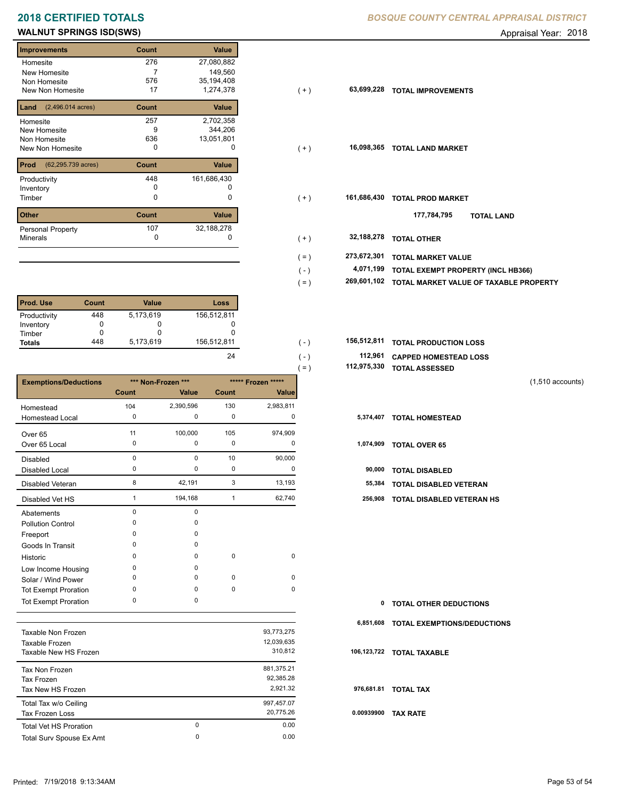# **WALNUT SPRINGS ISD(SWS) Appraisal Year: 2018**

| <b>Improvements</b>                 | Count | <b>Value</b> |
|-------------------------------------|-------|--------------|
| Homesite                            | 276   | 27,080,882   |
| New Homesite                        | 7     | 149,560      |
| Non Homesite                        | 576   | 35,194,408   |
| New Non Homesite                    | 17    | 1,274,378    |
| $(2,496.014 \text{ acres})$<br>Land | Count | Value        |
| Homesite                            | 257   | 2,702,358    |
| New Homesite                        | 9     | 344,206      |
| Non Homesite                        | 636   | 13,051,801   |
| New Non Homesite                    | 0     | o            |
| Prod<br>(62,295.739 acres)          | Count | Value        |
| Productivity                        | 448   | 161,686,430  |
| Inventory                           | O     |              |
| Timber                              | 0     | 0            |
| <b>Other</b>                        | Count | Value        |
| <b>Personal Property</b>            | 107   | 32,188,278   |
| <b>Minerals</b>                     | 0     |              |

| l Prod. Use   | Count | Value     | Loss        |
|---------------|-------|-----------|-------------|
| Productivity  | 448   | 5,173,619 | 156,512,811 |
| Inventory     |       |           |             |
| Timber        |       |           |             |
| <b>Totals</b> | 448   | 5,173,619 | 156,512,811 |

|                              |          |                    |             |                    | 112,975,330<br>$( = )$ | <b>TOTAL ASSESSED</b>            |                    |
|------------------------------|----------|--------------------|-------------|--------------------|------------------------|----------------------------------|--------------------|
| <b>Exemptions/Deductions</b> |          | *** Non-Frozen *** |             | ***** Frozen ***** |                        |                                  | $(1,510$ accounts) |
|                              | Count    | Value              | Count       | <b>Value</b>       |                        |                                  |                    |
| Homestead                    | 104      | 2,390,596          | 130         | 2,983,811          |                        |                                  |                    |
| <b>Homestead Local</b>       | 0        | 0                  | 0           | 0                  | 5,374,407              | <b>TOTAL HOMESTEAD</b>           |                    |
| Over <sub>65</sub>           | 11       | 100,000            | 105         | 974,909            |                        |                                  |                    |
| Over 65 Local                | 0        | 0                  | 0           | $\Omega$           | 1,074,909              | <b>TOTAL OVER 65</b>             |                    |
| <b>Disabled</b>              | $\Omega$ | $\Omega$           | 10          | 90,000             |                        |                                  |                    |
| Disabled Local               | 0        | 0                  | 0           | 0                  | 90,000                 | <b>TOTAL DISABLED</b>            |                    |
| <b>Disabled Veteran</b>      | 8        | 42,191             | 3           | 13,193             | 55,384                 | <b>TOTAL DISABLED VETERAN</b>    |                    |
| Disabled Vet HS              |          | 194,168            | -1          | 62,740             | 256,908                | <b>TOTAL DISABLED VETERAN HS</b> |                    |
| Abatements                   | $\Omega$ | 0                  |             |                    |                        |                                  |                    |
| <b>Pollution Control</b>     | $\Omega$ | 0                  |             |                    |                        |                                  |                    |
| Freeport                     | $\Omega$ | $\Omega$           |             |                    |                        |                                  |                    |
| Goods In Transit             | $\Omega$ | $\Omega$           |             |                    |                        |                                  |                    |
| Historic                     | $\Omega$ | $\Omega$           | $\mathbf 0$ | $\mathbf 0$        |                        |                                  |                    |
| Low Income Housing           | 0        | $\Omega$           |             |                    |                        |                                  |                    |
| Solar / Wind Power           | 0        | 0                  | 0           | $\mathbf 0$        |                        |                                  |                    |
| <b>Tot Exempt Proration</b>  | $\Omega$ | 0                  | $\mathbf 0$ | $\mathbf 0$        |                        |                                  |                    |
| <b>Tot Exempt Proration</b>  | $\Omega$ | $\Omega$           |             |                    | 0                      | <b>TOTAL OTHER DEDUCTIONS</b>    |                    |

|                               |   |            | 6.  |
|-------------------------------|---|------------|-----|
| Taxable Non Frozen            |   | 93,773,275 |     |
| Taxable Frozen                |   | 12,039,635 |     |
| Taxable New HS Frozen         |   | 310,812    | 106 |
| Tax Non Frozen                |   | 881,375.21 |     |
| Tax Frozen                    |   | 92,385.28  |     |
| Tax New HS Frozen             |   | 2.921.32   | 97  |
| Total Tax w/o Ceiling         |   | 997,457.07 |     |
| Tax Frozen Loss               |   | 20,775.26  | 0.0 |
| <b>Total Vet HS Proration</b> | 0 | 0.00       |     |
| Total Surv Spouse Ex Amt      | 0 | 0.00       |     |
|                               |   |            |     |

## **2018 CERTIFIED TOTALS** *BOSQUE COUNTY CENTRAL APPRAISAL DISTRICT*

| illipi ovellielils                      | <b>UUUIL</b> | value       |         |             |                                        |
|-----------------------------------------|--------------|-------------|---------|-------------|----------------------------------------|
| Homesite                                | 276          | 27,080,882  |         |             |                                        |
| New Homesite                            |              | 149,560     |         |             |                                        |
| Non Homesite                            | 576          | 35,194,408  |         |             |                                        |
| New Non Homesite                        | 17           | 1,274,378   | ( + )   | 63,699,228  | <b>TOTAL IMPROVEMENTS</b>              |
| <b>Land</b> $(2,496.014 \text{ acres})$ | Count        | Value       |         |             |                                        |
| Homesite                                | 257          | 2,702,358   |         |             |                                        |
| New Homesite                            | 9            | 344,206     |         |             |                                        |
| Non Homesite                            | 636          | 13,051,801  |         |             |                                        |
| New Non Homesite                        | 0            | 0           | $(+)$   | 16,098,365  | <b>TOTAL LAND MARKET</b>               |
|                                         |              |             |         |             |                                        |
| <b>Prod</b> (62,295.739 acres)          | Count        | Value       |         |             |                                        |
| Productivity                            | 448          | 161,686,430 |         |             |                                        |
| Inventory                               |              |             |         |             |                                        |
| Timber                                  | 0            | 0           | $(+)$   | 161,686,430 | <b>TOTAL PROD MARKET</b>               |
|                                         |              |             |         |             |                                        |
| Other                                   | Count        | Value       |         |             | 177,784,795<br><b>TOTAL LAND</b>       |
| Personal Property                       | 107          | 32,188,278  |         |             |                                        |
| Minerals                                | 0            | 0           | $(+)$   | 32,188,278  | <b>TOTAL OTHER</b>                     |
|                                         |              |             |         |             |                                        |
|                                         |              |             | $( = )$ | 273,672,301 | <b>TOTAL MARKET VALUE</b>              |
|                                         |              |             | $(-)$   | 4,071,199   | TOTAL EXEMPT PROPERTY (INCL HB366)     |
|                                         |              |             | $( = )$ | 269,601,102 | TOTAL MARKET VALUE OF TAXABLE PROPERTY |
|                                         |              |             |         |             |                                        |

| 156.512.811 | ( – )   | 156,512,811 TOTAL PRODUCTION LOSS |
|-------------|---------|-----------------------------------|
| 24          | $( - )$ | 112,961 CAPPED HOMESTEAD LOSS     |
|             | $=$     | 112,975,330 TOTAL ASSESSED        |

| TOTAL ASSESSED |                    |
|----------------|--------------------|
|                | $(1,510$ accounts) |

| 1,074,909 | <b>TOTAL OVER 65</b> |
|-----------|----------------------|
|           |                      |

|  | 90.000 TOTAL DISARI FD |  |
|--|------------------------|--|

- 
- 1 194,168 1 62,740 **256,908 TOTAL DISABLED VETERAN HS**

| $\mathbf{0}$ | <b>TOTAL OTHER DEDUCTIONS</b>         |
|--------------|---------------------------------------|
|              | 6,851,608 TOTAL EXEMPTIONS/DEDUCTIONS |
|              | 106,123,722 TOTAL TAXABLE             |
|              | 976,681.81 TOTAL TAX                  |
| 0.00939900   | TAX RATE                              |